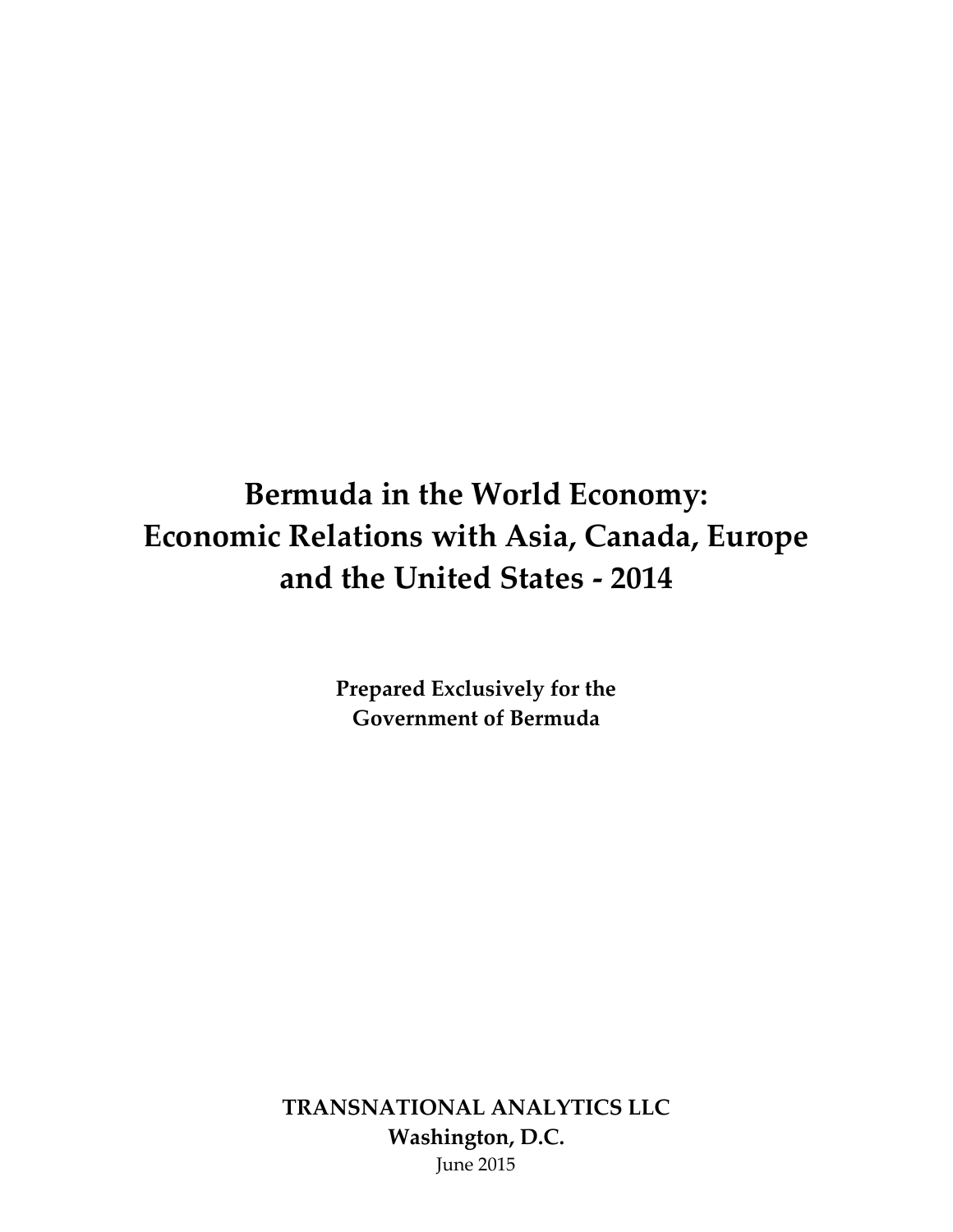# **Bermuda in the World Economy: Economic Relations with Asia, Canada, Europe and the United States - 2014**

**Prepared Exclusively for the Government of Bermuda**

**TRANSNATIONAL ANALYTICS LLC Washington, D.C.** June 2015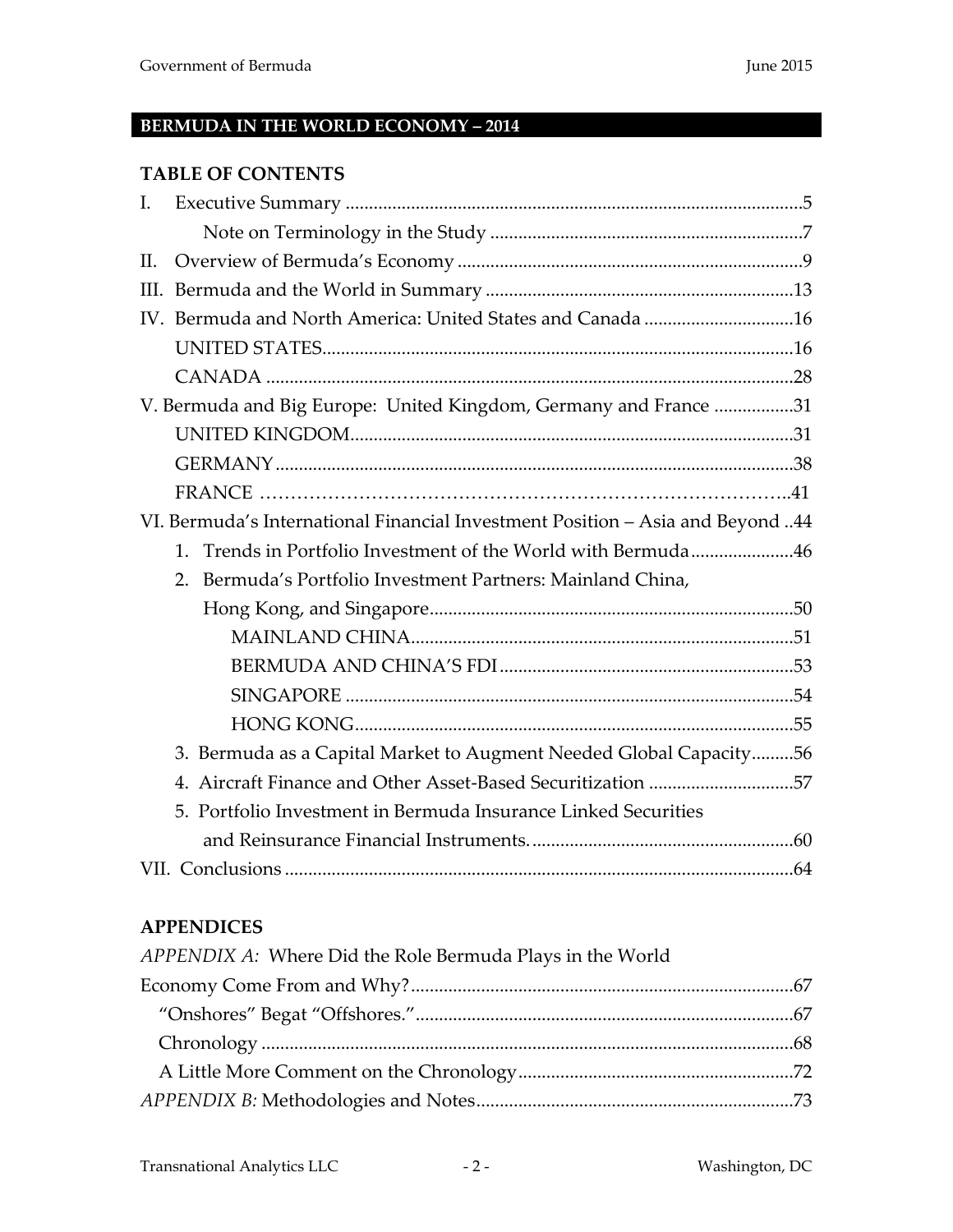# **BERMUDA IN THE WORLD ECONOMY – 2014**

#### **TABLE OF CONTENTS**

| I.      |                                                                                |  |
|---------|--------------------------------------------------------------------------------|--|
|         |                                                                                |  |
| $\Pi$ . |                                                                                |  |
| III.    |                                                                                |  |
|         |                                                                                |  |
|         |                                                                                |  |
|         |                                                                                |  |
|         | V. Bermuda and Big Europe: United Kingdom, Germany and France 31               |  |
|         |                                                                                |  |
|         |                                                                                |  |
|         |                                                                                |  |
|         | VI. Bermuda's International Financial Investment Position - Asia and Beyond 44 |  |
|         | 1. Trends in Portfolio Investment of the World with Bermuda46                  |  |
|         | 2. Bermuda's Portfolio Investment Partners: Mainland China,                    |  |
|         |                                                                                |  |
|         |                                                                                |  |
|         |                                                                                |  |
|         |                                                                                |  |
|         |                                                                                |  |
|         | 3. Bermuda as a Capital Market to Augment Needed Global Capacity56             |  |
|         | 4. Aircraft Finance and Other Asset-Based Securitization 57                    |  |
|         | 5. Portfolio Investment in Bermuda Insurance Linked Securities                 |  |
|         |                                                                                |  |
|         |                                                                                |  |

# **APPENDICES**

| APPENDIX A: Where Did the Role Bermuda Plays in the World |  |
|-----------------------------------------------------------|--|
|                                                           |  |
|                                                           |  |
|                                                           |  |
|                                                           |  |
|                                                           |  |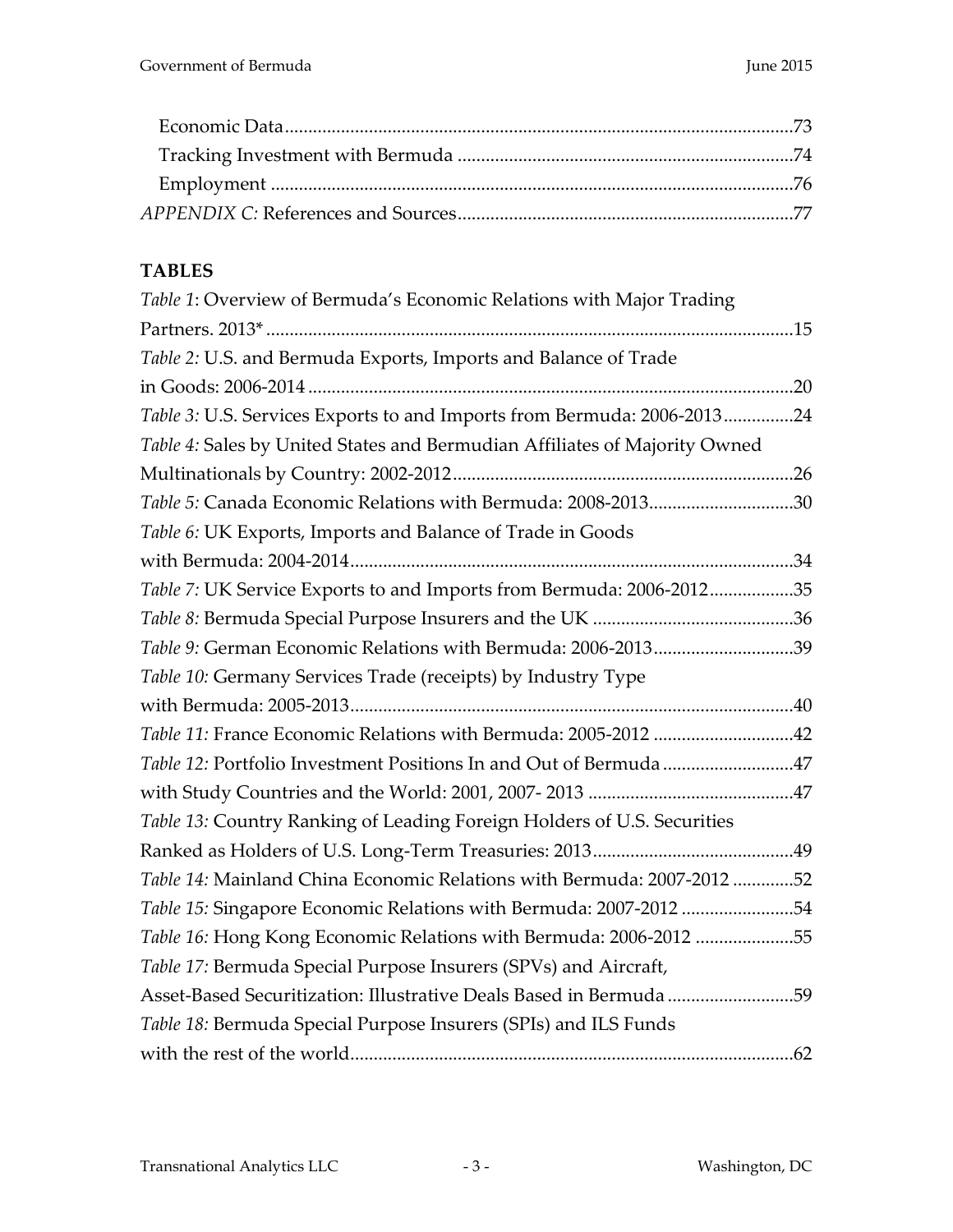# **TABLES**

| Table 1: Overview of Bermuda's Economic Relations with Major Trading       |  |
|----------------------------------------------------------------------------|--|
|                                                                            |  |
| Table 2: U.S. and Bermuda Exports, Imports and Balance of Trade            |  |
|                                                                            |  |
| Table 3: U.S. Services Exports to and Imports from Bermuda: 2006-201324    |  |
| Table 4: Sales by United States and Bermudian Affiliates of Majority Owned |  |
|                                                                            |  |
| Table 5: Canada Economic Relations with Bermuda: 2008-201330               |  |
| Table 6: UK Exports, Imports and Balance of Trade in Goods                 |  |
|                                                                            |  |
| Table 7: UK Service Exports to and Imports from Bermuda: 2006-201235       |  |
|                                                                            |  |
| Table 9: German Economic Relations with Bermuda: 2006-201339               |  |
| Table 10: Germany Services Trade (receipts) by Industry Type               |  |
|                                                                            |  |
| Table 11: France Economic Relations with Bermuda: 2005-2012 42             |  |
| Table 12: Portfolio Investment Positions In and Out of Bermuda 47          |  |
|                                                                            |  |
| Table 13: Country Ranking of Leading Foreign Holders of U.S. Securities    |  |
|                                                                            |  |
| Table 14: Mainland China Economic Relations with Bermuda: 2007-2012 52     |  |
| Table 15: Singapore Economic Relations with Bermuda: 2007-2012 54          |  |
| Table 16: Hong Kong Economic Relations with Bermuda: 2006-2012 55          |  |
| Table 17: Bermuda Special Purpose Insurers (SPVs) and Aircraft,            |  |
| Asset-Based Securitization: Illustrative Deals Based in Bermuda 59         |  |
| Table 18: Bermuda Special Purpose Insurers (SPIs) and ILS Funds            |  |
|                                                                            |  |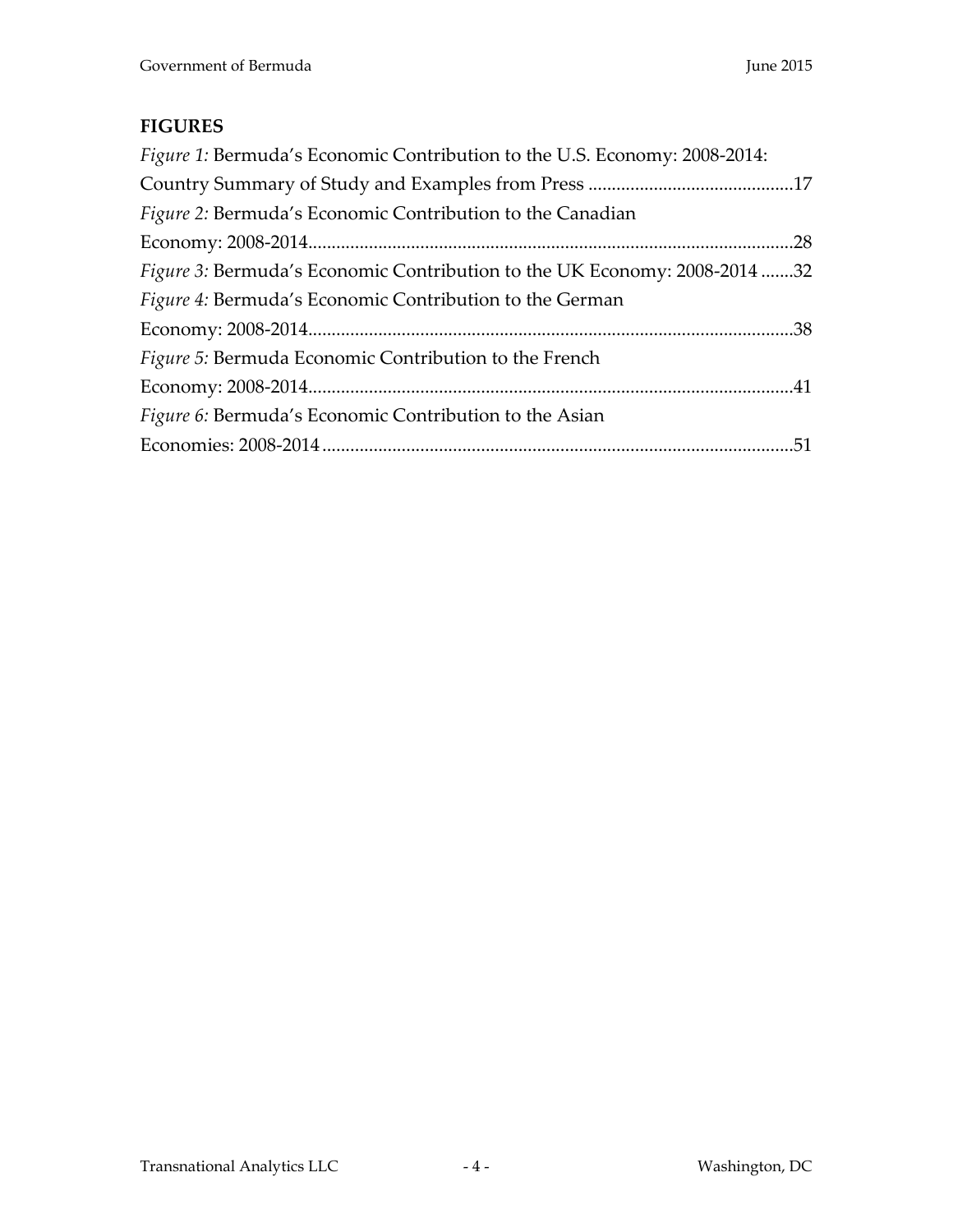## **FIGURES**

| <i>Figure 1:</i> Bermuda's Economic Contribution to the U.S. Economy: 2008-2014: |  |
|----------------------------------------------------------------------------------|--|
|                                                                                  |  |
| Figure 2: Bermuda's Economic Contribution to the Canadian                        |  |
|                                                                                  |  |
| <i>Figure 3:</i> Bermuda's Economic Contribution to the UK Economy: 2008-2014 32 |  |
| <i>Figure 4:</i> Bermuda's Economic Contribution to the German                   |  |
|                                                                                  |  |
| Figure 5: Bermuda Economic Contribution to the French                            |  |
|                                                                                  |  |
| Figure 6: Bermuda's Economic Contribution to the Asian                           |  |
|                                                                                  |  |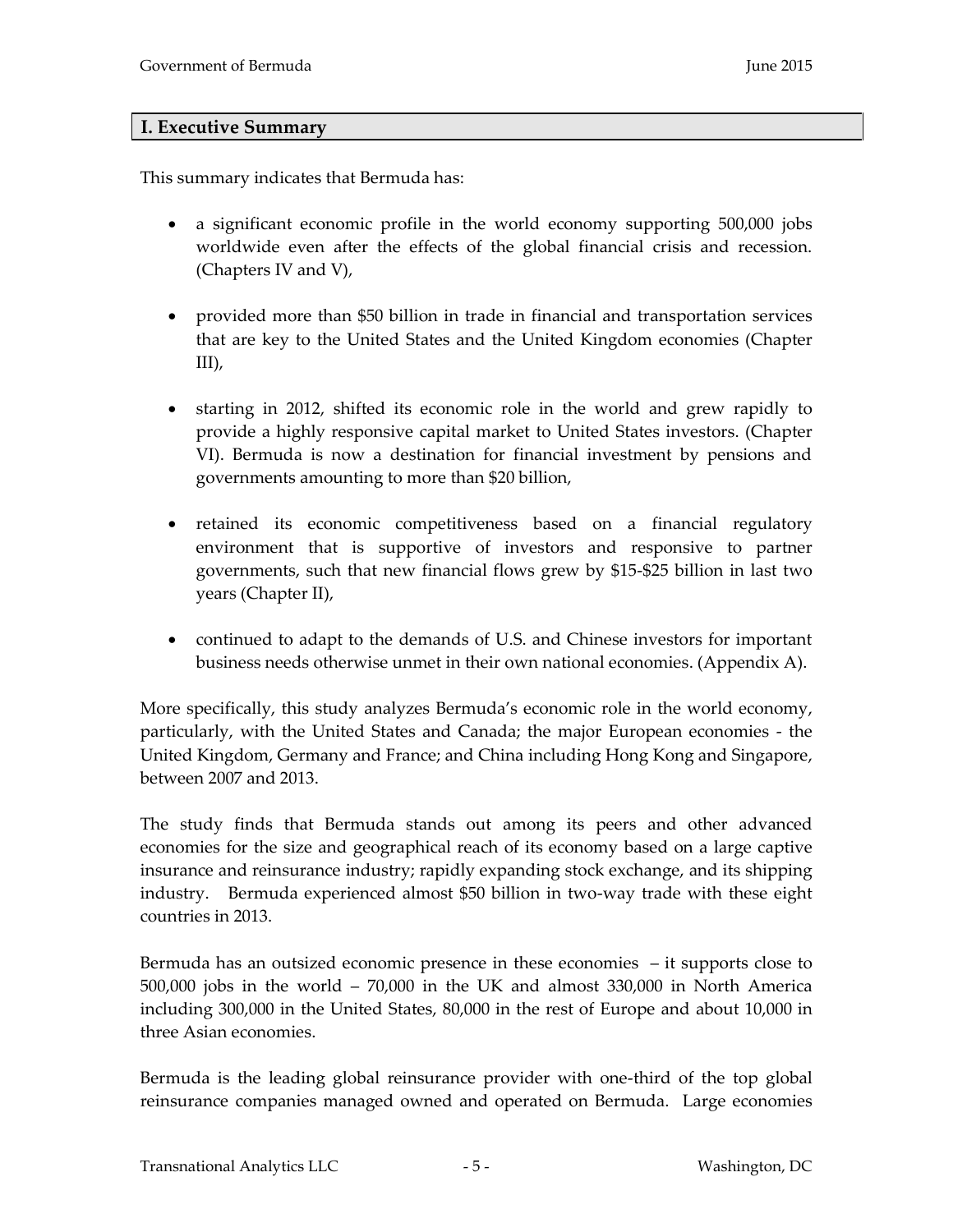#### <span id="page-4-0"></span>**I. Executive Summary**

This summary indicates that Bermuda has:

- a significant economic profile in the world economy supporting 500,000 jobs worldwide even after the effects of the global financial crisis and recession. (Chapters IV and V),
- provided more than \$50 billion in trade in financial and transportation services that are key to the United States and the United Kingdom economies (Chapter III),
- starting in 2012, shifted its economic role in the world and grew rapidly to provide a highly responsive capital market to United States investors. (Chapter VI). Bermuda is now a destination for financial investment by pensions and governments amounting to more than \$20 billion,
- retained its economic competitiveness based on a financial regulatory environment that is supportive of investors and responsive to partner governments, such that new financial flows grew by \$15-\$25 billion in last two years (Chapter II),
- continued to adapt to the demands of U.S. and Chinese investors for important business needs otherwise unmet in their own national economies. (Appendix A).

More specifically, this study analyzes Bermuda's economic role in the world economy, particularly, with the United States and Canada; the major European economies - the United Kingdom, Germany and France; and China including Hong Kong and Singapore, between 2007 and 2013.

The study finds that Bermuda stands out among its peers and other advanced economies for the size and geographical reach of its economy based on a large captive insurance and reinsurance industry; rapidly expanding stock exchange, and its shipping industry. Bermuda experienced almost \$50 billion in two-way trade with these eight countries in 2013.

Bermuda has an outsized economic presence in these economies – it supports close to 500,000 jobs in the world – 70,000 in the UK and almost 330,000 in North America including 300,000 in the United States, 80,000 in the rest of Europe and about 10,000 in three Asian economies.

Bermuda is the leading global reinsurance provider with one-third of the top global reinsurance companies managed owned and operated on Bermuda. Large economies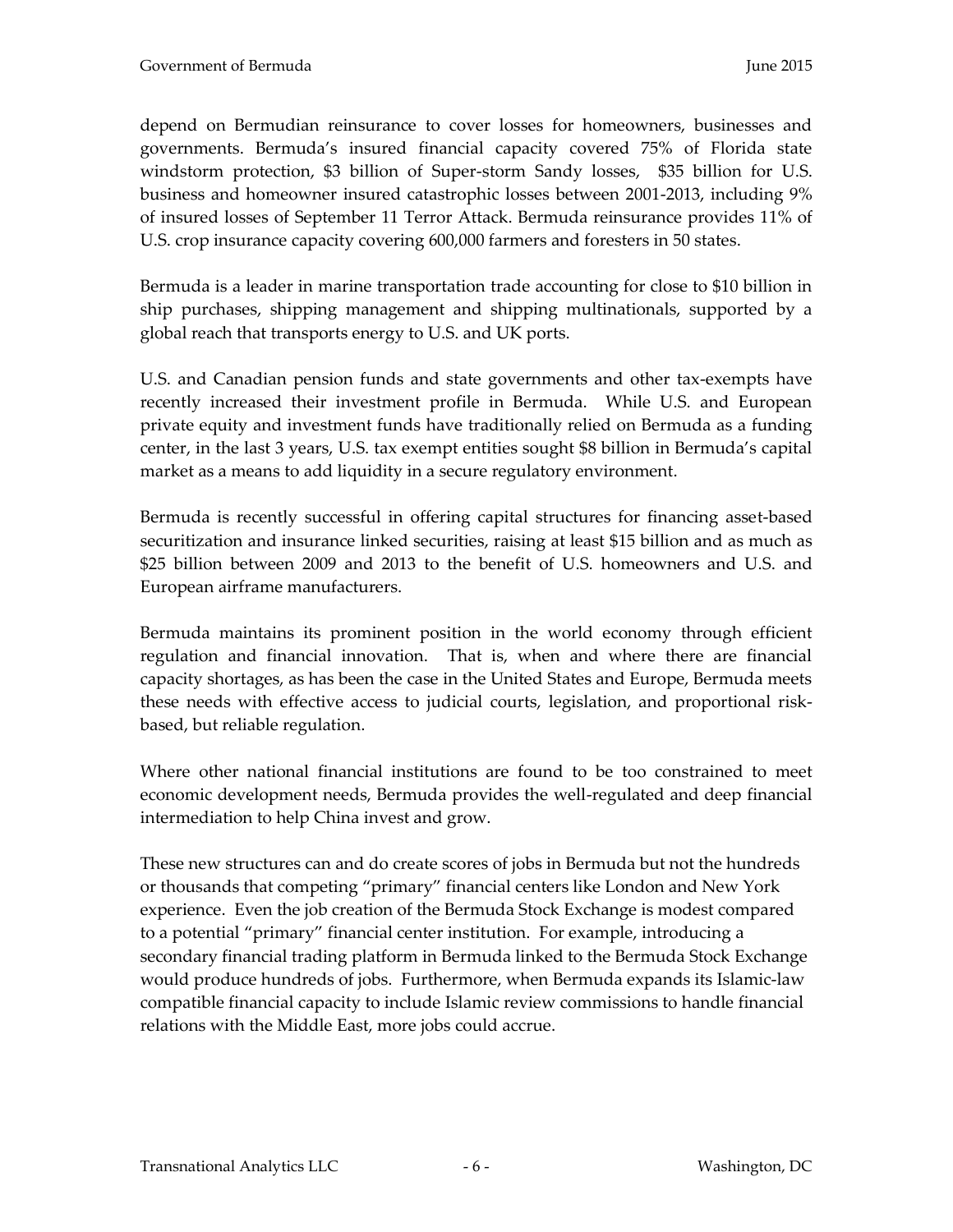depend on Bermudian reinsurance to cover losses for homeowners, businesses and governments. Bermuda's insured financial capacity covered 75% of Florida state windstorm protection, \$3 billion of Super-storm Sandy losses, \$35 billion for U.S. business and homeowner insured catastrophic losses between 2001-2013, including 9% of insured losses of September 11 Terror Attack. Bermuda reinsurance provides 11% of U.S. crop insurance capacity covering 600,000 farmers and foresters in 50 states.

Bermuda is a leader in marine transportation trade accounting for close to \$10 billion in ship purchases, shipping management and shipping multinationals, supported by a global reach that transports energy to U.S. and UK ports.

U.S. and Canadian pension funds and state governments and other tax-exempts have recently increased their investment profile in Bermuda. While U.S. and European private equity and investment funds have traditionally relied on Bermuda as a funding center, in the last 3 years, U.S. tax exempt entities sought \$8 billion in Bermuda's capital market as a means to add liquidity in a secure regulatory environment.

Bermuda is recently successful in offering capital structures for financing asset-based securitization and insurance linked securities, raising at least \$15 billion and as much as \$25 billion between 2009 and 2013 to the benefit of U.S. homeowners and U.S. and European airframe manufacturers.

Bermuda maintains its prominent position in the world economy through efficient regulation and financial innovation. That is, when and where there are financial capacity shortages, as has been the case in the United States and Europe, Bermuda meets these needs with effective access to judicial courts, legislation, and proportional riskbased, but reliable regulation.

Where other national financial institutions are found to be too constrained to meet economic development needs, Bermuda provides the well-regulated and deep financial intermediation to help China invest and grow.

These new structures can and do create scores of jobs in Bermuda but not the hundreds or thousands that competing "primary" financial centers like London and New York experience. Even the job creation of the Bermuda Stock Exchange is modest compared to a potential "primary" financial center institution. For example, introducing a secondary financial trading platform in Bermuda linked to the Bermuda Stock Exchange would produce hundreds of jobs. Furthermore, when Bermuda expands its Islamic-law compatible financial capacity to include Islamic review commissions to handle financial relations with the Middle East, more jobs could accrue.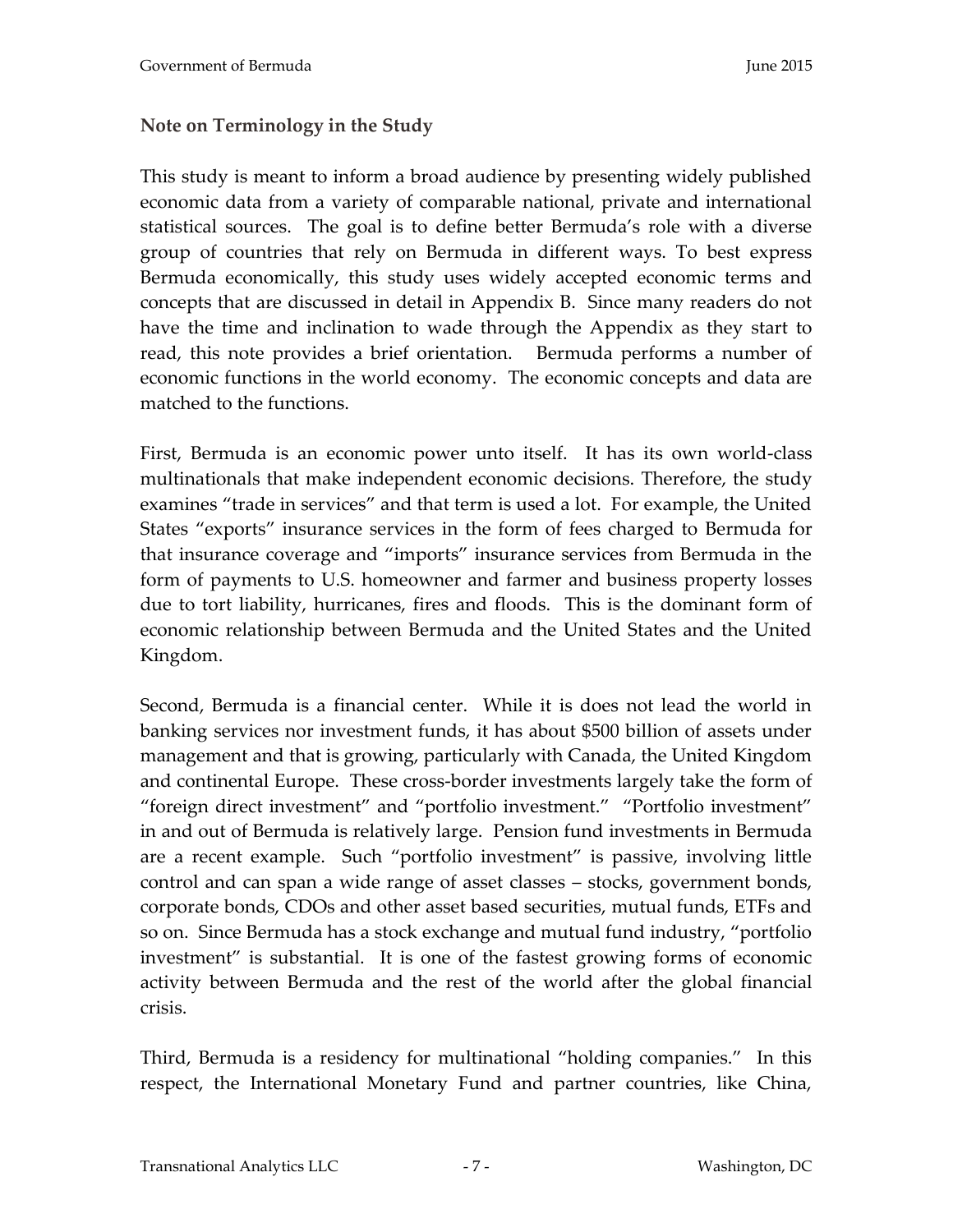#### <span id="page-6-0"></span>**Note on Terminology in the Study**

This study is meant to inform a broad audience by presenting widely published economic data from a variety of comparable national, private and international statistical sources. The goal is to define better Bermuda's role with a diverse group of countries that rely on Bermuda in different ways. To best express Bermuda economically, this study uses widely accepted economic terms and concepts that are discussed in detail in Appendix B. Since many readers do not have the time and inclination to wade through the Appendix as they start to read, this note provides a brief orientation. Bermuda performs a number of economic functions in the world economy. The economic concepts and data are matched to the functions.

First, Bermuda is an economic power unto itself. It has its own world-class multinationals that make independent economic decisions. Therefore, the study examines "trade in services" and that term is used a lot. For example, the United States "exports" insurance services in the form of fees charged to Bermuda for that insurance coverage and "imports" insurance services from Bermuda in the form of payments to U.S. homeowner and farmer and business property losses due to tort liability, hurricanes, fires and floods. This is the dominant form of economic relationship between Bermuda and the United States and the United Kingdom.

Second, Bermuda is a financial center. While it is does not lead the world in banking services nor investment funds, it has about \$500 billion of assets under management and that is growing, particularly with Canada, the United Kingdom and continental Europe. These cross-border investments largely take the form of "foreign direct investment" and "portfolio investment." "Portfolio investment" in and out of Bermuda is relatively large. Pension fund investments in Bermuda are a recent example. Such "portfolio investment" is passive, involving little control and can span a wide range of asset classes – stocks, government bonds, corporate bonds, CDOs and other asset based securities, mutual funds, ETFs and so on. Since Bermuda has a stock exchange and mutual fund industry, "portfolio investment" is substantial. It is one of the fastest growing forms of economic activity between Bermuda and the rest of the world after the global financial crisis.

Third, Bermuda is a residency for multinational "holding companies." In this respect, the International Monetary Fund and partner countries, like China,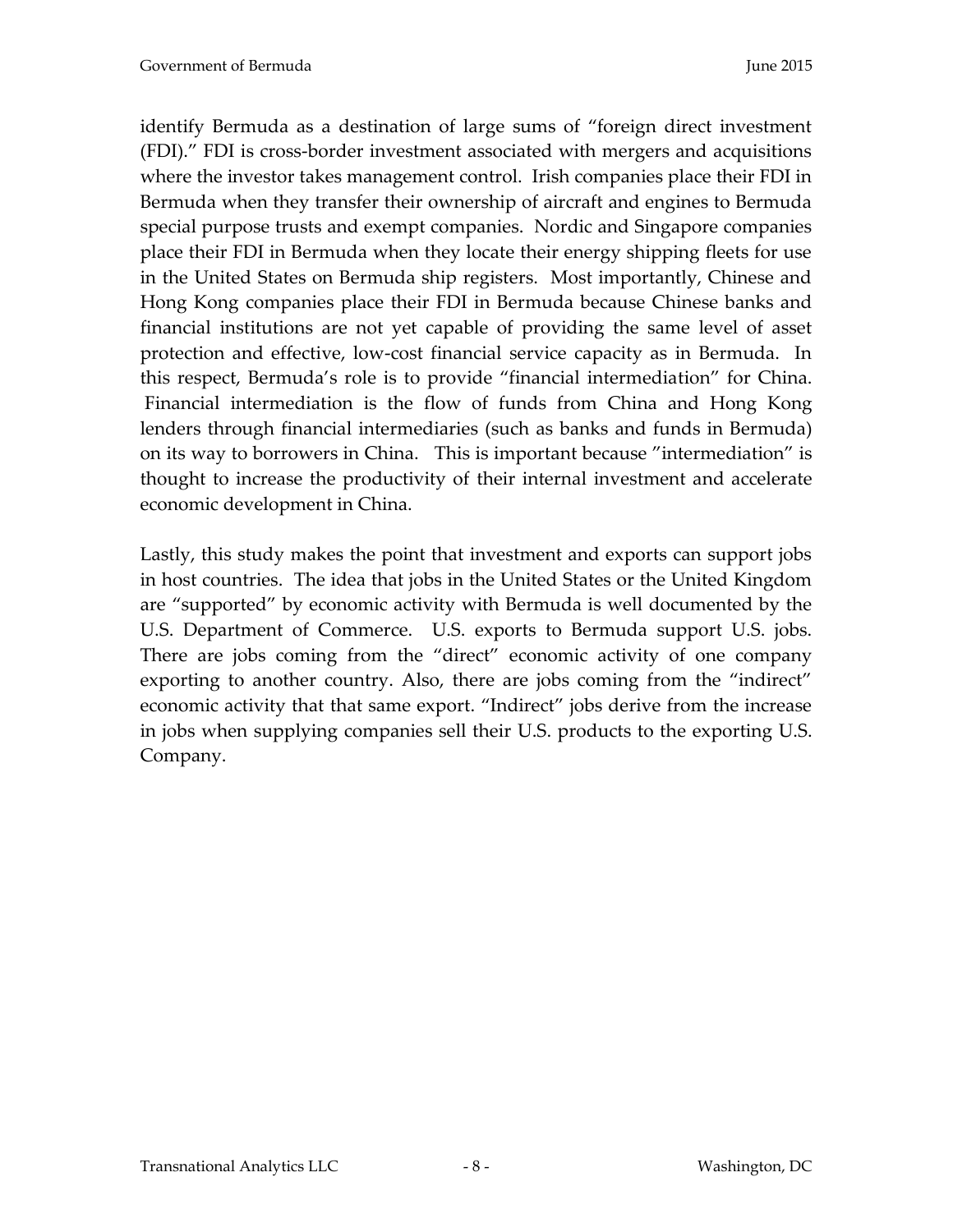identify Bermuda as a destination of large sums of "foreign direct investment (FDI)." FDI is cross-border investment associated with mergers and acquisitions where the investor takes management control. Irish companies place their FDI in Bermuda when they transfer their ownership of aircraft and engines to Bermuda special purpose trusts and exempt companies. Nordic and Singapore companies place their FDI in Bermuda when they locate their energy shipping fleets for use in the United States on Bermuda ship registers. Most importantly, Chinese and Hong Kong companies place their FDI in Bermuda because Chinese banks and financial institutions are not yet capable of providing the same level of asset protection and effective, low-cost financial service capacity as in Bermuda. In this respect, Bermuda's role is to provide "financial intermediation" for China. Financial intermediation is the flow of funds from China and Hong Kong lenders through financial intermediaries (such as banks and funds in Bermuda) on its way to borrowers in China. This is important because "intermediation" is thought to increase the productivity of their internal investment and accelerate economic development in China.

Lastly, this study makes the point that investment and exports can support jobs in host countries. The idea that jobs in the United States or the United Kingdom are "supported" by economic activity with Bermuda is well documented by the U.S. Department of Commerce. U.S. exports to Bermuda support U.S. jobs. There are jobs coming from the "direct" economic activity of one company exporting to another country. Also, there are jobs coming from the "indirect" economic activity that that same export. "Indirect" jobs derive from the increase in jobs when supplying companies sell their U.S. products to the exporting U.S. Company.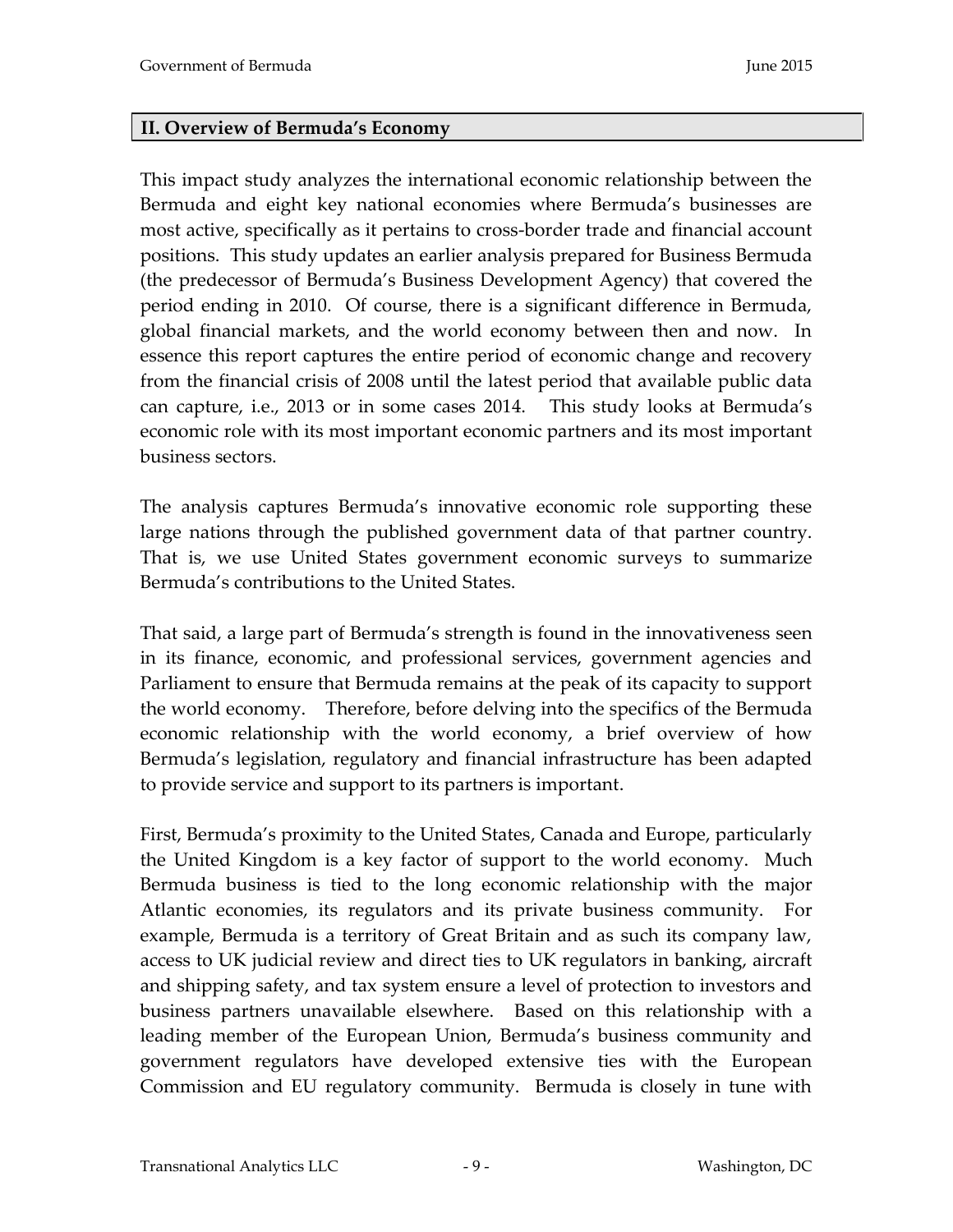#### <span id="page-8-0"></span>**II. Overview of Bermuda's Economy**

This impact study analyzes the international economic relationship between the Bermuda and eight key national economies where Bermuda's businesses are most active, specifically as it pertains to cross-border trade and financial account positions. This study updates an earlier analysis prepared for Business Bermuda (the predecessor of Bermuda's Business Development Agency) that covered the period ending in 2010. Of course, there is a significant difference in Bermuda, global financial markets, and the world economy between then and now. In essence this report captures the entire period of economic change and recovery from the financial crisis of 2008 until the latest period that available public data can capture, i.e., 2013 or in some cases 2014. This study looks at Bermuda's economic role with its most important economic partners and its most important business sectors.

The analysis captures Bermuda's innovative economic role supporting these large nations through the published government data of that partner country. That is, we use United States government economic surveys to summarize Bermuda's contributions to the United States.

That said, a large part of Bermuda's strength is found in the innovativeness seen in its finance, economic, and professional services, government agencies and Parliament to ensure that Bermuda remains at the peak of its capacity to support the world economy. Therefore, before delving into the specifics of the Bermuda economic relationship with the world economy, a brief overview of how Bermuda's legislation, regulatory and financial infrastructure has been adapted to provide service and support to its partners is important.

First, Bermuda's proximity to the United States, Canada and Europe, particularly the United Kingdom is a key factor of support to the world economy. Much Bermuda business is tied to the long economic relationship with the major Atlantic economies, its regulators and its private business community. For example, Bermuda is a territory of Great Britain and as such its company law, access to UK judicial review and direct ties to UK regulators in banking, aircraft and shipping safety, and tax system ensure a level of protection to investors and business partners unavailable elsewhere. Based on this relationship with a leading member of the European Union, Bermuda's business community and government regulators have developed extensive ties with the European Commission and EU regulatory community. Bermuda is closely in tune with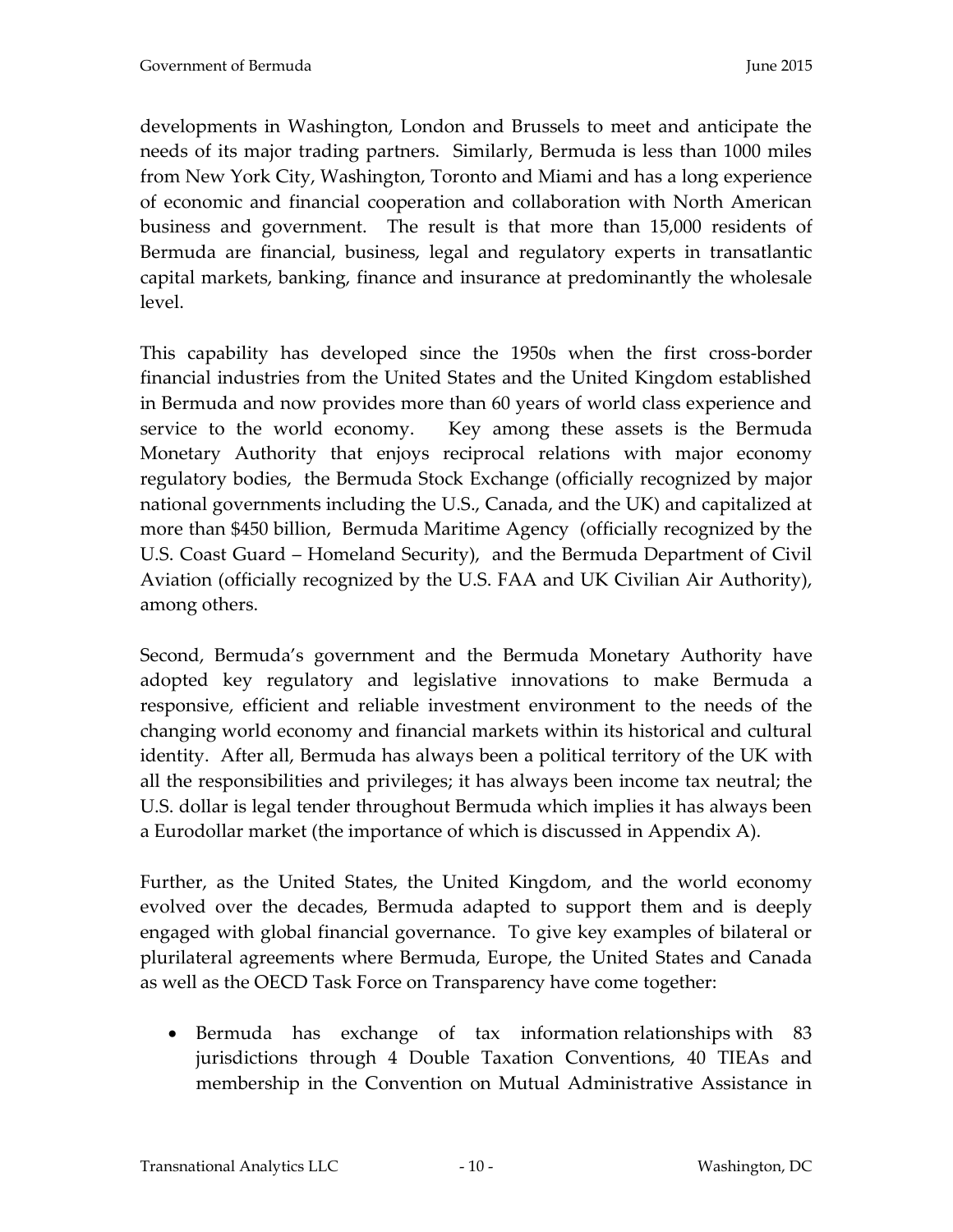developments in Washington, London and Brussels to meet and anticipate the needs of its major trading partners. Similarly, Bermuda is less than 1000 miles from New York City, Washington, Toronto and Miami and has a long experience of economic and financial cooperation and collaboration with North American business and government. The result is that more than 15,000 residents of Bermuda are financial, business, legal and regulatory experts in transatlantic capital markets, banking, finance and insurance at predominantly the wholesale level.

This capability has developed since the 1950s when the first cross-border financial industries from the United States and the United Kingdom established in Bermuda and now provides more than 60 years of world class experience and service to the world economy. Key among these assets is the Bermuda Monetary Authority that enjoys reciprocal relations with major economy regulatory bodies, the Bermuda Stock Exchange (officially recognized by major national governments including the U.S., Canada, and the UK) and capitalized at more than \$450 billion, Bermuda Maritime Agency (officially recognized by the U.S. Coast Guard – Homeland Security), and the Bermuda Department of Civil Aviation (officially recognized by the U.S. FAA and UK Civilian Air Authority), among others.

Second, Bermuda's government and the Bermuda Monetary Authority have adopted key regulatory and legislative innovations to make Bermuda a responsive, efficient and reliable investment environment to the needs of the changing world economy and financial markets within its historical and cultural identity. After all, Bermuda has always been a political territory of the UK with all the responsibilities and privileges; it has always been income tax neutral; the U.S. dollar is legal tender throughout Bermuda which implies it has always been a Eurodollar market (the importance of which is discussed in Appendix A).

Further, as the United States, the United Kingdom, and the world economy evolved over the decades, Bermuda adapted to support them and is deeply engaged with global financial governance. To give key examples of bilateral or plurilateral agreements where Bermuda, Europe, the United States and Canada as well as the OECD Task Force on Transparency have come together:

• Bermuda has exchange of tax information relationships with 83 jurisdictions through 4 Double Taxation Conventions, 40 TIEAs and membership in the Convention on Mutual Administrative Assistance in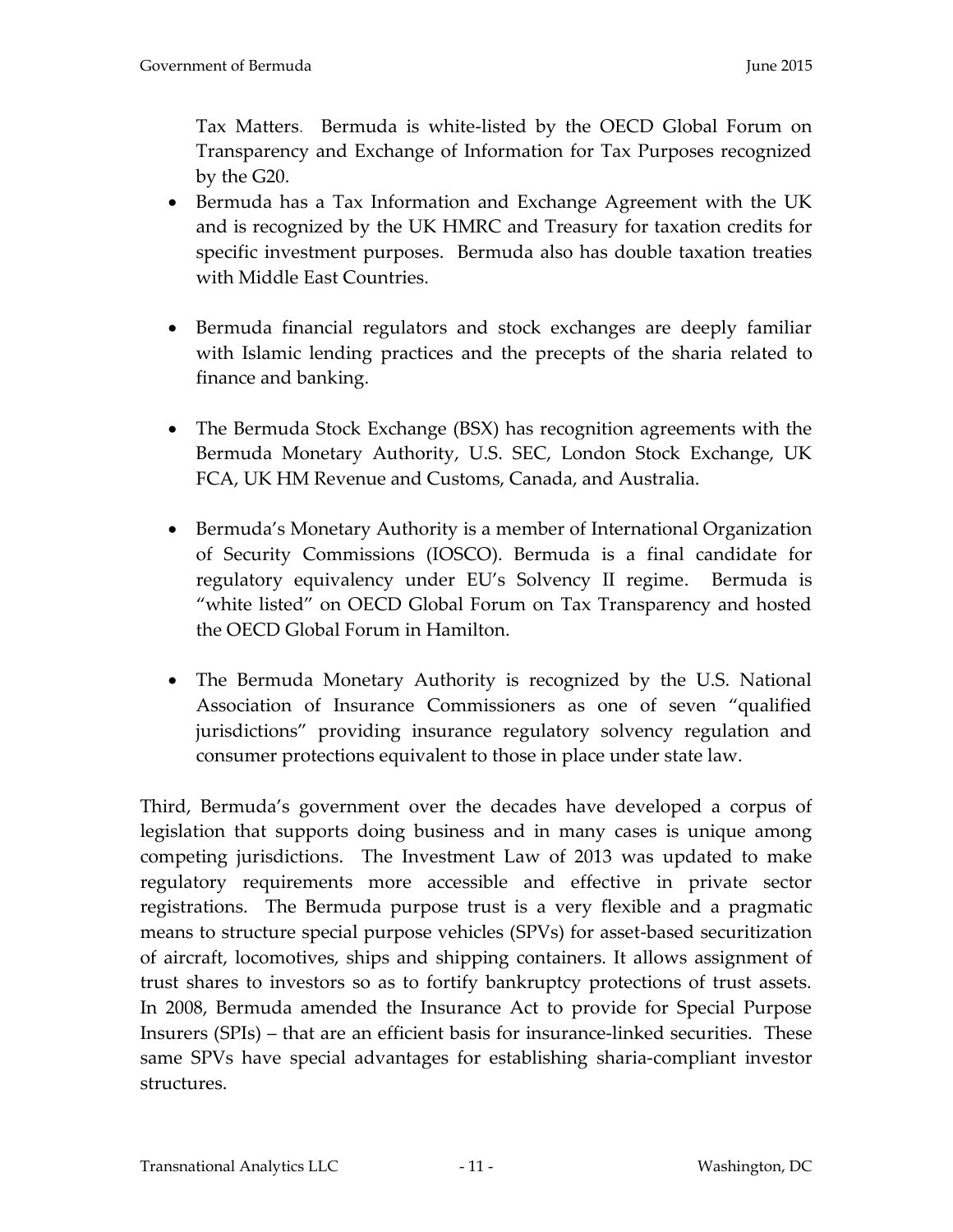Tax Matters. Bermuda is white-listed by the OECD Global Forum on Transparency and Exchange of Information for Tax Purposes recognized by the G20.

- Bermuda has a Tax Information and Exchange Agreement with the UK and is recognized by the UK HMRC and Treasury for taxation credits for specific investment purposes. Bermuda also has double taxation treaties with Middle East Countries.
- Bermuda financial regulators and stock exchanges are deeply familiar with Islamic lending practices and the precepts of the sharia related to finance and banking.
- The Bermuda Stock Exchange (BSX) has recognition agreements with the Bermuda Monetary Authority, U.S. SEC, London Stock Exchange, UK FCA, UK HM Revenue and Customs, Canada, and Australia.
- Bermuda's Monetary Authority is a member of International Organization of Security Commissions (IOSCO). Bermuda is a final candidate for regulatory equivalency under EU's Solvency II regime. Bermuda is "white listed" on OECD Global Forum on Tax Transparency and hosted the OECD Global Forum in Hamilton.
- The Bermuda Monetary Authority is recognized by the U.S. National Association of Insurance Commissioners as one of seven "qualified jurisdictions" providing insurance regulatory solvency regulation and consumer protections equivalent to those in place under state law.

Third, Bermuda's government over the decades have developed a corpus of legislation that supports doing business and in many cases is unique among competing jurisdictions. The Investment Law of 2013 was updated to make regulatory requirements more accessible and effective in private sector registrations. The Bermuda purpose trust is a very flexible and a pragmatic means to structure special purpose vehicles (SPVs) for asset-based securitization of aircraft, locomotives, ships and shipping containers. It allows assignment of trust shares to investors so as to fortify bankruptcy protections of trust assets. In 2008, Bermuda amended the Insurance Act to provide for Special Purpose Insurers (SPIs) – that are an efficient basis for insurance-linked securities. These same SPVs have special advantages for establishing sharia-compliant investor structures.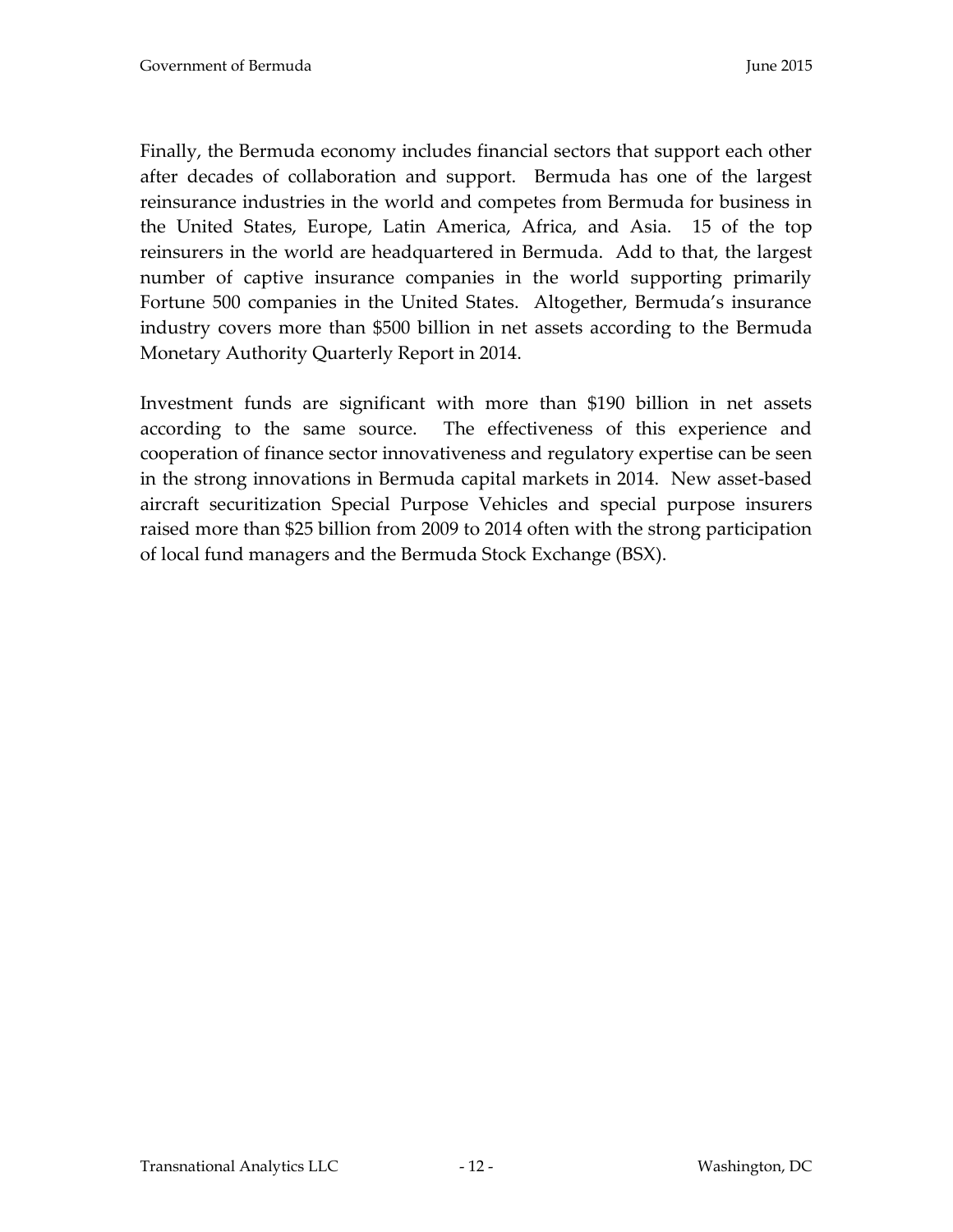Finally, the Bermuda economy includes financial sectors that support each other after decades of collaboration and support. Bermuda has one of the largest reinsurance industries in the world and competes from Bermuda for business in the United States, Europe, Latin America, Africa, and Asia. 15 of the top reinsurers in the world are headquartered in Bermuda. Add to that, the largest number of captive insurance companies in the world supporting primarily Fortune 500 companies in the United States. Altogether, Bermuda's insurance industry covers more than \$500 billion in net assets according to the Bermuda Monetary Authority Quarterly Report in 2014.

Investment funds are significant with more than \$190 billion in net assets according to the same source. The effectiveness of this experience and cooperation of finance sector innovativeness and regulatory expertise can be seen in the strong innovations in Bermuda capital markets in 2014. New asset-based aircraft securitization Special Purpose Vehicles and special purpose insurers raised more than \$25 billion from 2009 to 2014 often with the strong participation of local fund managers and the Bermuda Stock Exchange (BSX).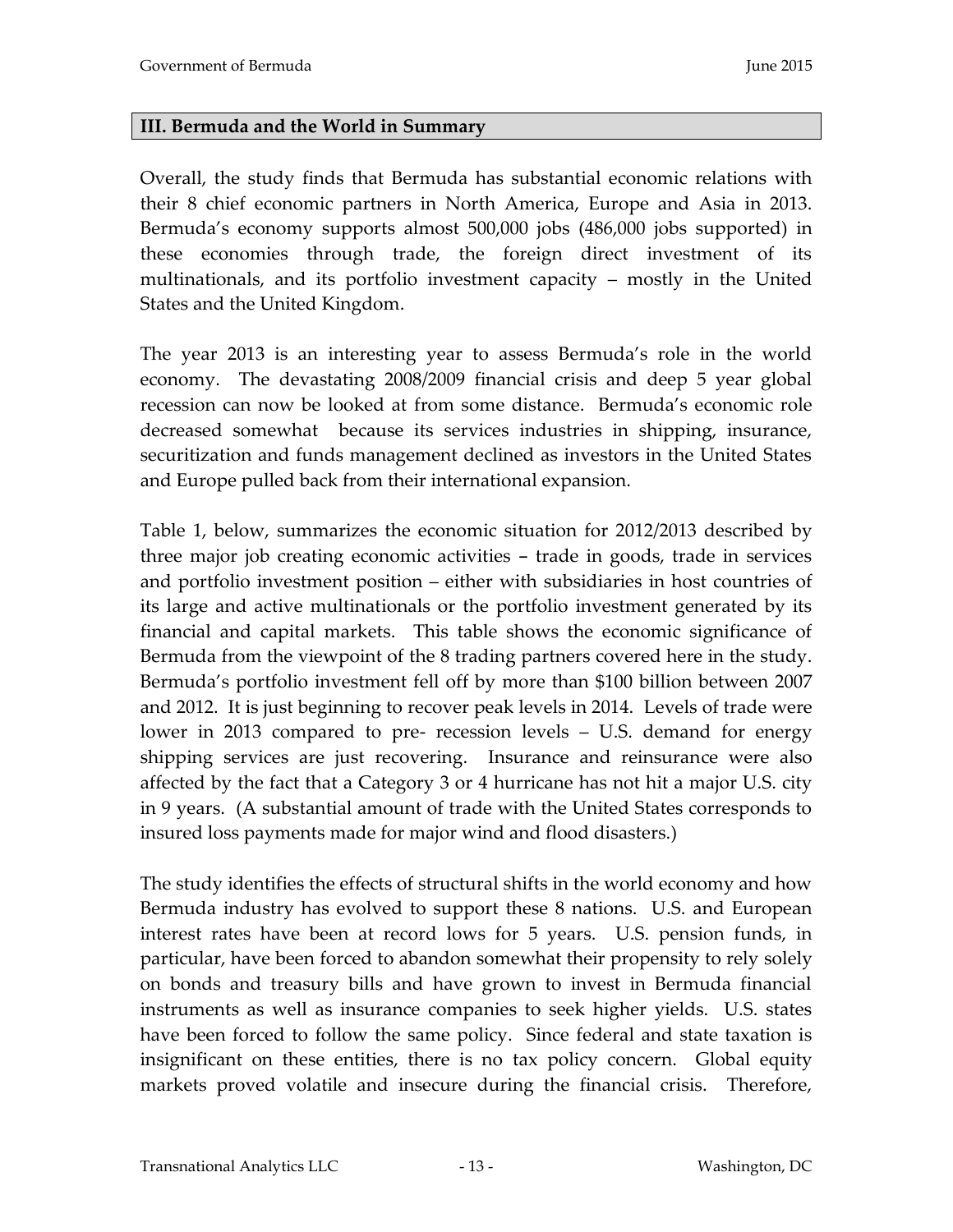#### <span id="page-12-0"></span>**III. Bermuda and the World in Summary**

Overall, the study finds that Bermuda has substantial economic relations with their 8 chief economic partners in North America, Europe and Asia in 2013. Bermuda's economy supports almost 500,000 jobs (486,000 jobs supported) in these economies through trade, the foreign direct investment of its multinationals, and its portfolio investment capacity – mostly in the United States and the United Kingdom.

The year 2013 is an interesting year to assess Bermuda's role in the world economy. The devastating 2008/2009 financial crisis and deep 5 year global recession can now be looked at from some distance. Bermuda's economic role decreased somewhat because its services industries in shipping, insurance, securitization and funds management declined as investors in the United States and Europe pulled back from their international expansion.

Table 1, below, summarizes the economic situation for 2012/2013 described by three major job creating economic activities - trade in goods, trade in services and portfolio investment position – either with subsidiaries in host countries of its large and active multinationals or the portfolio investment generated by its financial and capital markets. This table shows the economic significance of Bermuda from the viewpoint of the 8 trading partners covered here in the study. Bermuda's portfolio investment fell off by more than \$100 billion between 2007 and 2012. It is just beginning to recover peak levels in 2014. Levels of trade were lower in 2013 compared to pre- recession levels – U.S. demand for energy shipping services are just recovering. Insurance and reinsurance were also affected by the fact that a Category 3 or 4 hurricane has not hit a major U.S. city in 9 years. (A substantial amount of trade with the United States corresponds to insured loss payments made for major wind and flood disasters.)

The study identifies the effects of structural shifts in the world economy and how Bermuda industry has evolved to support these 8 nations. U.S. and European interest rates have been at record lows for 5 years. U.S. pension funds, in particular, have been forced to abandon somewhat their propensity to rely solely on bonds and treasury bills and have grown to invest in Bermuda financial instruments as well as insurance companies to seek higher yields. U.S. states have been forced to follow the same policy. Since federal and state taxation is insignificant on these entities, there is no tax policy concern. Global equity markets proved volatile and insecure during the financial crisis. Therefore,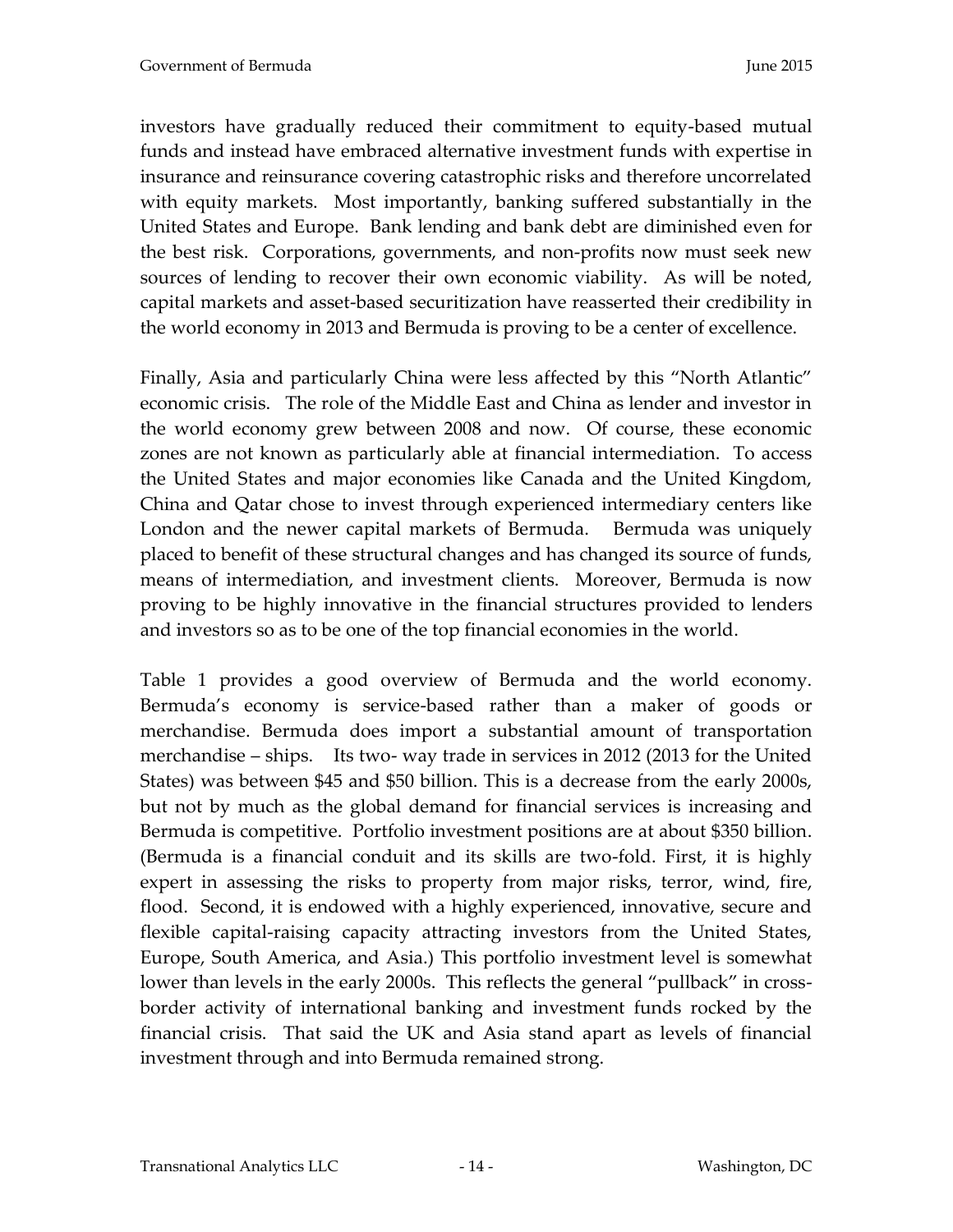investors have gradually reduced their commitment to equity-based mutual funds and instead have embraced alternative investment funds with expertise in insurance and reinsurance covering catastrophic risks and therefore uncorrelated with equity markets. Most importantly, banking suffered substantially in the United States and Europe. Bank lending and bank debt are diminished even for the best risk. Corporations, governments, and non-profits now must seek new sources of lending to recover their own economic viability. As will be noted, capital markets and asset-based securitization have reasserted their credibility in the world economy in 2013 and Bermuda is proving to be a center of excellence.

Finally, Asia and particularly China were less affected by this "North Atlantic" economic crisis. The role of the Middle East and China as lender and investor in the world economy grew between 2008 and now. Of course, these economic zones are not known as particularly able at financial intermediation. To access the United States and major economies like Canada and the United Kingdom, China and Qatar chose to invest through experienced intermediary centers like London and the newer capital markets of Bermuda. Bermuda was uniquely placed to benefit of these structural changes and has changed its source of funds, means of intermediation, and investment clients. Moreover, Bermuda is now proving to be highly innovative in the financial structures provided to lenders and investors so as to be one of the top financial economies in the world.

Table 1 provides a good overview of Bermuda and the world economy. Bermuda's economy is service-based rather than a maker of goods or merchandise. Bermuda does import a substantial amount of transportation merchandise – ships. Its two- way trade in services in 2012 (2013 for the United States) was between \$45 and \$50 billion. This is a decrease from the early 2000s, but not by much as the global demand for financial services is increasing and Bermuda is competitive. Portfolio investment positions are at about \$350 billion. (Bermuda is a financial conduit and its skills are two-fold. First, it is highly expert in assessing the risks to property from major risks, terror, wind, fire, flood. Second, it is endowed with a highly experienced, innovative, secure and flexible capital-raising capacity attracting investors from the United States, Europe, South America, and Asia.) This portfolio investment level is somewhat lower than levels in the early 2000s. This reflects the general "pullback" in crossborder activity of international banking and investment funds rocked by the financial crisis. That said the UK and Asia stand apart as levels of financial investment through and into Bermuda remained strong.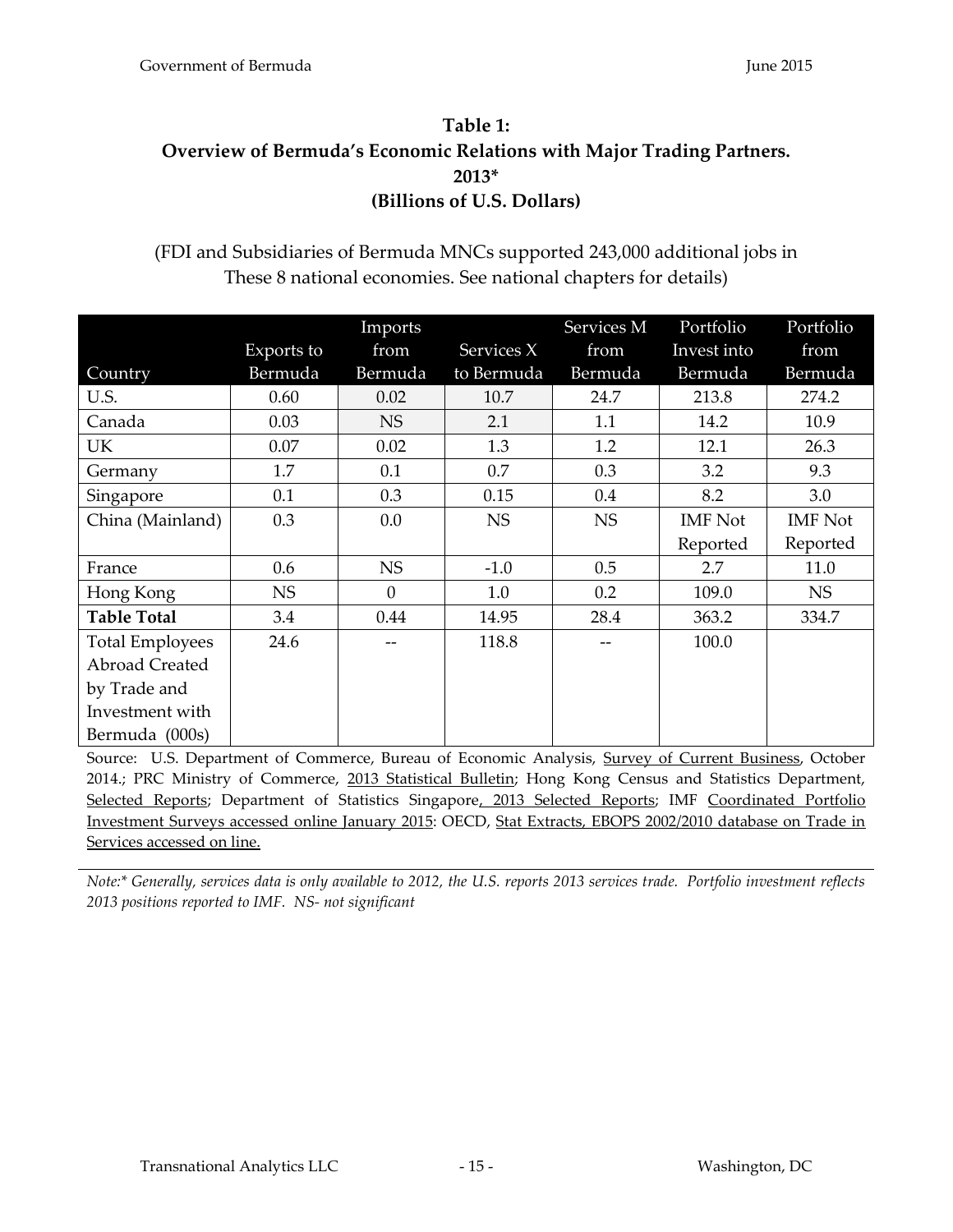# <span id="page-14-1"></span><span id="page-14-0"></span>**Table 1: Overview of Bermuda's Economic Relations with Major Trading Partners. 2013\* (Billions of U.S. Dollars)**

### (FDI and Subsidiaries of Bermuda MNCs supported 243,000 additional jobs in These 8 national economies. See national chapters for details)

|                        |            | Imports   |            | Services M | Portfolio      | Portfolio      |
|------------------------|------------|-----------|------------|------------|----------------|----------------|
|                        | Exports to | from      | Services X | from       | Invest into    | from           |
| Country                | Bermuda    | Bermuda   | to Bermuda | Bermuda    | Bermuda        | Bermuda        |
| U.S.                   | 0.60       | 0.02      | 10.7       | 24.7       | 213.8          | 274.2          |
| Canada                 | 0.03       | <b>NS</b> | 2.1        | 1.1        | 14.2           | 10.9           |
| UK                     | 0.07       | 0.02      | 1.3        | 1.2        | 12.1           | 26.3           |
| Germany                | 1.7        | 0.1       | 0.7        | 0.3        | 3.2            | 9.3            |
| Singapore              | 0.1        | 0.3       | 0.15       | 0.4        | 8.2            | 3.0            |
| China (Mainland)       | 0.3        | 0.0       | <b>NS</b>  | <b>NS</b>  | <b>IMF</b> Not | <b>IMF</b> Not |
|                        |            |           |            |            | Reported       | Reported       |
| France                 | 0.6        | <b>NS</b> | $-1.0$     | 0.5        | 2.7            | 11.0           |
| Hong Kong              | <b>NS</b>  | $\Omega$  | 1.0        | 0.2        | 109.0          | <b>NS</b>      |
| <b>Table Total</b>     | 3.4        | 0.44      | 14.95      | 28.4       | 363.2          | 334.7          |
| <b>Total Employees</b> | 24.6       |           | 118.8      |            | 100.0          |                |
| <b>Abroad Created</b>  |            |           |            |            |                |                |
| by Trade and           |            |           |            |            |                |                |
| Investment with        |            |           |            |            |                |                |
| Bermuda (000s)         |            |           |            |            |                |                |

Source: U.S. Department of Commerce, Bureau of Economic Analysis, Survey of Current Business, October 2014.; PRC Ministry of Commerce, 2013 Statistical Bulletin; Hong Kong Census and Statistics Department, Selected Reports; Department of Statistics Singapore, 2013 Selected Reports; IMF Coordinated Portfolio Investment Surveys accessed online January 2015: OECD, Stat Extracts, EBOPS 2002/2010 database on Trade in Services accessed on line.

*Note:\* Generally, services data is only available to 2012, the U.S. reports 2013 services trade. Portfolio investment reflects 2013 positions reported to IMF. NS- not significant*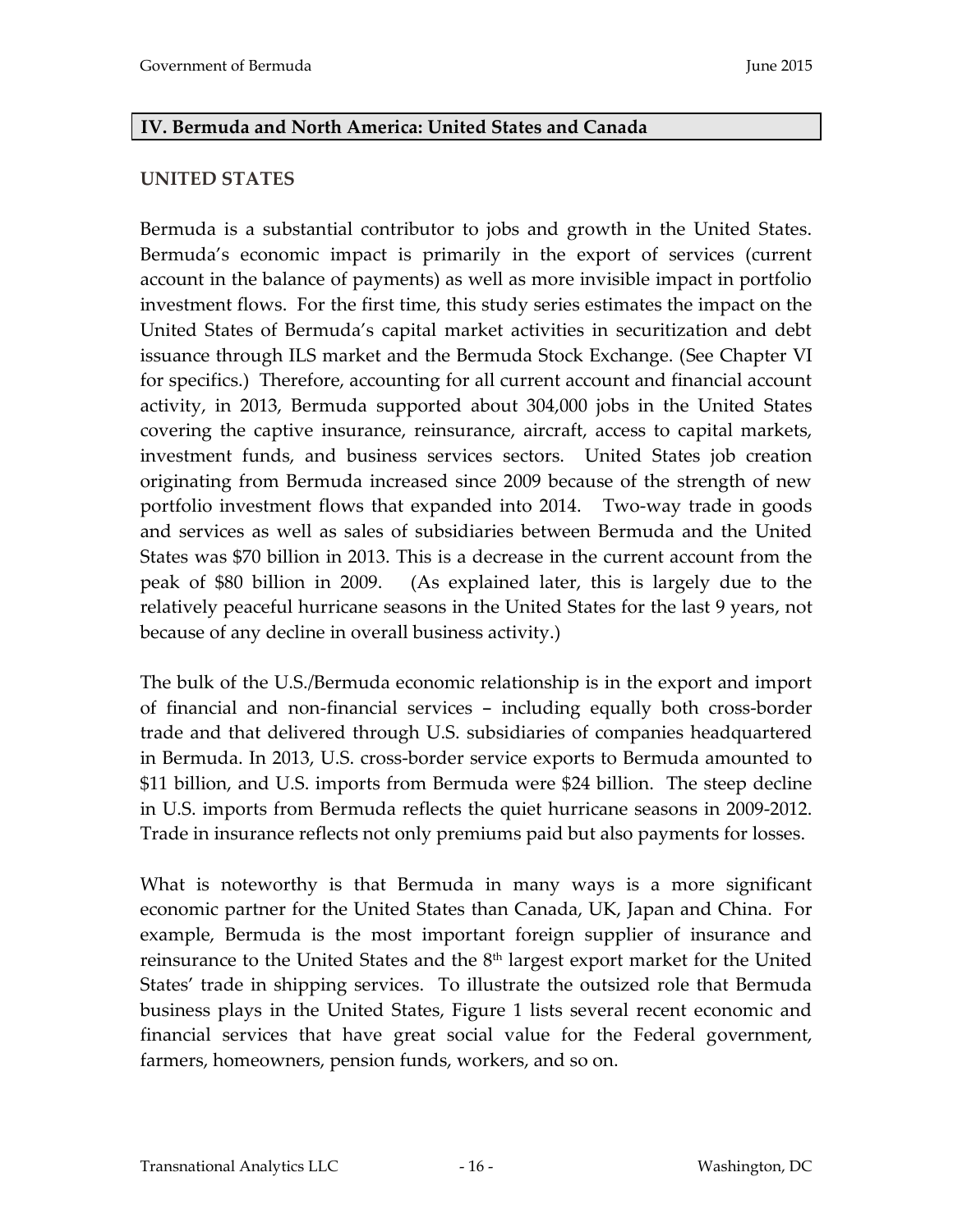#### <span id="page-15-0"></span>**IV. Bermuda and North America: United States and Canada**

#### <span id="page-15-1"></span>**UNITED STATES**

Bermuda is a substantial contributor to jobs and growth in the United States. Bermuda's economic impact is primarily in the export of services (current account in the balance of payments) as well as more invisible impact in portfolio investment flows. For the first time, this study series estimates the impact on the United States of Bermuda's capital market activities in securitization and debt issuance through ILS market and the Bermuda Stock Exchange. (See Chapter VI for specifics.) Therefore, accounting for all current account and financial account activity, in 2013, Bermuda supported about 304,000 jobs in the United States covering the captive insurance, reinsurance, aircraft, access to capital markets, investment funds, and business services sectors. United States job creation originating from Bermuda increased since 2009 because of the strength of new portfolio investment flows that expanded into 2014. Two-way trade in goods and services as well as sales of subsidiaries between Bermuda and the United States was \$70 billion in 2013. This is a decrease in the current account from the peak of \$80 billion in 2009. (As explained later, this is largely due to the relatively peaceful hurricane seasons in the United States for the last 9 years, not because of any decline in overall business activity.)

The bulk of the U.S./Bermuda economic relationship is in the export and import of financial and non-financial services - including equally both cross-border trade and that delivered through U.S. subsidiaries of companies headquartered in Bermuda. In 2013, U.S. cross-border service exports to Bermuda amounted to \$11 billion, and U.S. imports from Bermuda were \$24 billion. The steep decline in U.S. imports from Bermuda reflects the quiet hurricane seasons in 2009-2012. Trade in insurance reflects not only premiums paid but also payments for losses.

What is noteworthy is that Bermuda in many ways is a more significant economic partner for the United States than Canada, UK, Japan and China. For example, Bermuda is the most important foreign supplier of insurance and reinsurance to the United States and the 8th largest export market for the United States' trade in shipping services. To illustrate the outsized role that Bermuda business plays in the United States, Figure 1 lists several recent economic and financial services that have great social value for the Federal government, farmers, homeowners, pension funds, workers, and so on.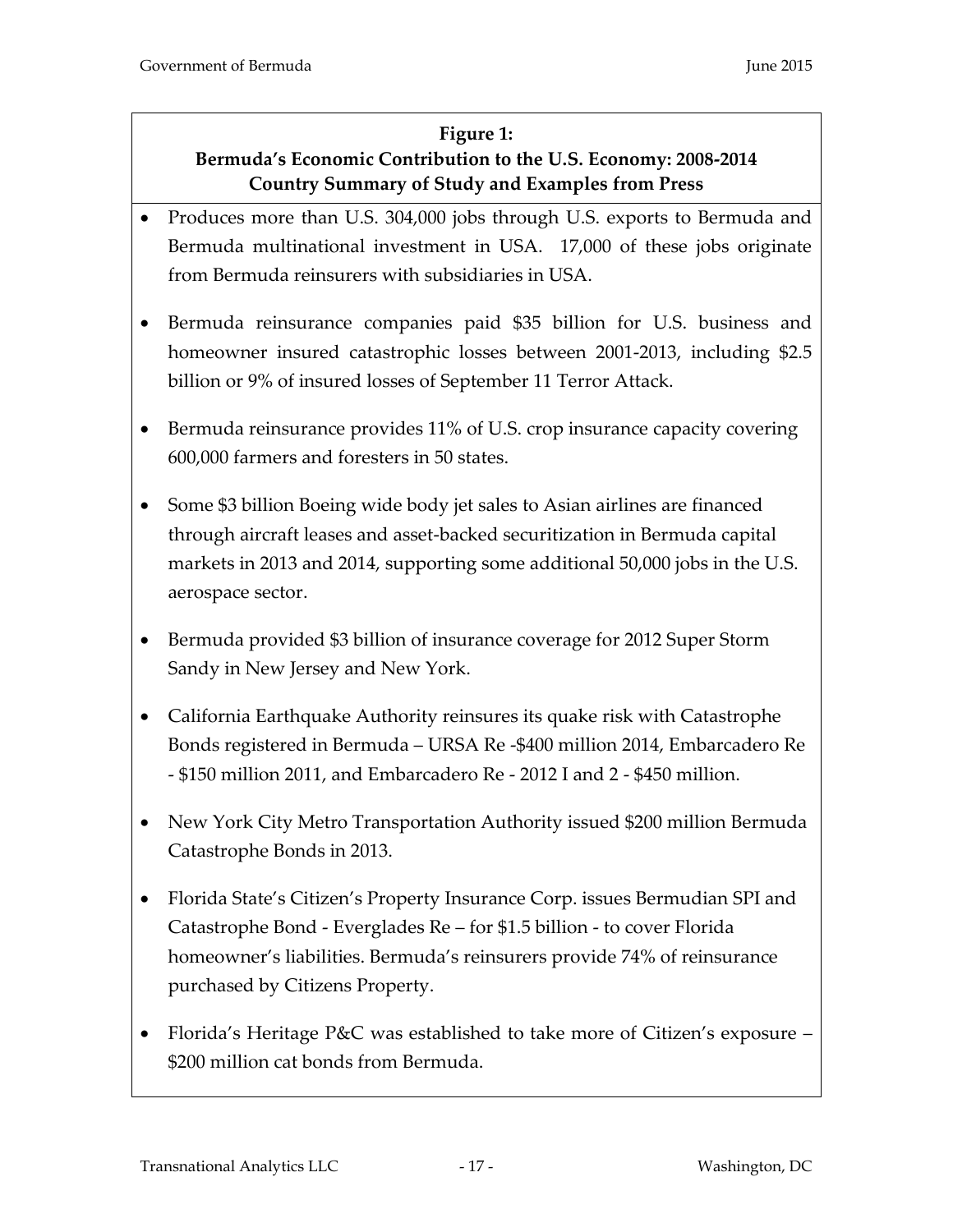#### **Figure 1:**

# <span id="page-16-0"></span>**Bermuda's Economic Contribution to the U.S. Economy: 2008-2014 Country Summary of Study and Examples from Press**

- <span id="page-16-1"></span>• Produces more than U.S. 304,000 jobs through U.S. exports to Bermuda and Bermuda multinational investment in USA. 17,000 of these jobs originate from Bermuda reinsurers with subsidiaries in USA.
- Bermuda reinsurance companies paid \$35 billion for U.S. business and homeowner insured catastrophic losses between 2001-2013, including \$2.5 billion or 9% of insured losses of September 11 Terror Attack.
- Bermuda reinsurance provides 11% of U.S. crop insurance capacity covering 600,000 farmers and foresters in 50 states.
- Some \$3 billion Boeing wide body jet sales to Asian airlines are financed through aircraft leases and asset-backed securitization in Bermuda capital markets in 2013 and 2014, supporting some additional 50,000 jobs in the U.S. aerospace sector.
- Bermuda provided \$3 billion of insurance coverage for 2012 Super Storm Sandy in New Jersey and New York.
- California Earthquake Authority reinsures its quake risk with Catastrophe Bonds registered in Bermuda – URSA Re -\$400 million 2014, Embarcadero Re - \$150 million 2011, and Embarcadero Re - 2012 I and 2 - \$450 million.
- New York City Metro Transportation Authority issued \$200 million Bermuda Catastrophe Bonds in 2013.
- Florida State's Citizen's Property Insurance Corp. issues Bermudian SPI and Catastrophe Bond - Everglades Re – for \$1.5 billion - to cover Florida homeowner's liabilities. Bermuda's reinsurers provide 74% of reinsurance purchased by Citizens Property.
- Florida's Heritage P&C was established to take more of Citizen's exposure \$200 million cat bonds from Bermuda.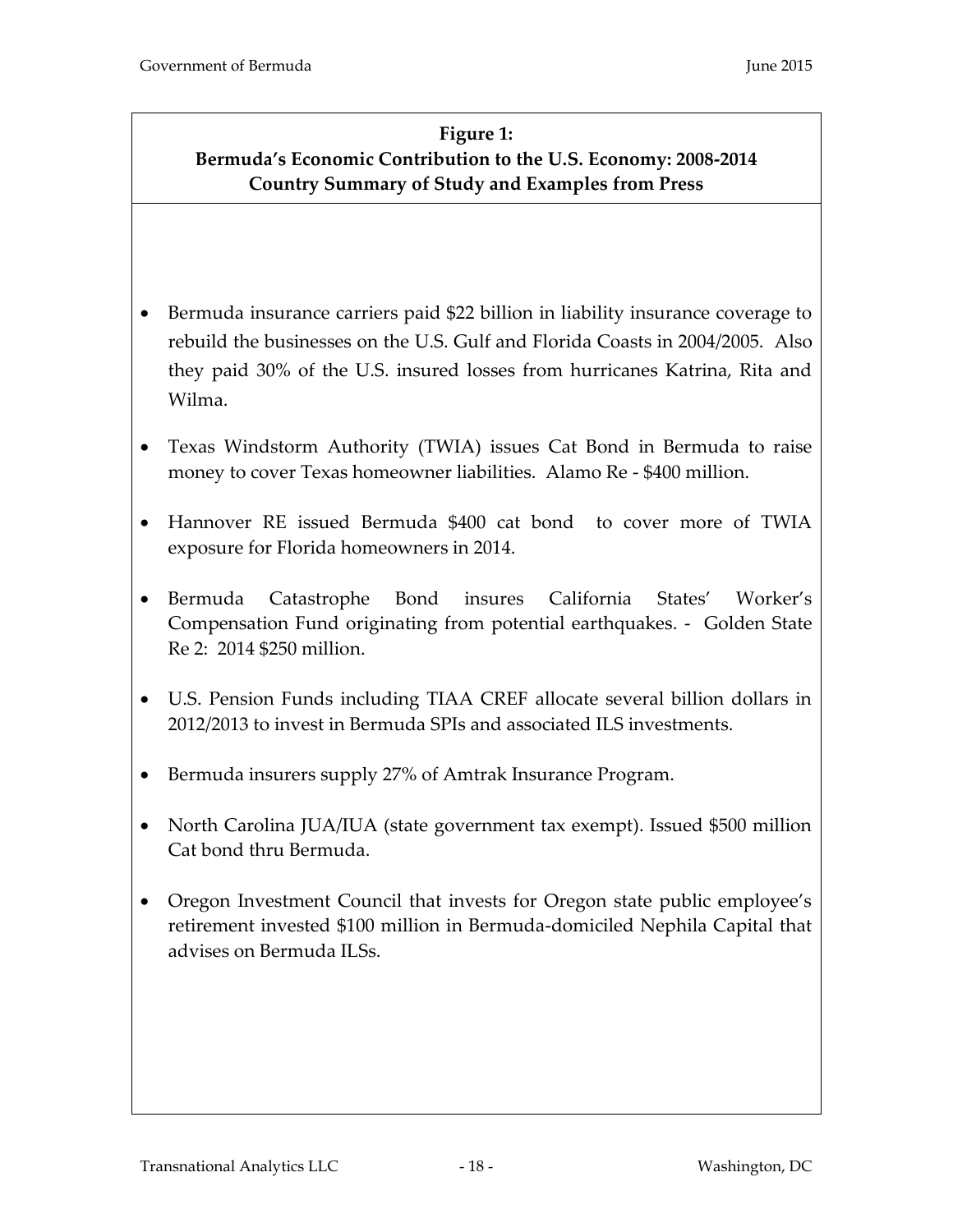# **Figure 1: Bermuda's Economic Contribution to the U.S. Economy: 2008-2014 Country Summary of Study and Examples from Press**

- Bermuda insurance carriers paid \$22 billion in liability insurance coverage to rebuild the businesses on the U.S. Gulf and Florida Coasts in 2004/2005. Also they paid 30% of the U.S. insured losses from hurricanes Katrina, Rita and Wilma.
- Texas Windstorm Authority (TWIA) issues Cat Bond in Bermuda to raise money to cover Texas homeowner liabilities. Alamo Re - \$400 million.
- Hannover RE issued Bermuda \$400 cat bond to cover more of TWIA exposure for Florida homeowners in 2014.
- Bermuda Catastrophe Bond insures California States' Worker's Compensation Fund originating from potential earthquakes. - Golden State Re 2: 2014 \$250 million.
- U.S. Pension Funds including TIAA CREF allocate several billion dollars in 2012/2013 to invest in Bermuda SPIs and associated ILS investments.
- Bermuda insurers supply 27% of Amtrak Insurance Program.
- North Carolina JUA/IUA (state government tax exempt). Issued \$500 million Cat bond thru Bermuda.
- Oregon Investment Council that invests for Oregon state public employee's retirement invested \$100 million in Bermuda-domiciled Nephila Capital that advises on Bermuda ILSs.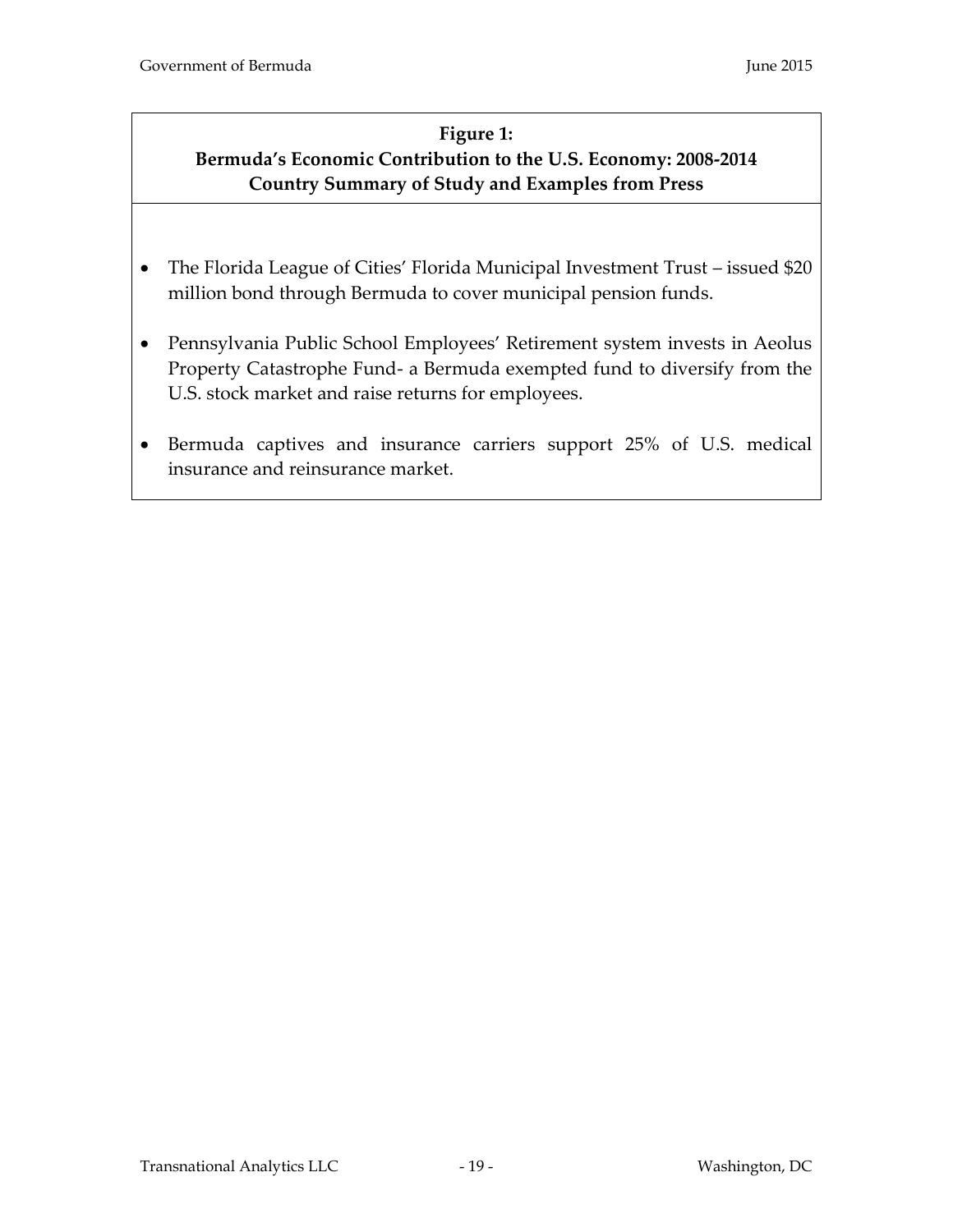# **Figure 1: Bermuda's Economic Contribution to the U.S. Economy: 2008-2014 Country Summary of Study and Examples from Press**

- The Florida League of Cities' Florida Municipal Investment Trust issued \$20 million bond through Bermuda to cover municipal pension funds.
- Pennsylvania Public School Employees' Retirement system invests in Aeolus Property Catastrophe Fund- a Bermuda exempted fund to diversify from the U.S. stock market and raise returns for employees.
- Bermuda captives and insurance carriers support 25% of U.S. medical insurance and reinsurance market.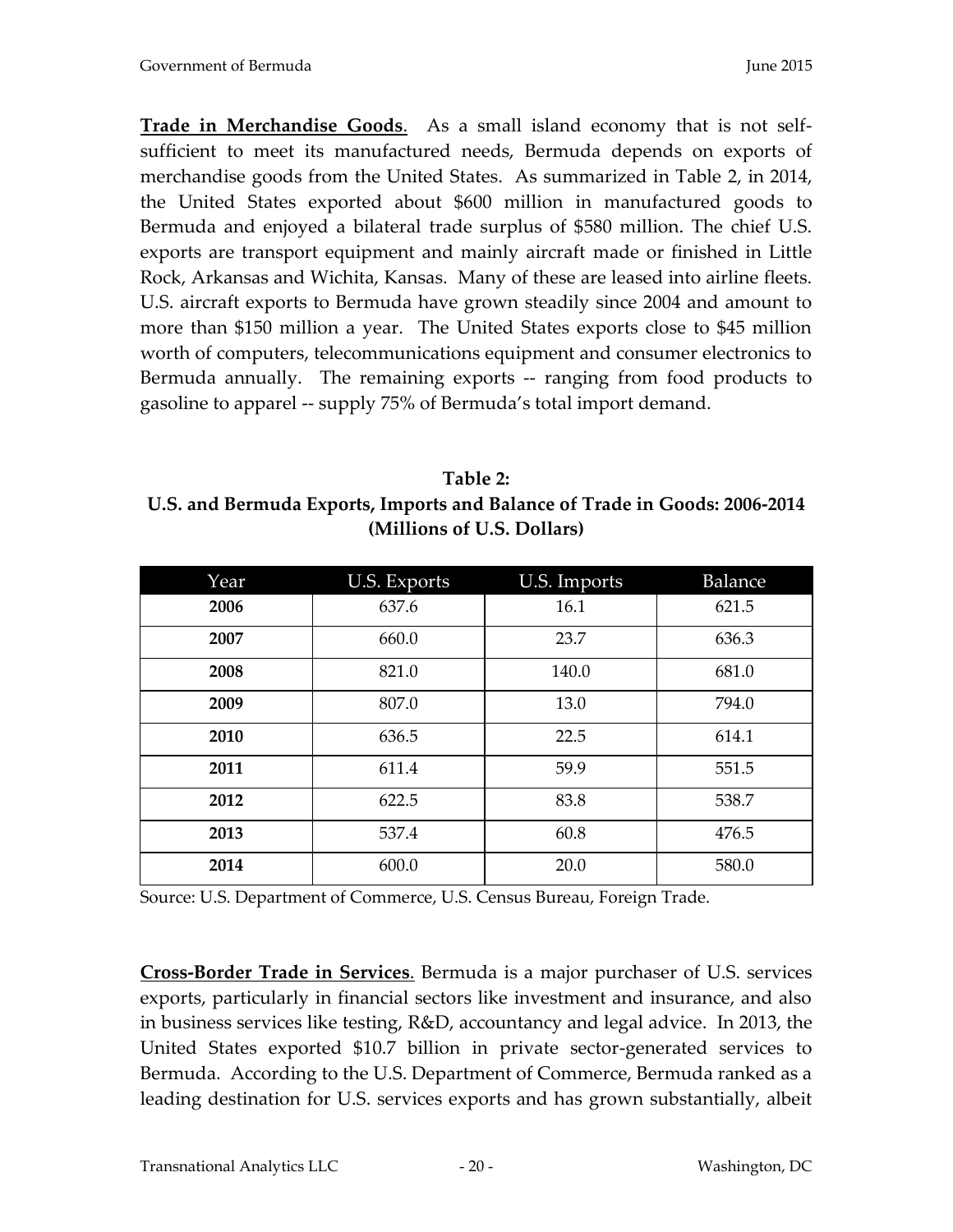**Trade in Merchandise Goods**. As a small island economy that is not selfsufficient to meet its manufactured needs, Bermuda depends on exports of merchandise goods from the United States. As summarized in Table 2, in 2014, the United States exported about \$600 million in manufactured goods to Bermuda and enjoyed a bilateral trade surplus of \$580 million. The chief U.S. exports are transport equipment and mainly aircraft made or finished in Little Rock, Arkansas and Wichita, Kansas. Many of these are leased into airline fleets. U.S. aircraft exports to Bermuda have grown steadily since 2004 and amount to more than \$150 million a year. The United States exports close to \$45 million worth of computers, telecommunications equipment and consumer electronics to Bermuda annually. The remaining exports -- ranging from food products to gasoline to apparel -- supply 75% of Bermuda's total import demand.

<span id="page-19-0"></span>**Table 2: U.S. and Bermuda Exports, Imports and Balance of Trade in Goods: 2006-2014 (Millions of U.S. Dollars)**

| Year | <b>U.S. Exports</b> | U.S. Imports  | <b>Balance</b> |  |
|------|---------------------|---------------|----------------|--|
| 2006 | 637.6               | 16.1          | 621.5          |  |
| 2007 | 660.0               | 636.3<br>23.7 |                |  |
| 2008 | 821.0               | 140.0         | 681.0          |  |
| 2009 | 807.0               | 13.0          | 794.0          |  |
| 2010 | 636.5               | 22.5          | 614.1          |  |
| 2011 | 611.4               | 59.9          | 551.5          |  |
| 2012 | 622.5               | 83.8          | 538.7          |  |
| 2013 | 537.4               | 60.8          | 476.5          |  |
| 2014 | 600.0               | 20.0          | 580.0          |  |

Source: U.S. Department of Commerce, U.S. Census Bureau, Foreign Trade.

**Cross-Border Trade in Services**. Bermuda is a major purchaser of U.S. services exports, particularly in financial sectors like investment and insurance, and also in business services like testing, R&D, accountancy and legal advice. In 2013, the United States exported \$10.7 billion in private sector-generated services to Bermuda. According to the U.S. Department of Commerce, Bermuda ranked as a leading destination for U.S. services exports and has grown substantially, albeit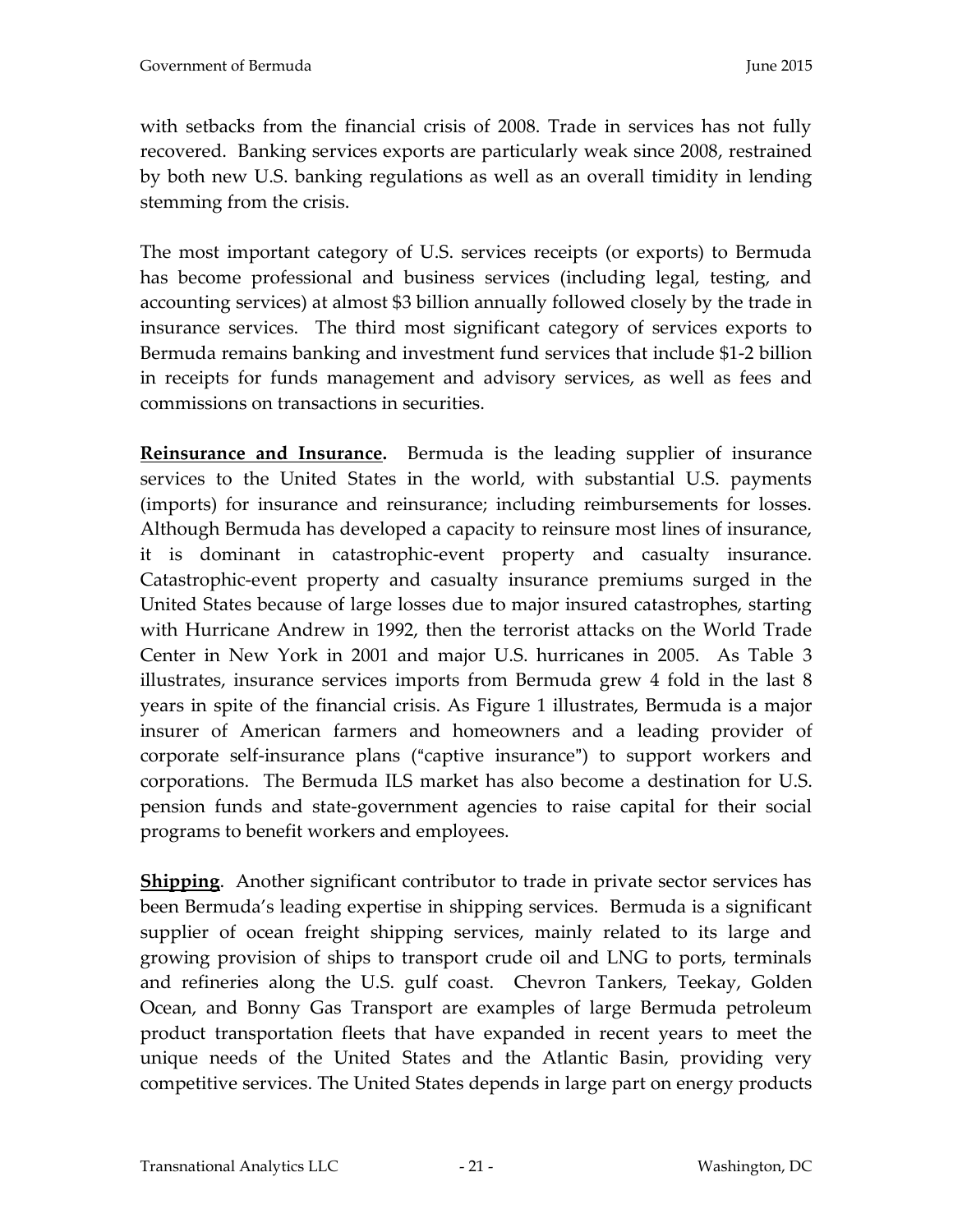with setbacks from the financial crisis of 2008. Trade in services has not fully recovered. Banking services exports are particularly weak since 2008, restrained by both new U.S. banking regulations as well as an overall timidity in lending stemming from the crisis.

The most important category of U.S. services receipts (or exports) to Bermuda has become professional and business services (including legal, testing, and accounting services) at almost \$3 billion annually followed closely by the trade in insurance services. The third most significant category of services exports to Bermuda remains banking and investment fund services that include \$1-2 billion in receipts for funds management and advisory services, as well as fees and commissions on transactions in securities.

**Reinsurance and Insurance.** Bermuda is the leading supplier of insurance services to the United States in the world, with substantial U.S. payments (imports) for insurance and reinsurance; including reimbursements for losses. Although Bermuda has developed a capacity to reinsure most lines of insurance, it is dominant in catastrophic-event property and casualty insurance. Catastrophic-event property and casualty insurance premiums surged in the United States because of large losses due to major insured catastrophes, starting with Hurricane Andrew in 1992, then the terrorist attacks on the World Trade Center in New York in 2001 and major U.S. hurricanes in 2005. As Table 3 illustrates, insurance services imports from Bermuda grew 4 fold in the last 8 years in spite of the financial crisis. As Figure 1 illustrates, Bermuda is a major insurer of American farmers and homeowners and a leading provider of corporate self-insurance plans ("captive insurance") to support workers and corporations. The Bermuda ILS market has also become a destination for U.S. pension funds and state-government agencies to raise capital for their social programs to benefit workers and employees.

**Shipping**. Another significant contributor to trade in private sector services has been Bermuda's leading expertise in shipping services. Bermuda is a significant supplier of ocean freight shipping services, mainly related to its large and growing provision of ships to transport crude oil and LNG to ports, terminals and refineries along the U.S. gulf coast. Chevron Tankers, Teekay, Golden Ocean, and Bonny Gas Transport are examples of large Bermuda petroleum product transportation fleets that have expanded in recent years to meet the unique needs of the United States and the Atlantic Basin, providing very competitive services. The United States depends in large part on energy products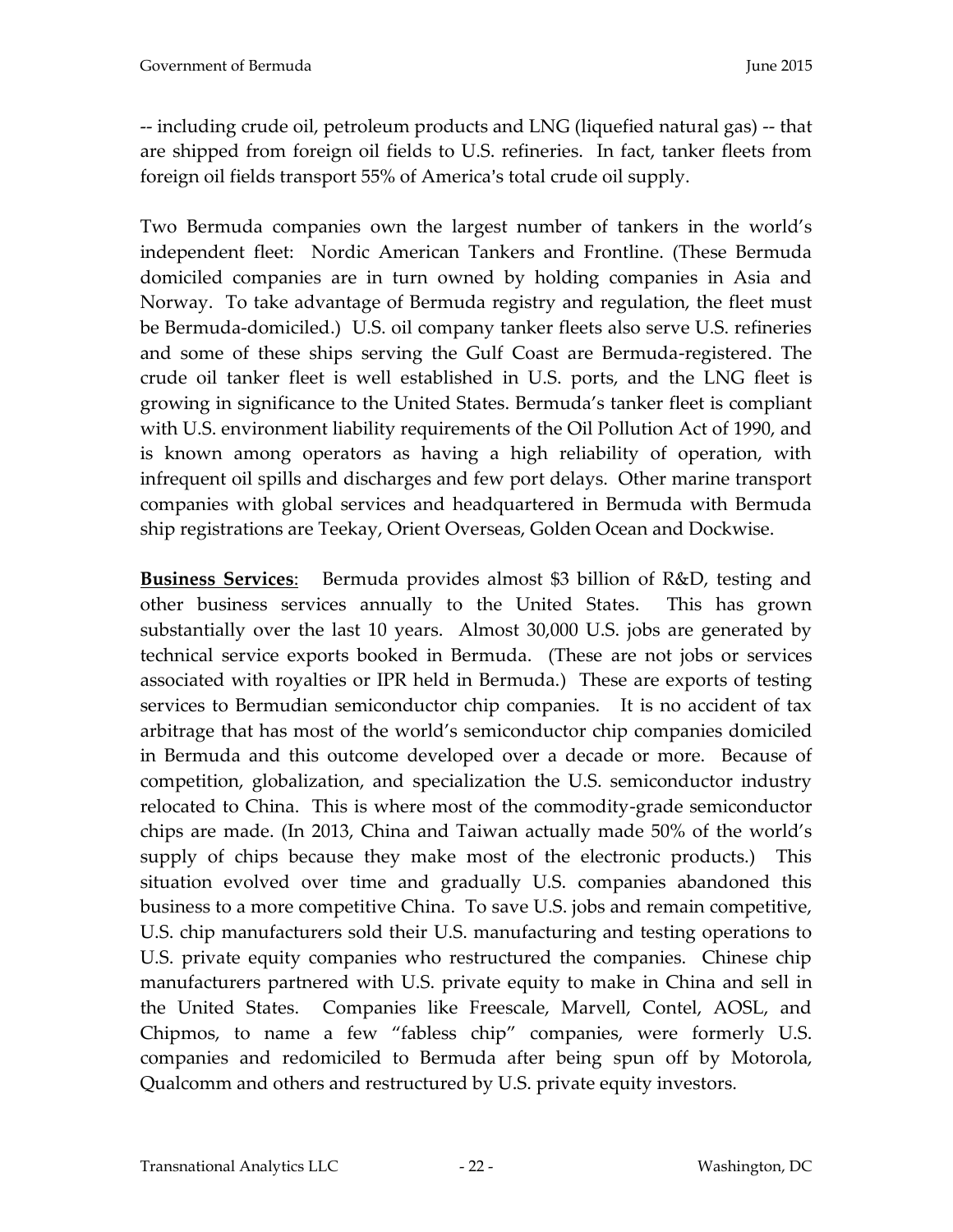-- including crude oil, petroleum products and LNG (liquefied natural gas) -- that are shipped from foreign oil fields to U.S. refineries. In fact, tanker fleets from foreign oil fields transport 55% of America's total crude oil supply.

Two Bermuda companies own the largest number of tankers in the world's independent fleet: Nordic American Tankers and Frontline. (These Bermuda domiciled companies are in turn owned by holding companies in Asia and Norway. To take advantage of Bermuda registry and regulation, the fleet must be Bermuda-domiciled.) U.S. oil company tanker fleets also serve U.S. refineries and some of these ships serving the Gulf Coast are Bermuda-registered. The crude oil tanker fleet is well established in U.S. ports, and the LNG fleet is growing in significance to the United States. Bermuda's tanker fleet is compliant with U.S. environment liability requirements of the Oil Pollution Act of 1990, and is known among operators as having a high reliability of operation, with infrequent oil spills and discharges and few port delays. Other marine transport companies with global services and headquartered in Bermuda with Bermuda ship registrations are Teekay, Orient Overseas, Golden Ocean and Dockwise.

**Business Services**: Bermuda provides almost \$3 billion of R&D, testing and other business services annually to the United States. This has grown substantially over the last 10 years. Almost 30,000 U.S. jobs are generated by technical service exports booked in Bermuda. (These are not jobs or services associated with royalties or IPR held in Bermuda.) These are exports of testing services to Bermudian semiconductor chip companies. It is no accident of tax arbitrage that has most of the world's semiconductor chip companies domiciled in Bermuda and this outcome developed over a decade or more. Because of competition, globalization, and specialization the U.S. semiconductor industry relocated to China. This is where most of the commodity-grade semiconductor chips are made. (In 2013, China and Taiwan actually made 50% of the world's supply of chips because they make most of the electronic products.) This situation evolved over time and gradually U.S. companies abandoned this business to a more competitive China. To save U.S. jobs and remain competitive, U.S. chip manufacturers sold their U.S. manufacturing and testing operations to U.S. private equity companies who restructured the companies. Chinese chip manufacturers partnered with U.S. private equity to make in China and sell in the United States. Companies like Freescale, Marvell, Contel, AOSL, and Chipmos, to name a few "fabless chip" companies, were formerly U.S. companies and redomiciled to Bermuda after being spun off by Motorola, Qualcomm and others and restructured by U.S. private equity investors.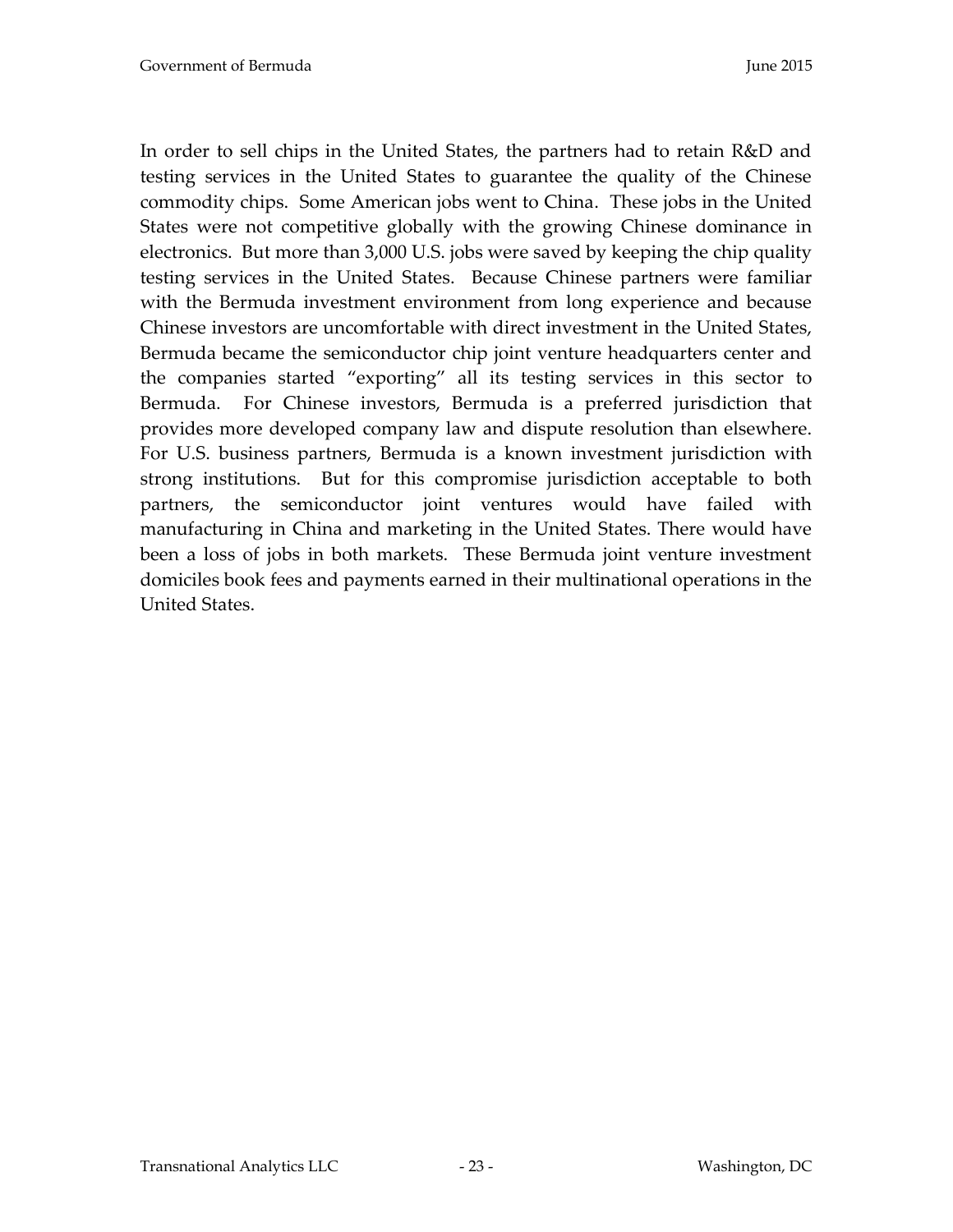In order to sell chips in the United States, the partners had to retain R&D and testing services in the United States to guarantee the quality of the Chinese commodity chips. Some American jobs went to China. These jobs in the United States were not competitive globally with the growing Chinese dominance in electronics. But more than 3,000 U.S. jobs were saved by keeping the chip quality testing services in the United States. Because Chinese partners were familiar with the Bermuda investment environment from long experience and because Chinese investors are uncomfortable with direct investment in the United States, Bermuda became the semiconductor chip joint venture headquarters center and the companies started "exporting" all its testing services in this sector to Bermuda. For Chinese investors, Bermuda is a preferred jurisdiction that provides more developed company law and dispute resolution than elsewhere. For U.S. business partners, Bermuda is a known investment jurisdiction with strong institutions. But for this compromise jurisdiction acceptable to both partners, the semiconductor joint ventures would have failed with manufacturing in China and marketing in the United States. There would have been a loss of jobs in both markets. These Bermuda joint venture investment domiciles book fees and payments earned in their multinational operations in the United States.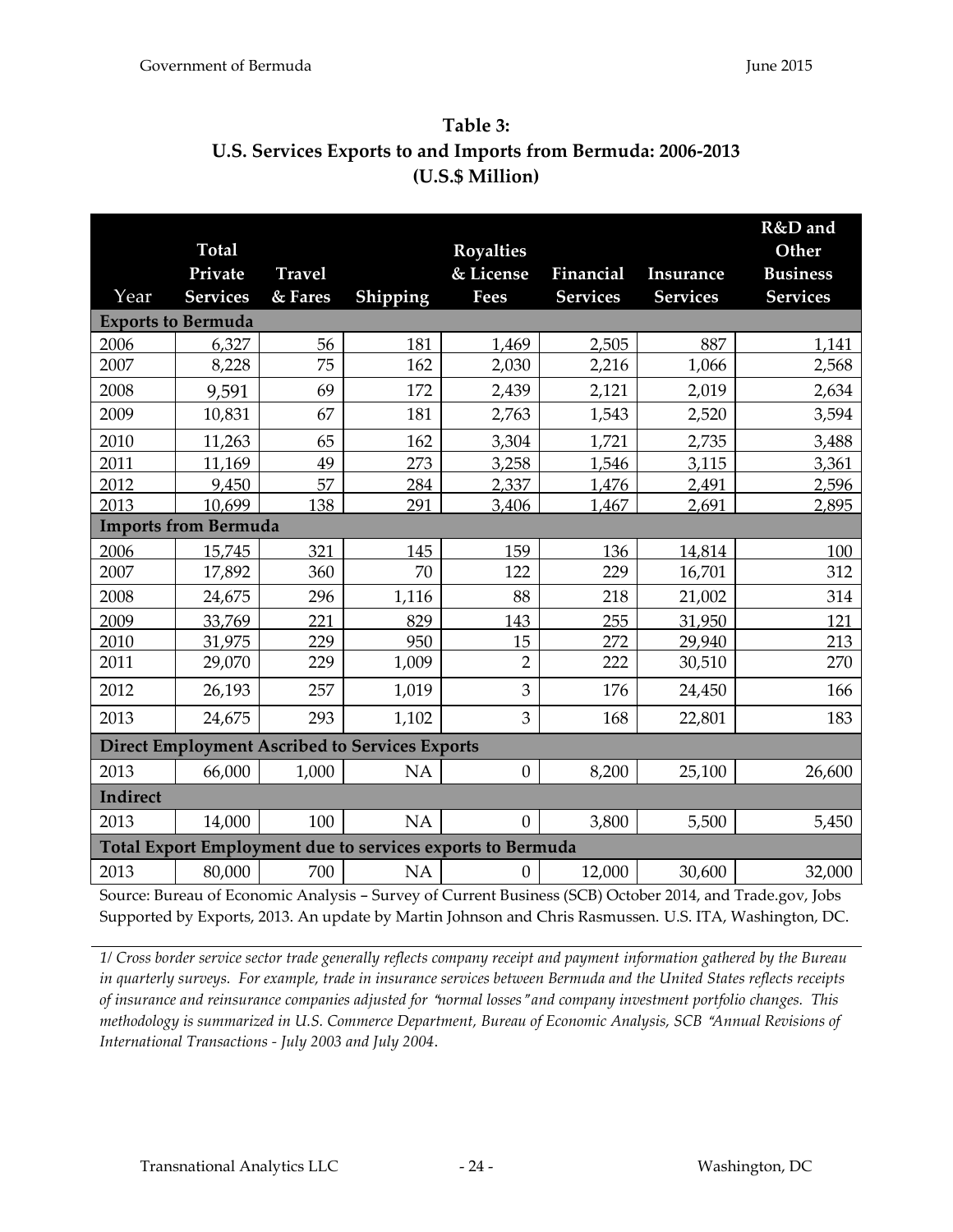<span id="page-23-0"></span>

| Table 3:                                                     |
|--------------------------------------------------------------|
| U.S. Services Exports to and Imports from Bermuda: 2006-2013 |
| (U.S.S.Million)                                              |

|          |                             |               |                                                       |                                                            |                 |                 | R&D and         |
|----------|-----------------------------|---------------|-------------------------------------------------------|------------------------------------------------------------|-----------------|-----------------|-----------------|
|          | <b>Total</b>                |               |                                                       | <b>Royalties</b>                                           |                 |                 | Other           |
|          | Private                     | <b>Travel</b> |                                                       | & License                                                  | Financial       | Insurance       | <b>Business</b> |
| Year     | <b>Services</b>             | & Fares       | Shipping                                              | <b>Fees</b>                                                | <b>Services</b> | <b>Services</b> | <b>Services</b> |
|          | <b>Exports to Bermuda</b>   |               |                                                       |                                                            |                 |                 |                 |
| 2006     | 6,327                       | 56            | 181                                                   | 1,469                                                      | 2,505           | 887             | 1,141           |
| 2007     | 8,228                       | 75            | 162                                                   | 2,030                                                      | 2,216           | 1,066           | 2,568           |
| 2008     | 9,591                       | 69            | 172                                                   | 2,439                                                      | 2,121           | 2,019           | 2,634           |
| 2009     | 10,831                      | 67            | 181                                                   | 2,763                                                      | 1,543           | 2,520           | 3,594           |
| 2010     | 11,263                      | 65            | 162                                                   | 3,304                                                      | 1,721           | 2,735           | 3,488           |
| 2011     | 11,169                      | 49            | 273                                                   | 3,258                                                      | 1,546           | 3,115           | 3,361           |
| 2012     | 9,450                       | 57            | 284                                                   | 2,337                                                      | 1,476           | 2,491           | 2,596           |
| 2013     | 10,699                      | 138           | 291                                                   | 3,406                                                      | 1,467           | 2,691           | 2,895           |
|          | <b>Imports from Bermuda</b> |               |                                                       |                                                            |                 |                 |                 |
| 2006     | 15,745                      | 321           | 145                                                   | 159                                                        | 136             | 14,814          | 100             |
| 2007     | 17,892                      | 360           | 70                                                    | 122                                                        | 229             | 16,701          | 312             |
| 2008     | 24,675                      | 296           | 1,116                                                 | 88                                                         | 218             | 21,002          | 314             |
| 2009     | 33,769                      | 221           | 829                                                   | 143                                                        | 255             | 31,950          | 121             |
| 2010     | 31,975                      | 229           | 950                                                   | 15                                                         | 272             | 29,940          | 213             |
| 2011     | 29,070                      | 229           | 1,009                                                 | $\overline{2}$                                             | 222             | 30,510          | 270             |
| 2012     | 26,193                      | 257           | 1,019                                                 | 3                                                          | 176             | 24,450          | 166             |
| 2013     | 24,675                      | 293           | 1,102                                                 | 3                                                          | 168             | 22,801          | 183             |
|          |                             |               | <b>Direct Employment Ascribed to Services Exports</b> |                                                            |                 |                 |                 |
| 2013     | 66,000                      | 1,000         | <b>NA</b>                                             | $\boldsymbol{0}$                                           | 8,200           | 25,100          | 26,600          |
| Indirect |                             |               |                                                       |                                                            |                 |                 |                 |
| 2013     | 14,000                      | 100           | NA                                                    | $\boldsymbol{0}$                                           | 3,800           | 5,500           | 5,450           |
|          |                             |               |                                                       | Total Export Employment due to services exports to Bermuda |                 |                 |                 |
| 2013     | 80,000                      | 700           | <b>NA</b>                                             | $\boldsymbol{0}$                                           | 12,000          | 30,600          | 32,000          |

Source: Bureau of Economic Analysis - Survey of Current Business (SCB) October 2014, and Trade.gov, Jobs Supported by Exports, 2013. An update by Martin Johnson and Chris Rasmussen. U.S. ITA, Washington, DC.

*1/ Cross border service sector trade generally reflects company receipt and payment information gathered by the Bureau in quarterly surveys. For example, trade in insurance services between Bermuda and the United States reflects receipts of insurance and reinsurance companies adjusted for "normal losses" and company investment portfolio changes. This methodology is summarized in U.S. Commerce Department, Bureau of Economic Analysis, SCB "Annual Revisions of International Transactions - July 2003 and July 2004*.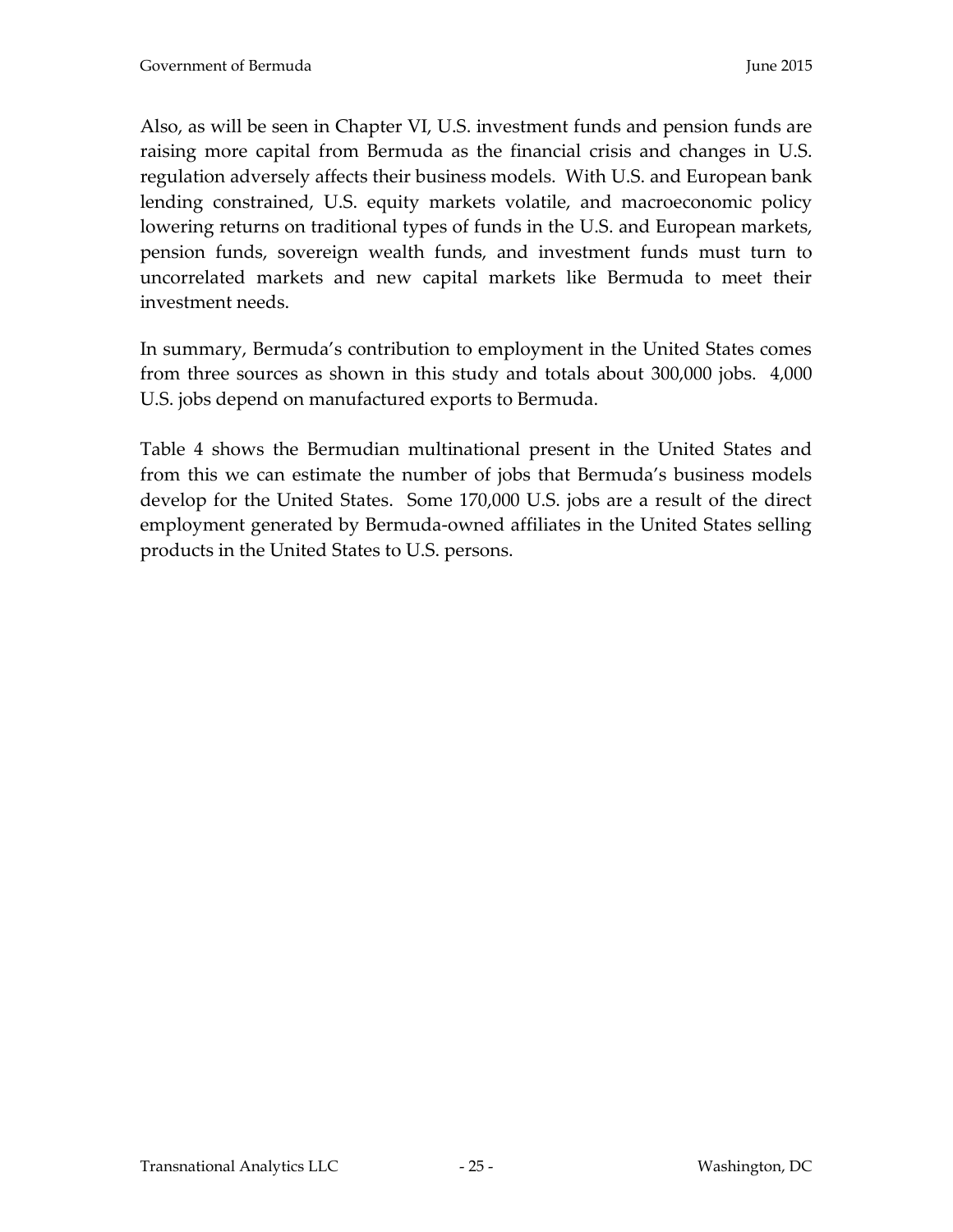Also, as will be seen in Chapter VI, U.S. investment funds and pension funds are raising more capital from Bermuda as the financial crisis and changes in U.S. regulation adversely affects their business models. With U.S. and European bank lending constrained, U.S. equity markets volatile, and macroeconomic policy lowering returns on traditional types of funds in the U.S. and European markets, pension funds, sovereign wealth funds, and investment funds must turn to uncorrelated markets and new capital markets like Bermuda to meet their investment needs.

In summary, Bermuda's contribution to employment in the United States comes from three sources as shown in this study and totals about 300,000 jobs. 4,000 U.S. jobs depend on manufactured exports to Bermuda.

Table 4 shows the Bermudian multinational present in the United States and from this we can estimate the number of jobs that Bermuda's business models develop for the United States. Some 170,000 U.S. jobs are a result of the direct employment generated by Bermuda-owned affiliates in the United States selling products in the United States to U.S. persons.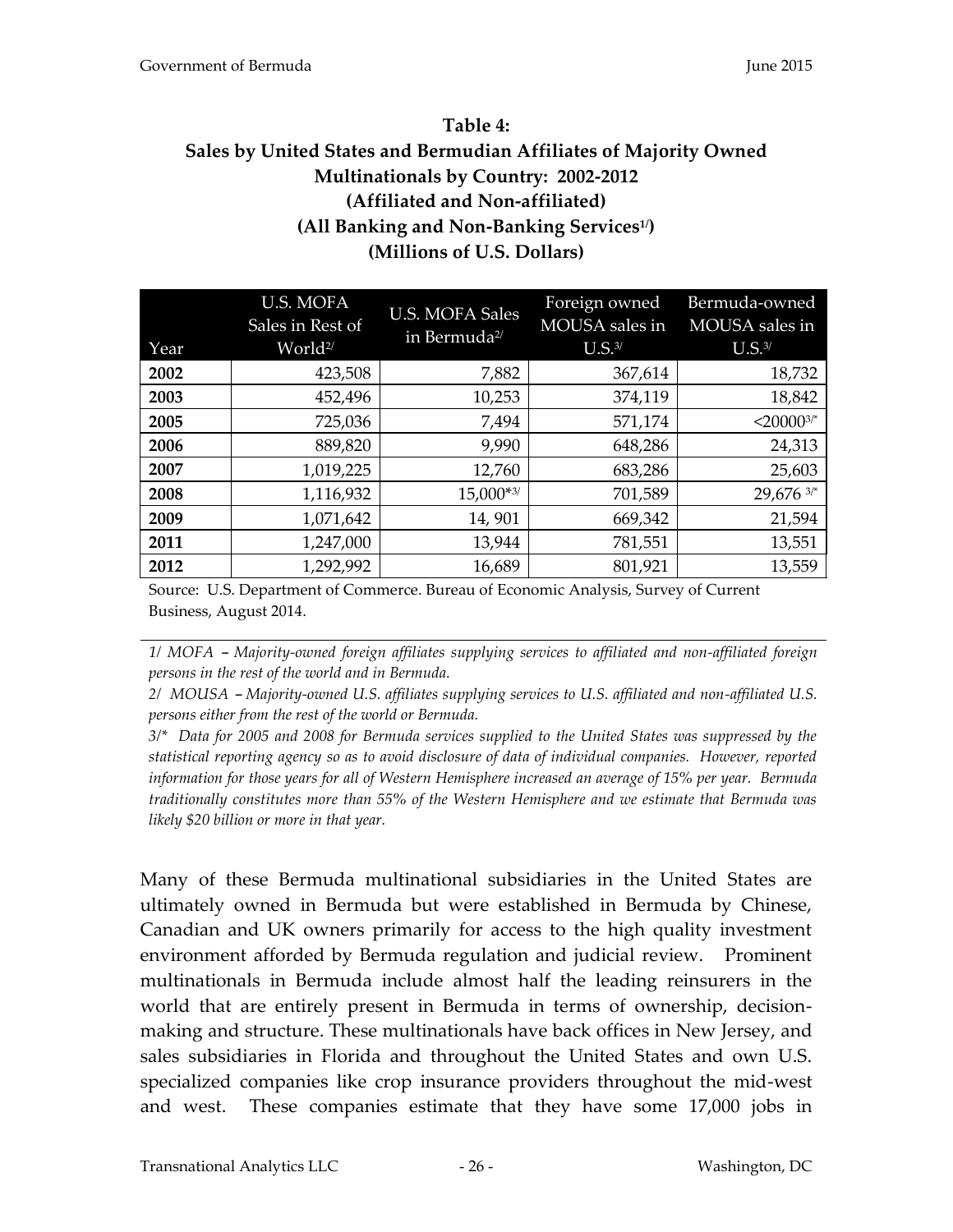# <span id="page-25-0"></span>**Table 4: Sales by United States and Bermudian Affiliates of Majority Owned Multinationals by Country: 2002-2012 (Affiliated and Non-affiliated) (All Banking and Non-Banking Services1/) (Millions of U.S. Dollars)**

| Year | U.S. MOFA<br>Sales in Rest of<br>World <sup>2/</sup> | <b>U.S. MOFA Sales</b><br>in Bermuda <sup>2/</sup> | Foreign owned<br>MOUSA sales in<br>U.S. <sup>3/</sup> | Bermuda-owned<br>MOUSA sales in<br>$U.S.^{3/}$ |
|------|------------------------------------------------------|----------------------------------------------------|-------------------------------------------------------|------------------------------------------------|
| 2002 | 423,508                                              | 7,882                                              | 367,614                                               | 18,732                                         |
| 2003 | 452,496                                              | 10,253                                             | 374,119                                               | 18,842                                         |
| 2005 | 725,036                                              | 7,494                                              | 571,174                                               | $<$ 200003/*                                   |
| 2006 | 889,820                                              | 9,990                                              | 648,286                                               | 24,313                                         |
| 2007 | 1,019,225                                            | 12,760                                             | 683,286                                               | 25,603                                         |
| 2008 | 1,116,932                                            | $15,000**3/$                                       | 701,589                                               | 29,676 3/*                                     |
| 2009 | 1,071,642                                            | 14,901                                             | 669,342                                               | 21,594                                         |
| 2011 | 1,247,000                                            | 13,944                                             | 781,551                                               | 13,551                                         |
| 2012 | 1,292,992                                            | 16,689                                             | 801,921                                               | 13,559                                         |

Source: U.S. Department of Commerce. Bureau of Economic Analysis, Survey of Current Business, August 2014.

*1/ MOFA – Majority-owned foreign affiliates supplying services to affiliated and non-affiliated foreign persons in the rest of the world and in Bermuda.*

2/ MOUSA – Majority-owned U.S. affiliates supplying services to U.S. affiliated and non-affiliated U.S. *persons either from the rest of the world or Bermuda.* 

*3/\* Data for 2005 and 2008 for Bermuda services supplied to the United States was suppressed by the statistical reporting agency so as to avoid disclosure of data of individual companies. However, reported information for those years for all of Western Hemisphere increased an average of 15% per year. Bermuda traditionally constitutes more than 55% of the Western Hemisphere and we estimate that Bermuda was likely \$20 billion or more in that year.*

Many of these Bermuda multinational subsidiaries in the United States are ultimately owned in Bermuda but were established in Bermuda by Chinese, Canadian and UK owners primarily for access to the high quality investment environment afforded by Bermuda regulation and judicial review. Prominent multinationals in Bermuda include almost half the leading reinsurers in the world that are entirely present in Bermuda in terms of ownership, decisionmaking and structure. These multinationals have back offices in New Jersey, and sales subsidiaries in Florida and throughout the United States and own U.S. specialized companies like crop insurance providers throughout the mid-west and west. These companies estimate that they have some 17,000 jobs in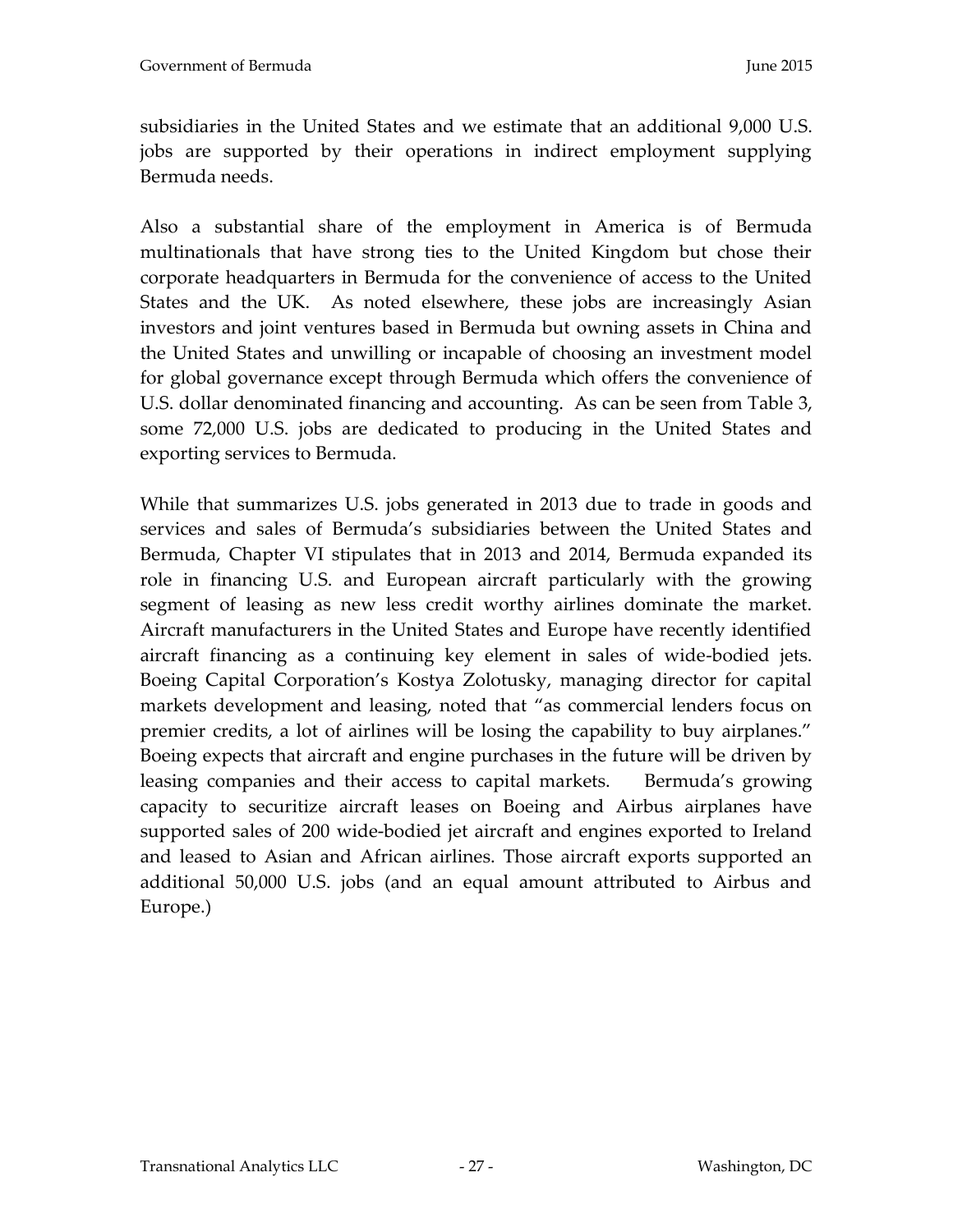subsidiaries in the United States and we estimate that an additional 9,000 U.S. jobs are supported by their operations in indirect employment supplying Bermuda needs.

Also a substantial share of the employment in America is of Bermuda multinationals that have strong ties to the United Kingdom but chose their corporate headquarters in Bermuda for the convenience of access to the United States and the UK. As noted elsewhere, these jobs are increasingly Asian investors and joint ventures based in Bermuda but owning assets in China and the United States and unwilling or incapable of choosing an investment model for global governance except through Bermuda which offers the convenience of U.S. dollar denominated financing and accounting. As can be seen from Table 3, some 72,000 U.S. jobs are dedicated to producing in the United States and exporting services to Bermuda.

While that summarizes U.S. jobs generated in 2013 due to trade in goods and services and sales of Bermuda's subsidiaries between the United States and Bermuda, Chapter VI stipulates that in 2013 and 2014, Bermuda expanded its role in financing U.S. and European aircraft particularly with the growing segment of leasing as new less credit worthy airlines dominate the market. Aircraft manufacturers in the United States and Europe have recently identified aircraft financing as a continuing key element in sales of wide-bodied jets. Boeing Capital Corporation's Kostya Zolotusky, managing director for capital markets development and leasing, noted that "as commercial lenders focus on premier credits, a lot of airlines will be losing the capability to buy airplanes." Boeing expects that aircraft and engine purchases in the future will be driven by leasing companies and their access to capital markets. Bermuda's growing capacity to securitize aircraft leases on Boeing and Airbus airplanes have supported sales of 200 wide-bodied jet aircraft and engines exported to Ireland and leased to Asian and African airlines. Those aircraft exports supported an additional 50,000 U.S. jobs (and an equal amount attributed to Airbus and Europe.)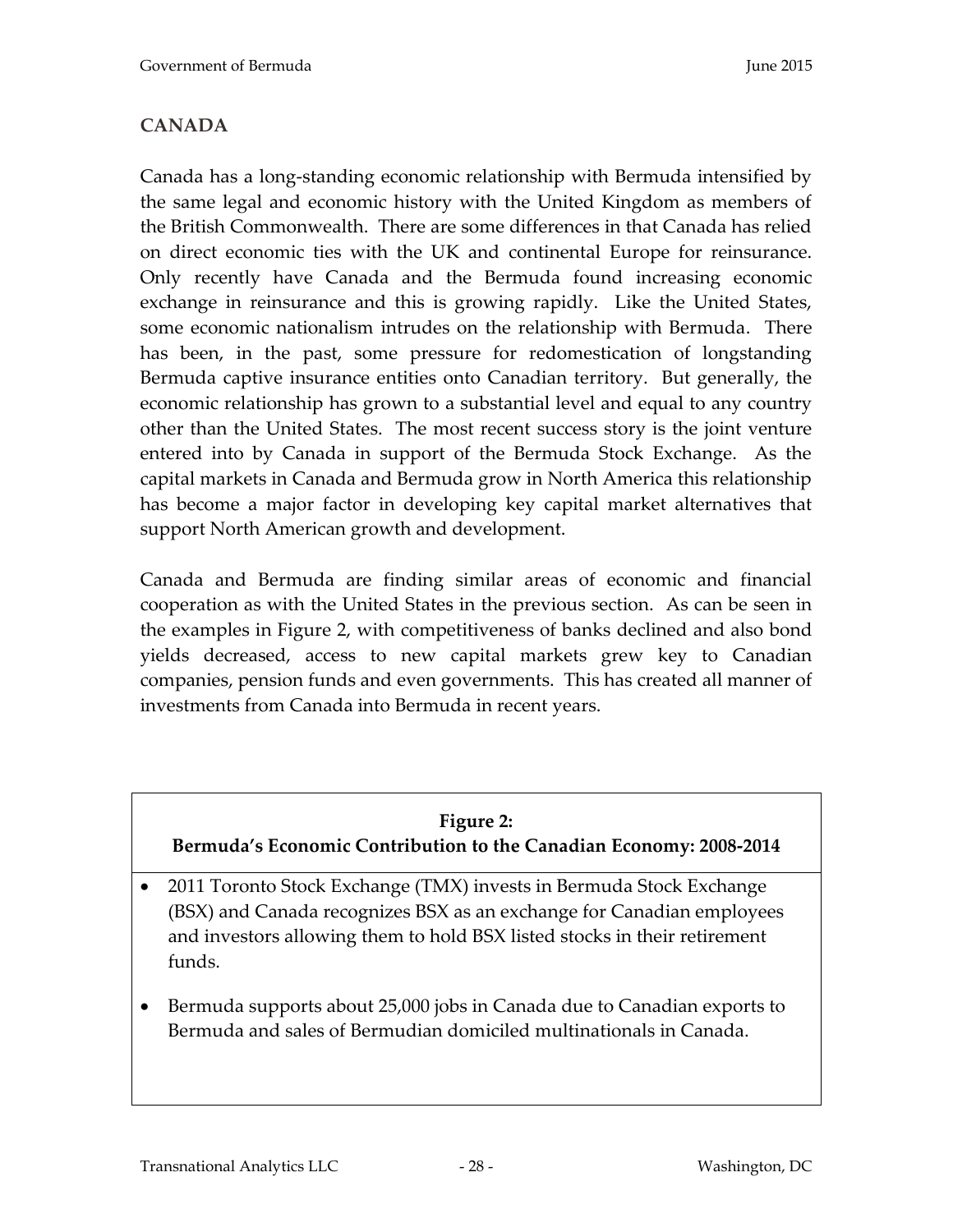# <span id="page-27-0"></span>**CANADA**

Canada has a long-standing economic relationship with Bermuda intensified by the same legal and economic history with the United Kingdom as members of the British Commonwealth. There are some differences in that Canada has relied on direct economic ties with the UK and continental Europe for reinsurance. Only recently have Canada and the Bermuda found increasing economic exchange in reinsurance and this is growing rapidly. Like the United States, some economic nationalism intrudes on the relationship with Bermuda. There has been, in the past, some pressure for redomestication of longstanding Bermuda captive insurance entities onto Canadian territory. But generally, the economic relationship has grown to a substantial level and equal to any country other than the United States. The most recent success story is the joint venture entered into by Canada in support of the Bermuda Stock Exchange. As the capital markets in Canada and Bermuda grow in North America this relationship has become a major factor in developing key capital market alternatives that support North American growth and development.

Canada and Bermuda are finding similar areas of economic and financial cooperation as with the United States in the previous section. As can be seen in the examples in Figure 2, with competitiveness of banks declined and also bond yields decreased, access to new capital markets grew key to Canadian companies, pension funds and even governments. This has created all manner of investments from Canada into Bermuda in recent years.

#### **Figure 2:**

# <span id="page-27-1"></span>**Bermuda's Economic Contribution to the Canadian Economy: 2008-2014**

- 2011 Toronto Stock Exchange (TMX) invests in Bermuda Stock Exchange (BSX) and Canada recognizes BSX as an exchange for Canadian employees and investors allowing them to hold BSX listed stocks in their retirement funds.
- Bermuda supports about 25,000 jobs in Canada due to Canadian exports to Bermuda and sales of Bermudian domiciled multinationals in Canada.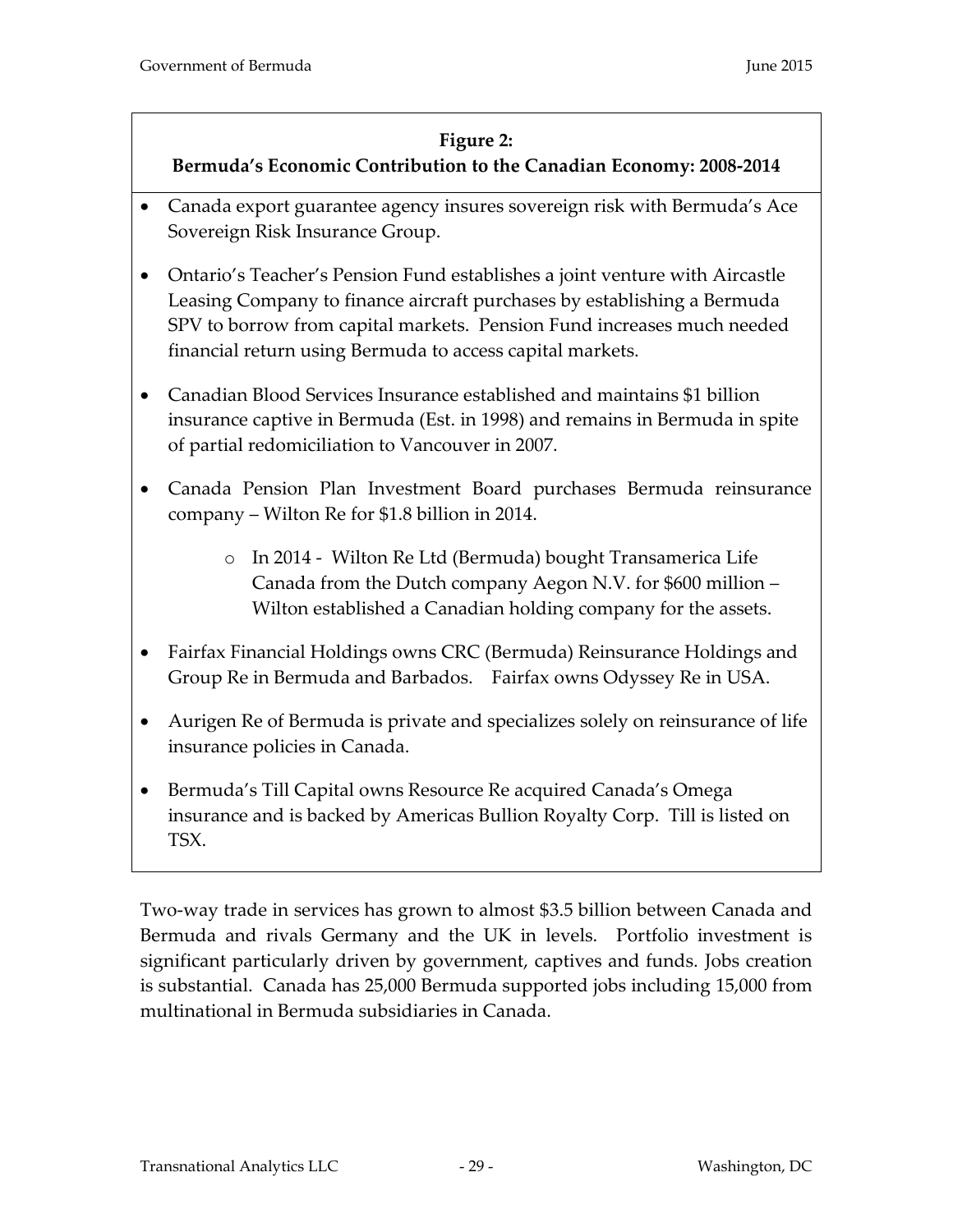### **Figure 2:**

## **Bermuda's Economic Contribution to the Canadian Economy: 2008-2014**

- Canada export guarantee agency insures sovereign risk with Bermuda's Ace Sovereign Risk Insurance Group.
- Ontario's Teacher's Pension Fund establishes a joint venture with Aircastle Leasing Company to finance aircraft purchases by establishing a Bermuda SPV to borrow from capital markets. Pension Fund increases much needed financial return using Bermuda to access capital markets.
- Canadian Blood Services Insurance established and maintains \$1 billion insurance captive in Bermuda (Est. in 1998) and remains in Bermuda in spite of partial redomiciliation to Vancouver in 2007.
- Canada Pension Plan Investment Board purchases Bermuda reinsurance company – Wilton Re for \$1.8 billion in 2014.
	- o In 2014 Wilton Re Ltd (Bermuda) bought Transamerica Life Canada from the Dutch company Aegon N.V. for \$600 million – Wilton established a Canadian holding company for the assets.
- Fairfax Financial Holdings owns CRC (Bermuda) Reinsurance Holdings and Group Re in Bermuda and Barbados. Fairfax owns Odyssey Re in USA.
- Aurigen Re of Bermuda is private and specializes solely on reinsurance of life insurance policies in Canada.
- Bermuda's Till Capital owns Resource Re acquired Canada's Omega insurance and is backed by Americas Bullion Royalty Corp. Till is listed on TSX.

Two-way trade in services has grown to almost \$3.5 billion between Canada and Bermuda and rivals Germany and the UK in levels. Portfolio investment is significant particularly driven by government, captives and funds. Jobs creation is substantial. Canada has 25,000 Bermuda supported jobs including 15,000 from multinational in Bermuda subsidiaries in Canada.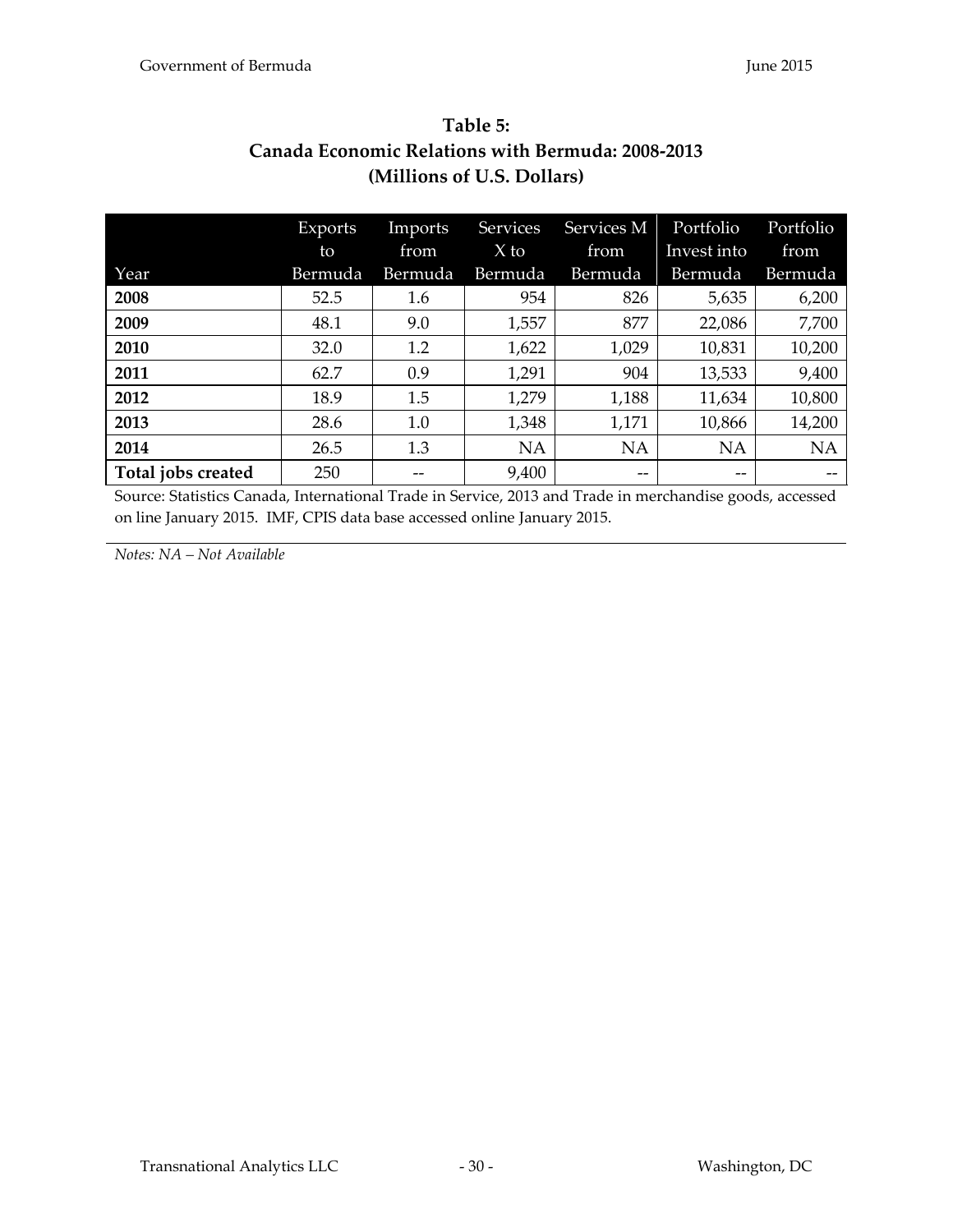<span id="page-29-1"></span><span id="page-29-0"></span>

| Table 5:                                                 |
|----------------------------------------------------------|
| <b>Canada Economic Relations with Bermuda: 2008-2013</b> |
| (Millions of U.S. Dollars)                               |
|                                                          |

|                    | Exports | Imports | <b>Services</b> | Services M | Portfolio         | Portfolio |
|--------------------|---------|---------|-----------------|------------|-------------------|-----------|
|                    | to      | from    | $X$ to          | from       | Invest into       | from      |
| Year               | Bermuda | Bermuda | Bermuda         | Bermuda    | Bermuda           | Bermuda   |
| 2008               | 52.5    | 1.6     | 954             | 826        | 5,635             | 6,200     |
| 2009               | 48.1    | 9.0     | 1,557           | 877        | 22,086            | 7,700     |
| 2010               | 32.0    | 1.2     | 1,622           | 1,029      | 10,831            | 10,200    |
| 2011               | 62.7    | 0.9     | 1,291           | 904        | 13,533            | 9,400     |
| 2012               | 18.9    | 1.5     | 1,279           | 1,188      | 11,634            | 10,800    |
| 2013               | 28.6    | 1.0     | 1,348           | 1,171      | 10,866            | 14,200    |
| 2014               | 26.5    | 1.3     | <b>NA</b>       | <b>NA</b>  | <b>NA</b>         | <b>NA</b> |
| Total jobs created | 250     |         | 9,400           | --         | $\qquad \qquad -$ |           |

Source: Statistics Canada, International Trade in Service, 2013 and Trade in merchandise goods, accessed on line January 2015. IMF, CPIS data base accessed online January 2015.

*Notes: NA – Not Available*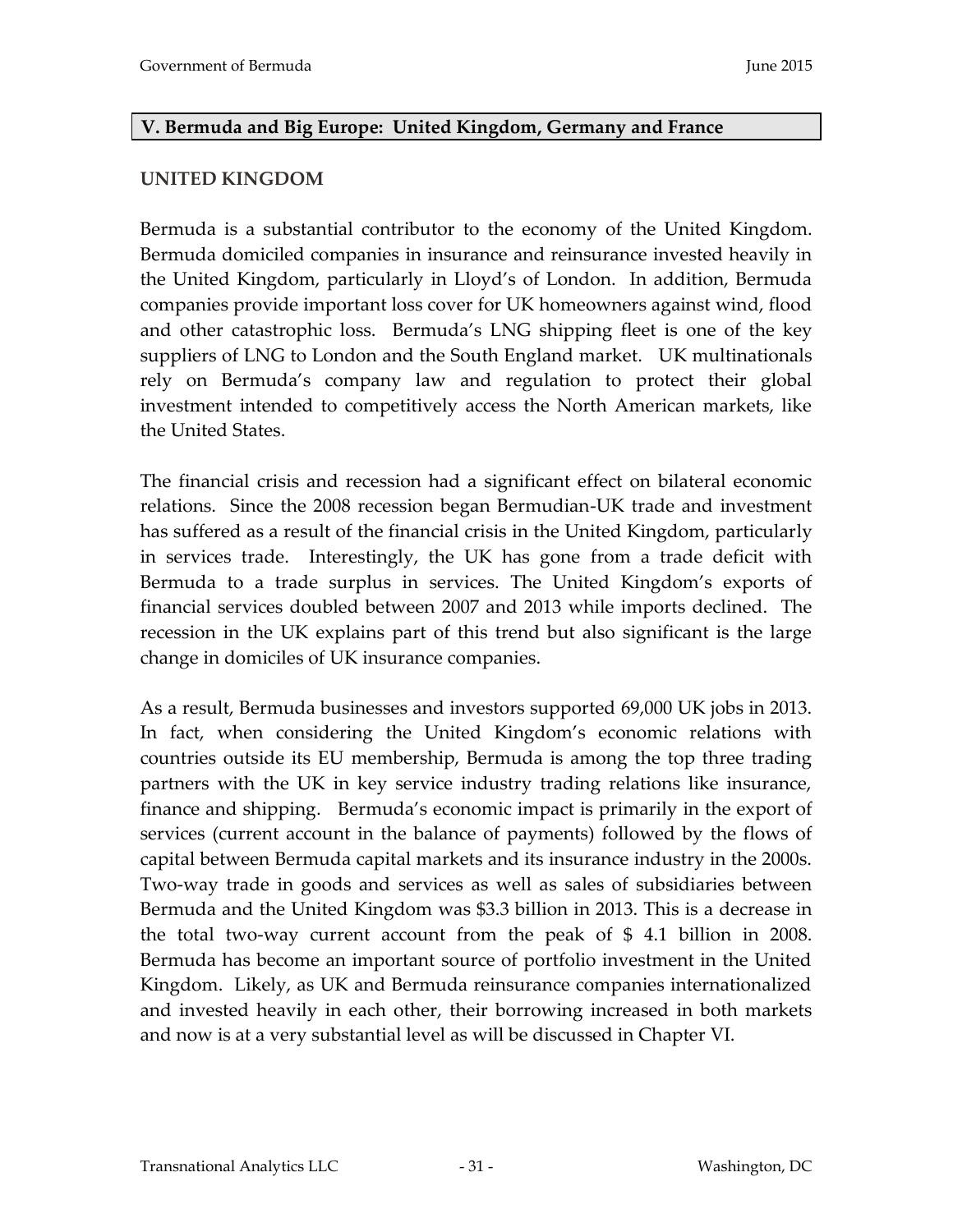#### <span id="page-30-0"></span>**V. Bermuda and Big Europe: United Kingdom, Germany and France**

#### <span id="page-30-1"></span>**UNITED KINGDOM**

Bermuda is a substantial contributor to the economy of the United Kingdom. Bermuda domiciled companies in insurance and reinsurance invested heavily in the United Kingdom, particularly in Lloyd's of London. In addition, Bermuda companies provide important loss cover for UK homeowners against wind, flood and other catastrophic loss. Bermuda's LNG shipping fleet is one of the key suppliers of LNG to London and the South England market. UK multinationals rely on Bermuda's company law and regulation to protect their global investment intended to competitively access the North American markets, like the United States.

The financial crisis and recession had a significant effect on bilateral economic relations. Since the 2008 recession began Bermudian-UK trade and investment has suffered as a result of the financial crisis in the United Kingdom, particularly in services trade. Interestingly, the UK has gone from a trade deficit with Bermuda to a trade surplus in services. The United Kingdom's exports of financial services doubled between 2007 and 2013 while imports declined. The recession in the UK explains part of this trend but also significant is the large change in domiciles of UK insurance companies.

As a result, Bermuda businesses and investors supported 69,000 UK jobs in 2013. In fact, when considering the United Kingdom's economic relations with countries outside its EU membership, Bermuda is among the top three trading partners with the UK in key service industry trading relations like insurance, finance and shipping. Bermuda's economic impact is primarily in the export of services (current account in the balance of payments) followed by the flows of capital between Bermuda capital markets and its insurance industry in the 2000s. Two-way trade in goods and services as well as sales of subsidiaries between Bermuda and the United Kingdom was \$3.3 billion in 2013. This is a decrease in the total two-way current account from the peak of \$ 4.1 billion in 2008. Bermuda has become an important source of portfolio investment in the United Kingdom. Likely, as UK and Bermuda reinsurance companies internationalized and invested heavily in each other, their borrowing increased in both markets and now is at a very substantial level as will be discussed in Chapter VI.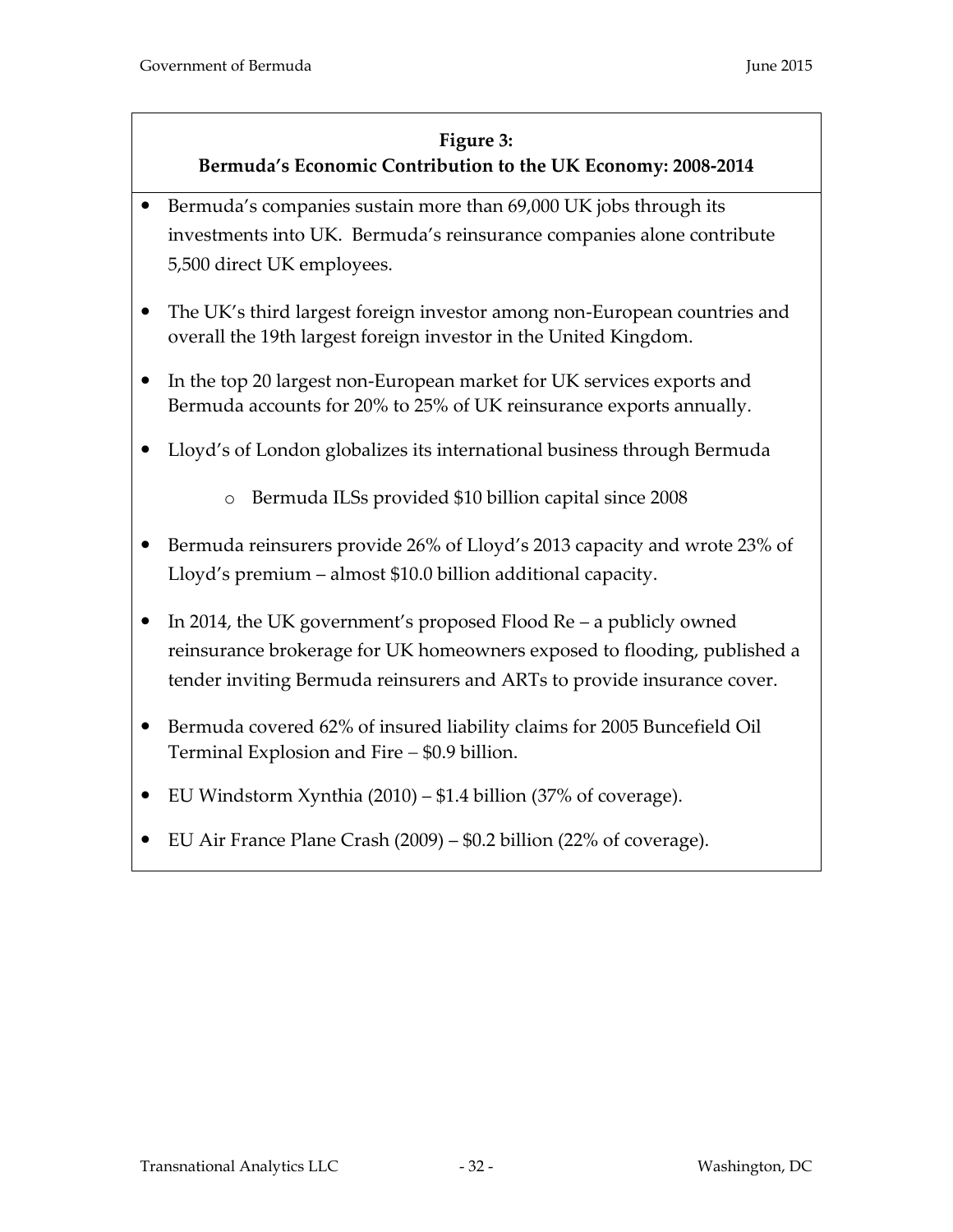#### **Figure 3:**

## **Bermuda's Economic Contribution to the UK Economy: 2008-2014**

- <span id="page-31-0"></span> Bermuda's companies sustain more than 69,000 UK jobs through its investments into UK. Bermuda's reinsurance companies alone contribute 5,500 direct UK employees.
- The UK's third largest foreign investor among non-European countries and overall the 19th largest foreign investor in the United Kingdom.
- In the top 20 largest non-European market for UK services exports and Bermuda accounts for 20% to 25% of UK reinsurance exports annually.
- Lloyd's of London globalizes its international business through Bermuda
	- o Bermuda ILSs provided \$10 billion capital since 2008
- Bermuda reinsurers provide 26% of Lloyd's 2013 capacity and wrote 23% of Lloyd's premium – almost \$10.0 billion additional capacity.
- In 2014, the UK government's proposed Flood Re a publicly owned reinsurance brokerage for UK homeowners exposed to flooding, published a tender inviting Bermuda reinsurers and ARTs to provide insurance cover.
- Bermuda covered 62% of insured liability claims for 2005 Buncefield Oil Terminal Explosion and Fire  $-$  \$0.9 billion.
- EU Windstorm Xynthia (2010) \$1.4 billion (37% of coverage).
- EU Air France Plane Crash (2009) \$0.2 billion (22% of coverage).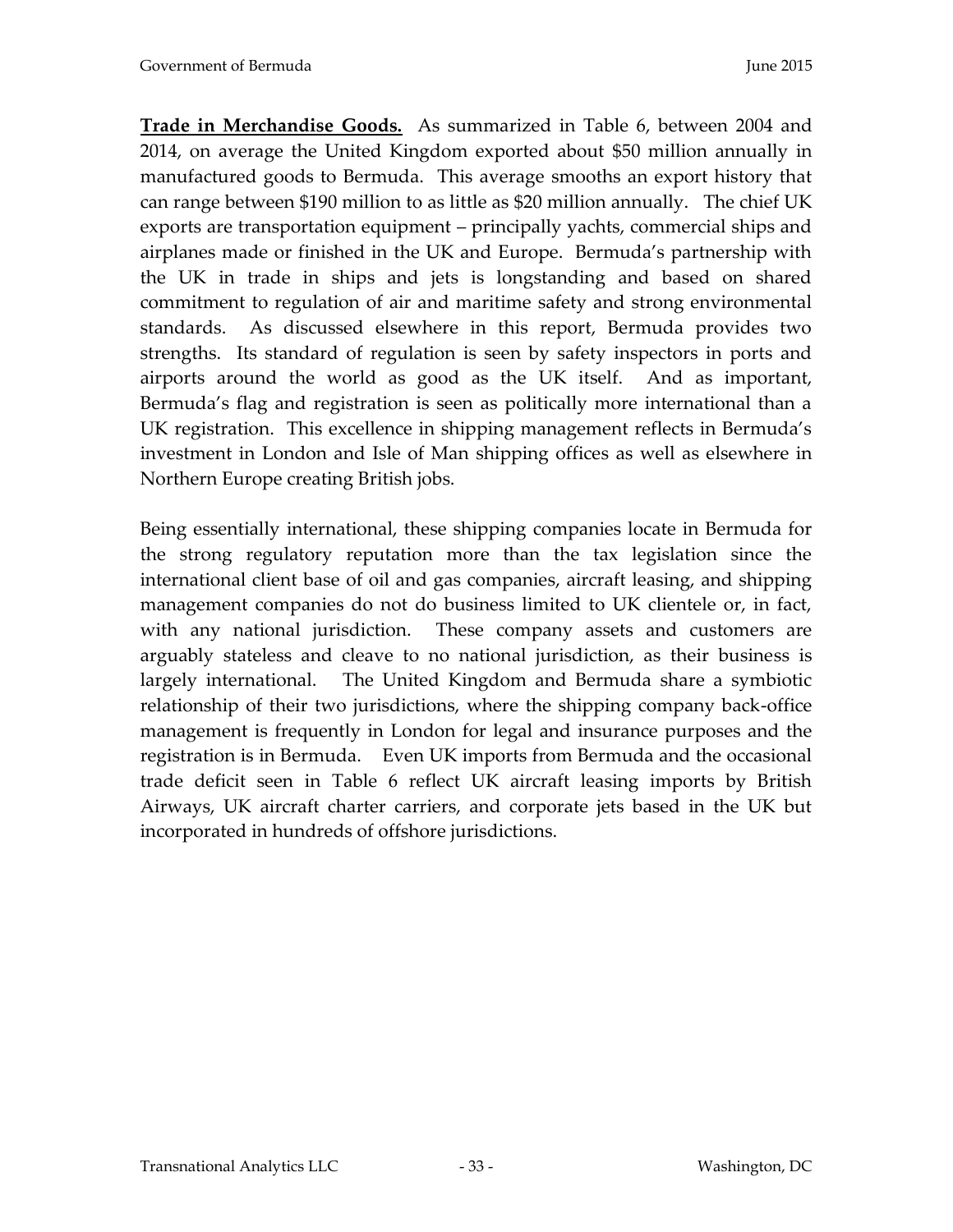**Trade in Merchandise Goods.** As summarized in Table 6, between 2004 and 2014, on average the United Kingdom exported about \$50 million annually in manufactured goods to Bermuda. This average smooths an export history that can range between \$190 million to as little as \$20 million annually. The chief UK exports are transportation equipment – principally yachts, commercial ships and airplanes made or finished in the UK and Europe. Bermuda's partnership with the UK in trade in ships and jets is longstanding and based on shared commitment to regulation of air and maritime safety and strong environmental standards. As discussed elsewhere in this report, Bermuda provides two strengths. Its standard of regulation is seen by safety inspectors in ports and airports around the world as good as the UK itself. And as important, Bermuda's flag and registration is seen as politically more international than a UK registration. This excellence in shipping management reflects in Bermuda's investment in London and Isle of Man shipping offices as well as elsewhere in Northern Europe creating British jobs.

Being essentially international, these shipping companies locate in Bermuda for the strong regulatory reputation more than the tax legislation since the international client base of oil and gas companies, aircraft leasing, and shipping management companies do not do business limited to UK clientele or, in fact, with any national jurisdiction. These company assets and customers are arguably stateless and cleave to no national jurisdiction, as their business is largely international. The United Kingdom and Bermuda share a symbiotic relationship of their two jurisdictions, where the shipping company back-office management is frequently in London for legal and insurance purposes and the registration is in Bermuda. Even UK imports from Bermuda and the occasional trade deficit seen in Table 6 reflect UK aircraft leasing imports by British Airways, UK aircraft charter carriers, and corporate jets based in the UK but incorporated in hundreds of offshore jurisdictions.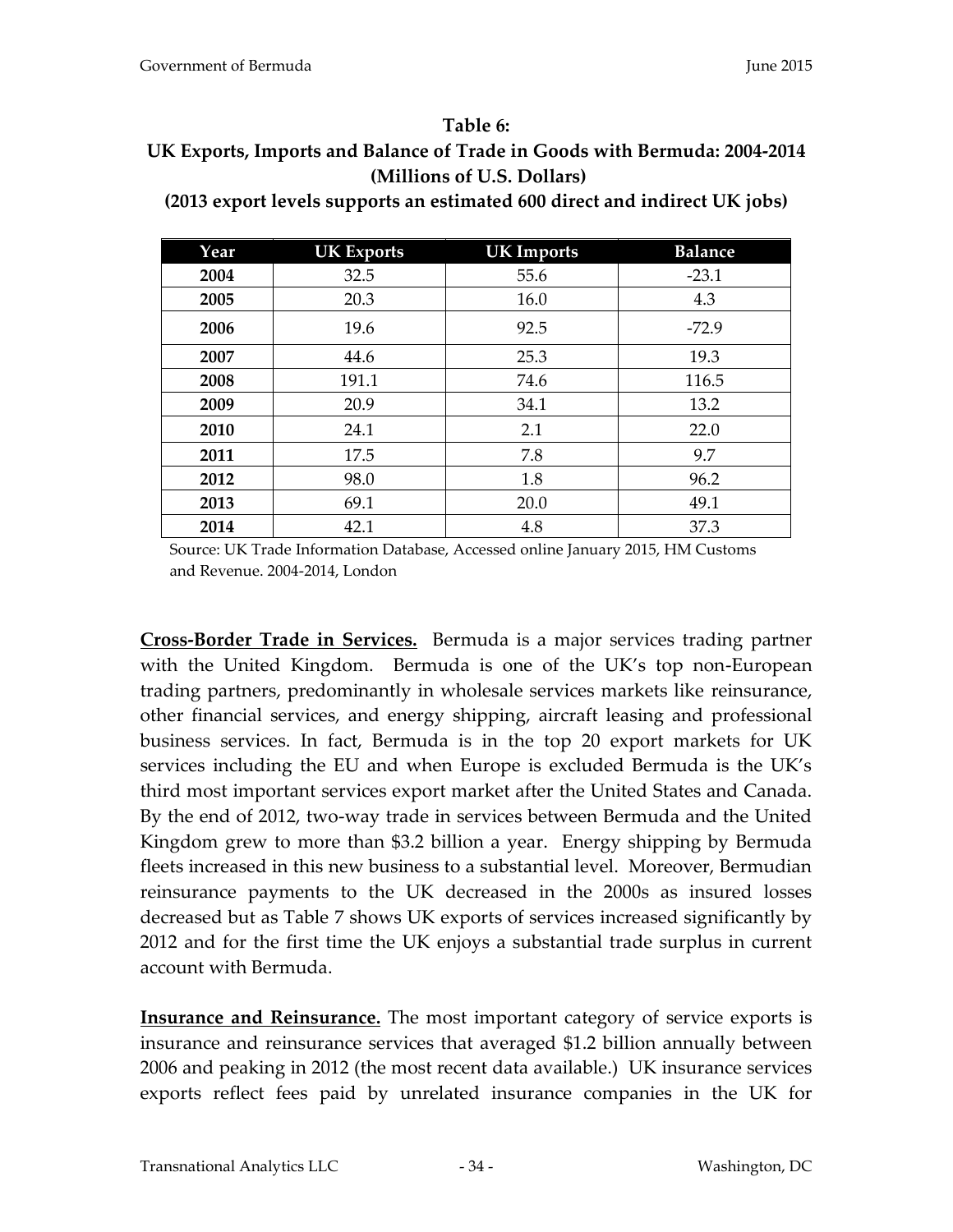#### **Table 6:**

# <span id="page-33-0"></span>**UK Exports, Imports and Balance of Trade in Goods with Bermuda: 2004-2014 (Millions of U.S. Dollars)**

**(2013 export levels supports an estimated 600 direct and indirect UK jobs)** 

| Year | <b>UK Exports</b> | <b>UK Imports</b> | <b>Balance</b> |
|------|-------------------|-------------------|----------------|
| 2004 | 32.5              | 55.6              | $-23.1$        |
| 2005 | 20.3              | 16.0              | 4.3            |
| 2006 | 19.6              | 92.5              | $-72.9$        |
| 2007 | 44.6              | 25.3              | 19.3           |
| 2008 | 191.1             | 74.6              | 116.5          |
| 2009 | 20.9              | 34.1              | 13.2           |
| 2010 | 24.1              | 2.1               | 22.0           |
| 2011 | 17.5              | 7.8               | 9.7            |
| 2012 | 98.0              | 1.8               | 96.2           |
| 2013 | 69.1              | 20.0              | 49.1           |
| 2014 | 42.1              | 4.8               | 37.3           |

Source: UK Trade Information Database, Accessed online January 2015, HM Customs and Revenue. 2004-2014, London

**Cross-Border Trade in Services.** Bermuda is a major services trading partner with the United Kingdom. Bermuda is one of the UK's top non-European trading partners, predominantly in wholesale services markets like reinsurance, other financial services, and energy shipping, aircraft leasing and professional business services. In fact, Bermuda is in the top 20 export markets for UK services including the EU and when Europe is excluded Bermuda is the UK's third most important services export market after the United States and Canada. By the end of 2012, two-way trade in services between Bermuda and the United Kingdom grew to more than \$3.2 billion a year. Energy shipping by Bermuda fleets increased in this new business to a substantial level. Moreover, Bermudian reinsurance payments to the UK decreased in the 2000s as insured losses decreased but as Table 7 shows UK exports of services increased significantly by 2012 and for the first time the UK enjoys a substantial trade surplus in current account with Bermuda.

**Insurance and Reinsurance.** The most important category of service exports is insurance and reinsurance services that averaged \$1.2 billion annually between 2006 and peaking in 2012 (the most recent data available.) UK insurance services exports reflect fees paid by unrelated insurance companies in the UK for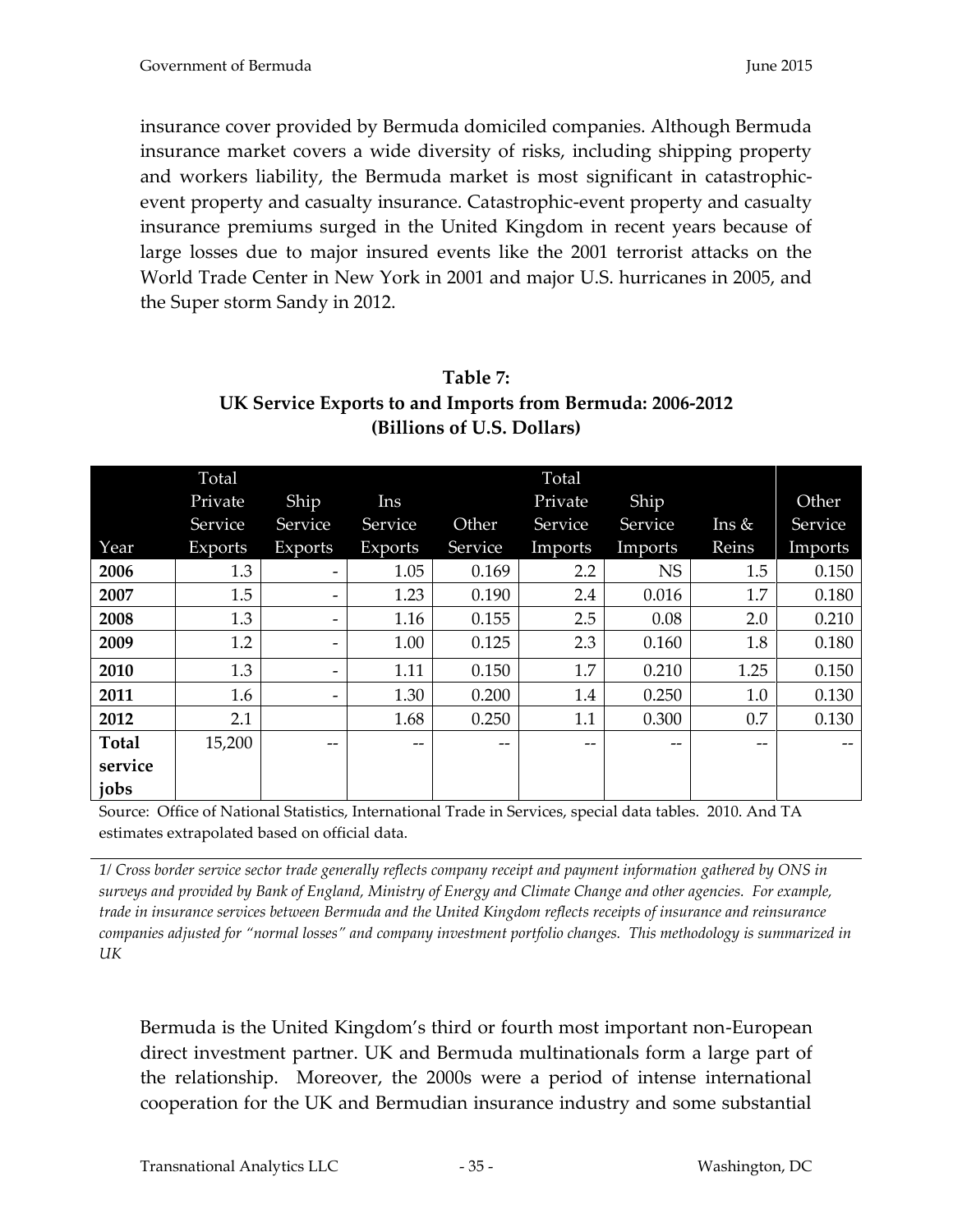insurance cover provided by Bermuda domiciled companies. Although Bermuda insurance market covers a wide diversity of risks, including shipping property and workers liability, the Bermuda market is most significant in catastrophicevent property and casualty insurance. Catastrophic-event property and casualty insurance premiums surged in the United Kingdom in recent years because of large losses due to major insured events like the 2001 terrorist attacks on the World Trade Center in New York in 2001 and major U.S. hurricanes in 2005, and the Super storm Sandy in 2012.

<span id="page-34-0"></span>

| Table 7:                                                  |
|-----------------------------------------------------------|
| UK Service Exports to and Imports from Bermuda: 2006-2012 |
| (Billions of U.S. Dollars)                                |

|              | Total   |         |         |         | Total   |           |           |         |
|--------------|---------|---------|---------|---------|---------|-----------|-----------|---------|
|              | Private | Ship    | Ins     |         | Private | Ship      |           | Other   |
|              | Service | Service | Service | Other   | Service | Service   | $\ln s$ & | Service |
| Year         | Exports | Exports | Exports | Service | Imports | Imports   | Reins     | Imports |
| 2006         | 1.3     |         | 1.05    | 0.169   | 2.2     | <b>NS</b> | 1.5       | 0.150   |
| 2007         | 1.5     |         | 1.23    | 0.190   | 2.4     | 0.016     | 1.7       | 0.180   |
| 2008         | 1.3     |         | 1.16    | 0.155   | 2.5     | 0.08      | 2.0       | 0.210   |
| 2009         | 1.2     |         | 1.00    | 0.125   | 2.3     | 0.160     | 1.8       | 0.180   |
| 2010         | 1.3     |         | 1.11    | 0.150   | 1.7     | 0.210     | 1.25      | 0.150   |
| 2011         | 1.6     |         | 1.30    | 0.200   | 1.4     | 0.250     | 1.0       | 0.130   |
| 2012         | 2.1     |         | 1.68    | 0.250   | 1.1     | 0.300     | 0.7       | 0.130   |
| <b>Total</b> | 15,200  | --      | $- -$   | --      | --      | $-$       | $- -$     |         |
| service      |         |         |         |         |         |           |           |         |
| jobs         |         |         |         |         |         |           |           |         |

Source: Office of National Statistics, International Trade in Services, special data tables. 2010. And TA estimates extrapolated based on official data.

*1/ Cross border service sector trade generally reflects company receipt and payment information gathered by ONS in surveys and provided by Bank of England, Ministry of Energy and Climate Change and other agencies. For example, trade in insurance services between Bermuda and the United Kingdom reflects receipts of insurance and reinsurance companies adjusted for "normal losses" and company investment portfolio changes. This methodology is summarized in UK*

Bermuda is the United Kingdom's third or fourth most important non-European direct investment partner. UK and Bermuda multinationals form a large part of the relationship. Moreover, the 2000s were a period of intense international cooperation for the UK and Bermudian insurance industry and some substantial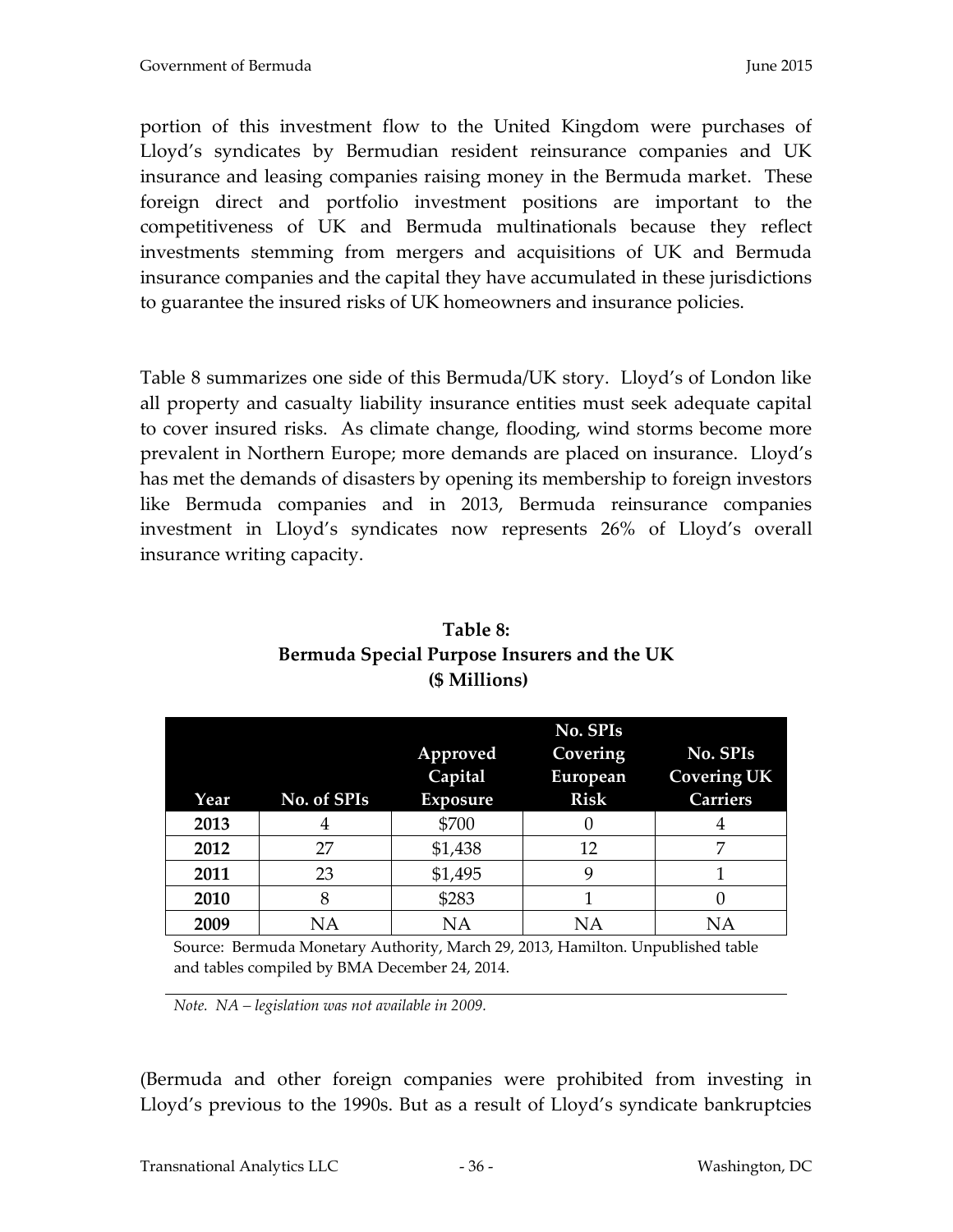portion of this investment flow to the United Kingdom were purchases of Lloyd's syndicates by Bermudian resident reinsurance companies and UK insurance and leasing companies raising money in the Bermuda market. These foreign direct and portfolio investment positions are important to the competitiveness of UK and Bermuda multinationals because they reflect investments stemming from mergers and acquisitions of UK and Bermuda insurance companies and the capital they have accumulated in these jurisdictions to guarantee the insured risks of UK homeowners and insurance policies.

Table 8 summarizes one side of this Bermuda/UK story. Lloyd's of London like all property and casualty liability insurance entities must seek adequate capital to cover insured risks. As climate change, flooding, wind storms become more prevalent in Northern Europe; more demands are placed on insurance. Lloyd's has met the demands of disasters by opening its membership to foreign investors like Bermuda companies and in 2013, Bermuda reinsurance companies investment in Lloyd's syndicates now represents 26% of Lloyd's overall insurance writing capacity.

<span id="page-35-1"></span><span id="page-35-0"></span>

|      |             | No. SPIs        |             |                    |
|------|-------------|-----------------|-------------|--------------------|
|      |             | Approved        | Covering    | No. SPIs           |
|      |             | Capital         | European    | <b>Covering UK</b> |
| Year | No. of SPIs | <b>Exposure</b> | <b>Risk</b> | <b>Carriers</b>    |
| 2013 |             | \$700           |             |                    |
| 2012 | 27          | \$1,438         | 12          |                    |
| 2011 | 23          | \$1,495         | 9           |                    |
| 2010 | 8           | \$283           |             |                    |
| 2009 | ΝA          | NΑ              | ΝA          | NΑ                 |

# **Table 8: Bermuda Special Purpose Insurers and the UK (\$ Millions)**

Source: Bermuda Monetary Authority, March 29, 2013, Hamilton. Unpublished table and tables compiled by BMA December 24, 2014.

*Note. NA – legislation was not available in 2009.*

(Bermuda and other foreign companies were prohibited from investing in Lloyd's previous to the 1990s. But as a result of Lloyd's syndicate bankruptcies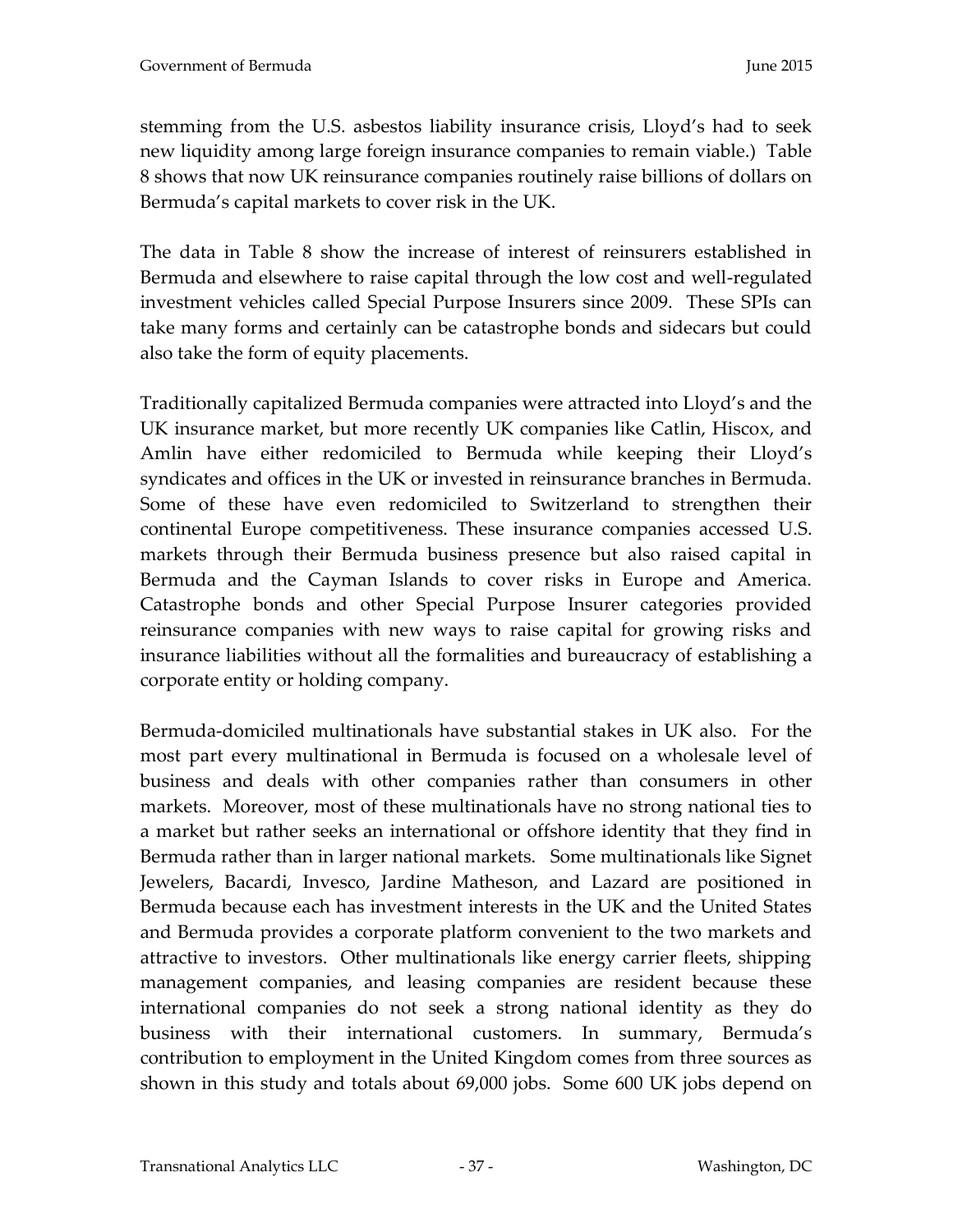stemming from the U.S. asbestos liability insurance crisis, Lloyd's had to seek new liquidity among large foreign insurance companies to remain viable.) Table 8 shows that now UK reinsurance companies routinely raise billions of dollars on Bermuda's capital markets to cover risk in the UK.

The data in Table 8 show the increase of interest of reinsurers established in Bermuda and elsewhere to raise capital through the low cost and well-regulated investment vehicles called Special Purpose Insurers since 2009. These SPIs can take many forms and certainly can be catastrophe bonds and sidecars but could also take the form of equity placements.

Traditionally capitalized Bermuda companies were attracted into Lloyd's and the UK insurance market, but more recently UK companies like Catlin, Hiscox, and Amlin have either redomiciled to Bermuda while keeping their Lloyd's syndicates and offices in the UK or invested in reinsurance branches in Bermuda. Some of these have even redomiciled to Switzerland to strengthen their continental Europe competitiveness. These insurance companies accessed U.S. markets through their Bermuda business presence but also raised capital in Bermuda and the Cayman Islands to cover risks in Europe and America. Catastrophe bonds and other Special Purpose Insurer categories provided reinsurance companies with new ways to raise capital for growing risks and insurance liabilities without all the formalities and bureaucracy of establishing a corporate entity or holding company.

Bermuda-domiciled multinationals have substantial stakes in UK also. For the most part every multinational in Bermuda is focused on a wholesale level of business and deals with other companies rather than consumers in other markets. Moreover, most of these multinationals have no strong national ties to a market but rather seeks an international or offshore identity that they find in Bermuda rather than in larger national markets. Some multinationals like Signet Jewelers, Bacardi, Invesco, Jardine Matheson, and Lazard are positioned in Bermuda because each has investment interests in the UK and the United States and Bermuda provides a corporate platform convenient to the two markets and attractive to investors. Other multinationals like energy carrier fleets, shipping management companies, and leasing companies are resident because these international companies do not seek a strong national identity as they do business with their international customers. In summary, Bermuda's contribution to employment in the United Kingdom comes from three sources as shown in this study and totals about 69,000 jobs. Some 600 UK jobs depend on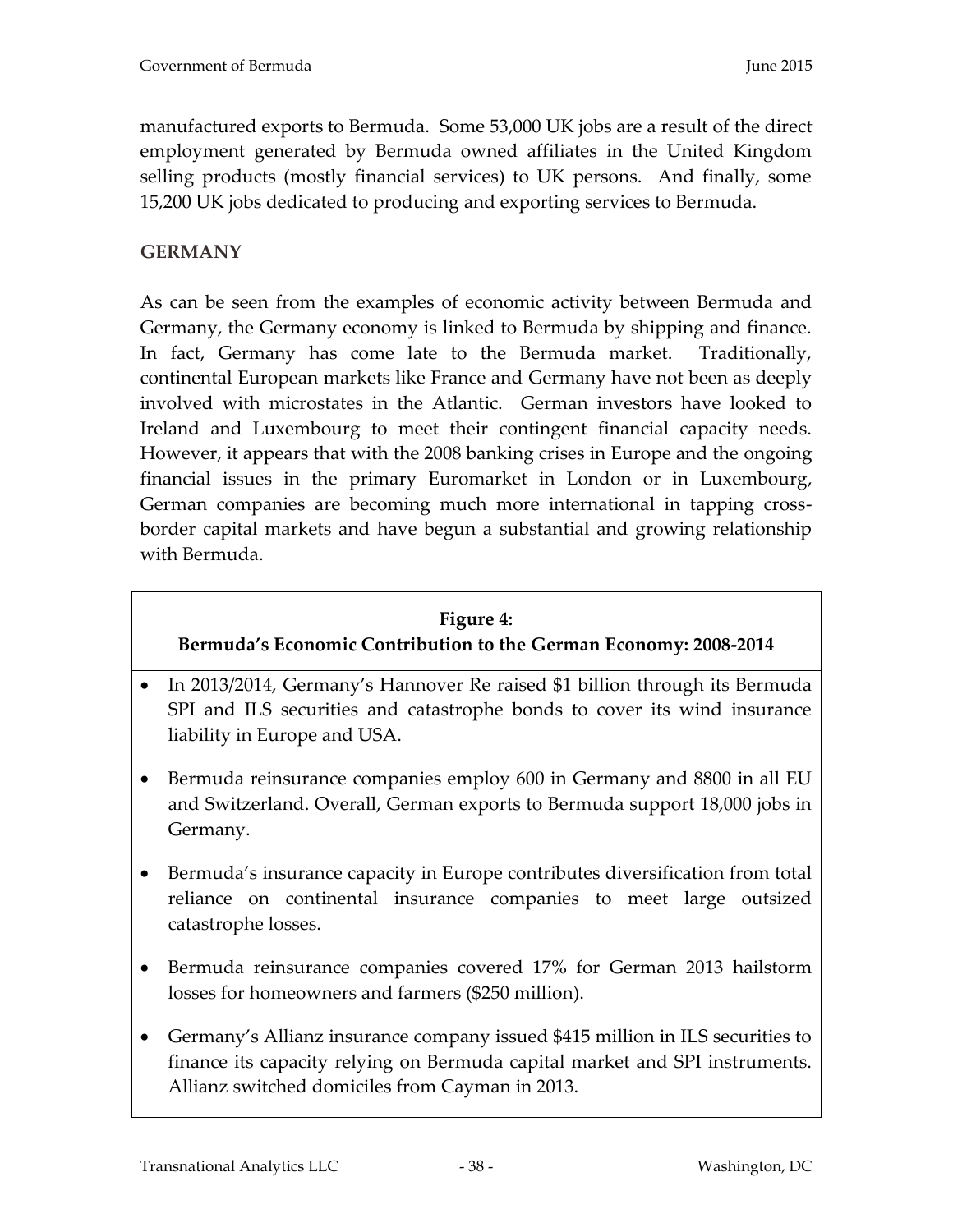manufactured exports to Bermuda. Some 53,000 UK jobs are a result of the direct employment generated by Bermuda owned affiliates in the United Kingdom selling products (mostly financial services) to UK persons. And finally, some 15,200 UK jobs dedicated to producing and exporting services to Bermuda.

# **GERMANY**

As can be seen from the examples of economic activity between Bermuda and Germany, the Germany economy is linked to Bermuda by shipping and finance. In fact, Germany has come late to the Bermuda market. Traditionally, continental European markets like France and Germany have not been as deeply involved with microstates in the Atlantic. German investors have looked to Ireland and Luxembourg to meet their contingent financial capacity needs. However, it appears that with the 2008 banking crises in Europe and the ongoing financial issues in the primary Euromarket in London or in Luxembourg, German companies are becoming much more international in tapping crossborder capital markets and have begun a substantial and growing relationship with Bermuda.

## **Figure 4:**

# **Bermuda's Economic Contribution to the German Economy: 2008-2014**

- In 2013/2014, Germany's Hannover Re raised \$1 billion through its Bermuda SPI and ILS securities and catastrophe bonds to cover its wind insurance liability in Europe and USA.
- Bermuda reinsurance companies employ 600 in Germany and 8800 in all EU and Switzerland. Overall, German exports to Bermuda support 18,000 jobs in Germany.
- Bermuda's insurance capacity in Europe contributes diversification from total reliance on continental insurance companies to meet large outsized catastrophe losses.
- Bermuda reinsurance companies covered 17% for German 2013 hailstorm losses for homeowners and farmers (\$250 million).
- Germany's Allianz insurance company issued \$415 million in ILS securities to finance its capacity relying on Bermuda capital market and SPI instruments. Allianz switched domiciles from Cayman in 2013.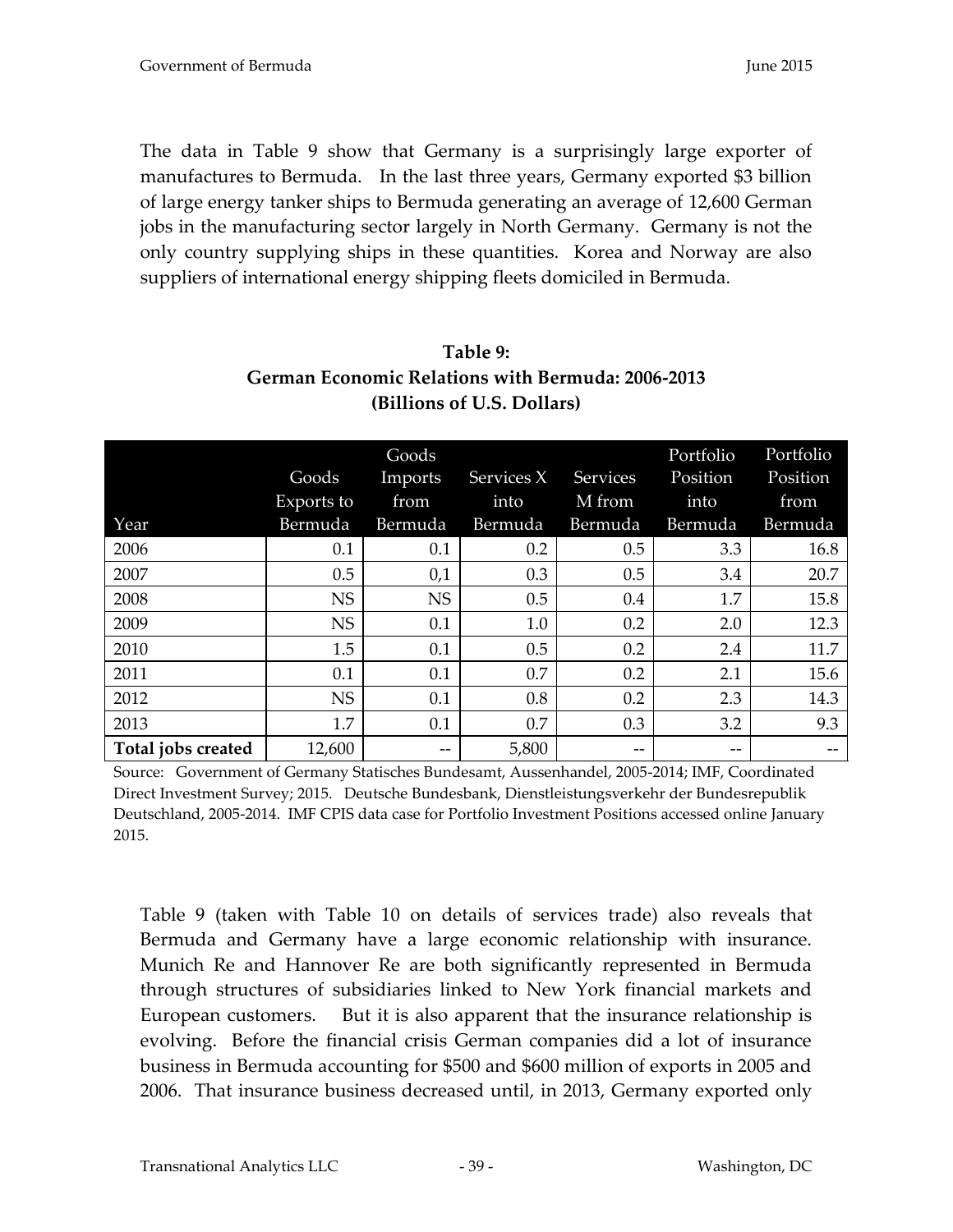The data in Table 9 show that Germany is a surprisingly large exporter of manufactures to Bermuda. In the last three years, Germany exported \$3 billion of large energy tanker ships to Bermuda generating an average of 12,600 German jobs in the manufacturing sector largely in North Germany. Germany is not the only country supplying ships in these quantities. Korea and Norway are also suppliers of international energy shipping fleets domiciled in Bermuda.

|                    |            | Goods     |            |          | Portfolio | Portfolio |
|--------------------|------------|-----------|------------|----------|-----------|-----------|
|                    | Goods      | Imports   | Services X | Services | Position  | Position  |
|                    | Exports to | from      | into       | M from   | into      | from      |
| Year               | Bermuda    | Bermuda   | Bermuda    | Bermuda  | Bermuda   | Bermuda   |
| 2006               | 0.1        | 0.1       | 0.2        | 0.5      | 3.3       | 16.8      |
| 2007               | 0.5        | 0,1       | 0.3        | 0.5      | 3.4       | 20.7      |
| 2008               | <b>NS</b>  | <b>NS</b> | 0.5        | 0.4      | 1.7       | 15.8      |
| 2009               | <b>NS</b>  | 0.1       | 1.0        | 0.2      | 2.0       | 12.3      |
| 2010               | 1.5        | 0.1       | 0.5        | 0.2      | 2.4       | 11.7      |
| 2011               | 0.1        | 0.1       | 0.7        | 0.2      | 2.1       | 15.6      |
| 2012               | <b>NS</b>  | 0.1       | 0.8        | 0.2      | 2.3       | 14.3      |
| 2013               | 1.7        | 0.1       | 0.7        | 0.3      | 3.2       | 9.3       |
| Total jobs created | 12,600     | --        | 5,800      | --       | --        |           |

# **Table 9: German Economic Relations with Bermuda: 2006-2013 (Billions of U.S. Dollars)**

Source: Government of Germany Statisches Bundesamt, Aussenhandel, 2005-2014; IMF, Coordinated Direct Investment Survey; 2015. Deutsche Bundesbank, Dienstleistungsverkehr der Bundesrepublik Deutschland, 2005-2014. IMF CPIS data case for Portfolio Investment Positions accessed online January 2015.

Table 9 (taken with Table 10 on details of services trade) also reveals that Bermuda and Germany have a large economic relationship with insurance. Munich Re and Hannover Re are both significantly represented in Bermuda through structures of subsidiaries linked to New York financial markets and European customers. But it is also apparent that the insurance relationship is evolving. Before the financial crisis German companies did a lot of insurance business in Bermuda accounting for \$500 and \$600 million of exports in 2005 and 2006. That insurance business decreased until, in 2013, Germany exported only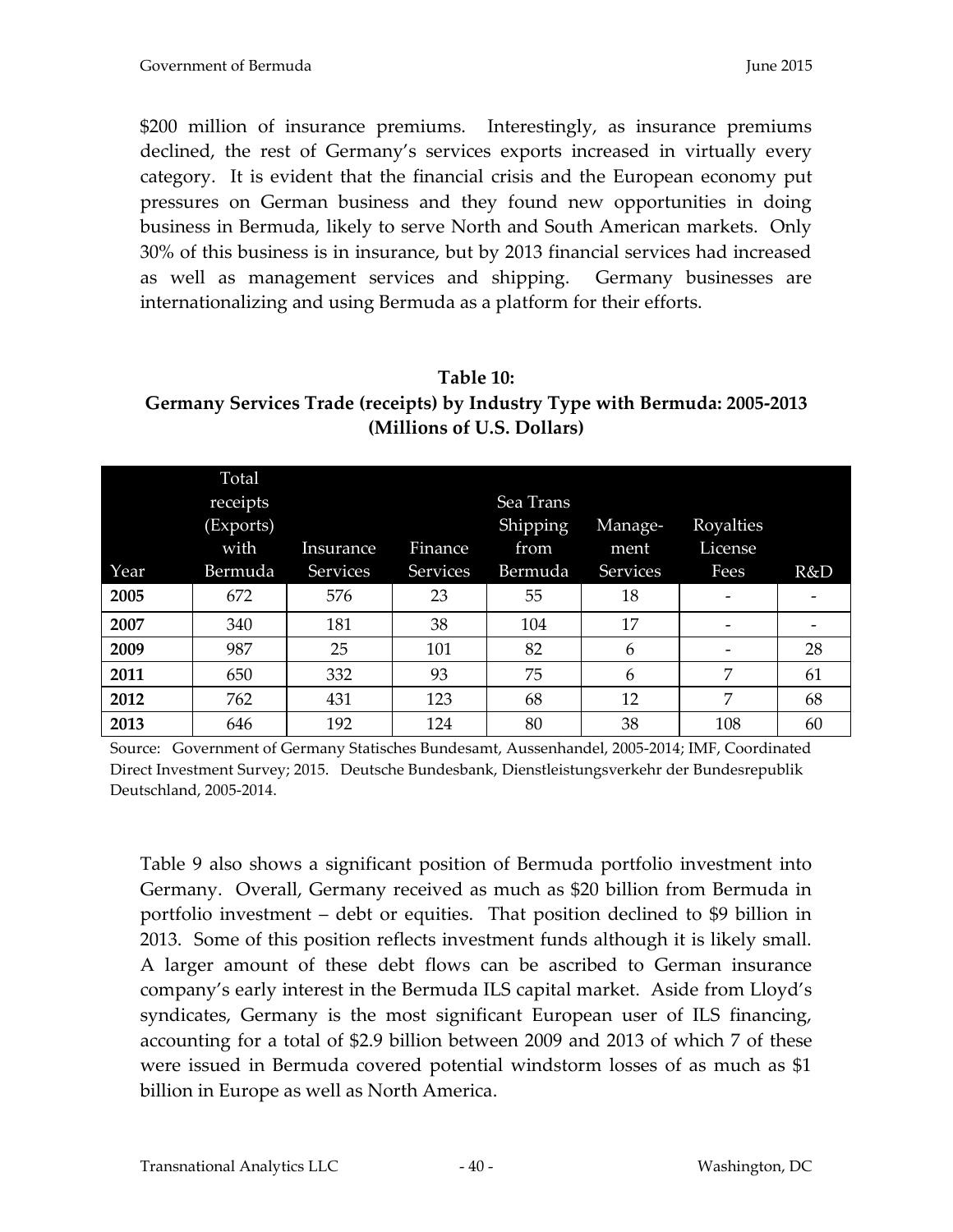\$200 million of insurance premiums. Interestingly, as insurance premiums declined, the rest of Germany's services exports increased in virtually every category. It is evident that the financial crisis and the European economy put pressures on German business and they found new opportunities in doing business in Bermuda, likely to serve North and South American markets. Only 30% of this business is in insurance, but by 2013 financial services had increased as well as management services and shipping. Germany businesses are internationalizing and using Bermuda as a platform for their efforts.

**Table 10: Germany Services Trade (receipts) by Industry Type with Bermuda: 2005-2013 (Millions of U.S. Dollars)**

| Year | Total<br>receipts<br>(Exports)<br>with<br>Bermuda | Insurance<br>Services | Finance<br>Services | Sea Trans<br>Shipping<br>from<br>Bermuda | Manage-<br>ment<br><b>Services</b> | Royalties<br>License<br>Fees | R&D |
|------|---------------------------------------------------|-----------------------|---------------------|------------------------------------------|------------------------------------|------------------------------|-----|
| 2005 | 672                                               | 576                   | 23                  | 55                                       | 18                                 | -                            |     |
| 2007 | 340                                               | 181                   | 38                  | 104                                      | 17                                 |                              |     |
| 2009 | 987                                               | 25                    | 101                 | 82                                       | 6                                  | $\overline{\phantom{a}}$     | 28  |
| 2011 | 650                                               | 332                   | 93                  | 75                                       | 6                                  | 7                            | 61  |
| 2012 | 762                                               | 431                   | 123                 | 68                                       | 12                                 | 7                            | 68  |
| 2013 | 646                                               | 192                   | 124                 | 80                                       | 38                                 | 108                          | 60  |

Source: Government of Germany Statisches Bundesamt, Aussenhandel, 2005-2014; IMF, Coordinated Direct Investment Survey; 2015. Deutsche Bundesbank, Dienstleistungsverkehr der Bundesrepublik Deutschland, 2005-2014.

Table 9 also shows a significant position of Bermuda portfolio investment into Germany. Overall, Germany received as much as \$20 billion from Bermuda in portfolio investment – debt or equities. That position declined to \$9 billion in 2013. Some of this position reflects investment funds although it is likely small. A larger amount of these debt flows can be ascribed to German insurance company's early interest in the Bermuda ILS capital market. Aside from Lloyd's syndicates, Germany is the most significant European user of ILS financing, accounting for a total of \$2.9 billion between 2009 and 2013 of which 7 of these were issued in Bermuda covered potential windstorm losses of as much as \$1 billion in Europe as well as North America.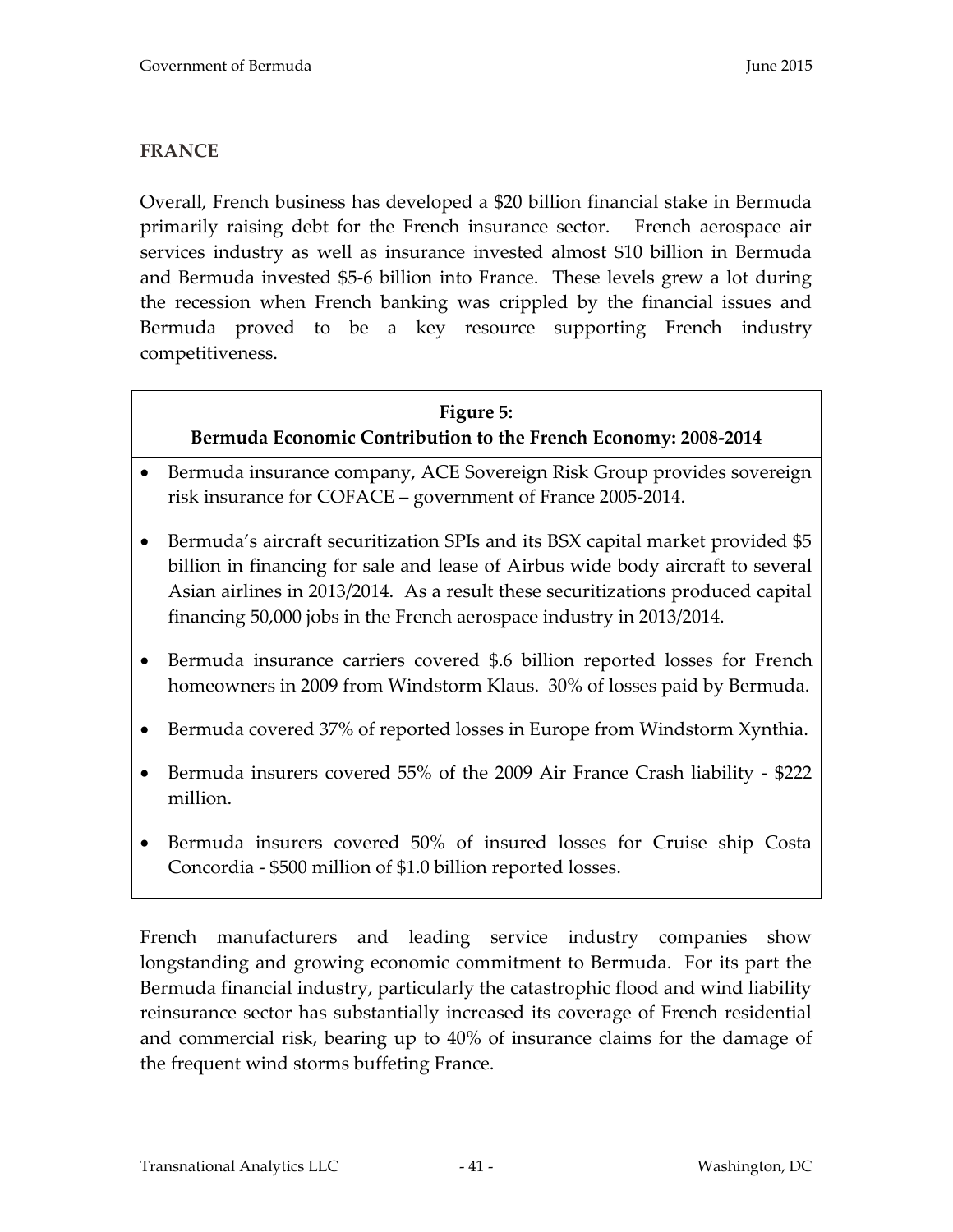## **FRANCE**

Overall, French business has developed a \$20 billion financial stake in Bermuda primarily raising debt for the French insurance sector. French aerospace air services industry as well as insurance invested almost \$10 billion in Bermuda and Bermuda invested \$5-6 billion into France. These levels grew a lot during the recession when French banking was crippled by the financial issues and Bermuda proved to be a key resource supporting French industry competitiveness.

# **Figure 5: Bermuda Economic Contribution to the French Economy: 2008-2014**

- Bermuda insurance company, ACE Sovereign Risk Group provides sovereign risk insurance for COFACE – government of France 2005-2014.
- Bermuda's aircraft securitization SPIs and its BSX capital market provided \$5 billion in financing for sale and lease of Airbus wide body aircraft to several Asian airlines in 2013/2014. As a result these securitizations produced capital financing 50,000 jobs in the French aerospace industry in 2013/2014.
- Bermuda insurance carriers covered \$.6 billion reported losses for French homeowners in 2009 from Windstorm Klaus. 30% of losses paid by Bermuda.
- Bermuda covered 37% of reported losses in Europe from Windstorm Xynthia.
- Bermuda insurers covered 55% of the 2009 Air France Crash liability \$222 million.
- Bermuda insurers covered 50% of insured losses for Cruise ship Costa Concordia - \$500 million of \$1.0 billion reported losses.

French manufacturers and leading service industry companies show longstanding and growing economic commitment to Bermuda. For its part the Bermuda financial industry, particularly the catastrophic flood and wind liability reinsurance sector has substantially increased its coverage of French residential and commercial risk, bearing up to 40% of insurance claims for the damage of the frequent wind storms buffeting France.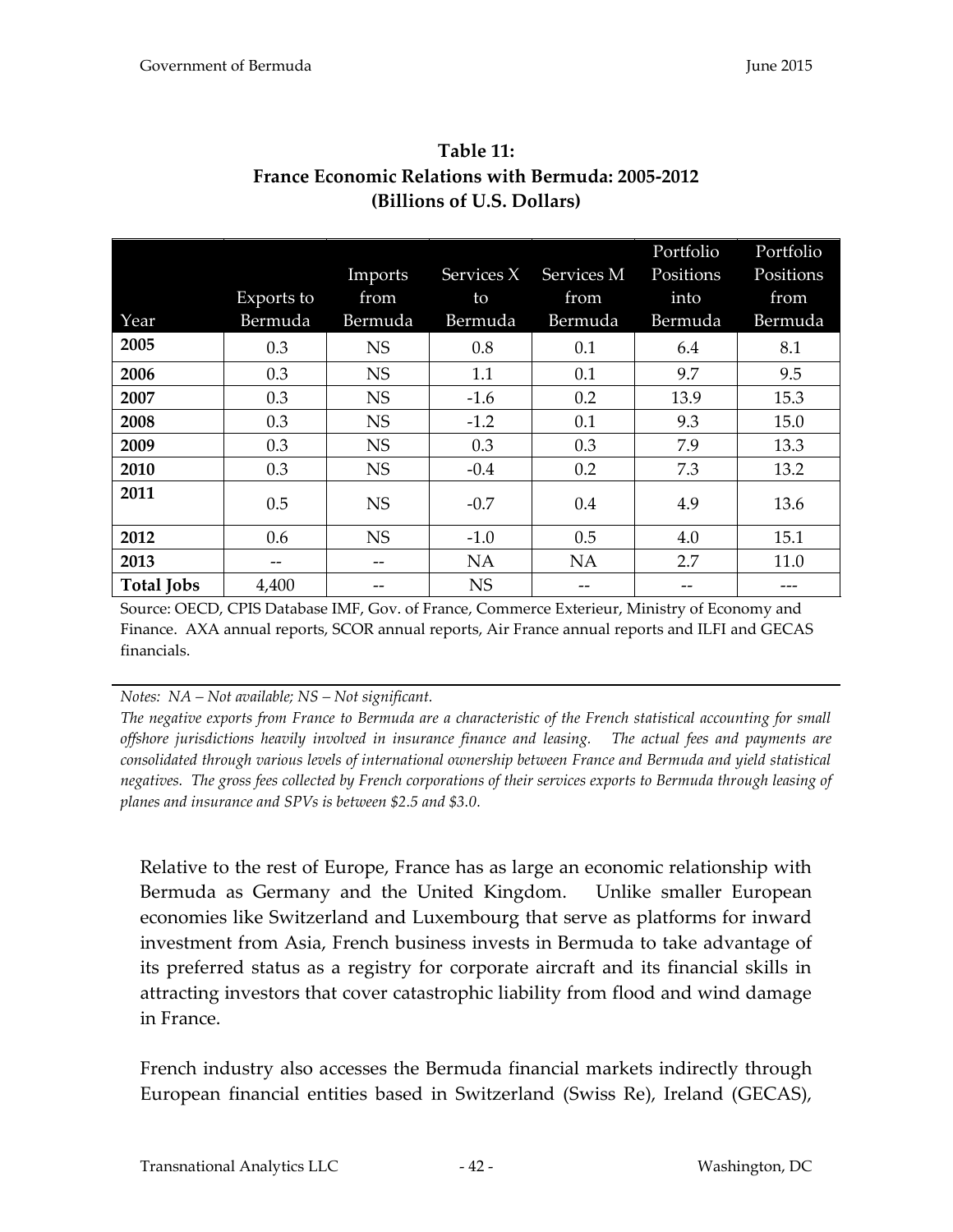| Year              | Exports to<br>Bermuda | Imports<br>from<br>Bermuda | Services X<br>to<br>Bermuda | Services M<br>from<br>Bermuda | Portfolio<br>Positions<br>into<br>Bermuda | Portfolio<br>Positions<br>from<br>Bermuda |
|-------------------|-----------------------|----------------------------|-----------------------------|-------------------------------|-------------------------------------------|-------------------------------------------|
| 2005              | 0.3                   | <b>NS</b>                  | 0.8                         | 0.1                           | 6.4                                       | 8.1                                       |
| 2006              | 0.3                   | <b>NS</b>                  | 1.1                         | 0.1                           | 9.7                                       | 9.5                                       |
| 2007              | 0.3                   | <b>NS</b>                  | $-1.6$                      | 0.2                           | 13.9                                      | 15.3                                      |
| 2008              | 0.3                   | <b>NS</b>                  | $-1.2$                      | 0.1                           | 9.3                                       | 15.0                                      |
| 2009              | 0.3                   | <b>NS</b>                  | 0.3                         | 0.3                           | 7.9                                       | 13.3                                      |
| 2010              | 0.3                   | <b>NS</b>                  | $-0.4$                      | 0.2                           | 7.3                                       | 13.2                                      |
| 2011              | 0.5                   | <b>NS</b>                  | $-0.7$                      | 0.4                           | 4.9                                       | 13.6                                      |
| 2012              | 0.6                   | <b>NS</b>                  | $-1.0$                      | 0.5                           | 4.0                                       | 15.1                                      |
| 2013              | --                    |                            | NA                          | NA                            | 2.7                                       | 11.0                                      |
| <b>Total Jobs</b> | 4,400                 | --                         | <b>NS</b>                   | --                            |                                           |                                           |

**Table 11: France Economic Relations with Bermuda: 2005-2012 (Billions of U.S. Dollars)**

Source: OECD, CPIS Database IMF, Gov. of France, Commerce Exterieur, Ministry of Economy and Finance. AXA annual reports, SCOR annual reports, Air France annual reports and ILFI and GECAS financials.

#### *Notes: NA – Not available; NS – Not significant.*

*The negative exports from France to Bermuda are a characteristic of the French statistical accounting for small offshore jurisdictions heavily involved in insurance finance and leasing. The actual fees and payments are consolidated through various levels of international ownership between France and Bermuda and yield statistical negatives. The gross fees collected by French corporations of their services exports to Bermuda through leasing of planes and insurance and SPVs is between \$2.5 and \$3.0.*

Relative to the rest of Europe, France has as large an economic relationship with Bermuda as Germany and the United Kingdom. Unlike smaller European economies like Switzerland and Luxembourg that serve as platforms for inward investment from Asia, French business invests in Bermuda to take advantage of its preferred status as a registry for corporate aircraft and its financial skills in attracting investors that cover catastrophic liability from flood and wind damage in France.

French industry also accesses the Bermuda financial markets indirectly through European financial entities based in Switzerland (Swiss Re), Ireland (GECAS),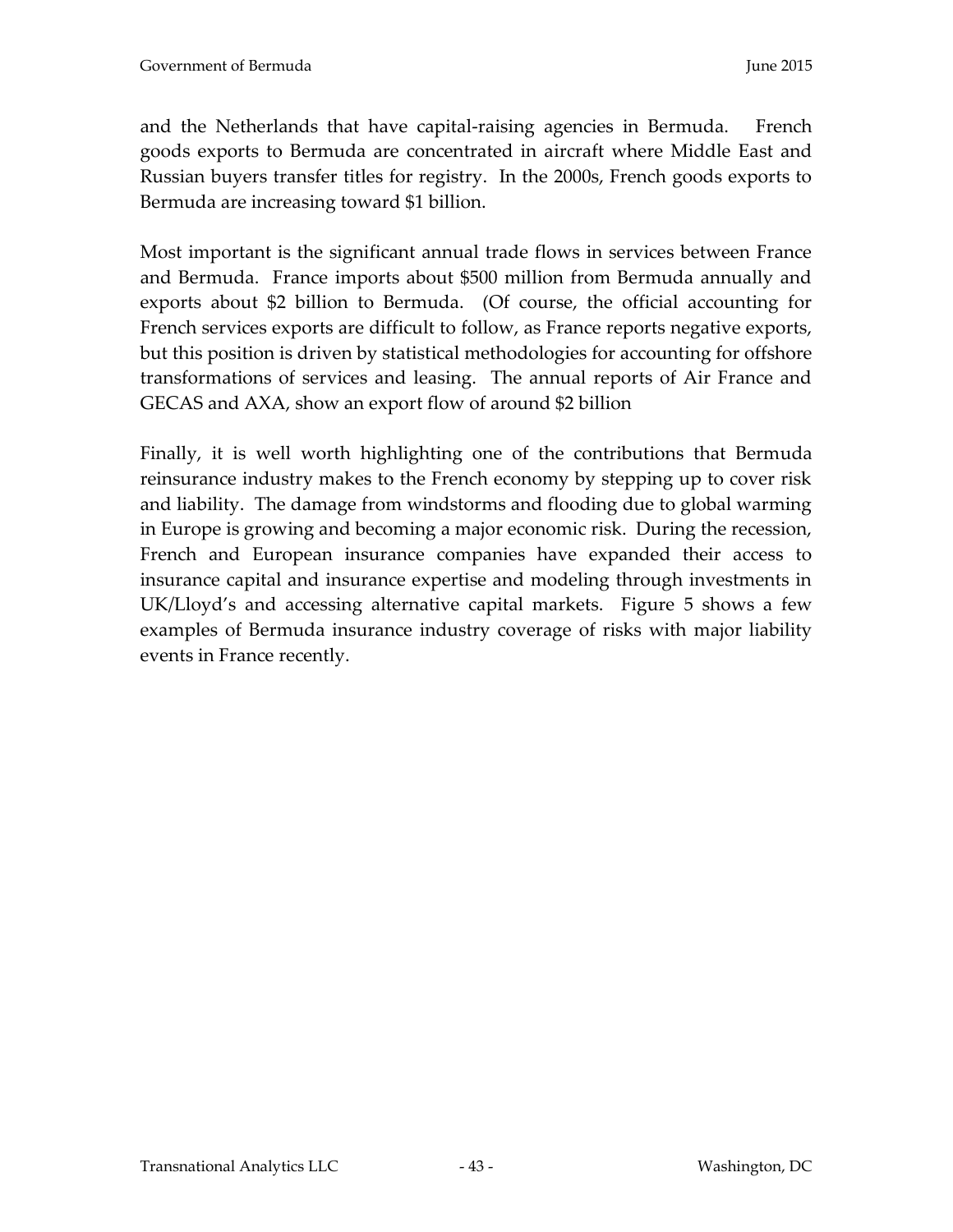and the Netherlands that have capital-raising agencies in Bermuda. French goods exports to Bermuda are concentrated in aircraft where Middle East and Russian buyers transfer titles for registry. In the 2000s, French goods exports to Bermuda are increasing toward \$1 billion.

Most important is the significant annual trade flows in services between France and Bermuda. France imports about \$500 million from Bermuda annually and exports about \$2 billion to Bermuda. (Of course, the official accounting for French services exports are difficult to follow, as France reports negative exports, but this position is driven by statistical methodologies for accounting for offshore transformations of services and leasing. The annual reports of Air France and GECAS and AXA, show an export flow of around \$2 billion

Finally, it is well worth highlighting one of the contributions that Bermuda reinsurance industry makes to the French economy by stepping up to cover risk and liability. The damage from windstorms and flooding due to global warming in Europe is growing and becoming a major economic risk. During the recession, French and European insurance companies have expanded their access to insurance capital and insurance expertise and modeling through investments in UK/Lloyd's and accessing alternative capital markets. Figure 5 shows a few examples of Bermuda insurance industry coverage of risks with major liability events in France recently.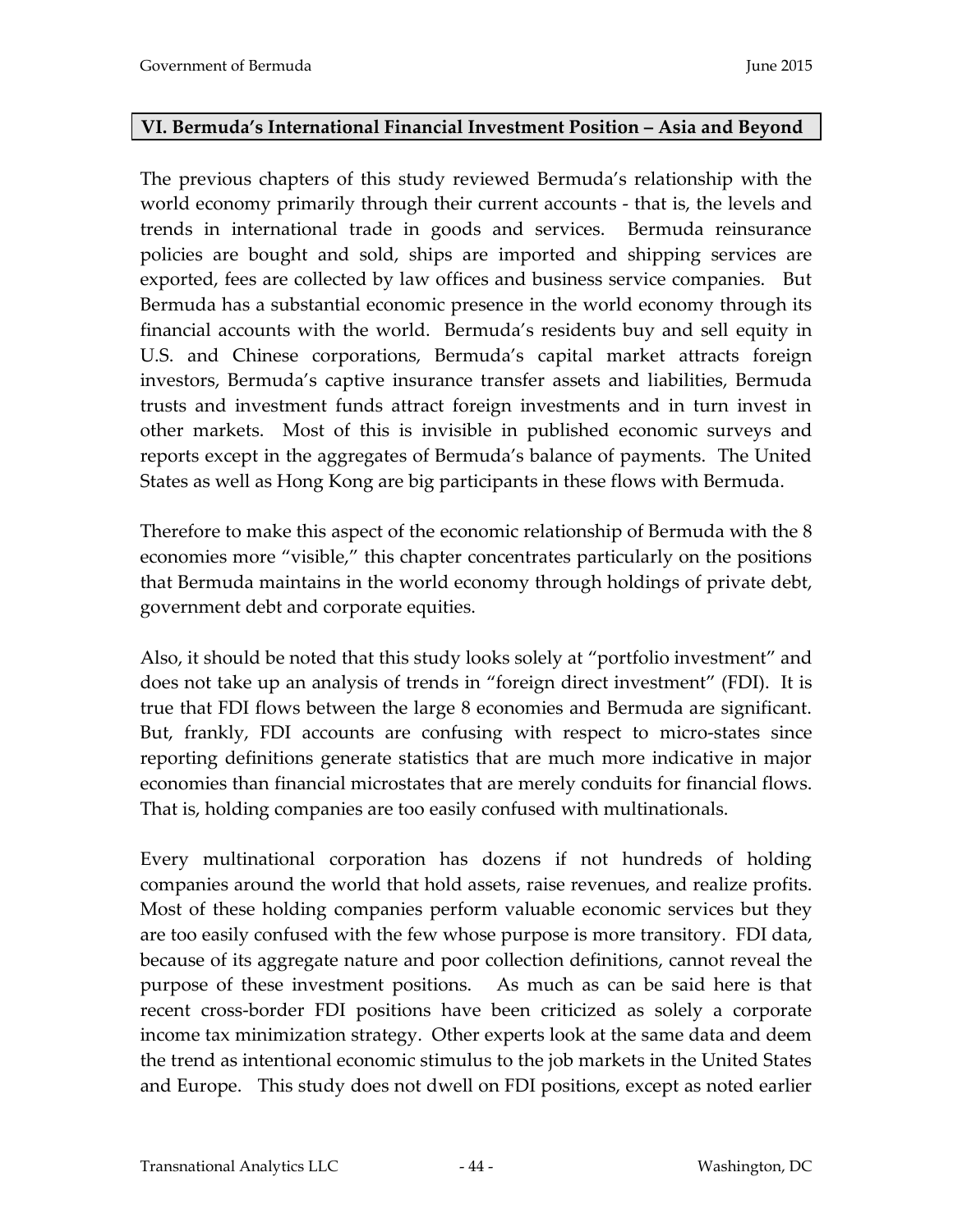### **VI. Bermuda's International Financial Investment Position – Asia and Beyond**

The previous chapters of this study reviewed Bermuda's relationship with the world economy primarily through their current accounts - that is, the levels and trends in international trade in goods and services. Bermuda reinsurance policies are bought and sold, ships are imported and shipping services are exported, fees are collected by law offices and business service companies. But Bermuda has a substantial economic presence in the world economy through its financial accounts with the world. Bermuda's residents buy and sell equity in U.S. and Chinese corporations, Bermuda's capital market attracts foreign investors, Bermuda's captive insurance transfer assets and liabilities, Bermuda trusts and investment funds attract foreign investments and in turn invest in other markets. Most of this is invisible in published economic surveys and reports except in the aggregates of Bermuda's balance of payments. The United States as well as Hong Kong are big participants in these flows with Bermuda.

Therefore to make this aspect of the economic relationship of Bermuda with the 8 economies more "visible," this chapter concentrates particularly on the positions that Bermuda maintains in the world economy through holdings of private debt, government debt and corporate equities.

Also, it should be noted that this study looks solely at "portfolio investment" and does not take up an analysis of trends in "foreign direct investment" (FDI). It is true that FDI flows between the large 8 economies and Bermuda are significant. But, frankly, FDI accounts are confusing with respect to micro-states since reporting definitions generate statistics that are much more indicative in major economies than financial microstates that are merely conduits for financial flows. That is, holding companies are too easily confused with multinationals.

Every multinational corporation has dozens if not hundreds of holding companies around the world that hold assets, raise revenues, and realize profits. Most of these holding companies perform valuable economic services but they are too easily confused with the few whose purpose is more transitory. FDI data, because of its aggregate nature and poor collection definitions, cannot reveal the purpose of these investment positions. As much as can be said here is that recent cross-border FDI positions have been criticized as solely a corporate income tax minimization strategy. Other experts look at the same data and deem the trend as intentional economic stimulus to the job markets in the United States and Europe. This study does not dwell on FDI positions, except as noted earlier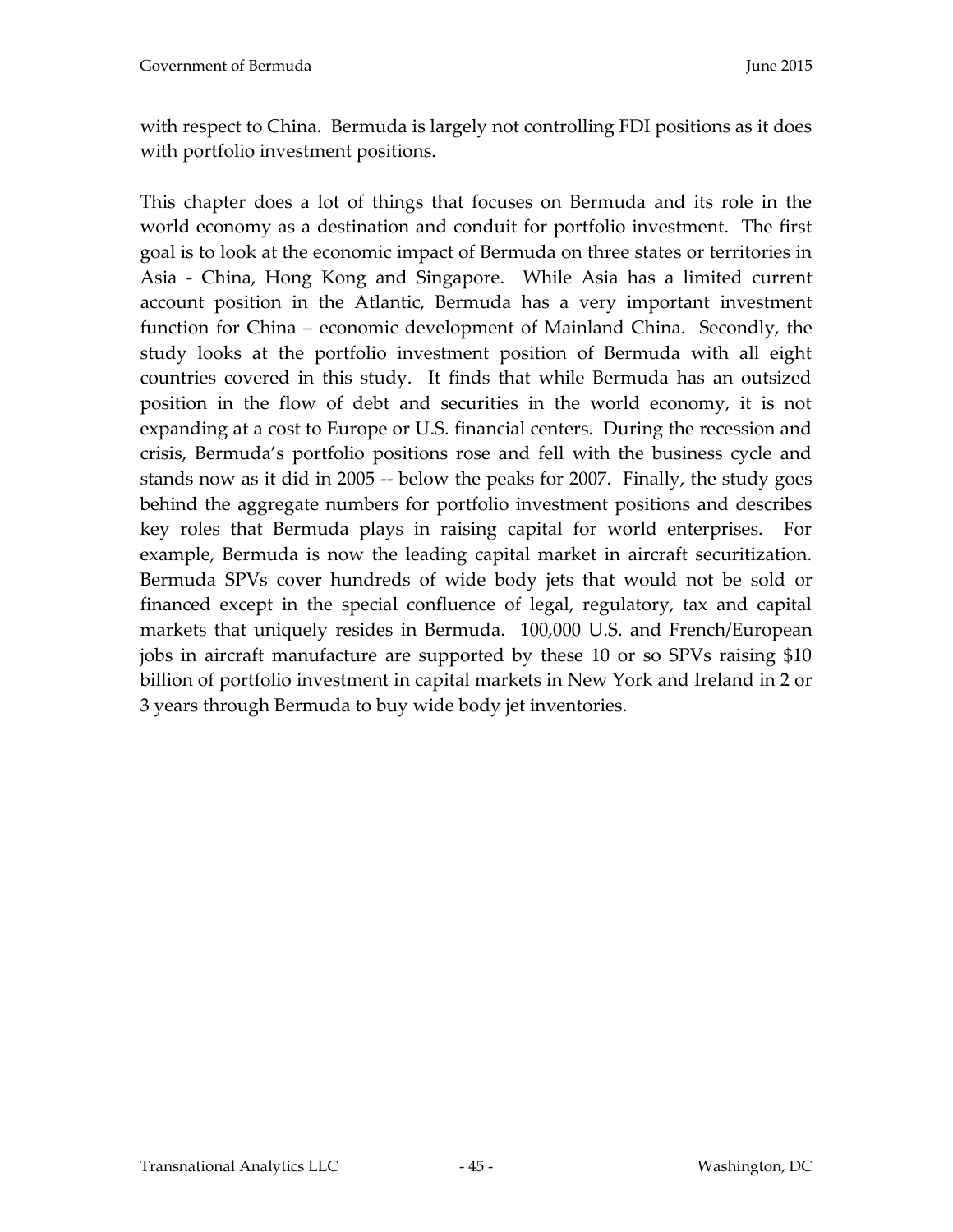with respect to China. Bermuda is largely not controlling FDI positions as it does with portfolio investment positions.

This chapter does a lot of things that focuses on Bermuda and its role in the world economy as a destination and conduit for portfolio investment. The first goal is to look at the economic impact of Bermuda on three states or territories in Asia - China, Hong Kong and Singapore. While Asia has a limited current account position in the Atlantic, Bermuda has a very important investment function for China – economic development of Mainland China. Secondly, the study looks at the portfolio investment position of Bermuda with all eight countries covered in this study. It finds that while Bermuda has an outsized position in the flow of debt and securities in the world economy, it is not expanding at a cost to Europe or U.S. financial centers. During the recession and crisis, Bermuda's portfolio positions rose and fell with the business cycle and stands now as it did in 2005 -- below the peaks for 2007. Finally, the study goes behind the aggregate numbers for portfolio investment positions and describes key roles that Bermuda plays in raising capital for world enterprises. For example, Bermuda is now the leading capital market in aircraft securitization. Bermuda SPVs cover hundreds of wide body jets that would not be sold or financed except in the special confluence of legal, regulatory, tax and capital markets that uniquely resides in Bermuda. 100,000 U.S. and French/European jobs in aircraft manufacture are supported by these 10 or so SPVs raising \$10 billion of portfolio investment in capital markets in New York and Ireland in 2 or 3 years through Bermuda to buy wide body jet inventories.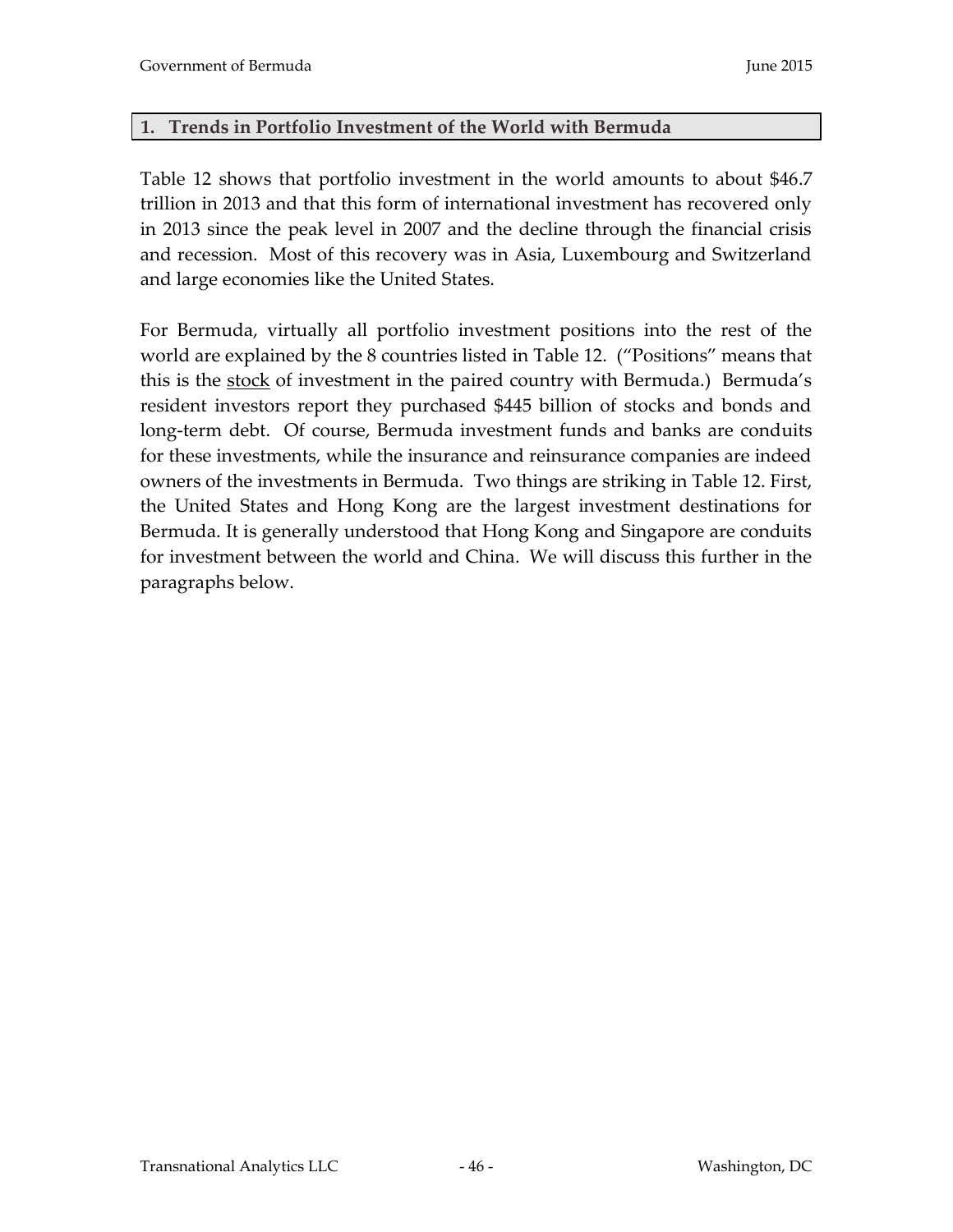### **1. Trends in Portfolio Investment of the World with Bermuda**

Table 12 shows that portfolio investment in the world amounts to about \$46.7 trillion in 2013 and that this form of international investment has recovered only in 2013 since the peak level in 2007 and the decline through the financial crisis and recession. Most of this recovery was in Asia, Luxembourg and Switzerland and large economies like the United States.

For Bermuda, virtually all portfolio investment positions into the rest of the world are explained by the 8 countries listed in Table 12. ("Positions" means that this is the stock of investment in the paired country with Bermuda.) Bermuda's resident investors report they purchased \$445 billion of stocks and bonds and long-term debt. Of course, Bermuda investment funds and banks are conduits for these investments, while the insurance and reinsurance companies are indeed owners of the investments in Bermuda. Two things are striking in Table 12. First, the United States and Hong Kong are the largest investment destinations for Bermuda. It is generally understood that Hong Kong and Singapore are conduits for investment between the world and China. We will discuss this further in the paragraphs below.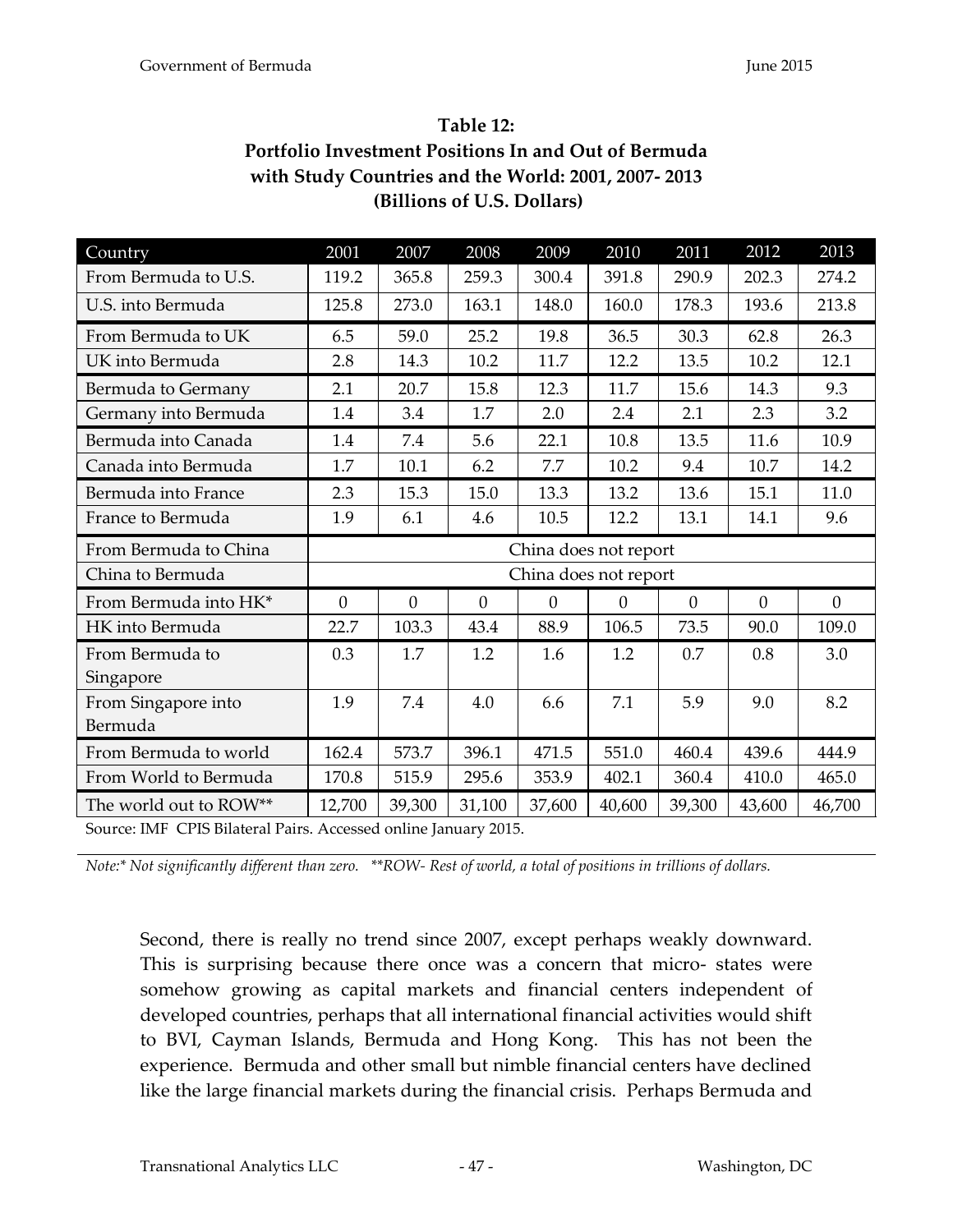# **Table 12: Portfolio Investment Positions In and Out of Bermuda with Study Countries and the World: 2001, 2007- 2013 (Billions of U.S. Dollars)**

| Country                | 2001                  | 2007     | 2008     | 2009                  | 2010           | 2011     | 2012     | 2013     |  |
|------------------------|-----------------------|----------|----------|-----------------------|----------------|----------|----------|----------|--|
| From Bermuda to U.S.   | 119.2                 | 365.8    | 259.3    | 300.4                 | 391.8          | 290.9    | 202.3    | 274.2    |  |
| U.S. into Bermuda      | 125.8                 | 273.0    | 163.1    | 148.0                 | 160.0          | 178.3    | 193.6    | 213.8    |  |
| From Bermuda to UK     | 6.5                   | 59.0     | 25.2     | 19.8                  | 36.5           | 30.3     | 62.8     | 26.3     |  |
| UK into Bermuda        | 2.8                   | 14.3     | 10.2     | 11.7                  | 12.2           | 13.5     | 10.2     | 12.1     |  |
| Bermuda to Germany     | 2.1                   | 20.7     | 15.8     | 12.3                  | 11.7           | 15.6     | 14.3     | 9.3      |  |
| Germany into Bermuda   | 1.4                   | 3.4      | 1.7      | 2.0                   | 2.4            | 2.1      | 2.3      | 3.2      |  |
| Bermuda into Canada    | 1.4                   | 7.4      | 5.6      | 22.1                  | 10.8           | 13.5     | 11.6     | 10.9     |  |
| Canada into Bermuda    | 1.7                   | 10.1     | 6.2      | 7.7                   | 10.2           | 9.4      | 10.7     | 14.2     |  |
| Bermuda into France    | 2.3                   | 15.3     | 15.0     | 13.3                  | 13.2           | 13.6     | 15.1     | 11.0     |  |
| France to Bermuda      | 1.9                   | 6.1      | 4.6      | 10.5                  | 12.2           | 13.1     | 14.1     | 9.6      |  |
|                        | China does not report |          |          |                       |                |          |          |          |  |
| From Bermuda to China  |                       |          |          |                       |                |          |          |          |  |
| China to Bermuda       |                       |          |          | China does not report |                |          |          |          |  |
| From Bermuda into HK*  | $\theta$              | $\theta$ | $\theta$ | $\theta$              | $\overline{0}$ | $\theta$ | $\theta$ | $\theta$ |  |
| HK into Bermuda        | 22.7                  | 103.3    | 43.4     | 88.9                  | 106.5          | 73.5     | 90.0     | 109.0    |  |
| From Bermuda to        | 0.3                   | 1.7      | 1.2      | 1.6                   | 1.2            | 0.7      | 0.8      | 3.0      |  |
| Singapore              |                       |          |          |                       |                |          |          |          |  |
| From Singapore into    | 1.9                   | 7.4      | 4.0      | 6.6                   | 7.1            | 5.9      | 9.0      | 8.2      |  |
| Bermuda                |                       |          |          |                       |                |          |          |          |  |
| From Bermuda to world  | 162.4                 | 573.7    | 396.1    | 471.5                 | 551.0          | 460.4    | 439.6    | 444.9    |  |
| From World to Bermuda  | 170.8                 | 515.9    | 295.6    | 353.9                 | 402.1          | 360.4    | 410.0    | 465.0    |  |
| The world out to ROW** | 12,700                | 39,300   | 31,100   | 37,600                | 40,600         | 39,300   | 43,600   | 46,700   |  |

*Note:\* Not significantly different than zero. \*\*ROW- Rest of world, a total of positions in trillions of dollars.* 

Second, there is really no trend since 2007, except perhaps weakly downward. This is surprising because there once was a concern that micro- states were somehow growing as capital markets and financial centers independent of developed countries, perhaps that all international financial activities would shift to BVI, Cayman Islands, Bermuda and Hong Kong. This has not been the experience. Bermuda and other small but nimble financial centers have declined like the large financial markets during the financial crisis. Perhaps Bermuda and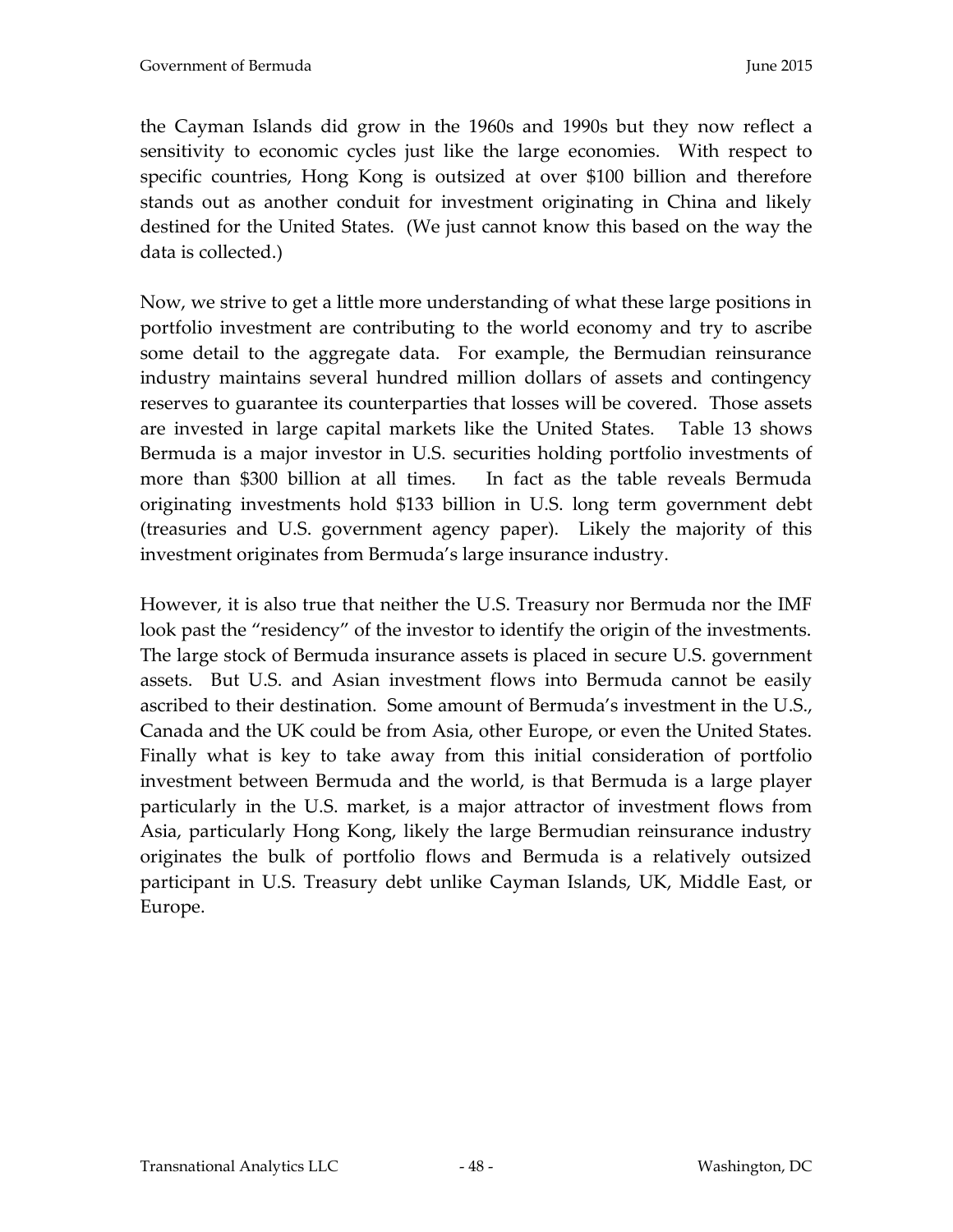the Cayman Islands did grow in the 1960s and 1990s but they now reflect a sensitivity to economic cycles just like the large economies. With respect to specific countries, Hong Kong is outsized at over \$100 billion and therefore stands out as another conduit for investment originating in China and likely destined for the United States. (We just cannot know this based on the way the data is collected.)

Now, we strive to get a little more understanding of what these large positions in portfolio investment are contributing to the world economy and try to ascribe some detail to the aggregate data. For example, the Bermudian reinsurance industry maintains several hundred million dollars of assets and contingency reserves to guarantee its counterparties that losses will be covered. Those assets are invested in large capital markets like the United States. Table 13 shows Bermuda is a major investor in U.S. securities holding portfolio investments of more than \$300 billion at all times. In fact as the table reveals Bermuda originating investments hold \$133 billion in U.S. long term government debt (treasuries and U.S. government agency paper). Likely the majority of this investment originates from Bermuda's large insurance industry.

However, it is also true that neither the U.S. Treasury nor Bermuda nor the IMF look past the "residency" of the investor to identify the origin of the investments. The large stock of Bermuda insurance assets is placed in secure U.S. government assets. But U.S. and Asian investment flows into Bermuda cannot be easily ascribed to their destination. Some amount of Bermuda's investment in the U.S., Canada and the UK could be from Asia, other Europe, or even the United States. Finally what is key to take away from this initial consideration of portfolio investment between Bermuda and the world, is that Bermuda is a large player particularly in the U.S. market, is a major attractor of investment flows from Asia, particularly Hong Kong, likely the large Bermudian reinsurance industry originates the bulk of portfolio flows and Bermuda is a relatively outsized participant in U.S. Treasury debt unlike Cayman Islands, UK, Middle East, or Europe.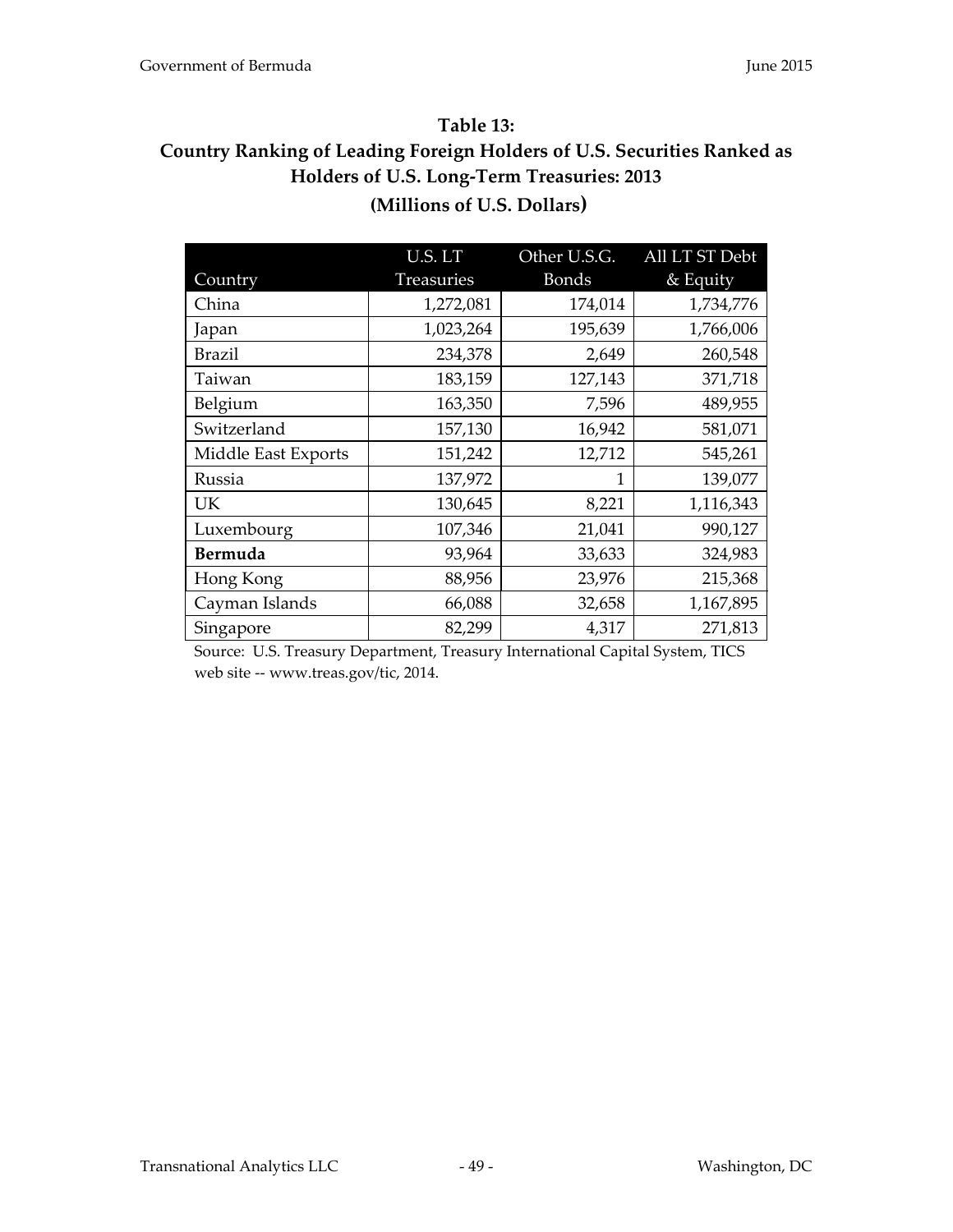#### **Table 13:**

# **Country Ranking of Leading Foreign Holders of U.S. Securities Ranked as Holders of U.S. Long-Term Treasuries: 2013 (Millions of U.S. Dollars)**

|                     | U.S. LT    | Other U.S.G. | All LT ST Debt |
|---------------------|------------|--------------|----------------|
| Country             | Treasuries | <b>Bonds</b> | & Equity       |
| China               | 1,272,081  | 174,014      | 1,734,776      |
| Japan               | 1,023,264  | 195,639      | 1,766,006      |
| <b>Brazil</b>       | 234,378    | 2,649        | 260,548        |
| Taiwan              | 183,159    | 127,143      | 371,718        |
| Belgium             | 163,350    | 7,596        | 489,955        |
| Switzerland         | 157,130    | 16,942       | 581,071        |
| Middle East Exports | 151,242    | 12,712       | 545,261        |
| Russia              | 137,972    | 1            | 139,077        |
| UK                  | 130,645    | 8,221        | 1,116,343      |
| Luxembourg          | 107,346    | 21,041       | 990,127        |
| Bermuda             | 93,964     | 33,633       | 324,983        |
| Hong Kong           | 88,956     | 23,976       | 215,368        |
| Cayman Islands      | 66,088     | 32,658       | 1,167,895      |
| Singapore           | 82,299     | 4,317        | 271,813        |

Source: U.S. Treasury Department, Treasury International Capital System, TICS web site -- www.treas.gov/tic, 2014.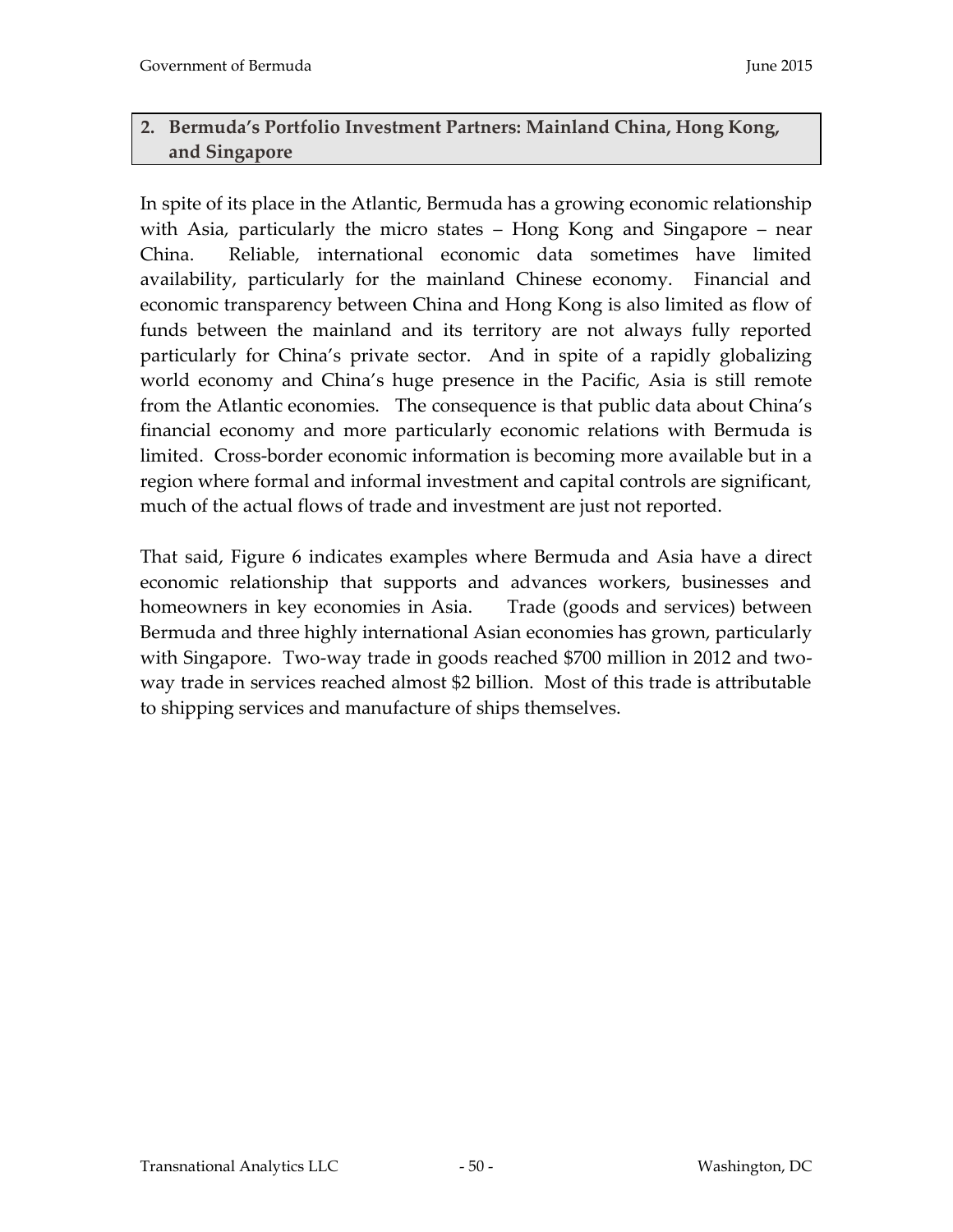# **2. Bermuda's Portfolio Investment Partners: Mainland China, Hong Kong, and Singapore**

In spite of its place in the Atlantic, Bermuda has a growing economic relationship with Asia, particularly the micro states – Hong Kong and Singapore – near China. Reliable, international economic data sometimes have limited availability, particularly for the mainland Chinese economy. Financial and economic transparency between China and Hong Kong is also limited as flow of funds between the mainland and its territory are not always fully reported particularly for China's private sector. And in spite of a rapidly globalizing world economy and China's huge presence in the Pacific, Asia is still remote from the Atlantic economies. The consequence is that public data about China's financial economy and more particularly economic relations with Bermuda is limited. Cross-border economic information is becoming more available but in a region where formal and informal investment and capital controls are significant, much of the actual flows of trade and investment are just not reported.

That said, Figure 6 indicates examples where Bermuda and Asia have a direct economic relationship that supports and advances workers, businesses and homeowners in key economies in Asia. Trade (goods and services) between Bermuda and three highly international Asian economies has grown, particularly with Singapore. Two-way trade in goods reached \$700 million in 2012 and twoway trade in services reached almost \$2 billion. Most of this trade is attributable to shipping services and manufacture of ships themselves.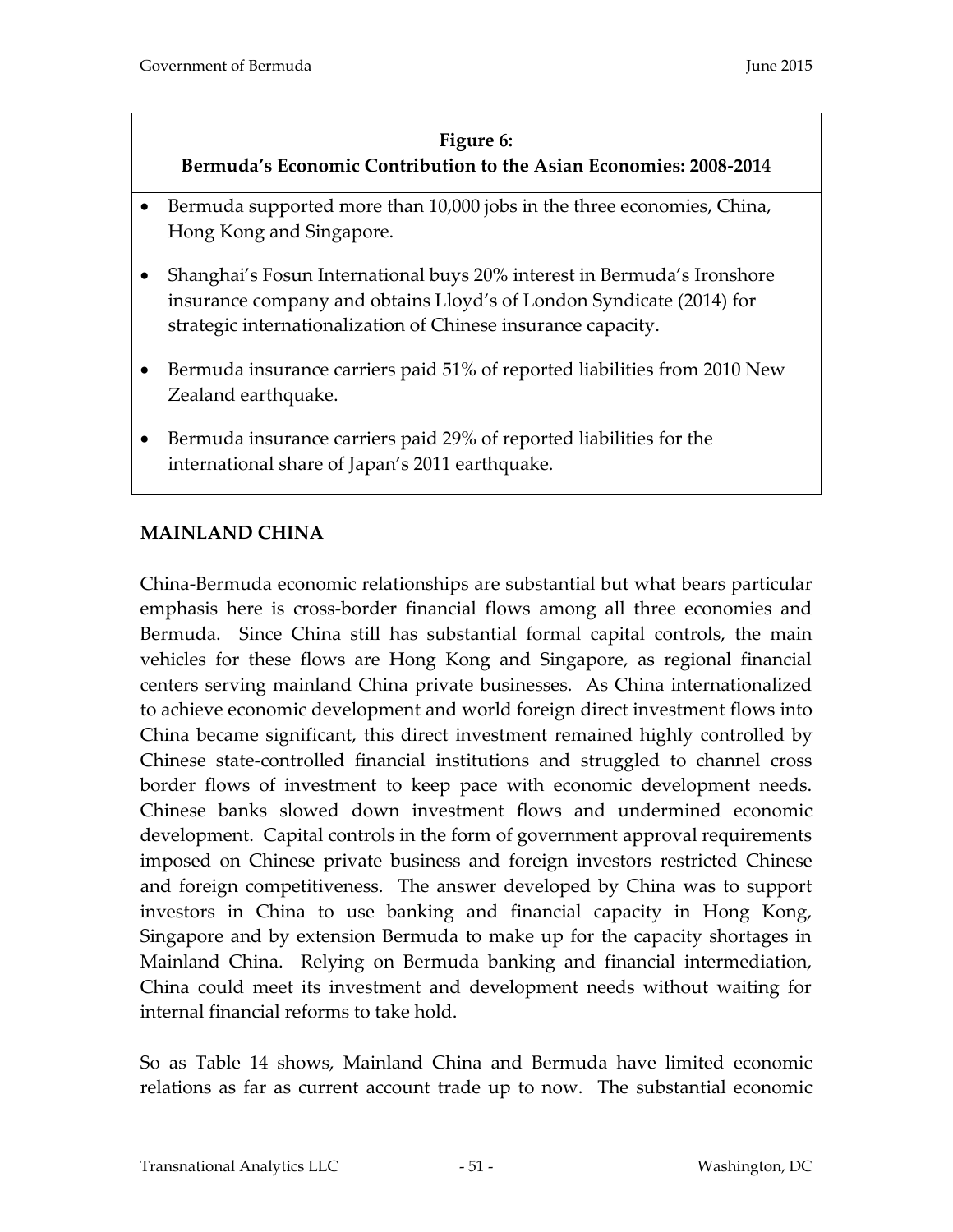### **Figure 6:**

# **Bermuda's Economic Contribution to the Asian Economies: 2008-2014**

- Bermuda supported more than 10,000 jobs in the three economies, China, Hong Kong and Singapore.
- Shanghai's Fosun International buys 20% interest in Bermuda's Ironshore insurance company and obtains Lloyd's of London Syndicate (2014) for strategic internationalization of Chinese insurance capacity.
- Bermuda insurance carriers paid 51% of reported liabilities from 2010 New Zealand earthquake.
- Bermuda insurance carriers paid 29% of reported liabilities for the international share of Japan's 2011 earthquake.

# **MAINLAND CHINA**

China-Bermuda economic relationships are substantial but what bears particular emphasis here is cross-border financial flows among all three economies and Bermuda. Since China still has substantial formal capital controls, the main vehicles for these flows are Hong Kong and Singapore, as regional financial centers serving mainland China private businesses. As China internationalized to achieve economic development and world foreign direct investment flows into China became significant, this direct investment remained highly controlled by Chinese state-controlled financial institutions and struggled to channel cross border flows of investment to keep pace with economic development needs. Chinese banks slowed down investment flows and undermined economic development. Capital controls in the form of government approval requirements imposed on Chinese private business and foreign investors restricted Chinese and foreign competitiveness. The answer developed by China was to support investors in China to use banking and financial capacity in Hong Kong, Singapore and by extension Bermuda to make up for the capacity shortages in Mainland China. Relying on Bermuda banking and financial intermediation, China could meet its investment and development needs without waiting for internal financial reforms to take hold.

So as Table 14 shows, Mainland China and Bermuda have limited economic relations as far as current account trade up to now. The substantial economic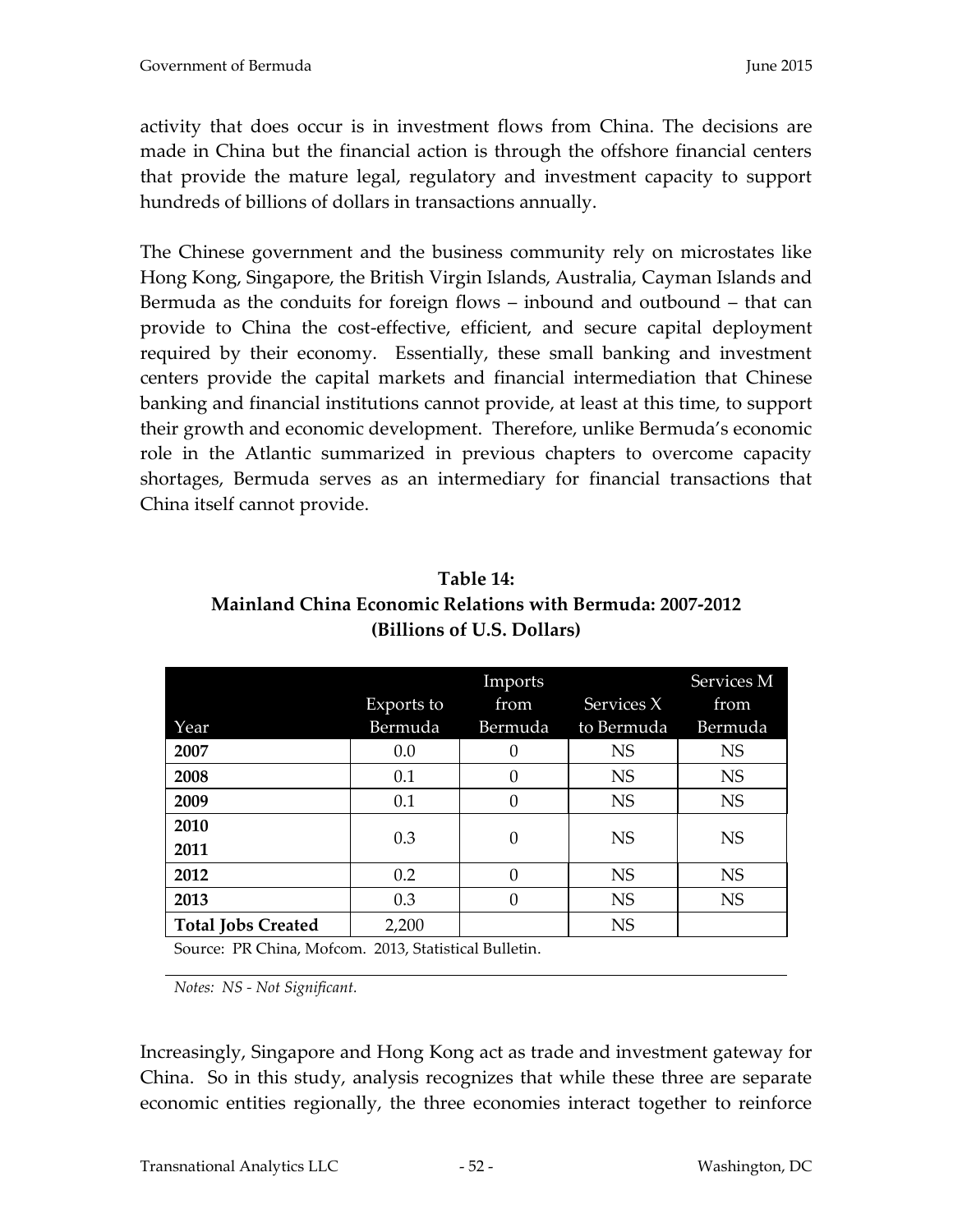activity that does occur is in investment flows from China. The decisions are made in China but the financial action is through the offshore financial centers that provide the mature legal, regulatory and investment capacity to support hundreds of billions of dollars in transactions annually.

The Chinese government and the business community rely on microstates like Hong Kong, Singapore, the British Virgin Islands, Australia, Cayman Islands and Bermuda as the conduits for foreign flows – inbound and outbound – that can provide to China the cost-effective, efficient, and secure capital deployment required by their economy. Essentially, these small banking and investment centers provide the capital markets and financial intermediation that Chinese banking and financial institutions cannot provide, at least at this time, to support their growth and economic development. Therefore, unlike Bermuda's economic role in the Atlantic summarized in previous chapters to overcome capacity shortages, Bermuda serves as an intermediary for financial transactions that China itself cannot provide.

| Table 14:                                                 |
|-----------------------------------------------------------|
| Mainland China Economic Relations with Bermuda: 2007-2012 |
| (Billions of U.S. Dollars)                                |

|                                                               |                            | Imports  |            | Services M |
|---------------------------------------------------------------|----------------------------|----------|------------|------------|
|                                                               | Exports to                 | from     | Services X | from       |
| Year                                                          | Bermuda                    | Bermuda  | to Bermuda | Bermuda    |
| 2007                                                          | 0.0                        | $\theta$ | <b>NS</b>  | <b>NS</b>  |
| 2008                                                          | 0.1                        | 0        | <b>NS</b>  | <b>NS</b>  |
| 2009                                                          | 0.1                        | 0        | <b>NS</b>  | <b>NS</b>  |
| 2010                                                          | 0.3                        | 0        | <b>NS</b>  | <b>NS</b>  |
| 2011                                                          |                            |          |            |            |
| 2012                                                          | 0.2                        | 0        | <b>NS</b>  | <b>NS</b>  |
| 2013                                                          | 0.3                        | 0        | <b>NS</b>  | <b>NS</b>  |
| <b>Total Jobs Created</b>                                     | 2,200                      |          | <b>NS</b>  |            |
| $\mathbf{m} \cap \mathbf{m}$<br>$\sim$ $\sim$<br>$\mathbf{r}$ | $0.010 \t 0.111 \t 1.0111$ |          |            |            |

Source: PR China, Mofcom. 2013, Statistical Bulletin.

*Notes: NS - Not Significant.*

Increasingly, Singapore and Hong Kong act as trade and investment gateway for China. So in this study, analysis recognizes that while these three are separate economic entities regionally, the three economies interact together to reinforce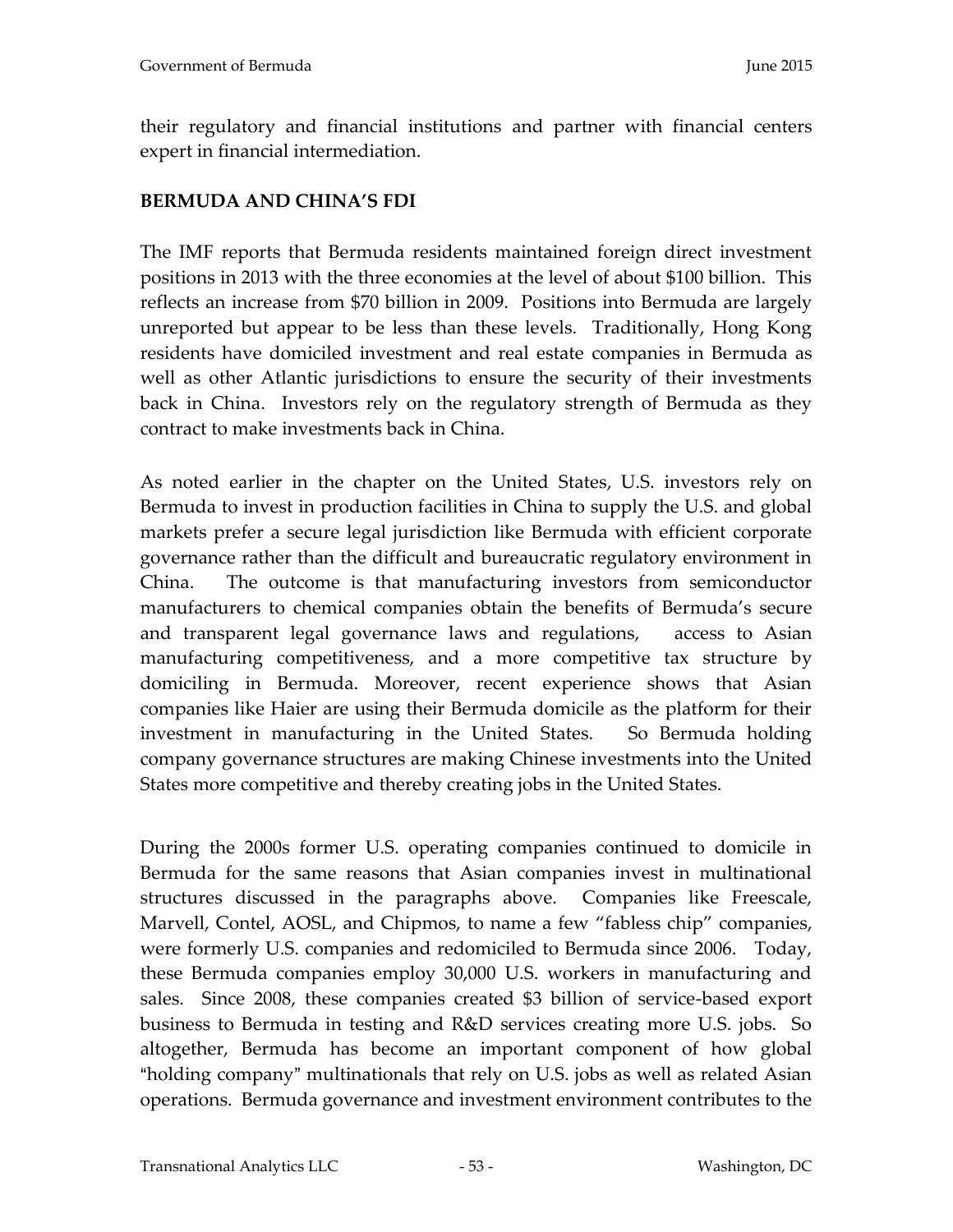their regulatory and financial institutions and partner with financial centers expert in financial intermediation.

# **BERMUDA AND CHINA'S FDI**

The IMF reports that Bermuda residents maintained foreign direct investment positions in 2013 with the three economies at the level of about \$100 billion. This reflects an increase from \$70 billion in 2009. Positions into Bermuda are largely unreported but appear to be less than these levels. Traditionally, Hong Kong residents have domiciled investment and real estate companies in Bermuda as well as other Atlantic jurisdictions to ensure the security of their investments back in China. Investors rely on the regulatory strength of Bermuda as they contract to make investments back in China.

As noted earlier in the chapter on the United States, U.S. investors rely on Bermuda to invest in production facilities in China to supply the U.S. and global markets prefer a secure legal jurisdiction like Bermuda with efficient corporate governance rather than the difficult and bureaucratic regulatory environment in China. The outcome is that manufacturing investors from semiconductor manufacturers to chemical companies obtain the benefits of Bermuda's secure and transparent legal governance laws and regulations, access to Asian manufacturing competitiveness, and a more competitive tax structure by domiciling in Bermuda. Moreover, recent experience shows that Asian companies like Haier are using their Bermuda domicile as the platform for their investment in manufacturing in the United States. So Bermuda holding company governance structures are making Chinese investments into the United States more competitive and thereby creating jobs in the United States.

During the 2000s former U.S. operating companies continued to domicile in Bermuda for the same reasons that Asian companies invest in multinational structures discussed in the paragraphs above. Companies like Freescale, Marvell, Contel, AOSL, and Chipmos, to name a few "fabless chip" companies, were formerly U.S. companies and redomiciled to Bermuda since 2006. Today, these Bermuda companies employ 30,000 U.S. workers in manufacturing and sales. Since 2008, these companies created \$3 billion of service-based export business to Bermuda in testing and R&D services creating more U.S. jobs. So altogether, Bermuda has become an important component of how global "holding company" multinationals that rely on U.S. jobs as well as related Asian operations. Bermuda governance and investment environment contributes to the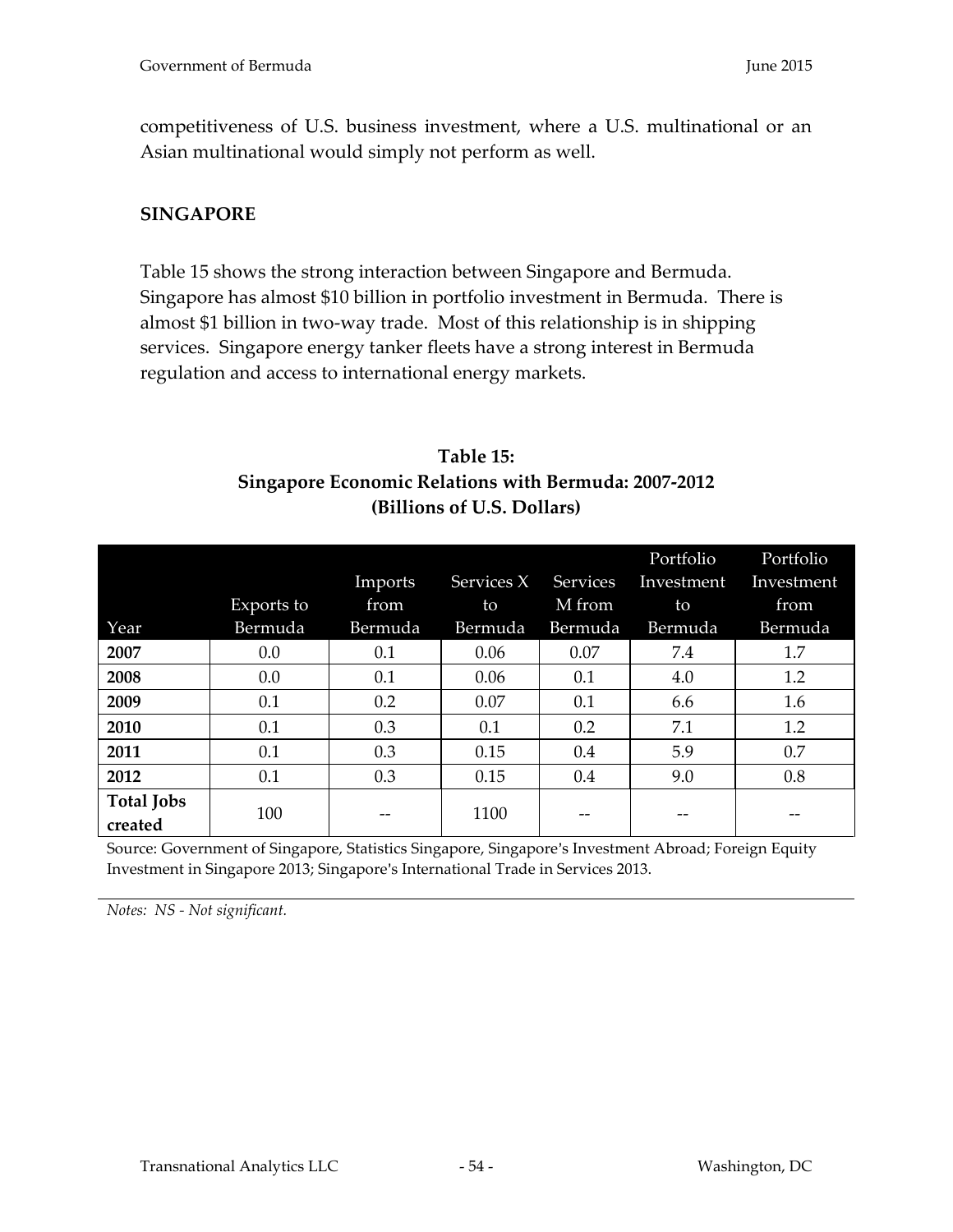competitiveness of U.S. business investment, where a U.S. multinational or an Asian multinational would simply not perform as well.

## **SINGAPORE**

Table 15 shows the strong interaction between Singapore and Bermuda. Singapore has almost \$10 billion in portfolio investment in Bermuda. There is almost \$1 billion in two-way trade. Most of this relationship is in shipping services. Singapore energy tanker fleets have a strong interest in Bermuda regulation and access to international energy markets.

# **Table 15: Singapore Economic Relations with Bermuda: 2007-2012 (Billions of U.S. Dollars)**

|                              |            |         |            |                 | Portfolio  | Portfolio  |
|------------------------------|------------|---------|------------|-----------------|------------|------------|
|                              |            | Imports | Services X | <b>Services</b> | Investment | Investment |
|                              | Exports to | from    | to         | M from          | to         | from       |
| Year                         | Bermuda    | Bermuda | Bermuda    | Bermuda         | Bermuda    | Bermuda    |
| 2007                         | 0.0        | 0.1     | 0.06       | 0.07            | 7.4        | 1.7        |
| 2008                         | 0.0        | 0.1     | 0.06       | 0.1             | 4.0        | 1.2        |
| 2009                         | 0.1        | 0.2     | 0.07       | 0.1             | 6.6        | 1.6        |
| 2010                         | 0.1        | 0.3     | 0.1        | 0.2             | 7.1        | 1.2        |
| 2011                         | 0.1        | 0.3     | 0.15       | 0.4             | 5.9        | 0.7        |
| 2012                         | 0.1        | 0.3     | 0.15       | 0.4             | 9.0        | 0.8        |
| <b>Total Jobs</b><br>created | 100        | --      | 1100       |                 |            |            |

Source: Government of Singapore, Statistics Singapore, Singapore's Investment Abroad; Foreign Equity Investment in Singapore 2013; Singapore's International Trade in Services 2013.

*Notes: NS - Not significant.*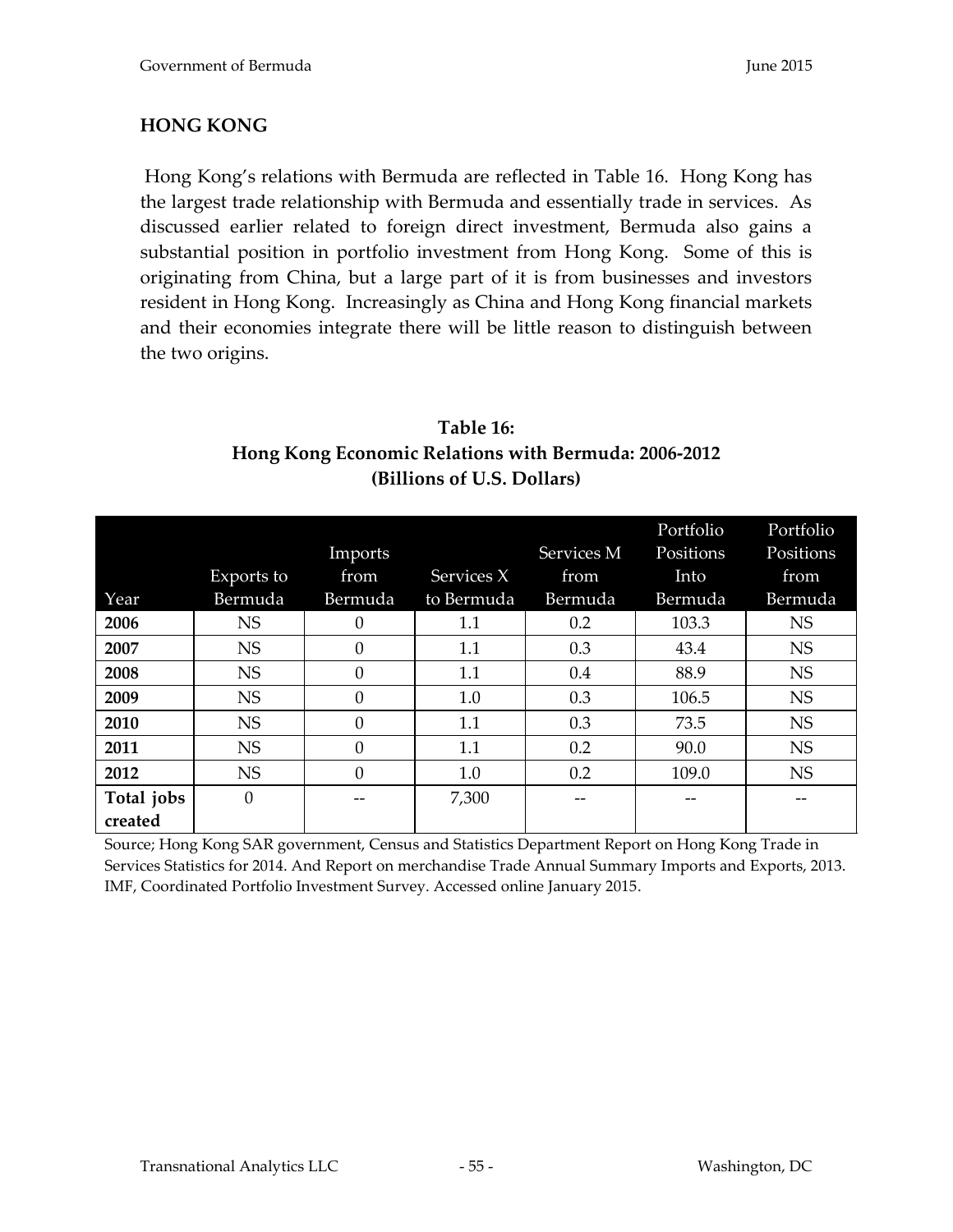# **HONG KONG**

Hong Kong's relations with Bermuda are reflected in Table 16. Hong Kong has the largest trade relationship with Bermuda and essentially trade in services. As discussed earlier related to foreign direct investment, Bermuda also gains a substantial position in portfolio investment from Hong Kong. Some of this is originating from China, but a large part of it is from businesses and investors resident in Hong Kong. Increasingly as China and Hong Kong financial markets and their economies integrate there will be little reason to distinguish between the two origins.

# **Table 16: Hong Kong Economic Relations with Bermuda: 2006-2012 (Billions of U.S. Dollars)**

|            |            |          |            |            | Portfolio | Portfolio |
|------------|------------|----------|------------|------------|-----------|-----------|
|            |            | Imports  |            | Services M | Positions | Positions |
|            | Exports to | from     | Services X | from       | Into      | from      |
| Year       | Bermuda    | Bermuda  | to Bermuda | Bermuda    | Bermuda   | Bermuda   |
| 2006       | <b>NS</b>  |          | 1.1        | 0.2        | 103.3     | <b>NS</b> |
| 2007       | <b>NS</b>  | $\Omega$ | 1.1        | 0.3        | 43.4      | <b>NS</b> |
| 2008       | <b>NS</b>  | $\Omega$ | 1.1        | 0.4        | 88.9      | <b>NS</b> |
| 2009       | <b>NS</b>  | $\Omega$ | 1.0        | 0.3        | 106.5     | <b>NS</b> |
| 2010       | <b>NS</b>  | $\Omega$ | 1.1        | 0.3        | 73.5      | <b>NS</b> |
| 2011       | <b>NS</b>  | $\Omega$ | 1.1        | 0.2        | 90.0      | <b>NS</b> |
| 2012       | <b>NS</b>  | $\Omega$ | 1.0        | 0.2        | 109.0     | <b>NS</b> |
| Total jobs | $\theta$   |          | 7,300      |            |           |           |
| created    |            |          |            |            |           |           |

Source; Hong Kong SAR government, Census and Statistics Department Report on Hong Kong Trade in Services Statistics for 2014. And Report on merchandise Trade Annual Summary Imports and Exports, 2013. IMF, Coordinated Portfolio Investment Survey. Accessed online January 2015.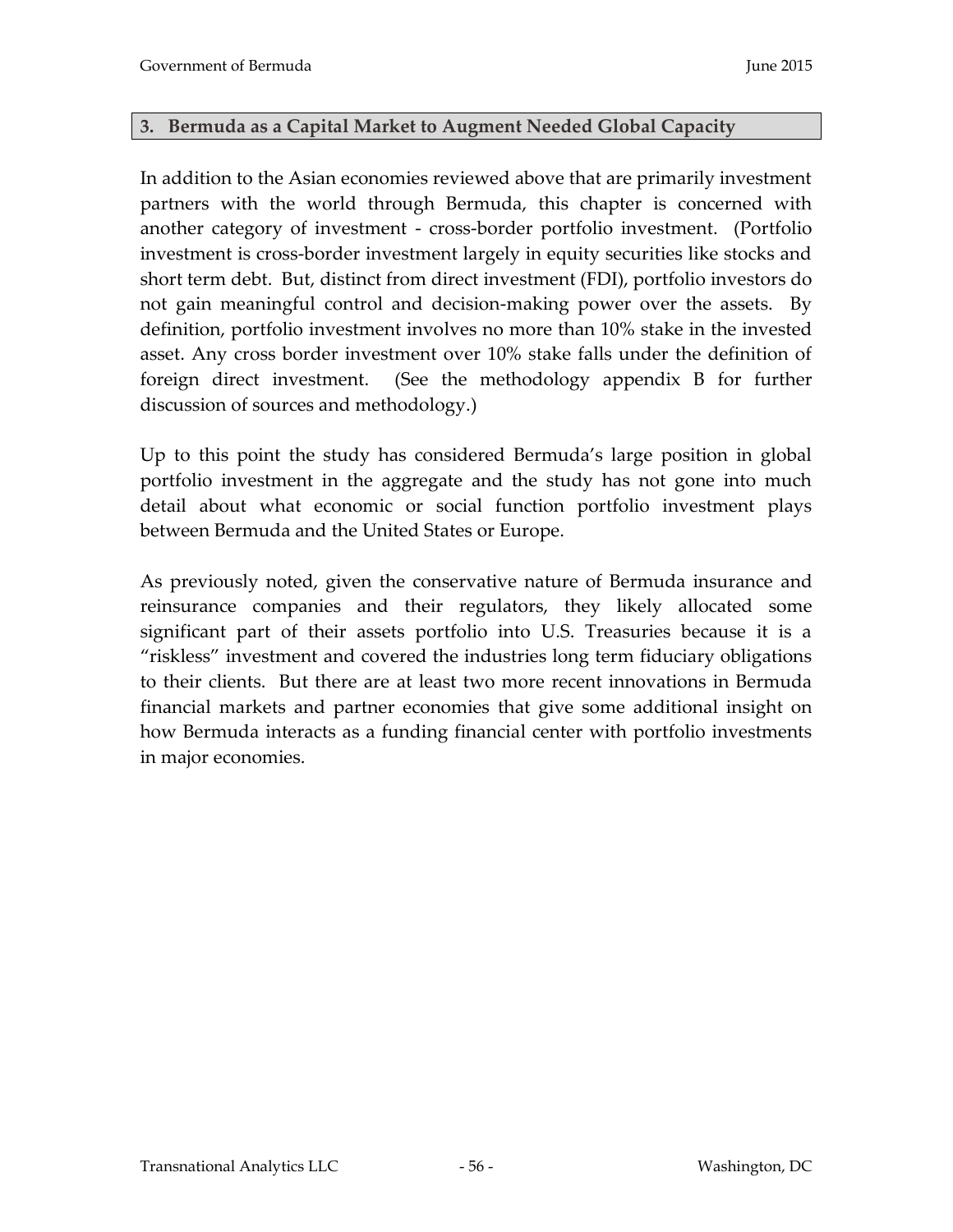#### **3. Bermuda as a Capital Market to Augment Needed Global Capacity**

In addition to the Asian economies reviewed above that are primarily investment partners with the world through Bermuda, this chapter is concerned with another category of investment - cross-border portfolio investment. (Portfolio investment is cross-border investment largely in equity securities like stocks and short term debt. But, distinct from direct investment (FDI), portfolio investors do not gain meaningful control and decision-making power over the assets. By definition, portfolio investment involves no more than 10% stake in the invested asset. Any cross border investment over 10% stake falls under the definition of foreign direct investment. (See the methodology appendix B for further discussion of sources and methodology.)

Up to this point the study has considered Bermuda's large position in global portfolio investment in the aggregate and the study has not gone into much detail about what economic or social function portfolio investment plays between Bermuda and the United States or Europe.

As previously noted, given the conservative nature of Bermuda insurance and reinsurance companies and their regulators, they likely allocated some significant part of their assets portfolio into U.S. Treasuries because it is a "riskless" investment and covered the industries long term fiduciary obligations to their clients. But there are at least two more recent innovations in Bermuda financial markets and partner economies that give some additional insight on how Bermuda interacts as a funding financial center with portfolio investments in major economies.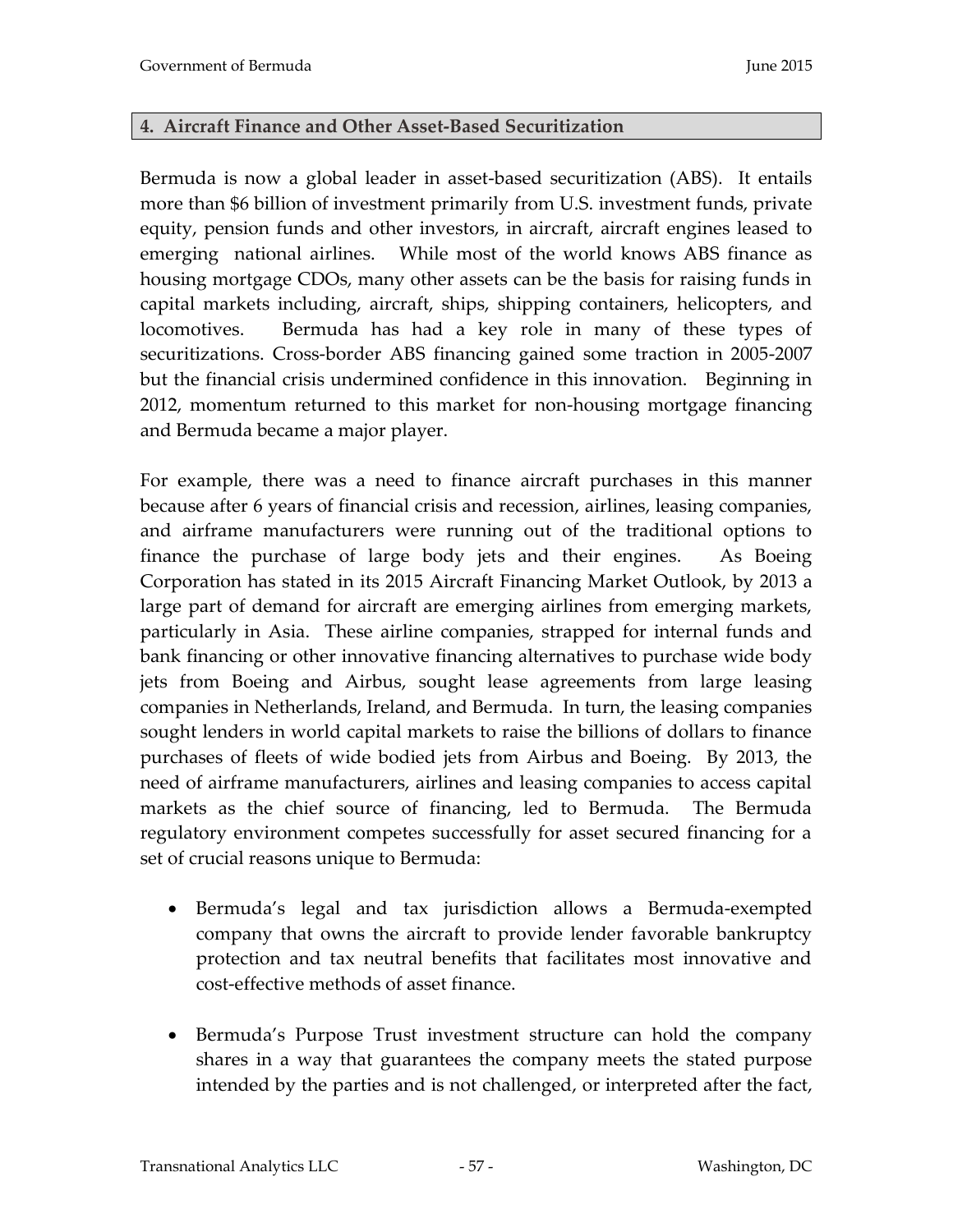### **4. Aircraft Finance and Other Asset-Based Securitization**

Bermuda is now a global leader in asset-based securitization (ABS). It entails more than \$6 billion of investment primarily from U.S. investment funds, private equity, pension funds and other investors, in aircraft, aircraft engines leased to emerging national airlines. While most of the world knows ABS finance as housing mortgage CDOs, many other assets can be the basis for raising funds in capital markets including, aircraft, ships, shipping containers, helicopters, and locomotives. Bermuda has had a key role in many of these types of securitizations. Cross-border ABS financing gained some traction in 2005-2007 but the financial crisis undermined confidence in this innovation. Beginning in 2012, momentum returned to this market for non-housing mortgage financing and Bermuda became a major player.

For example, there was a need to finance aircraft purchases in this manner because after 6 years of financial crisis and recession, airlines, leasing companies, and airframe manufacturers were running out of the traditional options to finance the purchase of large body jets and their engines. As Boeing Corporation has stated in its 2015 Aircraft Financing Market Outlook, by 2013 a large part of demand for aircraft are emerging airlines from emerging markets, particularly in Asia. These airline companies, strapped for internal funds and bank financing or other innovative financing alternatives to purchase wide body jets from Boeing and Airbus, sought lease agreements from large leasing companies in Netherlands, Ireland, and Bermuda. In turn, the leasing companies sought lenders in world capital markets to raise the billions of dollars to finance purchases of fleets of wide bodied jets from Airbus and Boeing. By 2013, the need of airframe manufacturers, airlines and leasing companies to access capital markets as the chief source of financing, led to Bermuda. The Bermuda regulatory environment competes successfully for asset secured financing for a set of crucial reasons unique to Bermuda:

- Bermuda's legal and tax jurisdiction allows a Bermuda-exempted company that owns the aircraft to provide lender favorable bankruptcy protection and tax neutral benefits that facilitates most innovative and cost-effective methods of asset finance.
- Bermuda's Purpose Trust investment structure can hold the company shares in a way that guarantees the company meets the stated purpose intended by the parties and is not challenged, or interpreted after the fact,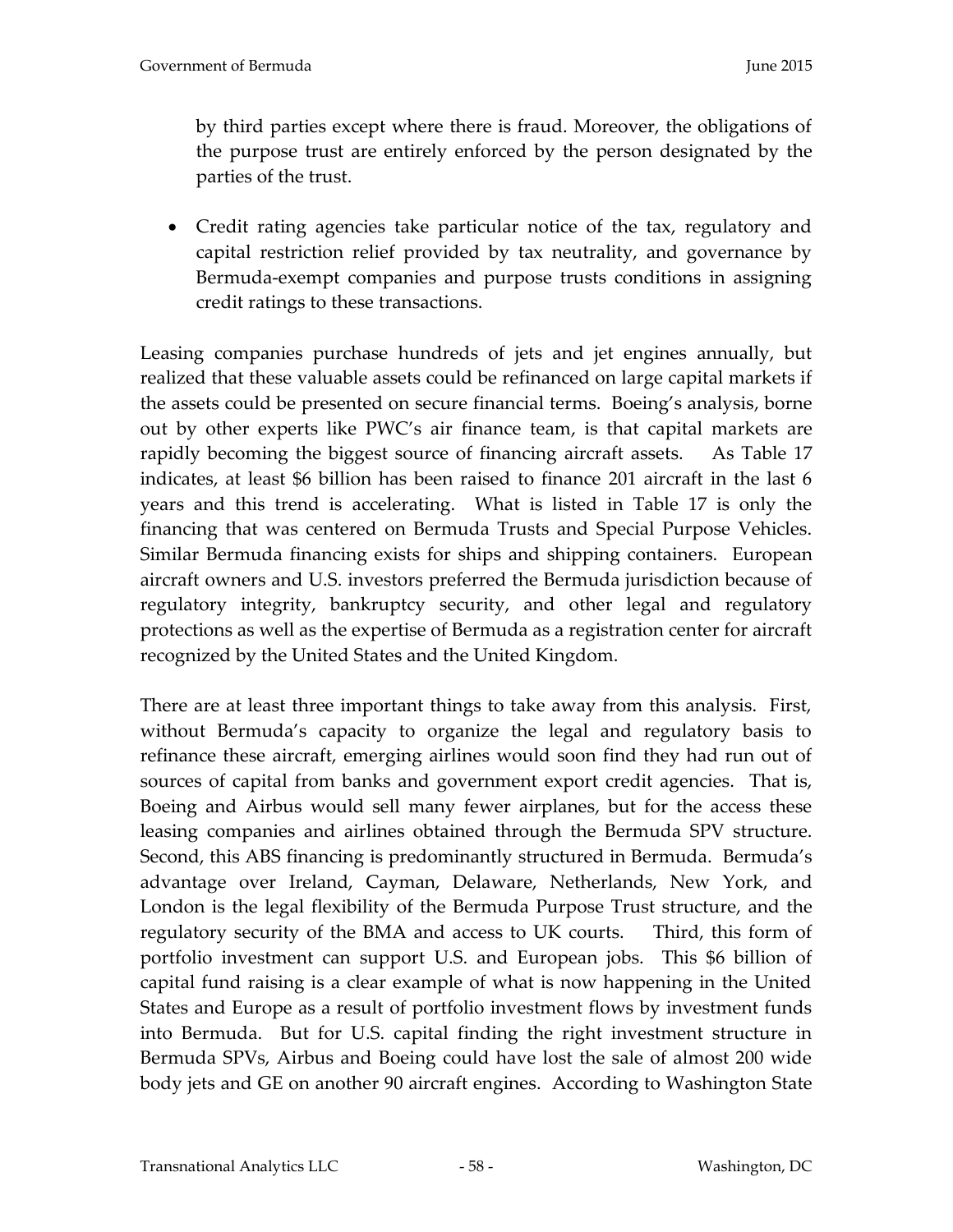by third parties except where there is fraud. Moreover, the obligations of the purpose trust are entirely enforced by the person designated by the parties of the trust.

 Credit rating agencies take particular notice of the tax, regulatory and capital restriction relief provided by tax neutrality, and governance by Bermuda-exempt companies and purpose trusts conditions in assigning credit ratings to these transactions.

Leasing companies purchase hundreds of jets and jet engines annually, but realized that these valuable assets could be refinanced on large capital markets if the assets could be presented on secure financial terms. Boeing's analysis, borne out by other experts like PWC's air finance team, is that capital markets are rapidly becoming the biggest source of financing aircraft assets. As Table 17 indicates, at least \$6 billion has been raised to finance 201 aircraft in the last 6 years and this trend is accelerating. What is listed in Table 17 is only the financing that was centered on Bermuda Trusts and Special Purpose Vehicles. Similar Bermuda financing exists for ships and shipping containers. European aircraft owners and U.S. investors preferred the Bermuda jurisdiction because of regulatory integrity, bankruptcy security, and other legal and regulatory protections as well as the expertise of Bermuda as a registration center for aircraft recognized by the United States and the United Kingdom.

There are at least three important things to take away from this analysis. First, without Bermuda's capacity to organize the legal and regulatory basis to refinance these aircraft, emerging airlines would soon find they had run out of sources of capital from banks and government export credit agencies. That is, Boeing and Airbus would sell many fewer airplanes, but for the access these leasing companies and airlines obtained through the Bermuda SPV structure. Second, this ABS financing is predominantly structured in Bermuda. Bermuda's advantage over Ireland, Cayman, Delaware, Netherlands, New York, and London is the legal flexibility of the Bermuda Purpose Trust structure, and the regulatory security of the BMA and access to UK courts. Third, this form of portfolio investment can support U.S. and European jobs. This \$6 billion of capital fund raising is a clear example of what is now happening in the United States and Europe as a result of portfolio investment flows by investment funds into Bermuda. But for U.S. capital finding the right investment structure in Bermuda SPVs, Airbus and Boeing could have lost the sale of almost 200 wide body jets and GE on another 90 aircraft engines. According to Washington State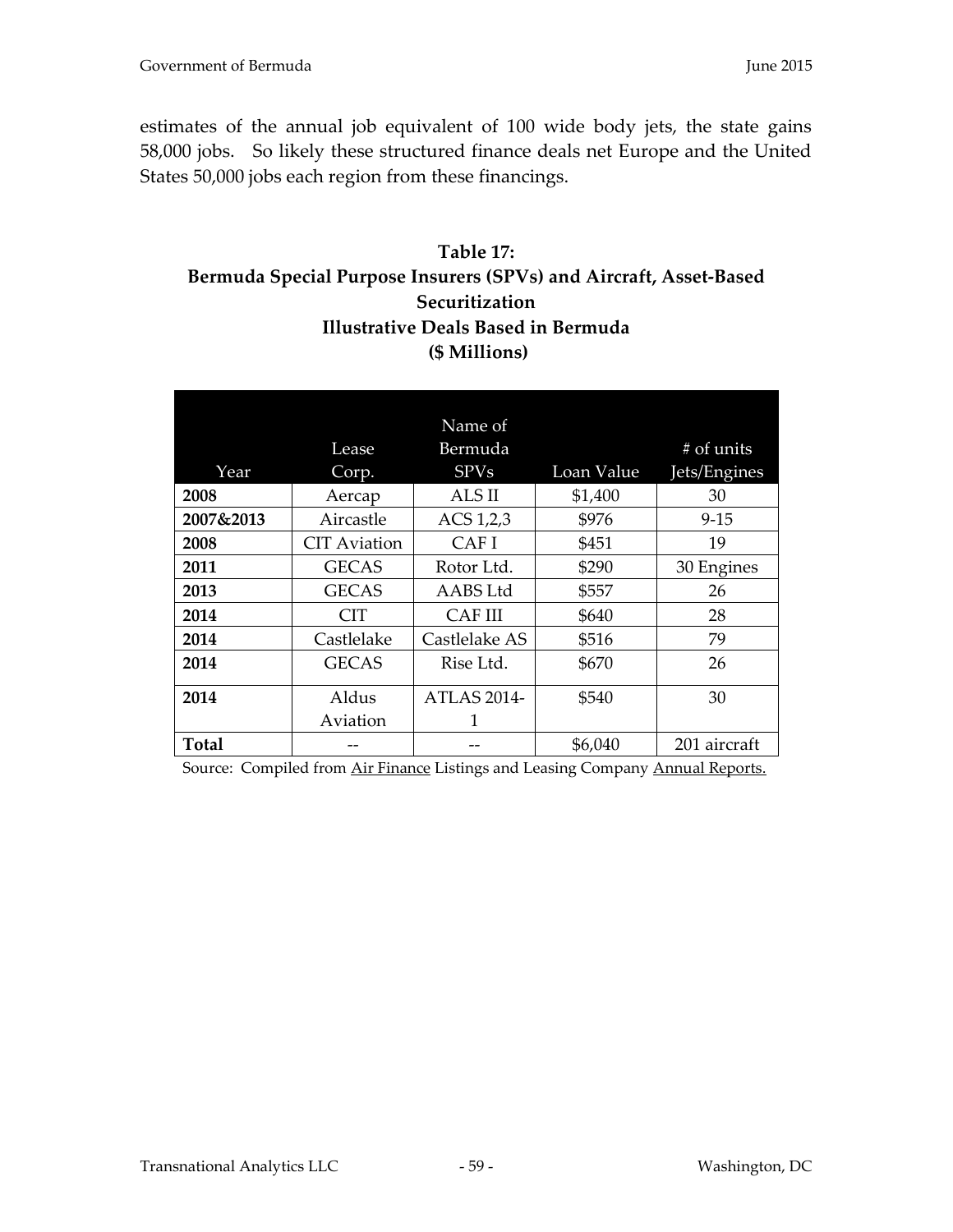estimates of the annual job equivalent of 100 wide body jets, the state gains 58,000 jobs. So likely these structured finance deals net Europe and the United States 50,000 jobs each region from these financings.

# **Table 17: Bermuda Special Purpose Insurers (SPVs) and Aircraft, Asset-Based Securitization Illustrative Deals Based in Bermuda (\$ Millions)**

|           |                     | Name of            |            |              |
|-----------|---------------------|--------------------|------------|--------------|
|           | Lease               | Bermuda            |            | # of units   |
| Year      | Corp.               | <b>SPVs</b>        | Loan Value | Jets/Engines |
| 2008      | Aercap              | ALS II             | \$1,400    | 30           |
| 2007&2013 | Aircastle           | ACS 1,2,3          | \$976      | $9 - 15$     |
| 2008      | <b>CIT Aviation</b> | CAF I              | \$451      | 19           |
| 2011      | <b>GECAS</b>        | Rotor Ltd.         | \$290      | 30 Engines   |
| 2013      | <b>GECAS</b>        | AABS Ltd           | \$557      | 26           |
| 2014      | CIT                 | CAF III            | \$640      | 28           |
| 2014      | Castlelake          | Castlelake AS      | \$516      | 79           |
| 2014      | <b>GECAS</b>        | Rise Ltd.          | \$670      | 26           |
| 2014      | Aldus               | <b>ATLAS 2014-</b> | \$540      | 30           |
|           | Aviation            | 1                  |            |              |
| Total     |                     |                    | \$6,040    | 201 aircraft |

Source: Compiled from Air Finance Listings and Leasing Company Annual Reports.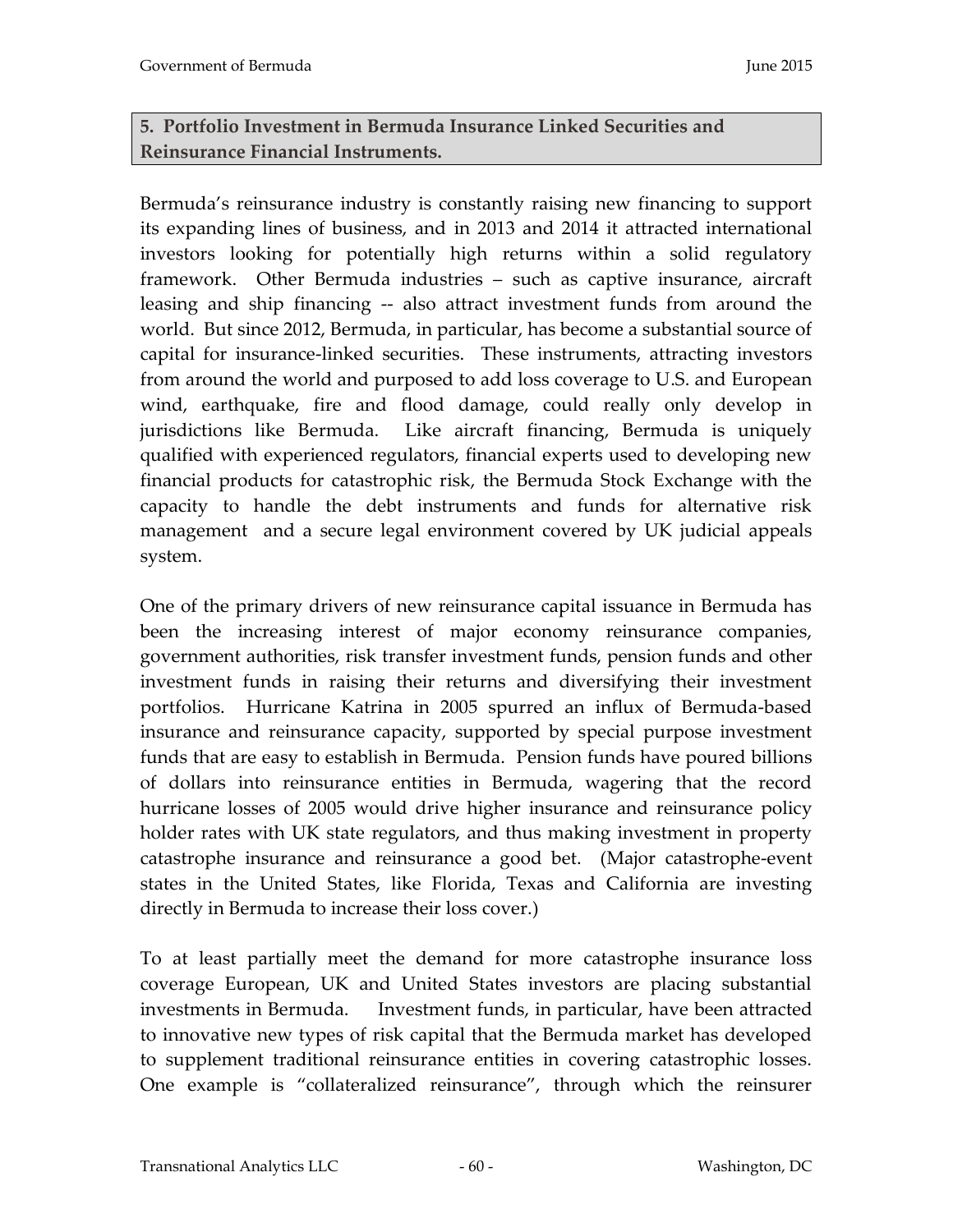# **5. Portfolio Investment in Bermuda Insurance Linked Securities and Reinsurance Financial Instruments.**

Bermuda's reinsurance industry is constantly raising new financing to support its expanding lines of business, and in 2013 and 2014 it attracted international investors looking for potentially high returns within a solid regulatory framework. Other Bermuda industries – such as captive insurance, aircraft leasing and ship financing -- also attract investment funds from around the world. But since 2012, Bermuda, in particular, has become a substantial source of capital for insurance-linked securities. These instruments, attracting investors from around the world and purposed to add loss coverage to U.S. and European wind, earthquake, fire and flood damage, could really only develop in jurisdictions like Bermuda. Like aircraft financing, Bermuda is uniquely qualified with experienced regulators, financial experts used to developing new financial products for catastrophic risk, the Bermuda Stock Exchange with the capacity to handle the debt instruments and funds for alternative risk management and a secure legal environment covered by UK judicial appeals system.

One of the primary drivers of new reinsurance capital issuance in Bermuda has been the increasing interest of major economy reinsurance companies, government authorities, risk transfer investment funds, pension funds and other investment funds in raising their returns and diversifying their investment portfolios. Hurricane Katrina in 2005 spurred an influx of Bermuda-based insurance and reinsurance capacity, supported by special purpose investment funds that are easy to establish in Bermuda. Pension funds have poured billions of dollars into reinsurance entities in Bermuda, wagering that the record hurricane losses of 2005 would drive higher insurance and reinsurance policy holder rates with UK state regulators, and thus making investment in property catastrophe insurance and reinsurance a good bet. (Major catastrophe-event states in the United States, like Florida, Texas and California are investing directly in Bermuda to increase their loss cover.)

To at least partially meet the demand for more catastrophe insurance loss coverage European, UK and United States investors are placing substantial investments in Bermuda. Investment funds, in particular, have been attracted to innovative new types of risk capital that the Bermuda market has developed to supplement traditional reinsurance entities in covering catastrophic losses. One example is "collateralized reinsurance", through which the reinsurer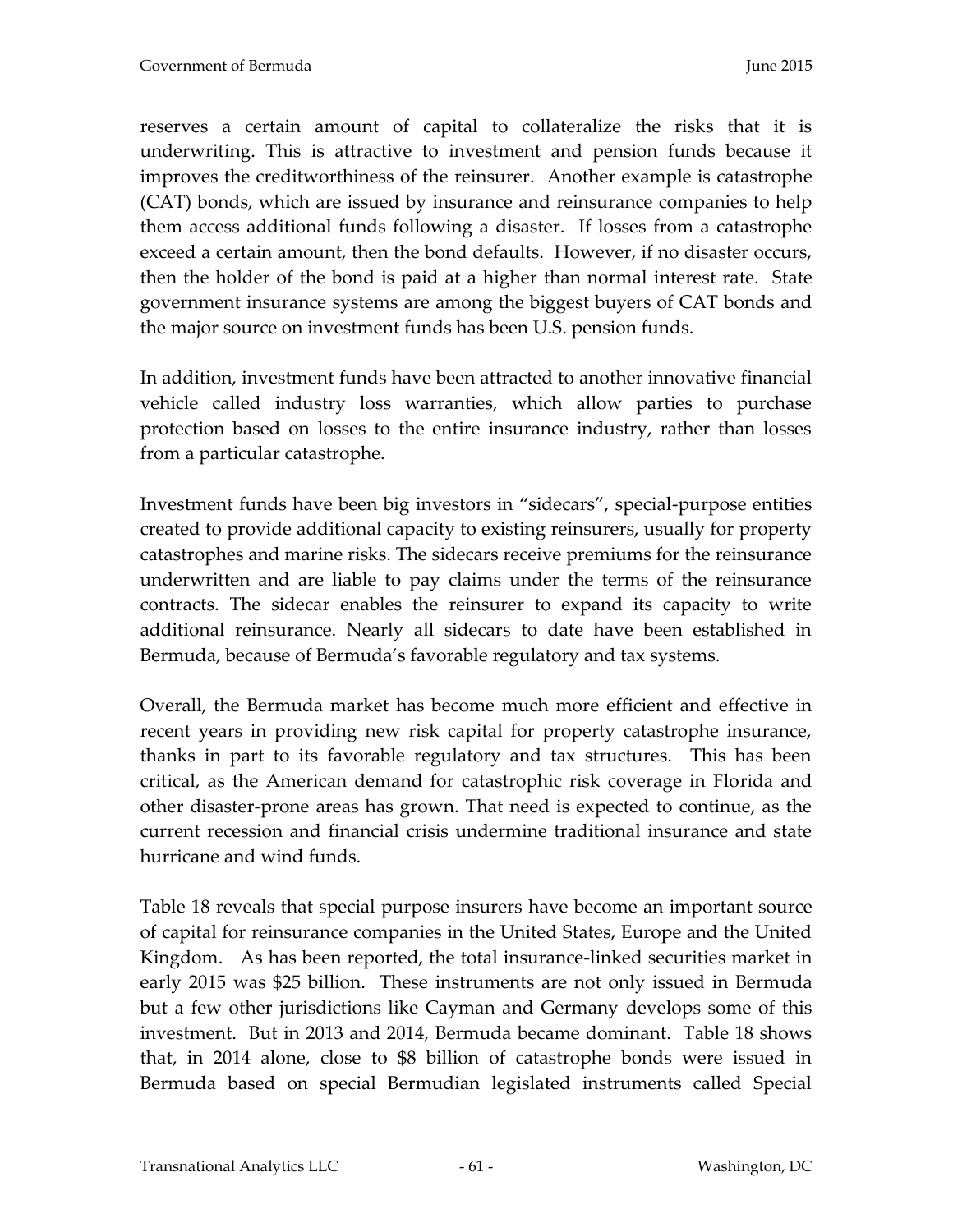reserves a certain amount of capital to collateralize the risks that it is underwriting. This is attractive to investment and pension funds because it improves the creditworthiness of the reinsurer. Another example is catastrophe (CAT) bonds, which are issued by insurance and reinsurance companies to help them access additional funds following a disaster. If losses from a catastrophe exceed a certain amount, then the bond defaults. However, if no disaster occurs, then the holder of the bond is paid at a higher than normal interest rate. State government insurance systems are among the biggest buyers of CAT bonds and the major source on investment funds has been U.S. pension funds.

In addition, investment funds have been attracted to another innovative financial vehicle called industry loss warranties, which allow parties to purchase protection based on losses to the entire insurance industry, rather than losses from a particular catastrophe.

Investment funds have been big investors in "sidecars", special-purpose entities created to provide additional capacity to existing reinsurers, usually for property catastrophes and marine risks. The sidecars receive premiums for the reinsurance underwritten and are liable to pay claims under the terms of the reinsurance contracts. The sidecar enables the reinsurer to expand its capacity to write additional reinsurance. Nearly all sidecars to date have been established in Bermuda, because of Bermuda's favorable regulatory and tax systems.

Overall, the Bermuda market has become much more efficient and effective in recent years in providing new risk capital for property catastrophe insurance, thanks in part to its favorable regulatory and tax structures. This has been critical, as the American demand for catastrophic risk coverage in Florida and other disaster-prone areas has grown. That need is expected to continue, as the current recession and financial crisis undermine traditional insurance and state hurricane and wind funds.

Table 18 reveals that special purpose insurers have become an important source of capital for reinsurance companies in the United States, Europe and the United Kingdom. As has been reported, the total insurance-linked securities market in early 2015 was \$25 billion. These instruments are not only issued in Bermuda but a few other jurisdictions like Cayman and Germany develops some of this investment. But in 2013 and 2014, Bermuda became dominant. Table 18 shows that, in 2014 alone, close to \$8 billion of catastrophe bonds were issued in Bermuda based on special Bermudian legislated instruments called Special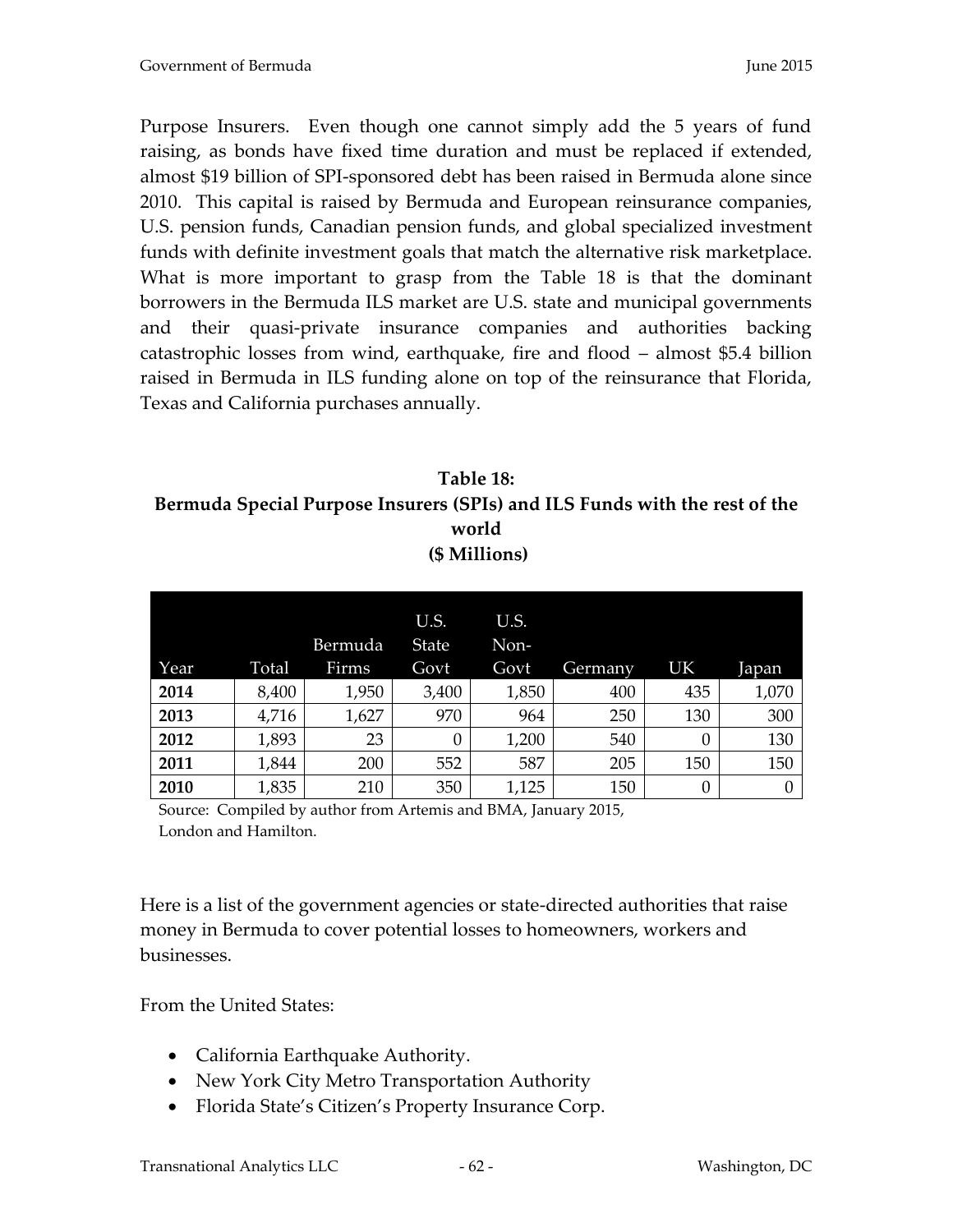Purpose Insurers. Even though one cannot simply add the 5 years of fund raising, as bonds have fixed time duration and must be replaced if extended, almost \$19 billion of SPI-sponsored debt has been raised in Bermuda alone since 2010. This capital is raised by Bermuda and European reinsurance companies, U.S. pension funds, Canadian pension funds, and global specialized investment funds with definite investment goals that match the alternative risk marketplace. What is more important to grasp from the Table 18 is that the dominant borrowers in the Bermuda ILS market are U.S. state and municipal governments and their quasi-private insurance companies and authorities backing catastrophic losses from wind, earthquake, fire and flood – almost \$5.4 billion raised in Bermuda in ILS funding alone on top of the reinsurance that Florida, Texas and California purchases annually.

# **Table 18: Bermuda Special Purpose Insurers (SPIs) and ILS Funds with the rest of the world (\$ Millions)**

|      |       | Bermuda | U.S.<br><b>State</b> | U.S.<br>Non- |         |     |       |
|------|-------|---------|----------------------|--------------|---------|-----|-------|
| Year | Total | Firms   | Govt                 | Govt         | Germany | UK  | Japan |
| 2014 | 8,400 | 1,950   | 3,400                | 1,850        | 400     | 435 | 1,070 |
| 2013 | 4,716 | 1,627   | 970                  | 964          | 250     | 130 | 300   |
| 2012 | 1,893 | 23      | 0                    | 1,200        | 540     | 0   | 130   |
| 2011 | 1,844 | 200     | 552                  | 587          | 205     | 150 | 150   |
| 2010 | 1,835 | 210     | 350                  | 1,125        | 150     | 0   |       |

Source: Compiled by author from Artemis and BMA, January 2015, London and Hamilton.

Here is a list of the government agencies or state-directed authorities that raise money in Bermuda to cover potential losses to homeowners, workers and businesses.

From the United States:

- California Earthquake Authority.
- New York City Metro Transportation Authority
- Florida State's Citizen's Property Insurance Corp.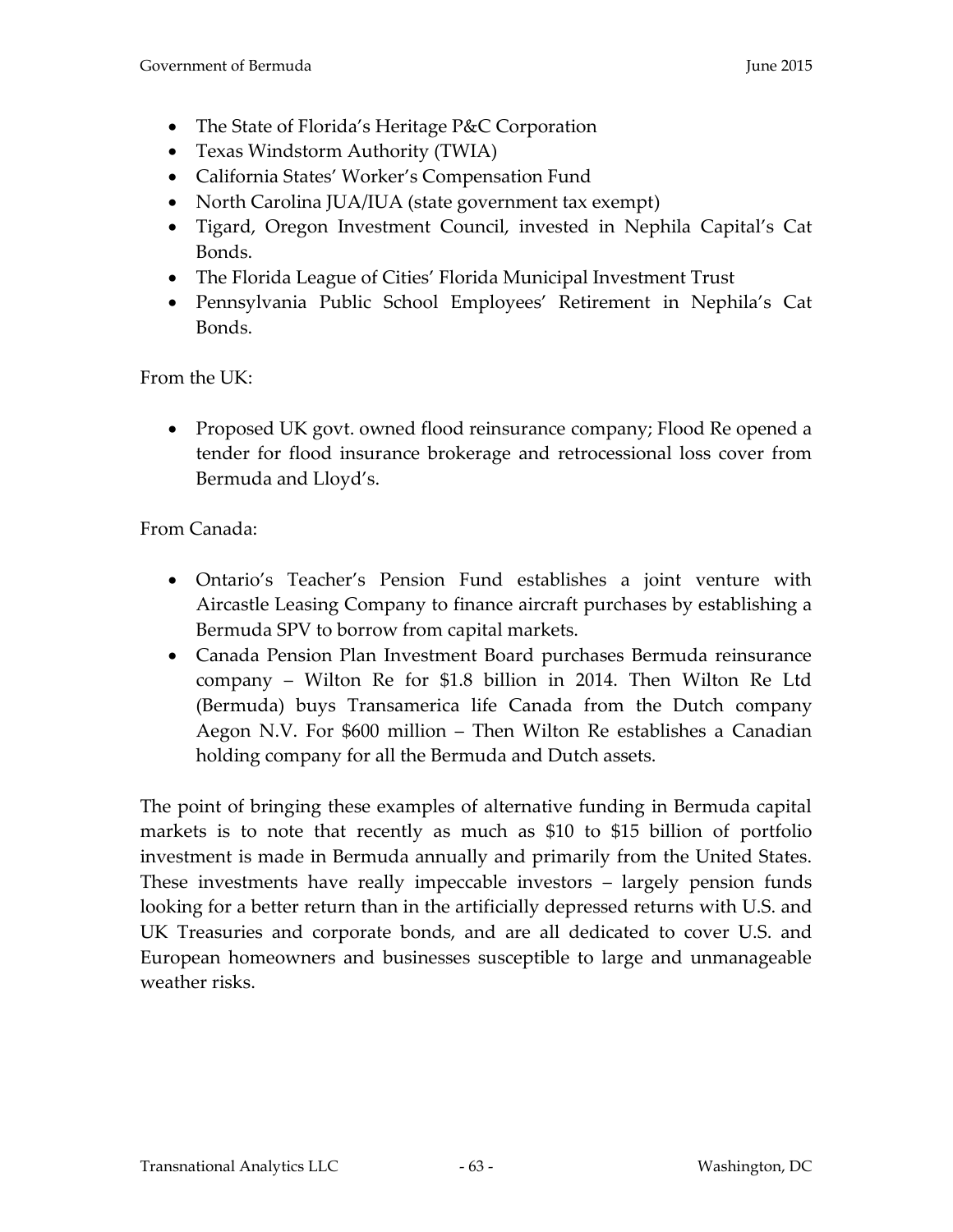- The State of Florida's Heritage P&C Corporation
- Texas Windstorm Authority (TWIA)
- California States' Worker's Compensation Fund
- North Carolina JUA/IUA (state government tax exempt)
- Tigard, Oregon Investment Council, invested in Nephila Capital's Cat Bonds.
- The Florida League of Cities' Florida Municipal Investment Trust
- Pennsylvania Public School Employees' Retirement in Nephila's Cat Bonds.

From the UK:

• Proposed UK govt. owned flood reinsurance company; Flood Re opened a tender for flood insurance brokerage and retrocessional loss cover from Bermuda and Lloyd's.

From Canada:

- Ontario's Teacher's Pension Fund establishes a joint venture with Aircastle Leasing Company to finance aircraft purchases by establishing a Bermuda SPV to borrow from capital markets.
- Canada Pension Plan Investment Board purchases Bermuda reinsurance company – Wilton Re for \$1.8 billion in 2014. Then Wilton Re Ltd (Bermuda) buys Transamerica life Canada from the Dutch company Aegon N.V. For \$600 million – Then Wilton Re establishes a Canadian holding company for all the Bermuda and Dutch assets.

The point of bringing these examples of alternative funding in Bermuda capital markets is to note that recently as much as \$10 to \$15 billion of portfolio investment is made in Bermuda annually and primarily from the United States. These investments have really impeccable investors – largely pension funds looking for a better return than in the artificially depressed returns with U.S. and UK Treasuries and corporate bonds, and are all dedicated to cover U.S. and European homeowners and businesses susceptible to large and unmanageable weather risks.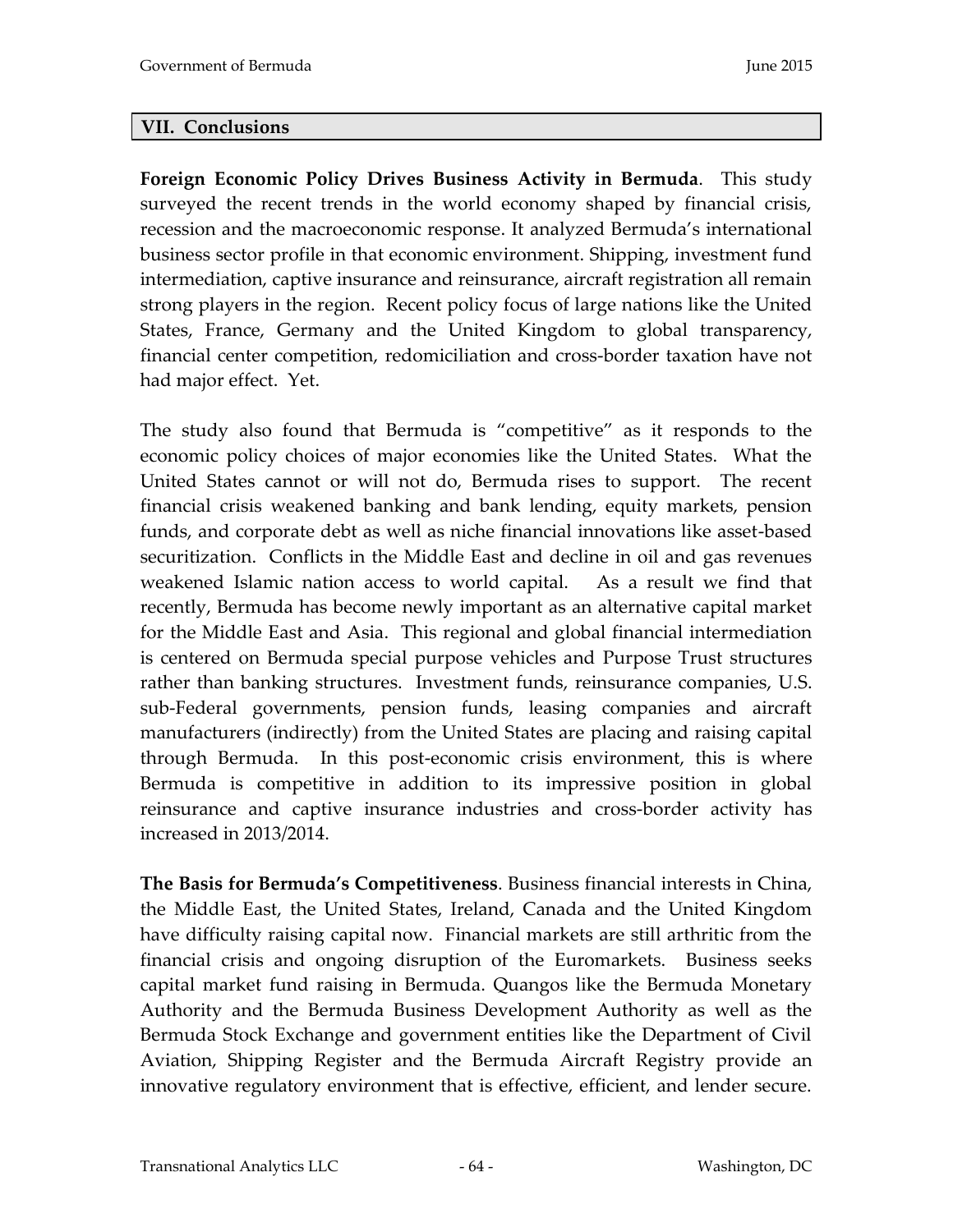### **VII. Conclusions**

**Foreign Economic Policy Drives Business Activity in Bermuda**. This study surveyed the recent trends in the world economy shaped by financial crisis, recession and the macroeconomic response. It analyzed Bermuda's international business sector profile in that economic environment. Shipping, investment fund intermediation, captive insurance and reinsurance, aircraft registration all remain strong players in the region. Recent policy focus of large nations like the United States, France, Germany and the United Kingdom to global transparency, financial center competition, redomiciliation and cross-border taxation have not had major effect. Yet.

The study also found that Bermuda is "competitive" as it responds to the economic policy choices of major economies like the United States. What the United States cannot or will not do, Bermuda rises to support. The recent financial crisis weakened banking and bank lending, equity markets, pension funds, and corporate debt as well as niche financial innovations like asset-based securitization. Conflicts in the Middle East and decline in oil and gas revenues weakened Islamic nation access to world capital. As a result we find that recently, Bermuda has become newly important as an alternative capital market for the Middle East and Asia. This regional and global financial intermediation is centered on Bermuda special purpose vehicles and Purpose Trust structures rather than banking structures. Investment funds, reinsurance companies, U.S. sub-Federal governments, pension funds, leasing companies and aircraft manufacturers (indirectly) from the United States are placing and raising capital through Bermuda. In this post-economic crisis environment, this is where Bermuda is competitive in addition to its impressive position in global reinsurance and captive insurance industries and cross-border activity has increased in 2013/2014.

**The Basis for Bermuda's Competitiveness**. Business financial interests in China, the Middle East, the United States, Ireland, Canada and the United Kingdom have difficulty raising capital now. Financial markets are still arthritic from the financial crisis and ongoing disruption of the Euromarkets. Business seeks capital market fund raising in Bermuda. Quangos like the Bermuda Monetary Authority and the Bermuda Business Development Authority as well as the Bermuda Stock Exchange and government entities like the Department of Civil Aviation, Shipping Register and the Bermuda Aircraft Registry provide an innovative regulatory environment that is effective, efficient, and lender secure.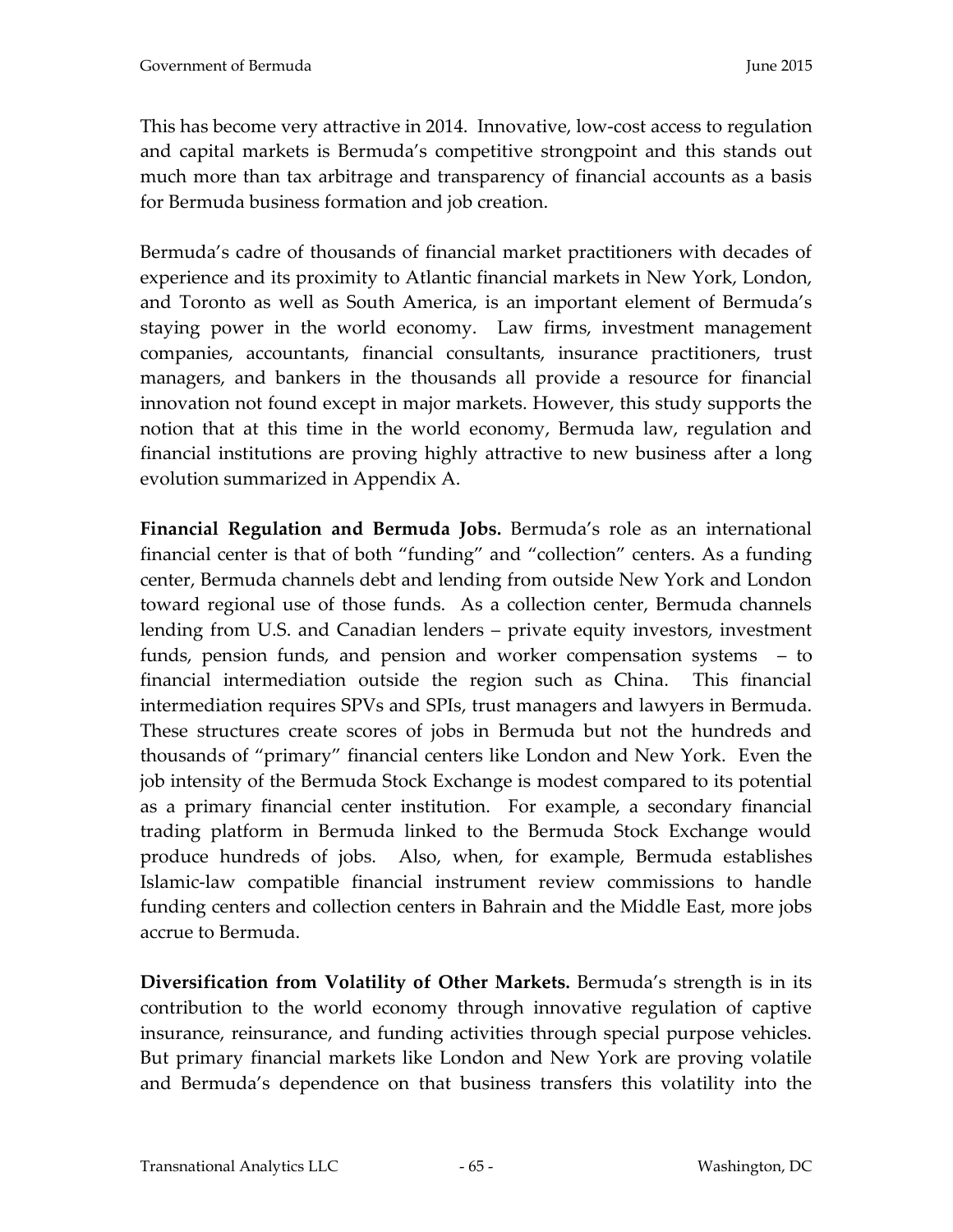This has become very attractive in 2014. Innovative, low-cost access to regulation and capital markets is Bermuda's competitive strongpoint and this stands out much more than tax arbitrage and transparency of financial accounts as a basis for Bermuda business formation and job creation.

Bermuda's cadre of thousands of financial market practitioners with decades of experience and its proximity to Atlantic financial markets in New York, London, and Toronto as well as South America, is an important element of Bermuda's staying power in the world economy. Law firms, investment management companies, accountants, financial consultants, insurance practitioners, trust managers, and bankers in the thousands all provide a resource for financial innovation not found except in major markets. However, this study supports the notion that at this time in the world economy, Bermuda law, regulation and financial institutions are proving highly attractive to new business after a long evolution summarized in Appendix A.

**Financial Regulation and Bermuda Jobs.** Bermuda's role as an international financial center is that of both "funding" and "collection" centers. As a funding center, Bermuda channels debt and lending from outside New York and London toward regional use of those funds. As a collection center, Bermuda channels lending from U.S. and Canadian lenders – private equity investors, investment funds, pension funds, and pension and worker compensation systems – to financial intermediation outside the region such as China. This financial intermediation requires SPVs and SPIs, trust managers and lawyers in Bermuda. These structures create scores of jobs in Bermuda but not the hundreds and thousands of "primary" financial centers like London and New York. Even the job intensity of the Bermuda Stock Exchange is modest compared to its potential as a primary financial center institution. For example, a secondary financial trading platform in Bermuda linked to the Bermuda Stock Exchange would produce hundreds of jobs. Also, when, for example, Bermuda establishes Islamic-law compatible financial instrument review commissions to handle funding centers and collection centers in Bahrain and the Middle East, more jobs accrue to Bermuda.

**Diversification from Volatility of Other Markets.** Bermuda's strength is in its contribution to the world economy through innovative regulation of captive insurance, reinsurance, and funding activities through special purpose vehicles. But primary financial markets like London and New York are proving volatile and Bermuda's dependence on that business transfers this volatility into the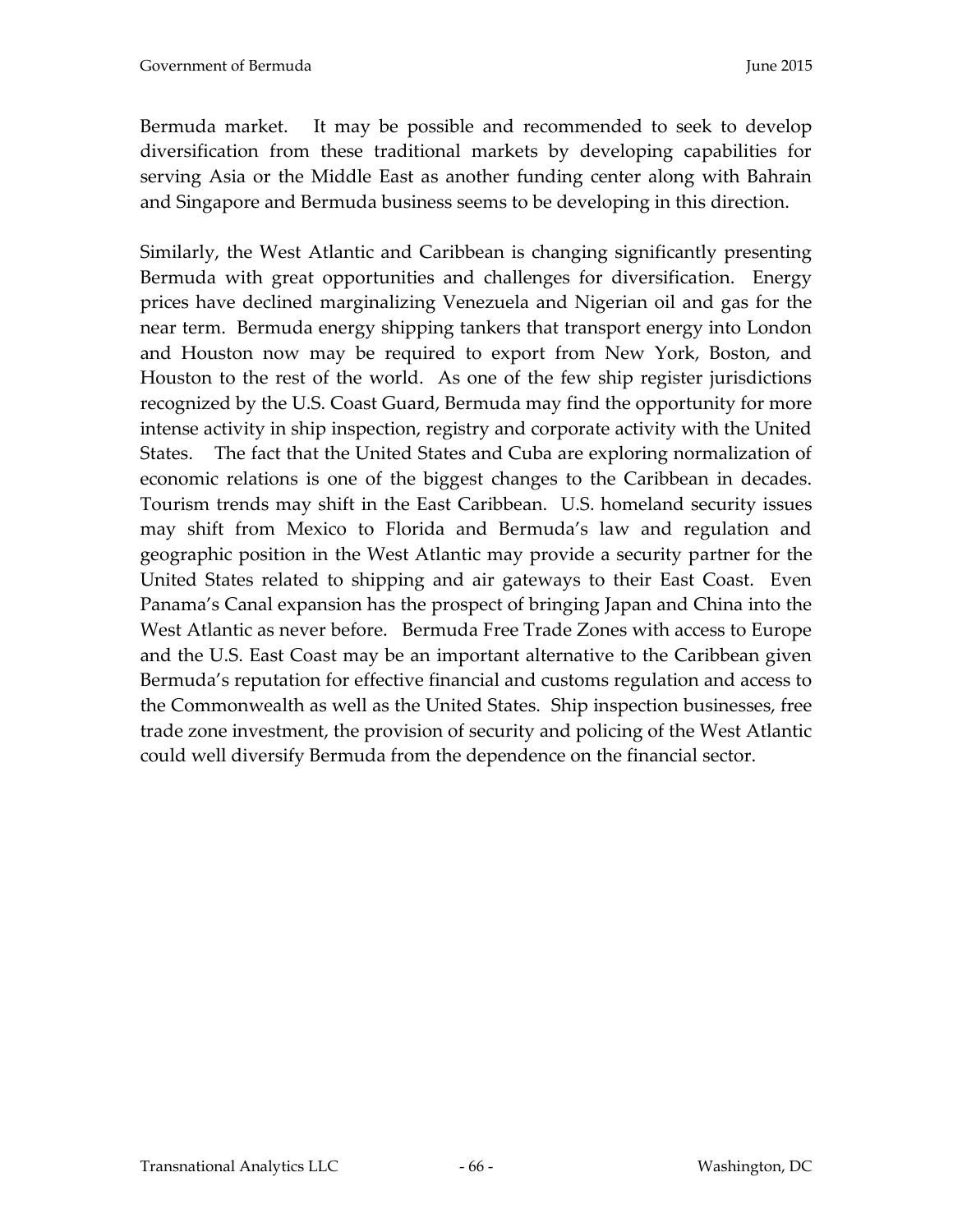Bermuda market. It may be possible and recommended to seek to develop diversification from these traditional markets by developing capabilities for serving Asia or the Middle East as another funding center along with Bahrain and Singapore and Bermuda business seems to be developing in this direction.

Similarly, the West Atlantic and Caribbean is changing significantly presenting Bermuda with great opportunities and challenges for diversification. Energy prices have declined marginalizing Venezuela and Nigerian oil and gas for the near term. Bermuda energy shipping tankers that transport energy into London and Houston now may be required to export from New York, Boston, and Houston to the rest of the world. As one of the few ship register jurisdictions recognized by the U.S. Coast Guard, Bermuda may find the opportunity for more intense activity in ship inspection, registry and corporate activity with the United States. The fact that the United States and Cuba are exploring normalization of economic relations is one of the biggest changes to the Caribbean in decades. Tourism trends may shift in the East Caribbean. U.S. homeland security issues may shift from Mexico to Florida and Bermuda's law and regulation and geographic position in the West Atlantic may provide a security partner for the United States related to shipping and air gateways to their East Coast. Even Panama's Canal expansion has the prospect of bringing Japan and China into the West Atlantic as never before. Bermuda Free Trade Zones with access to Europe and the U.S. East Coast may be an important alternative to the Caribbean given Bermuda's reputation for effective financial and customs regulation and access to the Commonwealth as well as the United States. Ship inspection businesses, free trade zone investment, the provision of security and policing of the West Atlantic could well diversify Bermuda from the dependence on the financial sector.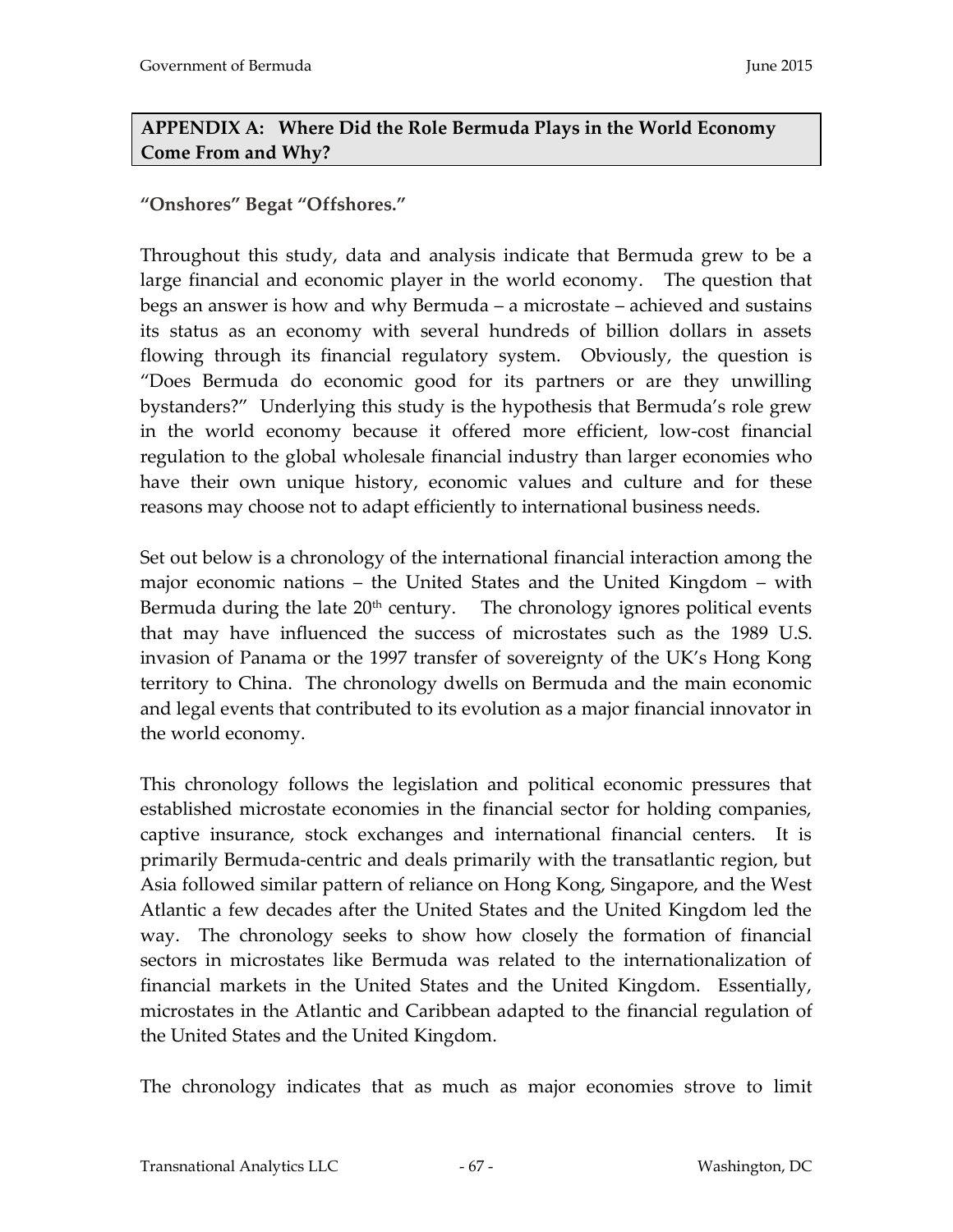# **APPENDIX A: Where Did the Role Bermuda Plays in the World Economy Come From and Why?**

## **"Onshores" Begat "Offshores."**

Throughout this study, data and analysis indicate that Bermuda grew to be a large financial and economic player in the world economy. The question that begs an answer is how and why Bermuda – a microstate – achieved and sustains its status as an economy with several hundreds of billion dollars in assets flowing through its financial regulatory system. Obviously, the question is "Does Bermuda do economic good for its partners or are they unwilling bystanders?" Underlying this study is the hypothesis that Bermuda's role grew in the world economy because it offered more efficient, low-cost financial regulation to the global wholesale financial industry than larger economies who have their own unique history, economic values and culture and for these reasons may choose not to adapt efficiently to international business needs.

Set out below is a chronology of the international financial interaction among the major economic nations – the United States and the United Kingdom – with Bermuda during the late  $20<sup>th</sup>$  century. The chronology ignores political events that may have influenced the success of microstates such as the 1989 U.S. invasion of Panama or the 1997 transfer of sovereignty of the UK's Hong Kong territory to China. The chronology dwells on Bermuda and the main economic and legal events that contributed to its evolution as a major financial innovator in the world economy.

This chronology follows the legislation and political economic pressures that established microstate economies in the financial sector for holding companies, captive insurance, stock exchanges and international financial centers. It is primarily Bermuda-centric and deals primarily with the transatlantic region, but Asia followed similar pattern of reliance on Hong Kong, Singapore, and the West Atlantic a few decades after the United States and the United Kingdom led the way. The chronology seeks to show how closely the formation of financial sectors in microstates like Bermuda was related to the internationalization of financial markets in the United States and the United Kingdom. Essentially, microstates in the Atlantic and Caribbean adapted to the financial regulation of the United States and the United Kingdom.

The chronology indicates that as much as major economies strove to limit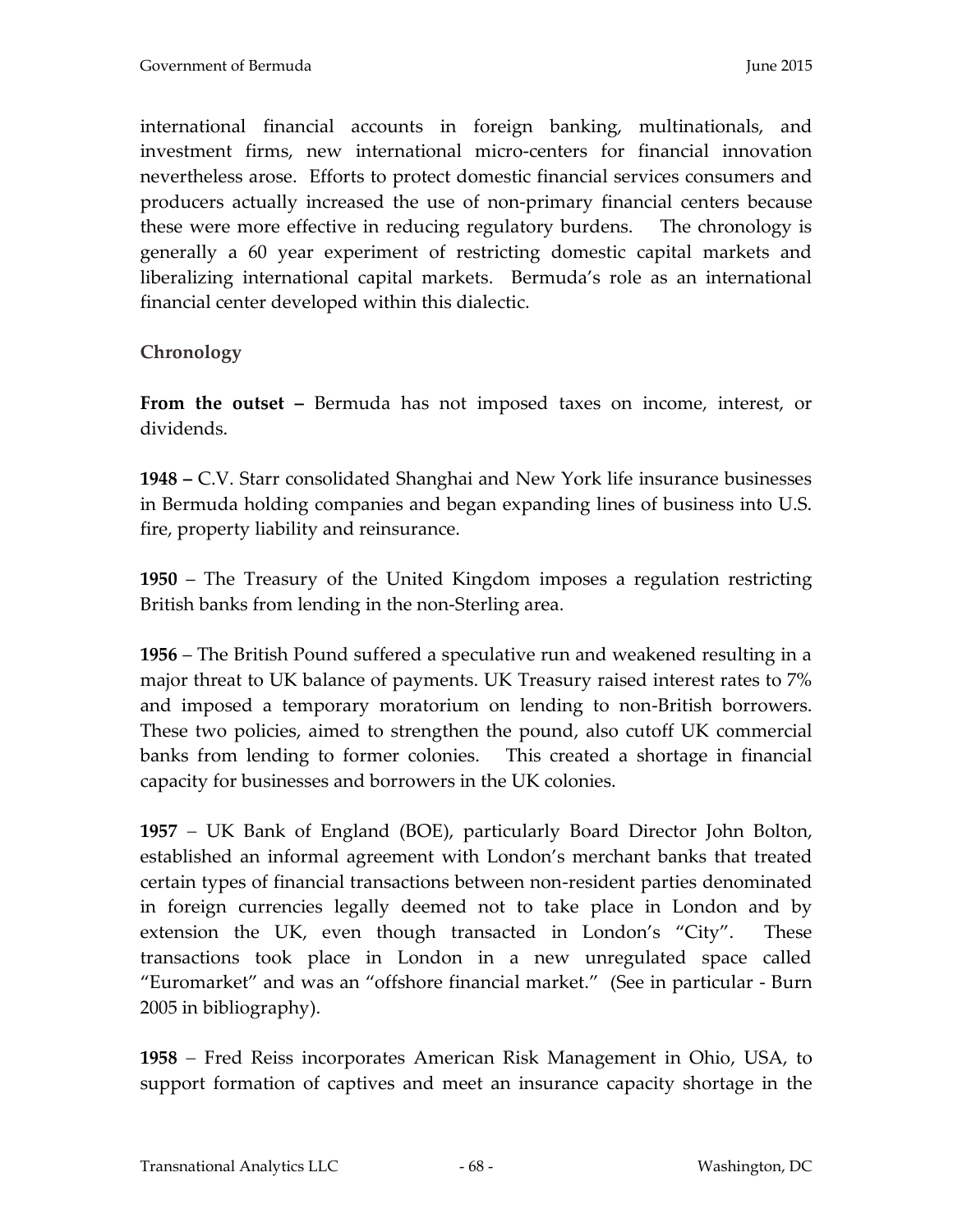international financial accounts in foreign banking, multinationals, and investment firms, new international micro-centers for financial innovation nevertheless arose. Efforts to protect domestic financial services consumers and producers actually increased the use of non-primary financial centers because these were more effective in reducing regulatory burdens. The chronology is generally a 60 year experiment of restricting domestic capital markets and liberalizing international capital markets. Bermuda's role as an international financial center developed within this dialectic.

## **Chronology**

**From the outset –** Bermuda has not imposed taxes on income, interest, or dividends.

**1948 –** C.V. Starr consolidated Shanghai and New York life insurance businesses in Bermuda holding companies and began expanding lines of business into U.S. fire, property liability and reinsurance.

**1950** – The Treasury of the United Kingdom imposes a regulation restricting British banks from lending in the non-Sterling area.

**1956** – The British Pound suffered a speculative run and weakened resulting in a major threat to UK balance of payments. UK Treasury raised interest rates to 7% and imposed a temporary moratorium on lending to non-British borrowers. These two policies, aimed to strengthen the pound, also cutoff UK commercial banks from lending to former colonies. This created a shortage in financial capacity for businesses and borrowers in the UK colonies.

**1957** UK Bank of England (BOE), particularly Board Director John Bolton, established an informal agreement with London's merchant banks that treated certain types of financial transactions between non-resident parties denominated in foreign currencies legally deemed not to take place in London and by extension the UK, even though transacted in London's "City". These transactions took place in London in a new unregulated space called "Euromarket" and was an "offshore financial market." (See in particular - Burn 2005 in bibliography).

**1958** Fred Reiss incorporates American Risk Management in Ohio, USA, to support formation of captives and meet an insurance capacity shortage in the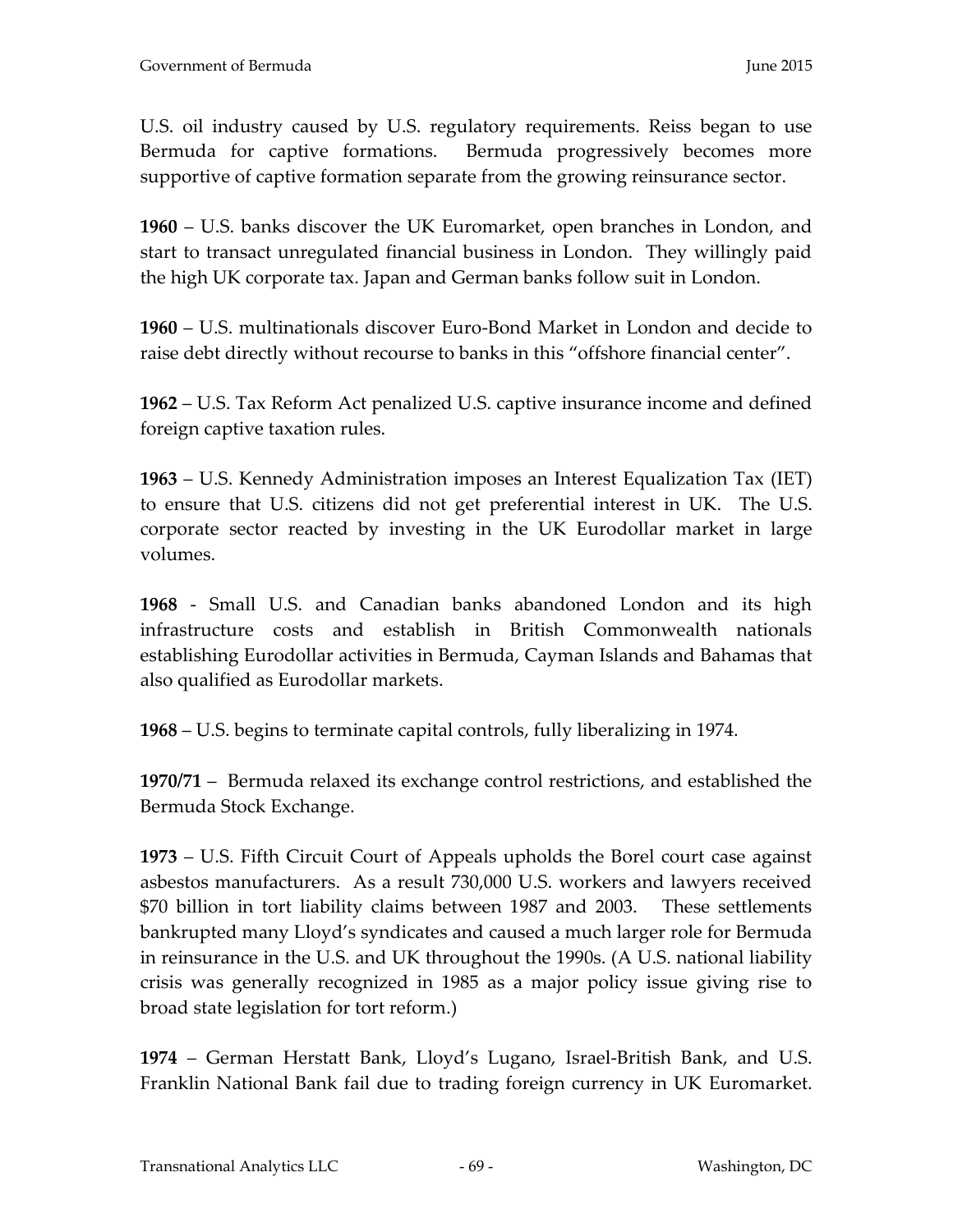U.S. oil industry caused by U.S. regulatory requirements. Reiss began to use Bermuda for captive formations. Bermuda progressively becomes more supportive of captive formation separate from the growing reinsurance sector.

**1960** – U.S. banks discover the UK Euromarket, open branches in London, and start to transact unregulated financial business in London. They willingly paid the high UK corporate tax. Japan and German banks follow suit in London.

**1960** – U.S. multinationals discover Euro-Bond Market in London and decide to raise debt directly without recourse to banks in this "offshore financial center".

**1962** – U.S. Tax Reform Act penalized U.S. captive insurance income and defined foreign captive taxation rules.

**1963** – U.S. Kennedy Administration imposes an Interest Equalization Tax (IET) to ensure that U.S. citizens did not get preferential interest in UK. The U.S. corporate sector reacted by investing in the UK Eurodollar market in large volumes.

**1968** - Small U.S. and Canadian banks abandoned London and its high infrastructure costs and establish in British Commonwealth nationals establishing Eurodollar activities in Bermuda, Cayman Islands and Bahamas that also qualified as Eurodollar markets.

**1968** – U.S. begins to terminate capital controls, fully liberalizing in 1974.

**1970/71** – Bermuda relaxed its exchange control restrictions, and established the Bermuda Stock Exchange.

**1973** – U.S. Fifth Circuit Court of Appeals upholds the Borel court case against asbestos manufacturers. As a result 730,000 U.S. workers and lawyers received \$70 billion in tort liability claims between 1987 and 2003. These settlements bankrupted many Lloyd's syndicates and caused a much larger role for Bermuda in reinsurance in the U.S. and UK throughout the 1990s. (A U.S. national liability crisis was generally recognized in 1985 as a major policy issue giving rise to broad state legislation for tort reform.)

**1974** – German Herstatt Bank, Lloyd's Lugano, Israel-British Bank, and U.S. Franklin National Bank fail due to trading foreign currency in UK Euromarket.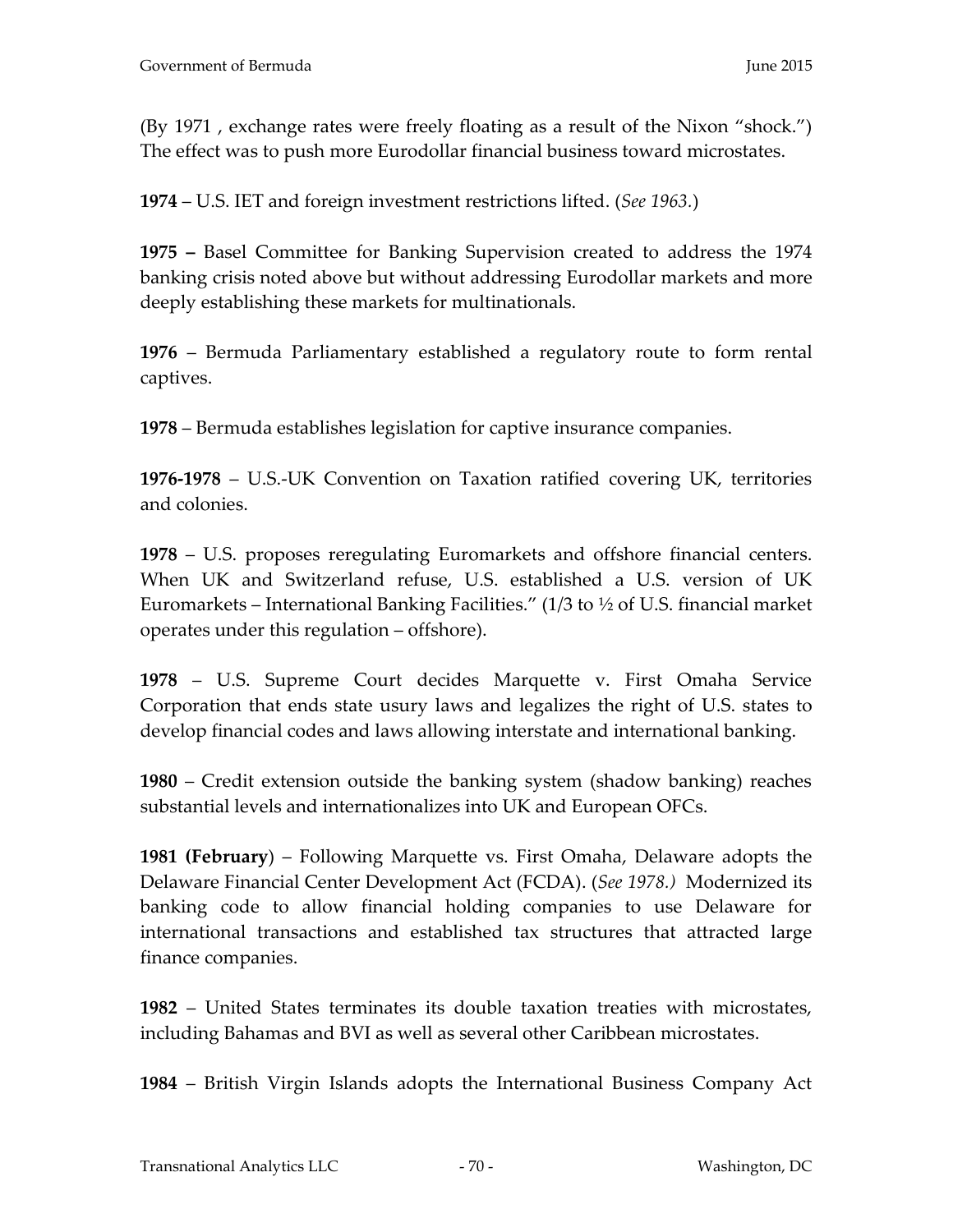(By 1971 , exchange rates were freely floating as a result of the Nixon "shock.") The effect was to push more Eurodollar financial business toward microstates.

**1974** – U.S. IET and foreign investment restrictions lifted. (*See 1963.*)

**1975 –** Basel Committee for Banking Supervision created to address the 1974 banking crisis noted above but without addressing Eurodollar markets and more deeply establishing these markets for multinationals.

**1976** – Bermuda Parliamentary established a regulatory route to form rental captives.

**1978** – Bermuda establishes legislation for captive insurance companies.

**1976-1978** – U.S.-UK Convention on Taxation ratified covering UK, territories and colonies.

**1978** – U.S. proposes reregulating Euromarkets and offshore financial centers. When UK and Switzerland refuse, U.S. established a U.S. version of UK Euromarkets – International Banking Facilities." (1/3 to ½ of U.S. financial market operates under this regulation – offshore).

**1978** – U.S. Supreme Court decides Marquette v. First Omaha Service Corporation that ends state usury laws and legalizes the right of U.S. states to develop financial codes and laws allowing interstate and international banking.

**1980** – Credit extension outside the banking system (shadow banking) reaches substantial levels and internationalizes into UK and European OFCs.

**1981 (February**) – Following Marquette vs. First Omaha, Delaware adopts the Delaware Financial Center Development Act (FCDA). (*See 1978.)* Modernized its banking code to allow financial holding companies to use Delaware for international transactions and established tax structures that attracted large finance companies.

**1982** – United States terminates its double taxation treaties with microstates, including Bahamas and BVI as well as several other Caribbean microstates.

**1984** – British Virgin Islands adopts the International Business Company Act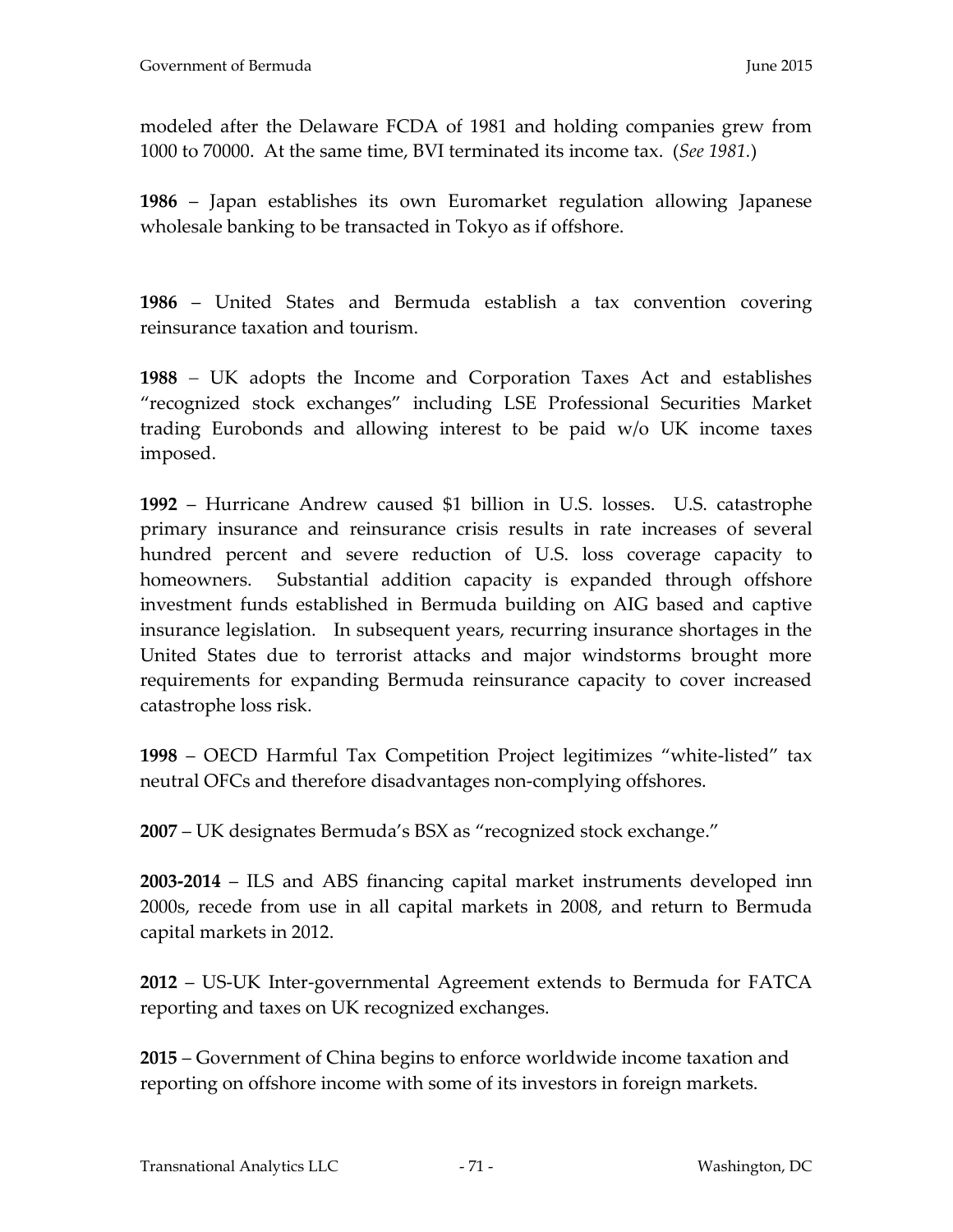modeled after the Delaware FCDA of 1981 and holding companies grew from 1000 to 70000. At the same time, BVI terminated its income tax. (*See 1981.*)

**1986** – Japan establishes its own Euromarket regulation allowing Japanese wholesale banking to be transacted in Tokyo as if offshore.

**1986** – United States and Bermuda establish a tax convention covering reinsurance taxation and tourism.

**1988** UK adopts the Income and Corporation Taxes Act and establishes "recognized stock exchanges" including LSE Professional Securities Market trading Eurobonds and allowing interest to be paid w/o UK income taxes imposed.

**1992** – Hurricane Andrew caused \$1 billion in U.S. losses. U.S. catastrophe primary insurance and reinsurance crisis results in rate increases of several hundred percent and severe reduction of U.S. loss coverage capacity to homeowners. Substantial addition capacity is expanded through offshore investment funds established in Bermuda building on AIG based and captive insurance legislation. In subsequent years, recurring insurance shortages in the United States due to terrorist attacks and major windstorms brought more requirements for expanding Bermuda reinsurance capacity to cover increased catastrophe loss risk.

**1998** – OECD Harmful Tax Competition Project legitimizes "white-listed" tax neutral OFCs and therefore disadvantages non-complying offshores.

**2007** – UK designates Bermuda's BSX as "recognized stock exchange."

**2003-2014** – ILS and ABS financing capital market instruments developed inn 2000s, recede from use in all capital markets in 2008, and return to Bermuda capital markets in 2012.

**2012** – US-UK Inter-governmental Agreement extends to Bermuda for FATCA reporting and taxes on UK recognized exchanges.

**2015** – Government of China begins to enforce worldwide income taxation and reporting on offshore income with some of its investors in foreign markets.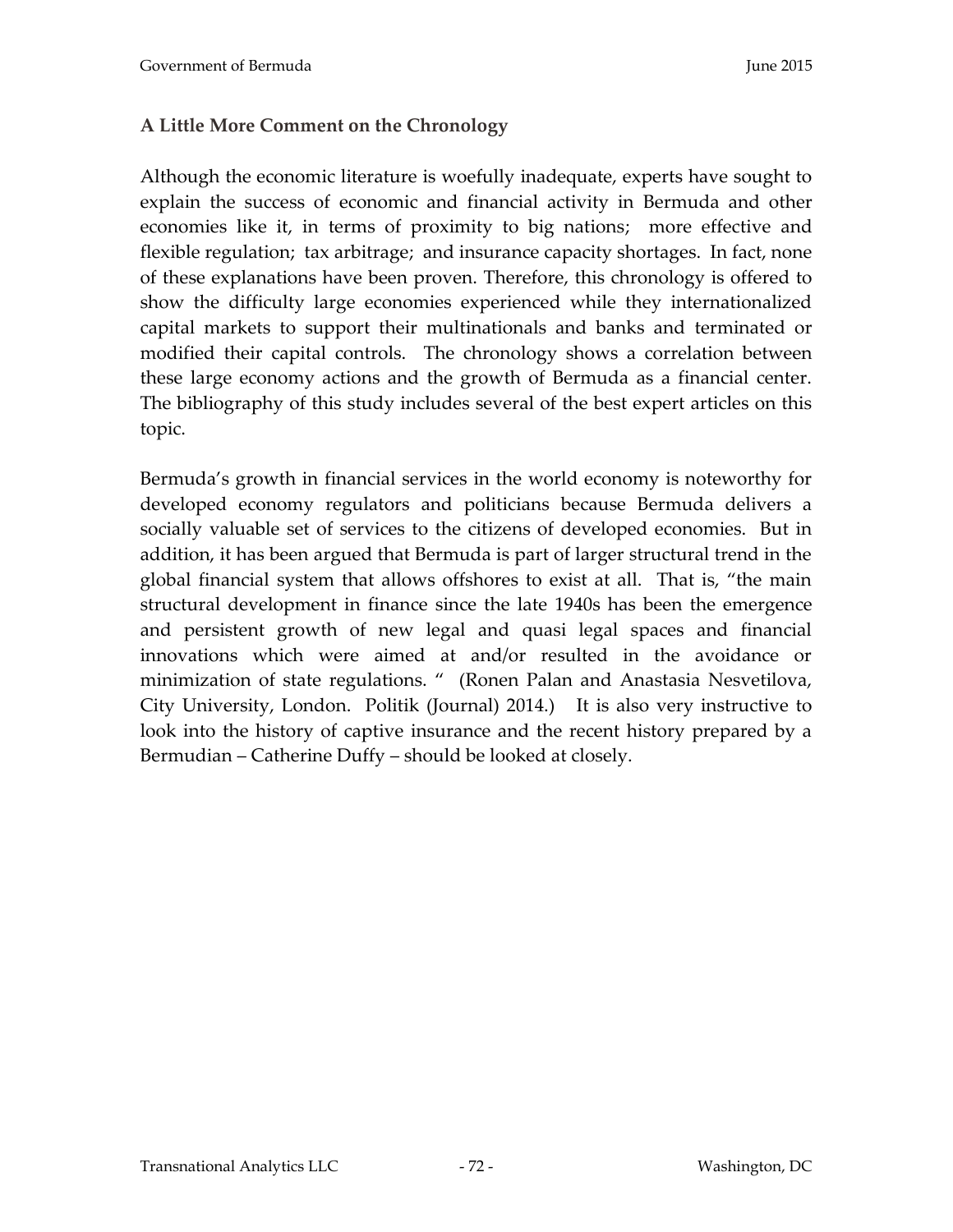# **A Little More Comment on the Chronology**

Although the economic literature is woefully inadequate, experts have sought to explain the success of economic and financial activity in Bermuda and other economies like it, in terms of proximity to big nations; more effective and flexible regulation; tax arbitrage; and insurance capacity shortages. In fact, none of these explanations have been proven. Therefore, this chronology is offered to show the difficulty large economies experienced while they internationalized capital markets to support their multinationals and banks and terminated or modified their capital controls. The chronology shows a correlation between these large economy actions and the growth of Bermuda as a financial center. The bibliography of this study includes several of the best expert articles on this topic.

Bermuda's growth in financial services in the world economy is noteworthy for developed economy regulators and politicians because Bermuda delivers a socially valuable set of services to the citizens of developed economies. But in addition, it has been argued that Bermuda is part of larger structural trend in the global financial system that allows offshores to exist at all. That is, "the main structural development in finance since the late 1940s has been the emergence and persistent growth of new legal and quasi legal spaces and financial innovations which were aimed at and/or resulted in the avoidance or minimization of state regulations. " (Ronen Palan and Anastasia Nesvetilova, City University, London. Politik (Journal) 2014.) It is also very instructive to look into the history of captive insurance and the recent history prepared by a Bermudian – Catherine Duffy – should be looked at closely.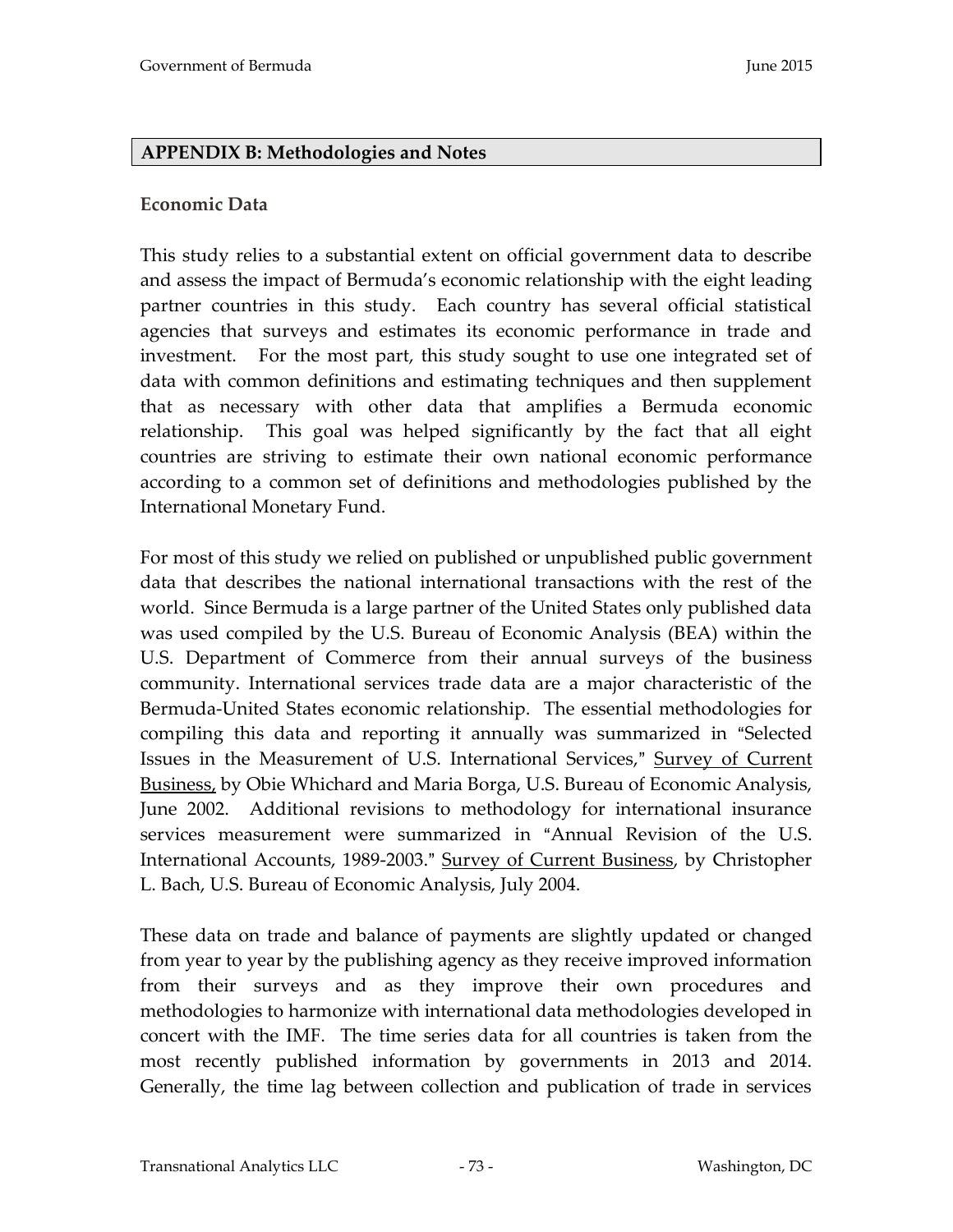## **APPENDIX B: Methodologies and Notes**

## **Economic Data**

This study relies to a substantial extent on official government data to describe and assess the impact of Bermuda's economic relationship with the eight leading partner countries in this study. Each country has several official statistical agencies that surveys and estimates its economic performance in trade and investment. For the most part, this study sought to use one integrated set of data with common definitions and estimating techniques and then supplement that as necessary with other data that amplifies a Bermuda economic relationship. This goal was helped significantly by the fact that all eight countries are striving to estimate their own national economic performance according to a common set of definitions and methodologies published by the International Monetary Fund.

For most of this study we relied on published or unpublished public government data that describes the national international transactions with the rest of the world. Since Bermuda is a large partner of the United States only published data was used compiled by the U.S. Bureau of Economic Analysis (BEA) within the U.S. Department of Commerce from their annual surveys of the business community. International services trade data are a major characteristic of the Bermuda-United States economic relationship. The essential methodologies for compiling this data and reporting it annually was summarized in "Selected Issues in the Measurement of U.S. International Services," Survey of Current Business, by Obie Whichard and Maria Borga, U.S. Bureau of Economic Analysis, June 2002. Additional revisions to methodology for international insurance services measurement were summarized in "Annual Revision of the U.S. International Accounts, 1989-2003." Survey of Current Business, by Christopher L. Bach, U.S. Bureau of Economic Analysis, July 2004.

These data on trade and balance of payments are slightly updated or changed from year to year by the publishing agency as they receive improved information from their surveys and as they improve their own procedures and methodologies to harmonize with international data methodologies developed in concert with the IMF. The time series data for all countries is taken from the most recently published information by governments in 2013 and 2014. Generally, the time lag between collection and publication of trade in services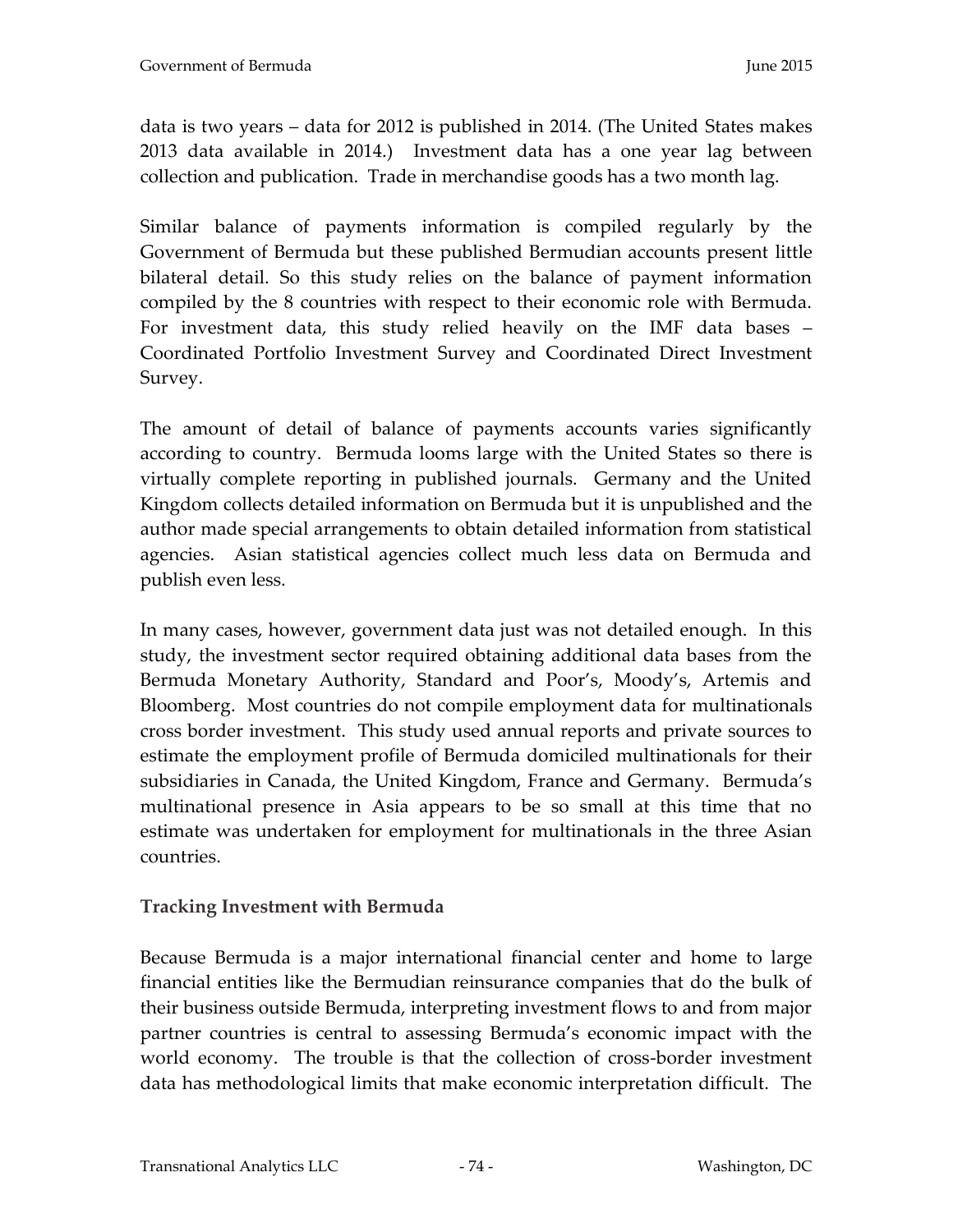data is two years – data for 2012 is published in 2014. (The United States makes 2013 data available in 2014.) Investment data has a one year lag between collection and publication. Trade in merchandise goods has a two month lag.

Similar balance of payments information is compiled regularly by the Government of Bermuda but these published Bermudian accounts present little bilateral detail. So this study relies on the balance of payment information compiled by the 8 countries with respect to their economic role with Bermuda. For investment data, this study relied heavily on the IMF data bases – Coordinated Portfolio Investment Survey and Coordinated Direct Investment Survey.

The amount of detail of balance of payments accounts varies significantly according to country. Bermuda looms large with the United States so there is virtually complete reporting in published journals. Germany and the United Kingdom collects detailed information on Bermuda but it is unpublished and the author made special arrangements to obtain detailed information from statistical agencies. Asian statistical agencies collect much less data on Bermuda and publish even less.

In many cases, however, government data just was not detailed enough. In this study, the investment sector required obtaining additional data bases from the Bermuda Monetary Authority, Standard and Poor's, Moody's, Artemis and Bloomberg. Most countries do not compile employment data for multinationals cross border investment. This study used annual reports and private sources to estimate the employment profile of Bermuda domiciled multinationals for their subsidiaries in Canada, the United Kingdom, France and Germany. Bermuda's multinational presence in Asia appears to be so small at this time that no estimate was undertaken for employment for multinationals in the three Asian countries.

## **Tracking Investment with Bermuda**

Because Bermuda is a major international financial center and home to large financial entities like the Bermudian reinsurance companies that do the bulk of their business outside Bermuda, interpreting investment flows to and from major partner countries is central to assessing Bermuda's economic impact with the world economy. The trouble is that the collection of cross-border investment data has methodological limits that make economic interpretation difficult. The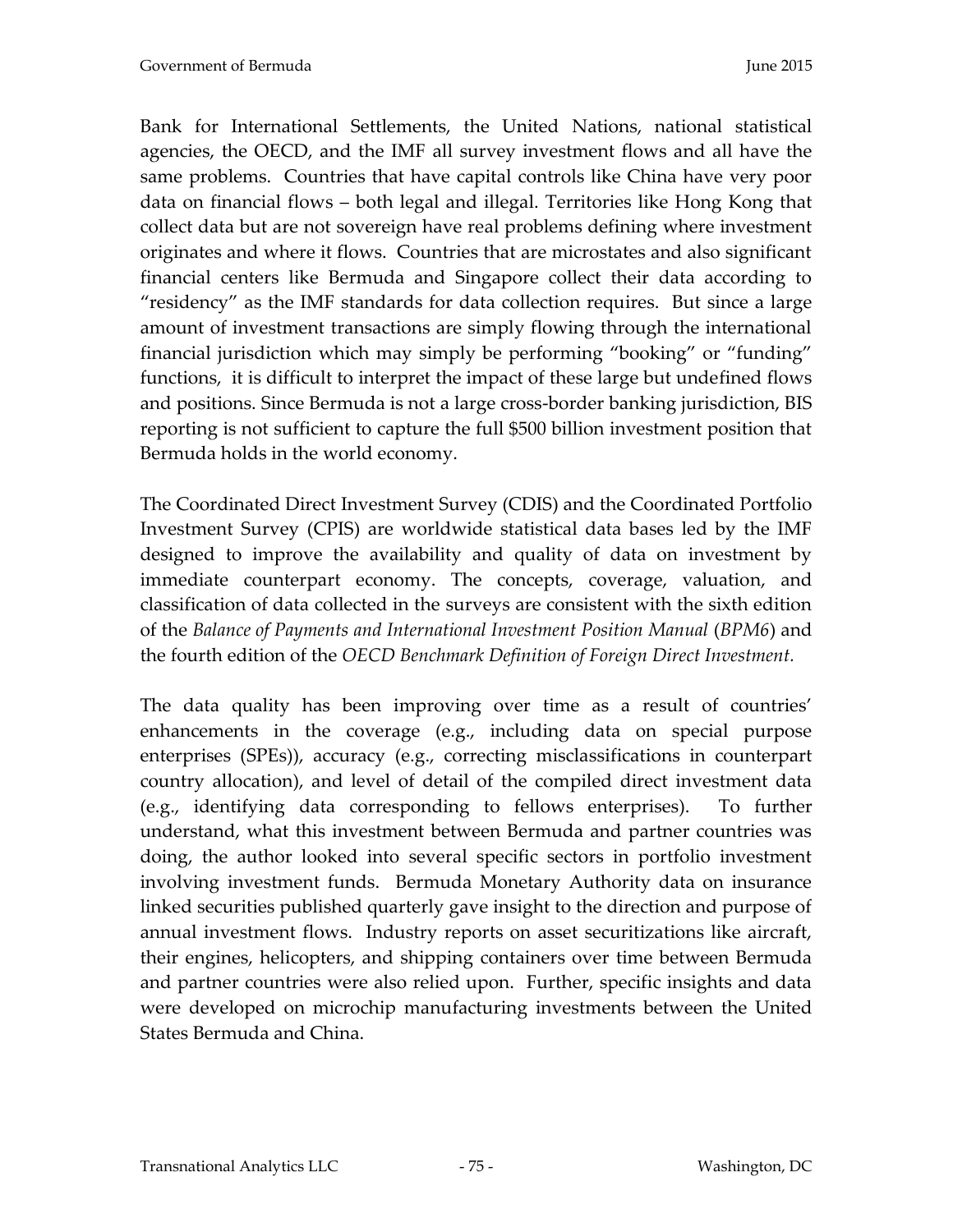Bank for International Settlements, the United Nations, national statistical agencies, the OECD, and the IMF all survey investment flows and all have the same problems. Countries that have capital controls like China have very poor data on financial flows – both legal and illegal. Territories like Hong Kong that collect data but are not sovereign have real problems defining where investment originates and where it flows. Countries that are microstates and also significant financial centers like Bermuda and Singapore collect their data according to "residency" as the IMF standards for data collection requires. But since a large amount of investment transactions are simply flowing through the international financial jurisdiction which may simply be performing "booking" or "funding" functions, it is difficult to interpret the impact of these large but undefined flows and positions. Since Bermuda is not a large cross-border banking jurisdiction, BIS reporting is not sufficient to capture the full \$500 billion investment position that Bermuda holds in the world economy.

The Coordinated Direct Investment Survey (CDIS) and the Coordinated Portfolio Investment Survey (CPIS) are worldwide statistical data bases led by the IMF designed to improve the availability and quality of data on investment by immediate counterpart economy. The concepts, coverage, valuation, and classification of data collected in the surveys are consistent with the sixth edition of the *Balance of Payments and International Investment Position Manual* (*BPM6*) and the fourth edition of the *OECD Benchmark Definition of Foreign Direct Investment.* 

The data quality has been improving over time as a result of countries' enhancements in the coverage (e.g., including data on special purpose enterprises (SPEs)), accuracy (e.g., correcting misclassifications in counterpart country allocation), and level of detail of the compiled direct investment data (e.g., identifying data corresponding to fellows enterprises). To further understand, what this investment between Bermuda and partner countries was doing, the author looked into several specific sectors in portfolio investment involving investment funds. Bermuda Monetary Authority data on insurance linked securities published quarterly gave insight to the direction and purpose of annual investment flows. Industry reports on asset securitizations like aircraft, their engines, helicopters, and shipping containers over time between Bermuda and partner countries were also relied upon. Further, specific insights and data were developed on microchip manufacturing investments between the United States Bermuda and China.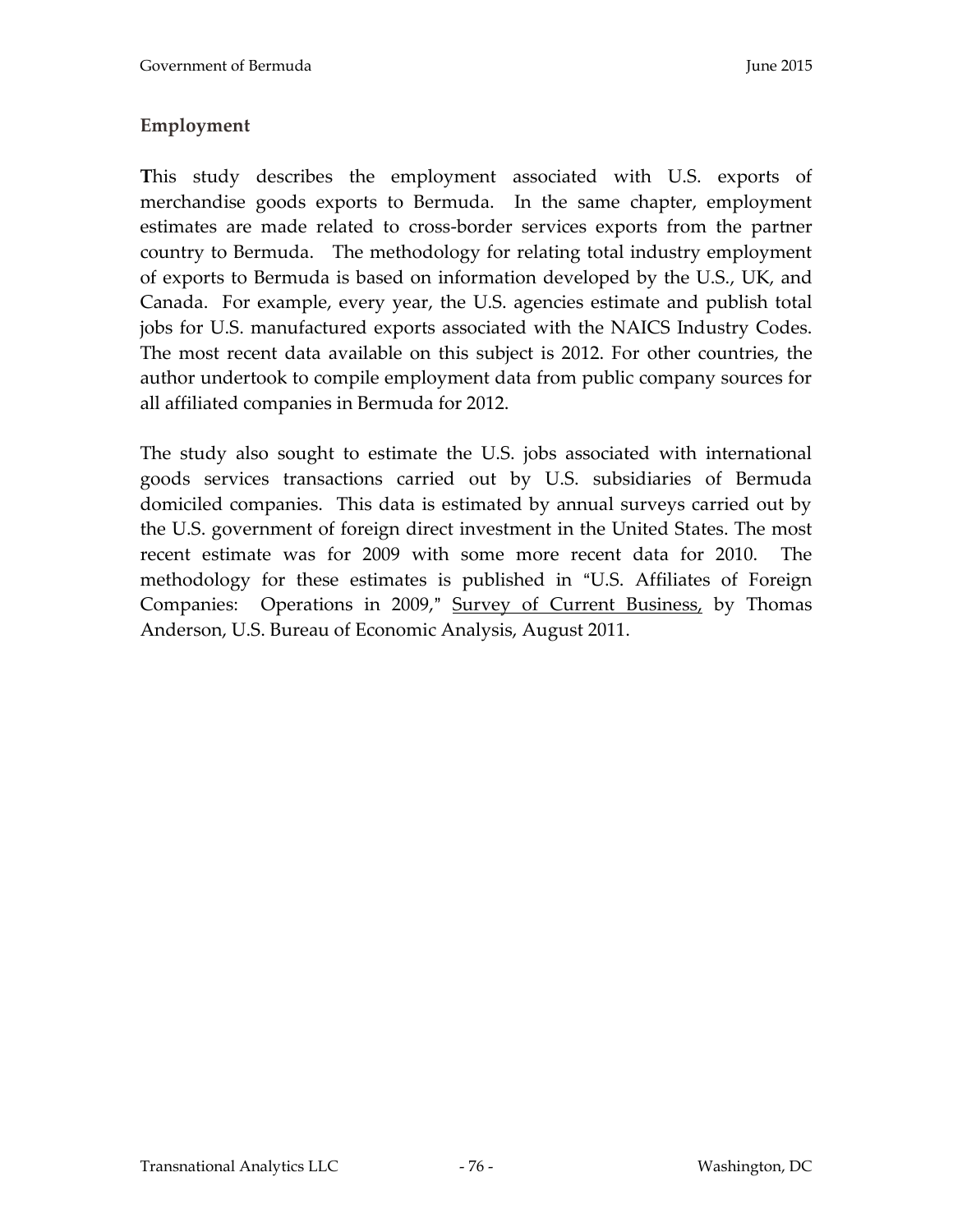# **Employment**

**T**his study describes the employment associated with U.S. exports of merchandise goods exports to Bermuda. In the same chapter, employment estimates are made related to cross-border services exports from the partner country to Bermuda. The methodology for relating total industry employment of exports to Bermuda is based on information developed by the U.S., UK, and Canada. For example, every year, the U.S. agencies estimate and publish total jobs for U.S. manufactured exports associated with the NAICS Industry Codes. The most recent data available on this subject is 2012. For other countries, the author undertook to compile employment data from public company sources for all affiliated companies in Bermuda for 2012.

The study also sought to estimate the U.S. jobs associated with international goods services transactions carried out by U.S. subsidiaries of Bermuda domiciled companies. This data is estimated by annual surveys carried out by the U.S. government of foreign direct investment in the United States. The most recent estimate was for 2009 with some more recent data for 2010. The methodology for these estimates is published in "U.S. Affiliates of Foreign Companies: Operations in 2009," Survey of Current Business, by Thomas Anderson, U.S. Bureau of Economic Analysis, August 2011.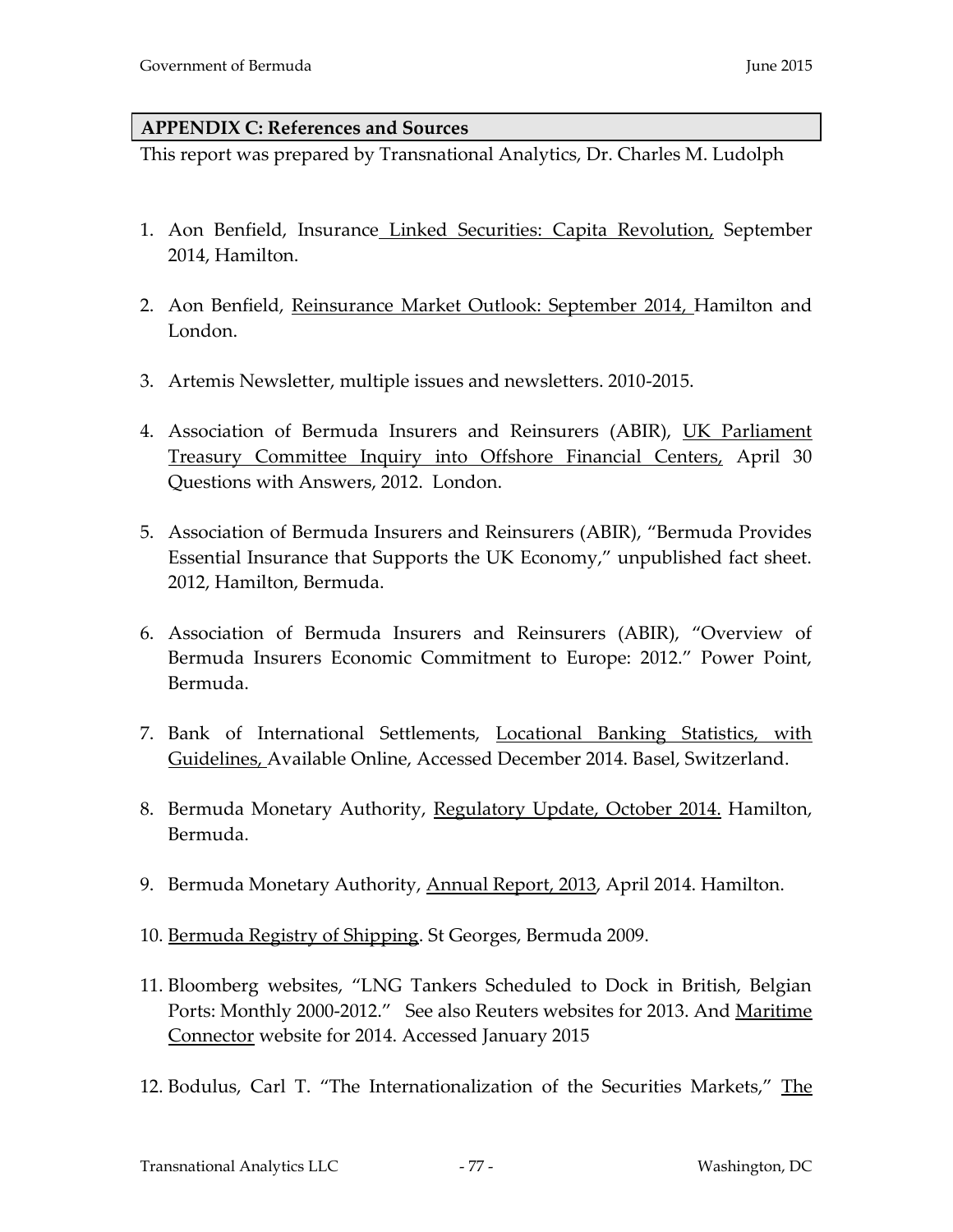#### **APPENDIX C: References and Sources**

This report was prepared by Transnational Analytics, Dr. Charles M. Ludolph

- 1. Aon Benfield, Insurance Linked Securities: Capita Revolution, September 2014, Hamilton.
- 2. Aon Benfield, Reinsurance Market Outlook: September 2014, Hamilton and London.
- 3. Artemis Newsletter, multiple issues and newsletters. 2010-2015.
- 4. Association of Bermuda Insurers and Reinsurers (ABIR), UK Parliament Treasury Committee Inquiry into Offshore Financial Centers, April 30 Questions with Answers, 2012. London.
- 5. Association of Bermuda Insurers and Reinsurers (ABIR), "Bermuda Provides Essential Insurance that Supports the UK Economy," unpublished fact sheet. 2012, Hamilton, Bermuda.
- 6. Association of Bermuda Insurers and Reinsurers (ABIR), "Overview of Bermuda Insurers Economic Commitment to Europe: 2012." Power Point, Bermuda.
- 7. Bank of International Settlements, Locational Banking Statistics, with Guidelines, Available Online, Accessed December 2014. Basel, Switzerland.
- 8. Bermuda Monetary Authority, Regulatory Update, October 2014. Hamilton, Bermuda.
- 9. Bermuda Monetary Authority, Annual Report, 2013, April 2014. Hamilton.
- 10. Bermuda Registry of Shipping. St Georges, Bermuda 2009.
- 11. Bloomberg websites, "LNG Tankers Scheduled to Dock in British, Belgian Ports: Monthly 2000-2012." See also Reuters websites for 2013. And Maritime Connector website for 2014. Accessed January 2015
- 12. Bodulus, Carl T. "The Internationalization of the Securities Markets," The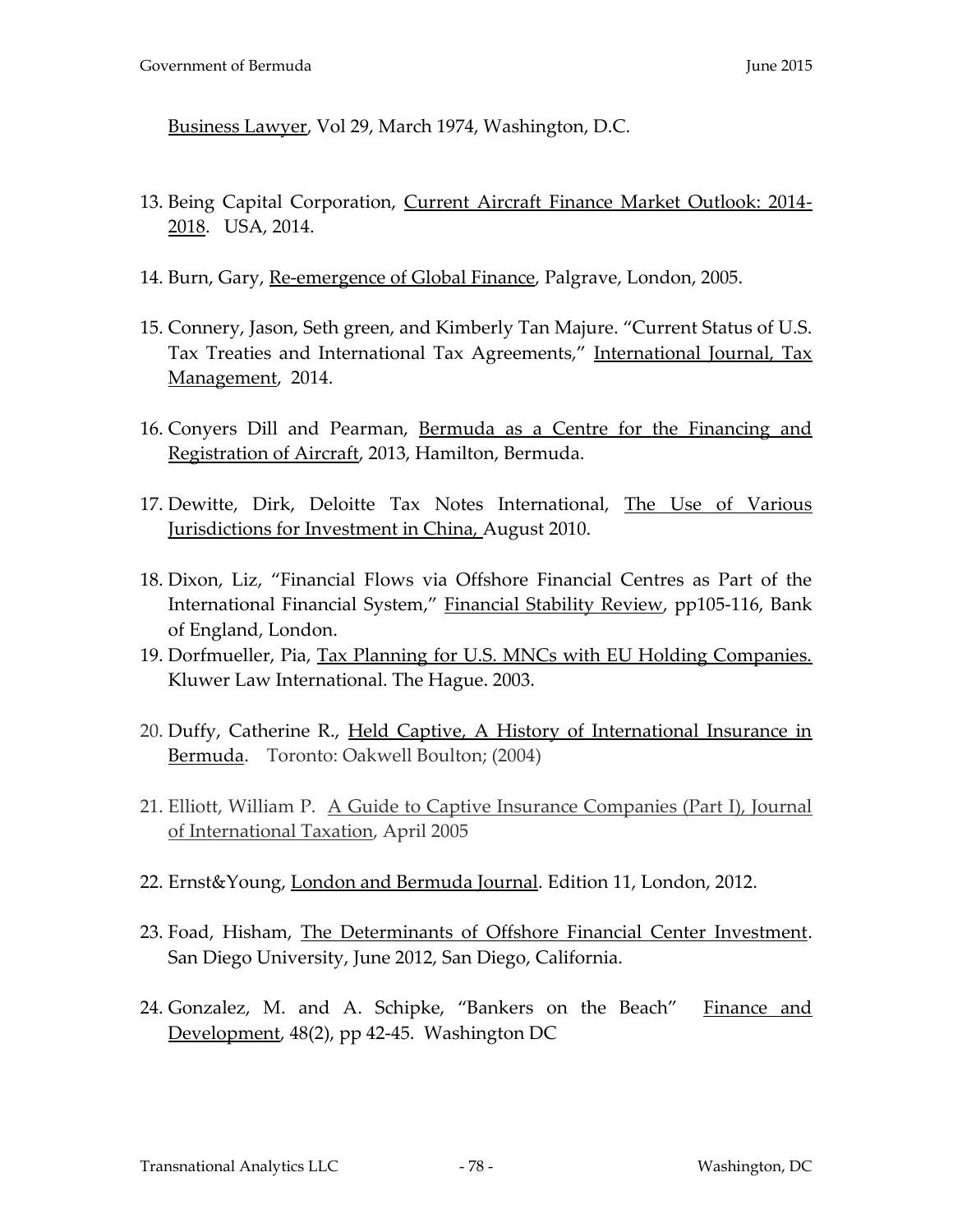Business Lawyer, Vol 29, March 1974, Washington, D.C.

- 13. Being Capital Corporation, Current Aircraft Finance Market Outlook: 2014- 2018. USA, 2014.
- 14. Burn, Gary, Re-emergence of Global Finance, Palgrave, London, 2005.
- 15. Connery, Jason, Seth green, and Kimberly Tan Majure. "Current Status of U.S. Tax Treaties and International Tax Agreements," International Journal, Tax Management, 2014.
- 16. Conyers Dill and Pearman, Bermuda as a Centre for the Financing and Registration of Aircraft, 2013, Hamilton, Bermuda.
- 17. Dewitte, Dirk, Deloitte Tax Notes International, The Use of Various Jurisdictions for Investment in China, August 2010.
- 18. Dixon, Liz, "Financial Flows via Offshore Financial Centres as Part of the International Financial System," Financial Stability Review, pp105-116, Bank of England, London.
- 19. Dorfmueller, Pia, Tax Planning for U.S. MNCs with EU Holding Companies. Kluwer Law International. The Hague. 2003.
- 20. Duffy, Catherine R., Held Captive, A History of International Insurance in Bermuda. Toronto: Oakwell Boulton; (2004)
- 21. Elliott, William P. A Guide to Captive Insurance Companies (Part I), Journal of International Taxation, April 2005
- 22. Ernst&Young, London and Bermuda Journal. Edition 11, London, 2012.
- 23. Foad, Hisham, The Determinants of Offshore Financial Center Investment. San Diego University, June 2012, San Diego, California.
- 24. Gonzalez, M. and A. Schipke, "Bankers on the Beach" Finance and Development, 48(2), pp 42-45. Washington DC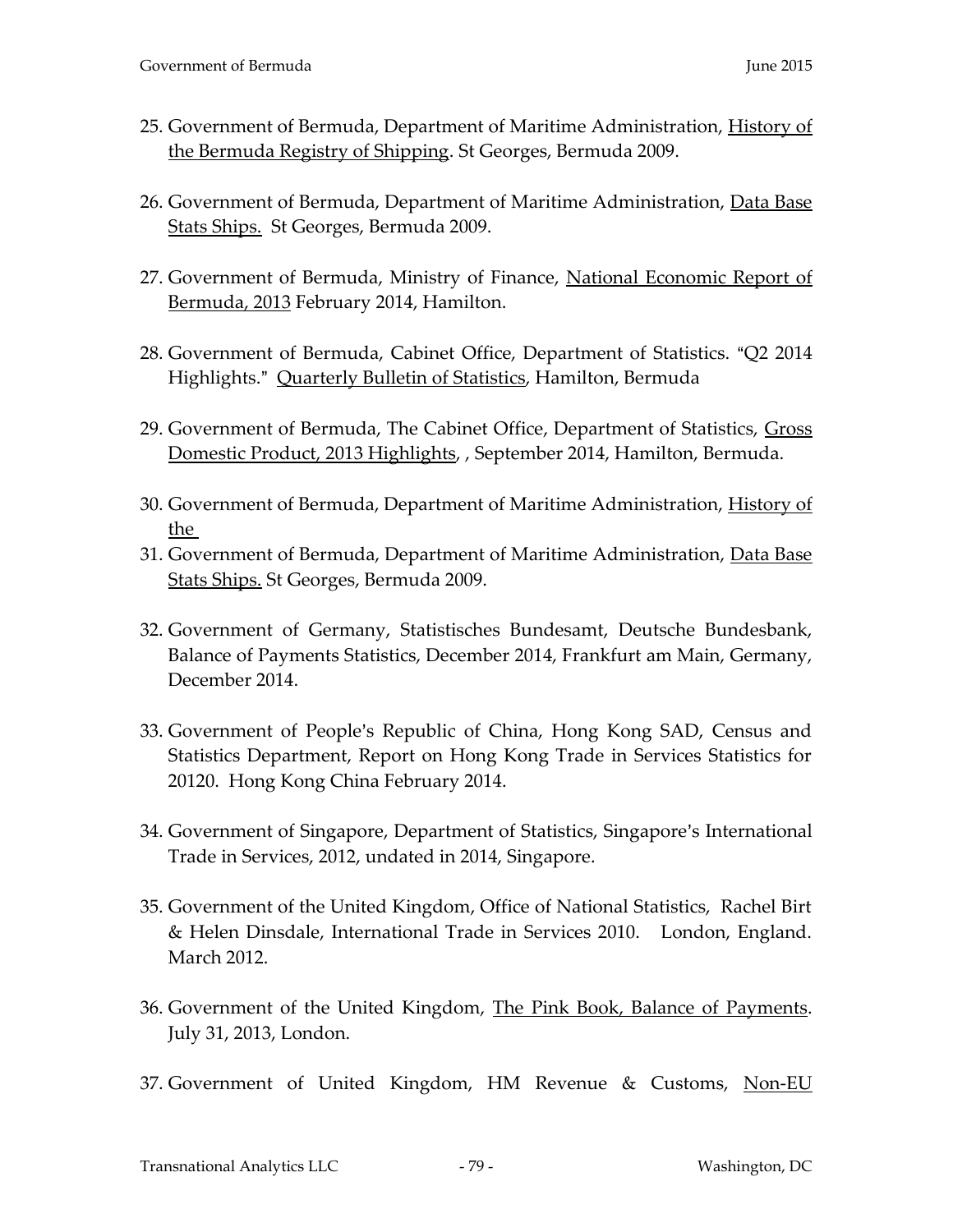- 25. Government of Bermuda, Department of Maritime Administration, History of the Bermuda Registry of Shipping. St Georges, Bermuda 2009.
- 26. Government of Bermuda, Department of Maritime Administration, Data Base Stats Ships. St Georges, Bermuda 2009.
- 27. Government of Bermuda, Ministry of Finance, National Economic Report of Bermuda, 2013 February 2014, Hamilton.
- 28. Government of Bermuda, Cabinet Office, Department of Statistics. "Q2 2014 Highlights." Quarterly Bulletin of Statistics, Hamilton, Bermuda
- 29. Government of Bermuda, The Cabinet Office, Department of Statistics, Gross Domestic Product, 2013 Highlights, , September 2014, Hamilton, Bermuda.
- 30. Government of Bermuda, Department of Maritime Administration, History of the
- 31. Government of Bermuda, Department of Maritime Administration, Data Base Stats Ships. St Georges, Bermuda 2009.
- 32. Government of Germany, Statistisches Bundesamt, Deutsche Bundesbank, Balance of Payments Statistics, December 2014, Frankfurt am Main, Germany, December 2014.
- 33. Government of People's Republic of China, Hong Kong SAD, Census and Statistics Department, Report on Hong Kong Trade in Services Statistics for 20120. Hong Kong China February 2014.
- 34. Government of Singapore, Department of Statistics, Singapore's International Trade in Services, 2012, undated in 2014, Singapore.
- 35. Government of the United Kingdom, Office of National Statistics, Rachel Birt & Helen Dinsdale, International Trade in Services 2010. London, England. March 2012.
- 36. Government of the United Kingdom, The Pink Book, Balance of Payments. July 31, 2013, London.
- 37. Government of United Kingdom, HM Revenue & Customs, Non-EU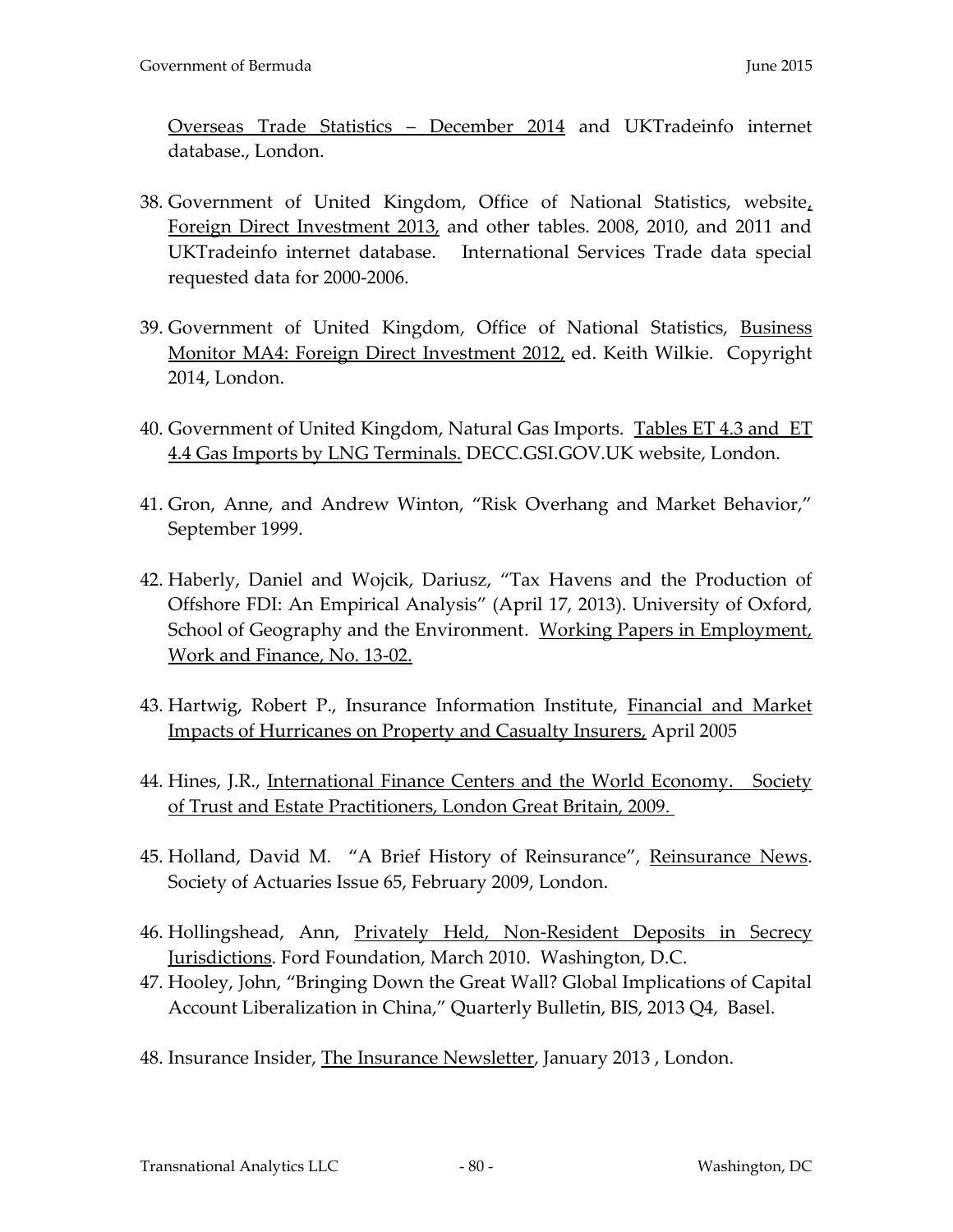Overseas Trade Statistics – December 2014 and UKTradeinfo internet database., London.

- 38. Government of United Kingdom, Office of National Statistics, website, Foreign Direct Investment 2013, and other tables. 2008, 2010, and 2011 and UKTradeinfo internet database. International Services Trade data special requested data for 2000-2006.
- 39. Government of United Kingdom, Office of National Statistics, Business Monitor MA4: Foreign Direct Investment 2012, ed. Keith Wilkie. Copyright 2014, London.
- 40. Government of United Kingdom, Natural Gas Imports. Tables ET 4.3 and ET 4.4 Gas Imports by LNG Terminals. DECC.GSI.GOV.UK website, London.
- 41. Gron, Anne, and Andrew Winton, "Risk Overhang and Market Behavior," September 1999.
- 42. Haberly, Daniel and Wojcik, Dariusz, "Tax Havens and the Production of Offshore FDI: An Empirical Analysis" (April 17, 2013). University of Oxford, School of Geography and the Environment. Working Papers in Employment, Work and Finance, No. 13-02.
- 43. Hartwig, Robert P., Insurance Information Institute, Financial and Market Impacts of Hurricanes on Property and Casualty Insurers, April 2005
- 44. Hines, J.R., International Finance Centers and the World Economy. Society of Trust and Estate Practitioners, London Great Britain, 2009.
- 45. Holland, David M. "A Brief History of Reinsurance", Reinsurance News. Society of Actuaries Issue 65, February 2009, London.
- 46. Hollingshead, Ann, Privately Held, Non-Resident Deposits in Secrecy Jurisdictions. Ford Foundation, March 2010. Washington, D.C.
- 47. Hooley, John, "Bringing Down the Great Wall? Global Implications of Capital Account Liberalization in China," Quarterly Bulletin, BIS, 2013 Q4, Basel.
- 48. Insurance Insider, The Insurance Newsletter, January 2013 , London.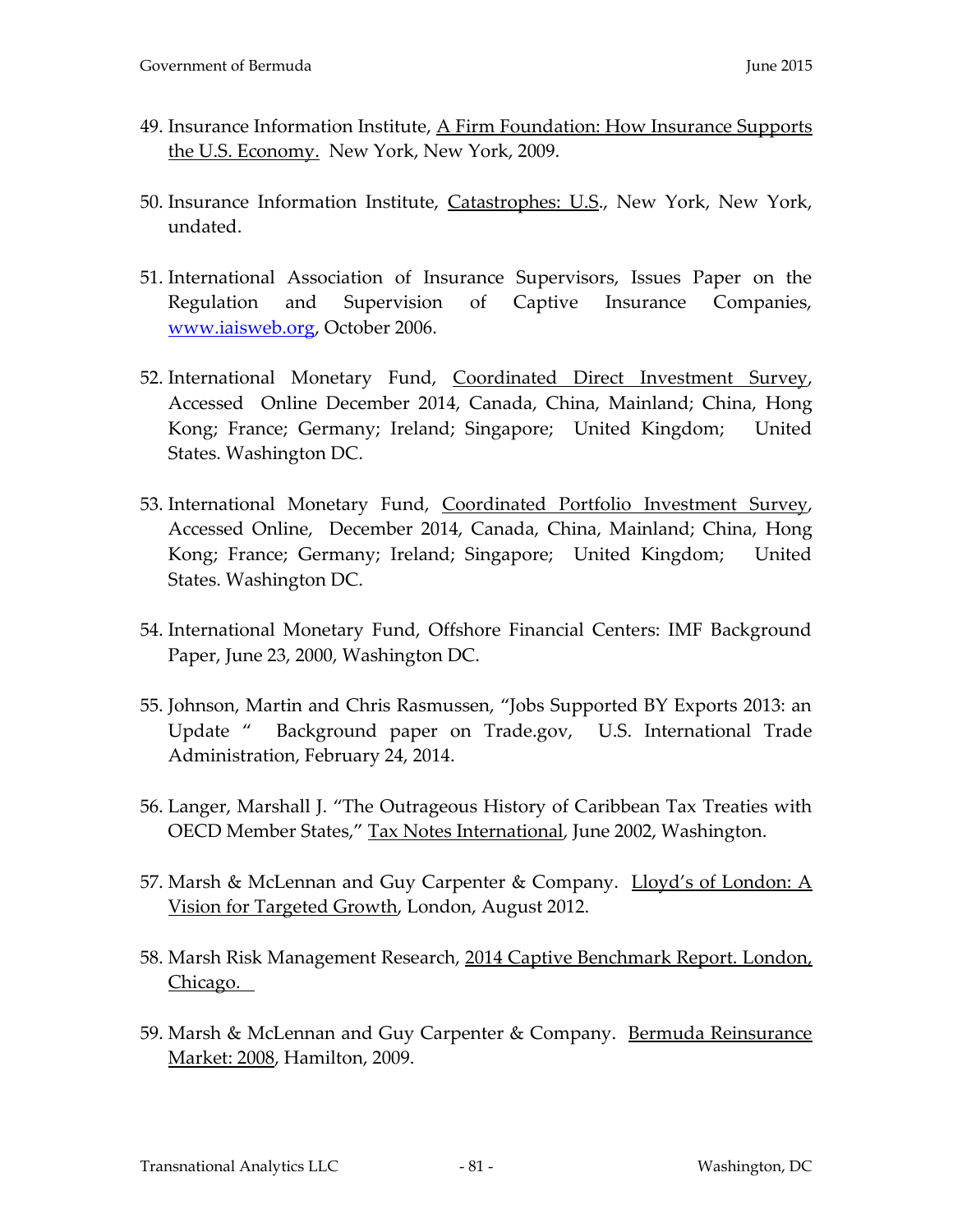- 49. Insurance Information Institute, A Firm Foundation: How Insurance Supports the U.S. Economy. New York, New York, 2009.
- 50. Insurance Information Institute, Catastrophes: U.S., New York, New York, undated.
- 51. International Association of Insurance Supervisors, Issues Paper on the Regulation and Supervision of Captive Insurance Companies, [www.iaisweb.org,](http://www.iaisweb.org/) October 2006.
- 52. International Monetary Fund, Coordinated Direct Investment Survey, Accessed Online December 2014, Canada, China, Mainland; China, Hong Kong; France; Germany; Ireland; Singapore; United Kingdom; United States. Washington DC.
- 53. International Monetary Fund, Coordinated Portfolio Investment Survey, Accessed Online, December 2014, Canada, China, Mainland; China, Hong Kong; France; Germany; Ireland; Singapore; United Kingdom; United States. Washington DC.
- 54. International Monetary Fund, Offshore Financial Centers: IMF Background Paper, June 23, 2000, Washington DC.
- 55. Johnson, Martin and Chris Rasmussen, "Jobs Supported BY Exports 2013: an Update " Background paper on Trade.gov, U.S. International Trade Administration, February 24, 2014.
- 56. Langer, Marshall J. "The Outrageous History of Caribbean Tax Treaties with OECD Member States," Tax Notes International, June 2002, Washington.
- 57. Marsh & McLennan and Guy Carpenter & Company. Lloyd's of London: A Vision for Targeted Growth, London, August 2012.
- 58. Marsh Risk Management Research, 2014 Captive Benchmark Report. London, Chicago.
- 59. Marsh & McLennan and Guy Carpenter & Company. Bermuda Reinsurance Market: 2008, Hamilton, 2009.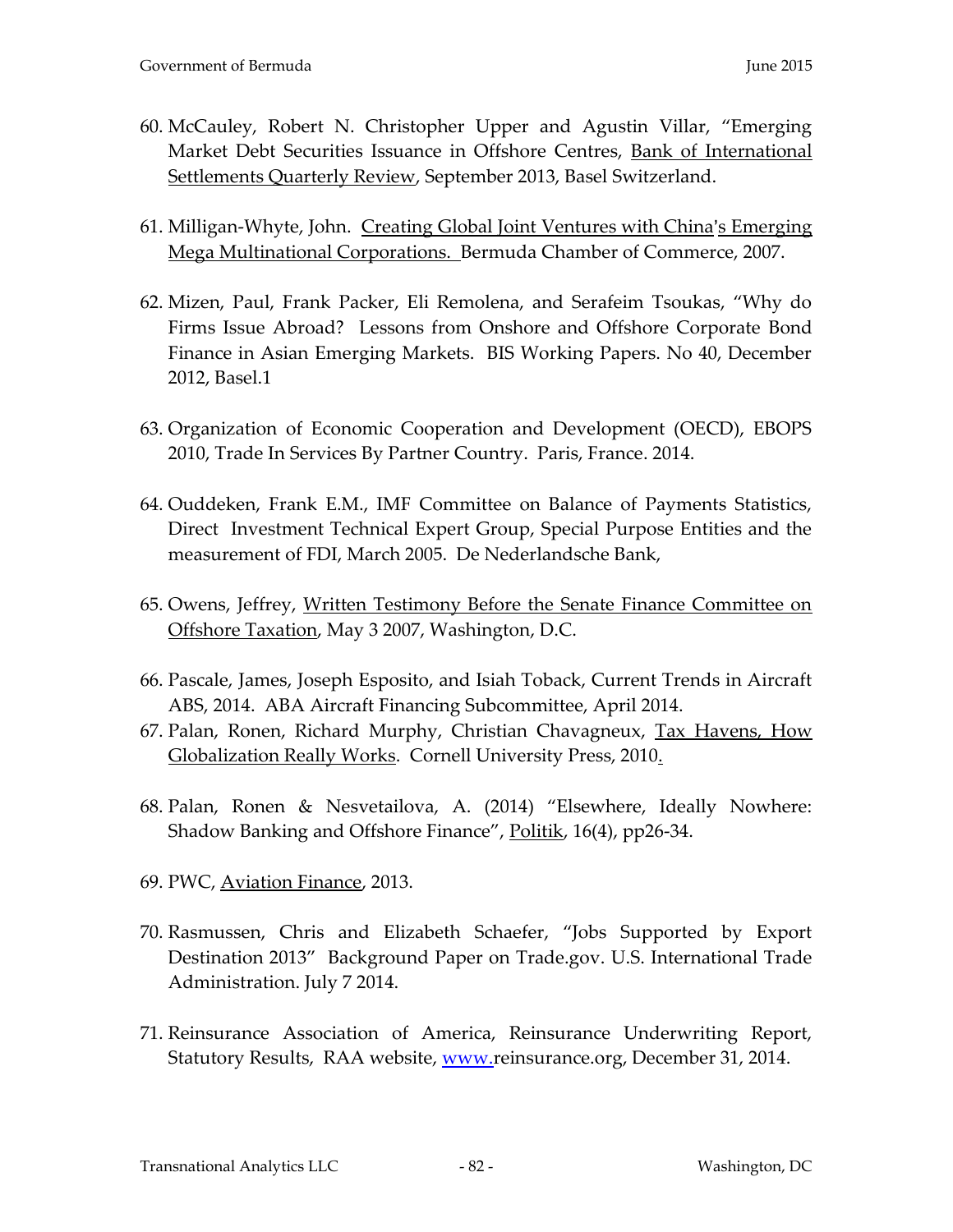- 60. McCauley, Robert N. Christopher Upper and Agustin Villar, "Emerging Market Debt Securities Issuance in Offshore Centres, Bank of International Settlements Quarterly Review, September 2013, Basel Switzerland.
- 61. Milligan-Whyte, John. Creating Global Joint Ventures with China's Emerging Mega Multinational Corporations. Bermuda Chamber of Commerce, 2007.
- 62. Mizen, Paul, Frank Packer, Eli Remolena, and Serafeim Tsoukas, "Why do Firms Issue Abroad? Lessons from Onshore and Offshore Corporate Bond Finance in Asian Emerging Markets. BIS Working Papers. No 40, December 2012, Basel.1
- 63. Organization of Economic Cooperation and Development (OECD), EBOPS 2010, Trade In Services By Partner Country. Paris, France. 2014.
- 64. Ouddeken, Frank E.M., IMF Committee on Balance of Payments Statistics, Direct Investment Technical Expert Group, Special Purpose Entities and the measurement of FDI, March 2005. De Nederlandsche Bank,
- 65. Owens, Jeffrey, Written Testimony Before the Senate Finance Committee on Offshore Taxation, May 3 2007, Washington, D.C.
- 66. Pascale, James, Joseph Esposito, and Isiah Toback, Current Trends in Aircraft ABS, 2014. ABA Aircraft Financing Subcommittee, April 2014.
- 67. Palan, Ronen, Richard Murphy, Christian Chavagneux, Tax Havens, How Globalization Really Works. Cornell University Press, 2010.
- 68. Palan, Ronen & Nesvetailova, A. (2014) "Elsewhere, Ideally Nowhere: Shadow Banking and Offshore Finance", Politik, 16(4), pp26-34.
- 69. PWC, Aviation Finance, 2013.
- 70. Rasmussen, Chris and Elizabeth Schaefer, "Jobs Supported by Export Destination 2013" Background Paper on Trade.gov. U.S. International Trade Administration. July 7 2014.
- 71. Reinsurance Association of America, Reinsurance Underwriting Report, Statutory Results, RAA website, www.reinsurance.org, December 31, 2014.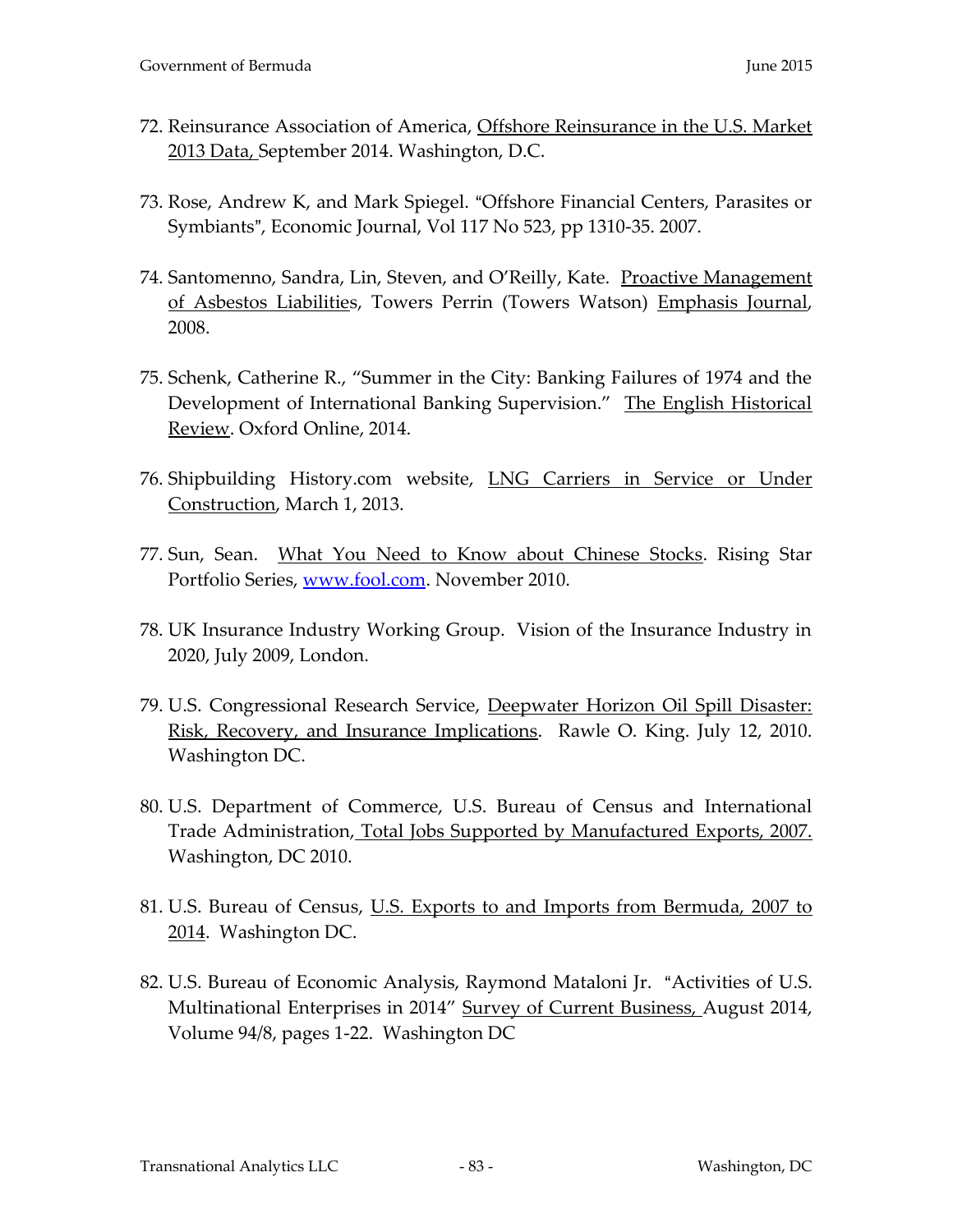- 72. Reinsurance Association of America, Offshore Reinsurance in the U.S. Market 2013 Data, September 2014. Washington, D.C.
- 73. Rose, Andrew K, and Mark Spiegel. "Offshore Financial Centers, Parasites or Symbiants", Economic Journal, Vol 117 No 523, pp 1310-35. 2007.
- 74. Santomenno, Sandra, Lin, Steven, and O'Reilly, Kate. Proactive Management of Asbestos Liabilities, Towers Perrin (Towers Watson) Emphasis Journal, 2008.
- 75. Schenk, Catherine R., "Summer in the City: Banking Failures of 1974 and the Development of International Banking Supervision." The English Historical Review. Oxford Online, 2014.
- 76. Shipbuilding History.com website, LNG Carriers in Service or Under Construction, March 1, 2013.
- 77. Sun, Sean. What You Need to Know about Chinese Stocks. Rising Star Portfolio Series, www.fool.com. November 2010.
- 78. UK Insurance Industry Working Group. Vision of the Insurance Industry in 2020, July 2009, London.
- 79. U.S. Congressional Research Service, Deepwater Horizon Oil Spill Disaster: Risk, Recovery, and Insurance Implications. Rawle O. King. July 12, 2010. Washington DC.
- 80. U.S. Department of Commerce, U.S. Bureau of Census and International Trade Administration, Total Jobs Supported by Manufactured Exports, 2007. Washington, DC 2010.
- 81. U.S. Bureau of Census, U.S. Exports to and Imports from Bermuda, 2007 to 2014. Washington DC.
- 82. U.S. Bureau of Economic Analysis, Raymond Mataloni Jr. "Activities of U.S. Multinational Enterprises in 2014" Survey of Current Business, August 2014, Volume 94/8, pages 1-22. Washington DC